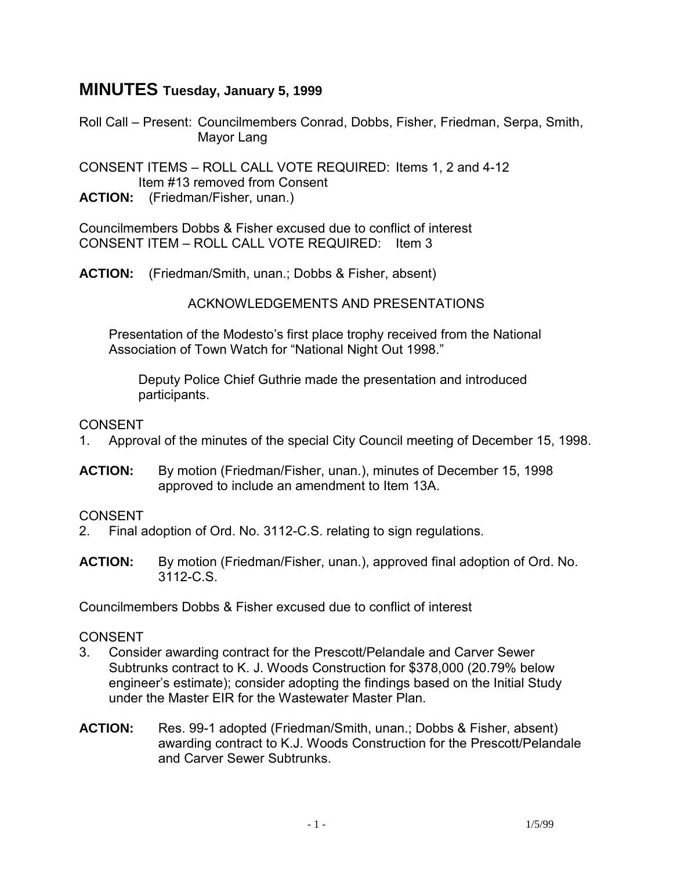# **MINUTES Tuesday, January 5, 1999**

Roll Call – Present: Councilmembers Conrad, Dobbs, Fisher, Friedman, Serpa, Smith, Mayor Lang

CONSENT ITEMS – ROLL CALL VOTE REQUIRED: Items 1, 2 and 4-12 Item #13 removed from Consent

**ACTION:** (Friedman/Fisher, unan.)

Councilmembers Dobbs & Fisher excused due to conflict of interest CONSENT ITEM – ROLL CALL VOTE REQUIRED: Item 3

**ACTION:** (Friedman/Smith, unan.; Dobbs & Fisher, absent)

ACKNOWLEDGEMENTS AND PRESENTATIONS

 Presentation of the Modesto's first place trophy received from the National Association of Town Watch for "National Night Out 1998."

 Deputy Police Chief Guthrie made the presentation and introduced participants.

### CONSENT

- 1. Approval of the minutes of the special City Council meeting of December 15, 1998.
- **ACTION:** By motion (Friedman/Fisher, unan.), minutes of December 15, 1998 approved to include an amendment to Item 13A.

# CONSENT

- 2. Final adoption of Ord. No. 3112-C.S. relating to sign regulations.
- **ACTION:** By motion (Friedman/Fisher, unan.), approved final adoption of Ord. No. 3112-C.S.

Councilmembers Dobbs & Fisher excused due to conflict of interest

# CONSENT

- 3. Consider awarding contract for the Prescott/Pelandale and Carver Sewer Subtrunks contract to K. J. Woods Construction for \$378,000 (20.79% below engineer's estimate); consider adopting the findings based on the Initial Study under the Master EIR for the Wastewater Master Plan.
- **ACTION:** Res. 99-1 adopted (Friedman/Smith, unan.; Dobbs & Fisher, absent) awarding contract to K.J. Woods Construction for the Prescott/Pelandale and Carver Sewer Subtrunks.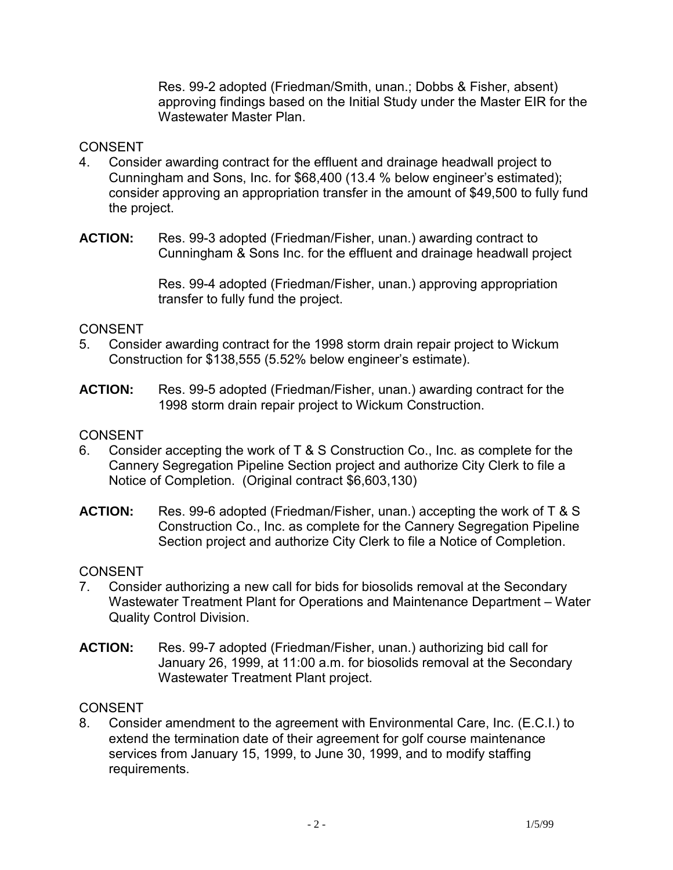Res. 99-2 adopted (Friedman/Smith, unan.; Dobbs & Fisher, absent) approving findings based on the Initial Study under the Master EIR for the Wastewater Master Plan.

### **CONSENT**

- 4. Consider awarding contract for the effluent and drainage headwall project to Cunningham and Sons, Inc. for \$68,400 (13.4 % below engineer's estimated); consider approving an appropriation transfer in the amount of \$49,500 to fully fund the project.
- **ACTION:** Res. 99-3 adopted (Friedman/Fisher, unan.) awarding contract to Cunningham & Sons Inc. for the effluent and drainage headwall project

Res. 99-4 adopted (Friedman/Fisher, unan.) approving appropriation transfer to fully fund the project.

### CONSENT

- 5. Consider awarding contract for the 1998 storm drain repair project to Wickum Construction for \$138,555 (5.52% below engineer's estimate).
- **ACTION:** Res. 99-5 adopted (Friedman/Fisher, unan.) awarding contract for the 1998 storm drain repair project to Wickum Construction.

### **CONSENT**

- 6. Consider accepting the work of T & S Construction Co., Inc. as complete for the Cannery Segregation Pipeline Section project and authorize City Clerk to file a Notice of Completion. (Original contract \$6,603,130)
- **ACTION:** Res. 99-6 adopted (Friedman/Fisher, unan.) accepting the work of T & S Construction Co., Inc. as complete for the Cannery Segregation Pipeline Section project and authorize City Clerk to file a Notice of Completion.

# **CONSENT**

- 7. Consider authorizing a new call for bids for biosolids removal at the Secondary Wastewater Treatment Plant for Operations and Maintenance Department – Water Quality Control Division.
- **ACTION:** Res. 99-7 adopted (Friedman/Fisher, unan.) authorizing bid call for January 26, 1999, at 11:00 a.m. for biosolids removal at the Secondary Wastewater Treatment Plant project.

# CONSENT

8. Consider amendment to the agreement with Environmental Care, Inc. (E.C.I.) to extend the termination date of their agreement for golf course maintenance services from January 15, 1999, to June 30, 1999, and to modify staffing requirements.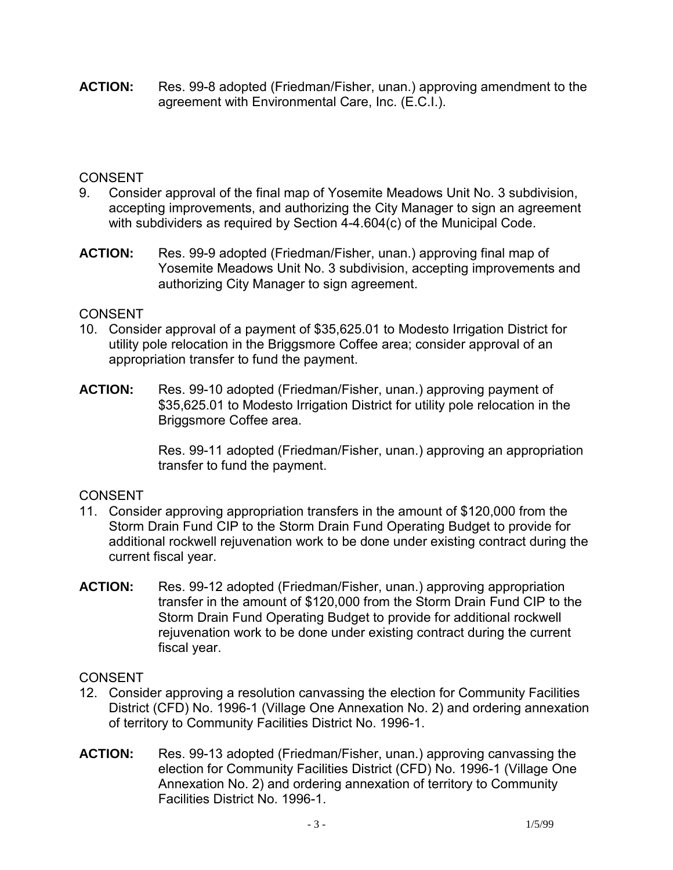**ACTION:** Res. 99-8 adopted (Friedman/Fisher, unan.) approving amendment to the agreement with Environmental Care, Inc. (E.C.I.).

# CONSENT

- 9. Consider approval of the final map of Yosemite Meadows Unit No. 3 subdivision, accepting improvements, and authorizing the City Manager to sign an agreement with subdividers as required by Section 4-4.604(c) of the Municipal Code.
- **ACTION:** Res. 99-9 adopted (Friedman/Fisher, unan.) approving final map of Yosemite Meadows Unit No. 3 subdivision, accepting improvements and authorizing City Manager to sign agreement.

# CONSENT

- 10. Consider approval of a payment of \$35,625.01 to Modesto Irrigation District for utility pole relocation in the Briggsmore Coffee area; consider approval of an appropriation transfer to fund the payment.
- **ACTION:** Res. 99-10 adopted (Friedman/Fisher, unan.) approving payment of \$35,625.01 to Modesto Irrigation District for utility pole relocation in the Briggsmore Coffee area.

Res. 99-11 adopted (Friedman/Fisher, unan.) approving an appropriation transfer to fund the payment.

# CONSENT

- 11. Consider approving appropriation transfers in the amount of \$120,000 from the Storm Drain Fund CIP to the Storm Drain Fund Operating Budget to provide for additional rockwell rejuvenation work to be done under existing contract during the current fiscal year.
- **ACTION:** Res. 99-12 adopted (Friedman/Fisher, unan.) approving appropriation transfer in the amount of \$120,000 from the Storm Drain Fund CIP to the Storm Drain Fund Operating Budget to provide for additional rockwell rejuvenation work to be done under existing contract during the current fiscal year.

# **CONSENT**

- 12. Consider approving a resolution canvassing the election for Community Facilities District (CFD) No. 1996-1 (Village One Annexation No. 2) and ordering annexation of territory to Community Facilities District No. 1996-1.
- **ACTION:** Res. 99-13 adopted (Friedman/Fisher, unan.) approving canvassing the election for Community Facilities District (CFD) No. 1996-1 (Village One Annexation No. 2) and ordering annexation of territory to Community Facilities District No. 1996-1.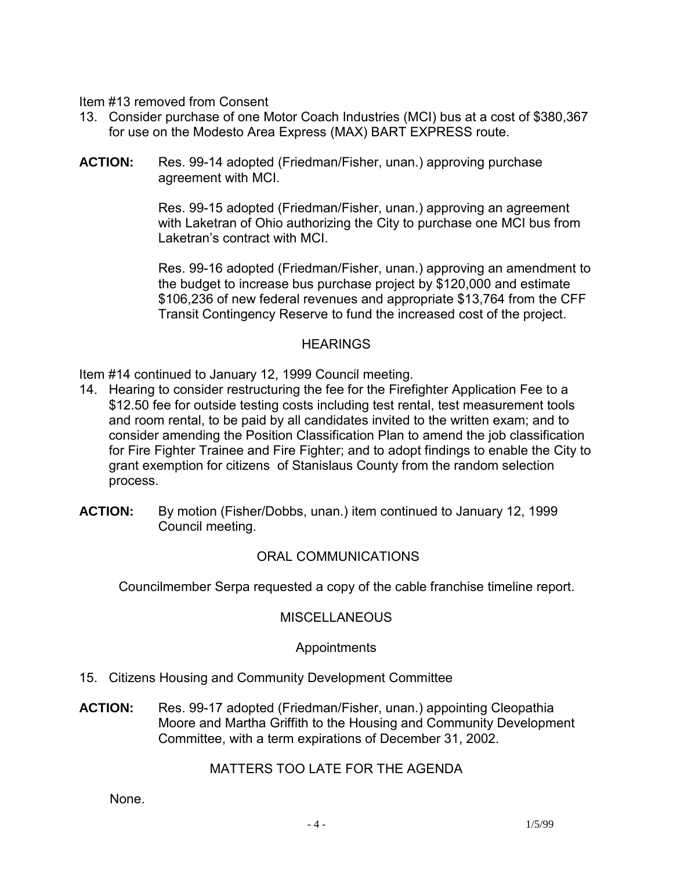Item #13 removed from Consent

- 13. Consider purchase of one Motor Coach Industries (MCI) bus at a cost of \$380,367 for use on the Modesto Area Express (MAX) BART EXPRESS route.
- **ACTION:** Res. 99-14 adopted (Friedman/Fisher, unan.) approving purchase agreement with MCI.

Res. 99-15 adopted (Friedman/Fisher, unan.) approving an agreement with Laketran of Ohio authorizing the City to purchase one MCI bus from Laketran's contract with MCI.

Res. 99-16 adopted (Friedman/Fisher, unan.) approving an amendment to the budget to increase bus purchase project by \$120,000 and estimate \$106,236 of new federal revenues and appropriate \$13,764 from the CFF Transit Contingency Reserve to fund the increased cost of the project.

#### **HEARINGS**

Item #14 continued to January 12, 1999 Council meeting.

- 14. Hearing to consider restructuring the fee for the Firefighter Application Fee to a \$12.50 fee for outside testing costs including test rental, test measurement tools and room rental, to be paid by all candidates invited to the written exam; and to consider amending the Position Classification Plan to amend the job classification for Fire Fighter Trainee and Fire Fighter; and to adopt findings to enable the City to grant exemption for citizens of Stanislaus County from the random selection process.
- **ACTION:** By motion (Fisher/Dobbs, unan.) item continued to January 12, 1999 Council meeting.

# ORAL COMMUNICATIONS

Councilmember Serpa requested a copy of the cable franchise timeline report.

#### **MISCELLANEOUS**

#### Appointments

- 15. Citizens Housing and Community Development Committee
- **ACTION:** Res. 99-17 adopted (Friedman/Fisher, unan.) appointing Cleopathia Moore and Martha Griffith to the Housing and Community Development Committee, with a term expirations of December 31, 2002.

#### MATTERS TOO LATE FOR THE AGENDA

None.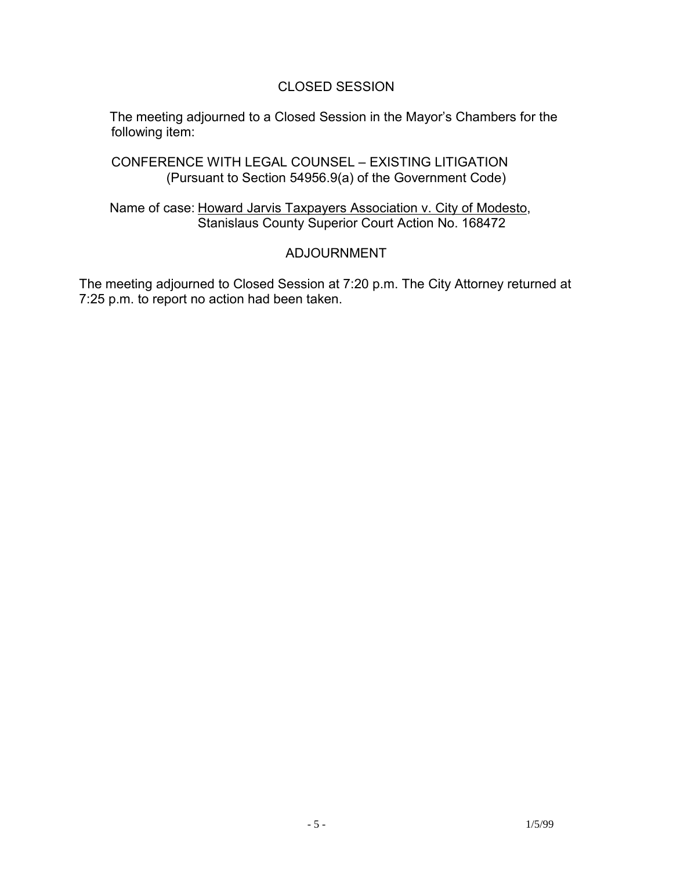### CLOSED SESSION

 The meeting adjourned to a Closed Session in the Mayor's Chambers for the following item:

 CONFERENCE WITH LEGAL COUNSEL – EXISTING LITIGATION (Pursuant to Section 54956.9(a) of the Government Code)

 Name of case: Howard Jarvis Taxpayers Association v. City of Modesto, Stanislaus County Superior Court Action No. 168472

### ADJOURNMENT

The meeting adjourned to Closed Session at 7:20 p.m. The City Attorney returned at 7:25 p.m. to report no action had been taken.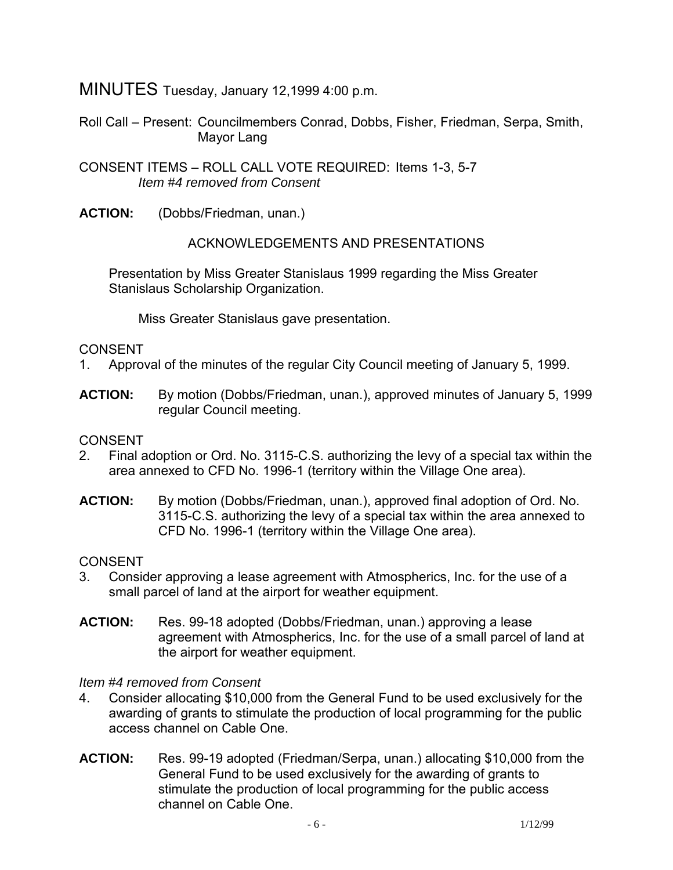MINUTES Tuesday, January 12,1999 4:00 p.m.

Roll Call – Present: Councilmembers Conrad, Dobbs, Fisher, Friedman, Serpa, Smith, Mayor Lang

CONSENT ITEMS – ROLL CALL VOTE REQUIRED: Items 1-3, 5-7 *Item #4 removed from Consent* 

**ACTION:** (Dobbs/Friedman, unan.)

ACKNOWLEDGEMENTS AND PRESENTATIONS

 Presentation by Miss Greater Stanislaus 1999 regarding the Miss Greater Stanislaus Scholarship Organization.

Miss Greater Stanislaus gave presentation.

### CONSENT

- 1. Approval of the minutes of the regular City Council meeting of January 5, 1999.
- **ACTION:** By motion (Dobbs/Friedman, unan.), approved minutes of January 5, 1999 regular Council meeting.

#### CONSENT

- 2. Final adoption or Ord. No. 3115-C.S. authorizing the levy of a special tax within the area annexed to CFD No. 1996-1 (territory within the Village One area).
- **ACTION:** By motion (Dobbs/Friedman, unan.), approved final adoption of Ord. No. 3115-C.S. authorizing the levy of a special tax within the area annexed to CFD No. 1996-1 (territory within the Village One area).

#### **CONSENT**

- 3. Consider approving a lease agreement with Atmospherics, Inc. for the use of a small parcel of land at the airport for weather equipment.
- **ACTION:** Res. 99-18 adopted (Dobbs/Friedman, unan.) approving a lease agreement with Atmospherics, Inc. for the use of a small parcel of land at the airport for weather equipment.

#### *Item #4 removed from Consent*

- 4. Consider allocating \$10,000 from the General Fund to be used exclusively for the awarding of grants to stimulate the production of local programming for the public access channel on Cable One.
- **ACTION:** Res. 99-19 adopted (Friedman/Serpa, unan.) allocating \$10,000 from the General Fund to be used exclusively for the awarding of grants to stimulate the production of local programming for the public access channel on Cable One.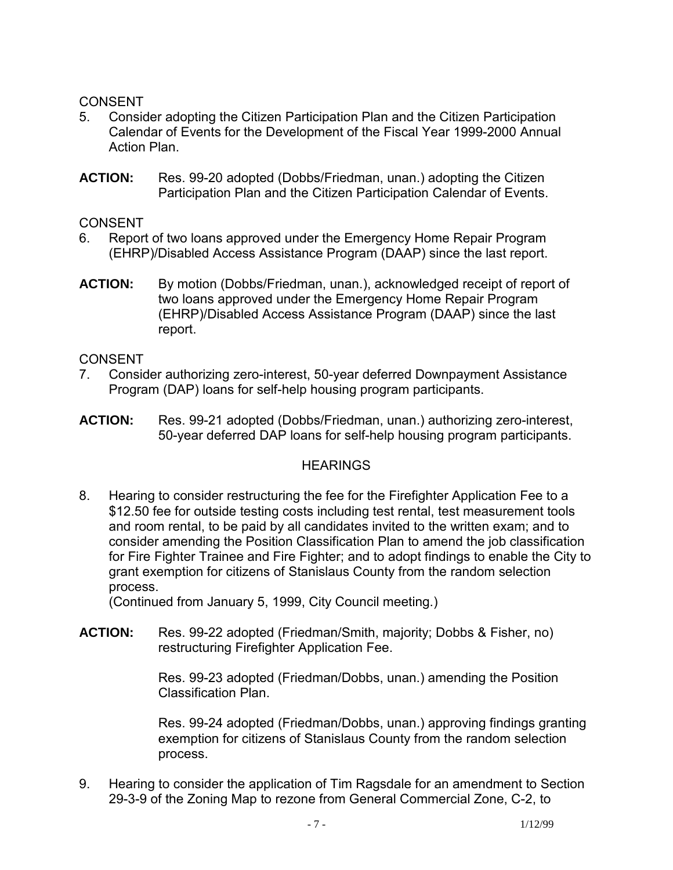### CONSENT

- 5. Consider adopting the Citizen Participation Plan and the Citizen Participation Calendar of Events for the Development of the Fiscal Year 1999-2000 Annual Action Plan.
- **ACTION:** Res. 99-20 adopted (Dobbs/Friedman, unan.) adopting the Citizen Participation Plan and the Citizen Participation Calendar of Events.

**CONSENT** 

- 6. Report of two loans approved under the Emergency Home Repair Program (EHRP)/Disabled Access Assistance Program (DAAP) since the last report.
- **ACTION:** By motion (Dobbs/Friedman, unan.), acknowledged receipt of report of two loans approved under the Emergency Home Repair Program (EHRP)/Disabled Access Assistance Program (DAAP) since the last report.

### CONSENT

- 7. Consider authorizing zero-interest, 50-year deferred Downpayment Assistance Program (DAP) loans for self-help housing program participants.
- **ACTION:** Res. 99-21 adopted (Dobbs/Friedman, unan.) authorizing zero-interest, 50-year deferred DAP loans for self-help housing program participants.

# **HEARINGS**

8. Hearing to consider restructuring the fee for the Firefighter Application Fee to a \$12.50 fee for outside testing costs including test rental, test measurement tools and room rental, to be paid by all candidates invited to the written exam; and to consider amending the Position Classification Plan to amend the job classification for Fire Fighter Trainee and Fire Fighter; and to adopt findings to enable the City to grant exemption for citizens of Stanislaus County from the random selection process.

(Continued from January 5, 1999, City Council meeting.)

**ACTION:** Res. 99-22 adopted (Friedman/Smith, majority; Dobbs & Fisher, no) restructuring Firefighter Application Fee.

> Res. 99-23 adopted (Friedman/Dobbs, unan.) amending the Position Classification Plan.

Res. 99-24 adopted (Friedman/Dobbs, unan.) approving findings granting exemption for citizens of Stanislaus County from the random selection process.

9. Hearing to consider the application of Tim Ragsdale for an amendment to Section 29-3-9 of the Zoning Map to rezone from General Commercial Zone, C-2, to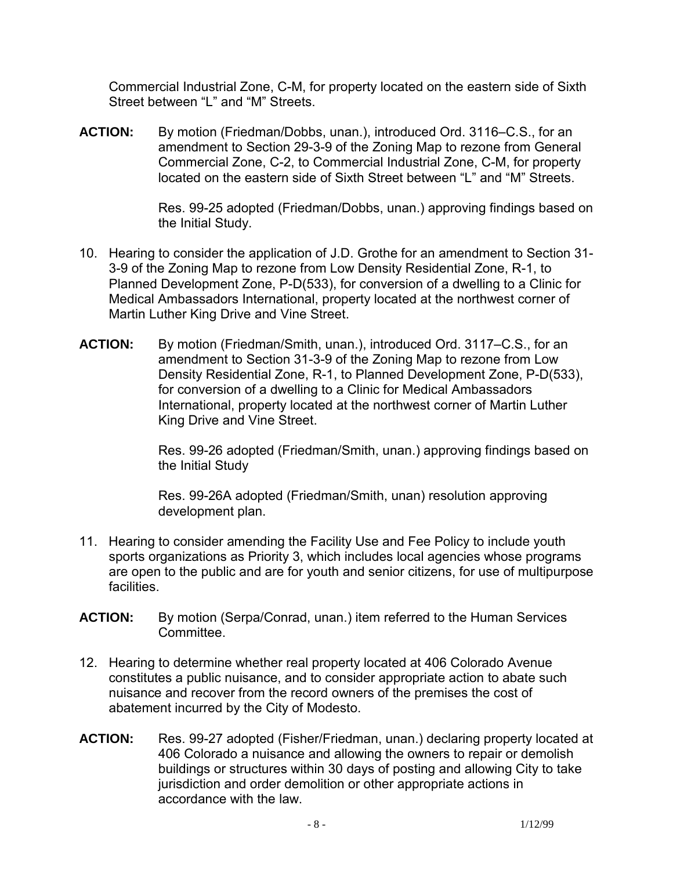Commercial Industrial Zone, C-M, for property located on the eastern side of Sixth Street between "L" and "M" Streets.

**ACTION:** By motion (Friedman/Dobbs, unan.), introduced Ord. 3116–C.S., for an amendment to Section 29-3-9 of the Zoning Map to rezone from General Commercial Zone, C-2, to Commercial Industrial Zone, C-M, for property located on the eastern side of Sixth Street between "L" and "M" Streets.

> Res. 99-25 adopted (Friedman/Dobbs, unan.) approving findings based on the Initial Study.

- 10. Hearing to consider the application of J.D. Grothe for an amendment to Section 31- 3-9 of the Zoning Map to rezone from Low Density Residential Zone, R-1, to Planned Development Zone, P-D(533), for conversion of a dwelling to a Clinic for Medical Ambassadors International, property located at the northwest corner of Martin Luther King Drive and Vine Street.
- **ACTION:** By motion (Friedman/Smith, unan.), introduced Ord. 3117–C.S., for an amendment to Section 31-3-9 of the Zoning Map to rezone from Low Density Residential Zone, R-1, to Planned Development Zone, P-D(533), for conversion of a dwelling to a Clinic for Medical Ambassadors International, property located at the northwest corner of Martin Luther King Drive and Vine Street.

Res. 99-26 adopted (Friedman/Smith, unan.) approving findings based on the Initial Study

Res. 99-26A adopted (Friedman/Smith, unan) resolution approving development plan.

- 11. Hearing to consider amending the Facility Use and Fee Policy to include youth sports organizations as Priority 3, which includes local agencies whose programs are open to the public and are for youth and senior citizens, for use of multipurpose facilities.
- **ACTION:** By motion (Serpa/Conrad, unan.) item referred to the Human Services Committee.
- 12. Hearing to determine whether real property located at 406 Colorado Avenue constitutes a public nuisance, and to consider appropriate action to abate such nuisance and recover from the record owners of the premises the cost of abatement incurred by the City of Modesto.
- **ACTION:** Res. 99-27 adopted (Fisher/Friedman, unan.) declaring property located at 406 Colorado a nuisance and allowing the owners to repair or demolish buildings or structures within 30 days of posting and allowing City to take jurisdiction and order demolition or other appropriate actions in accordance with the law.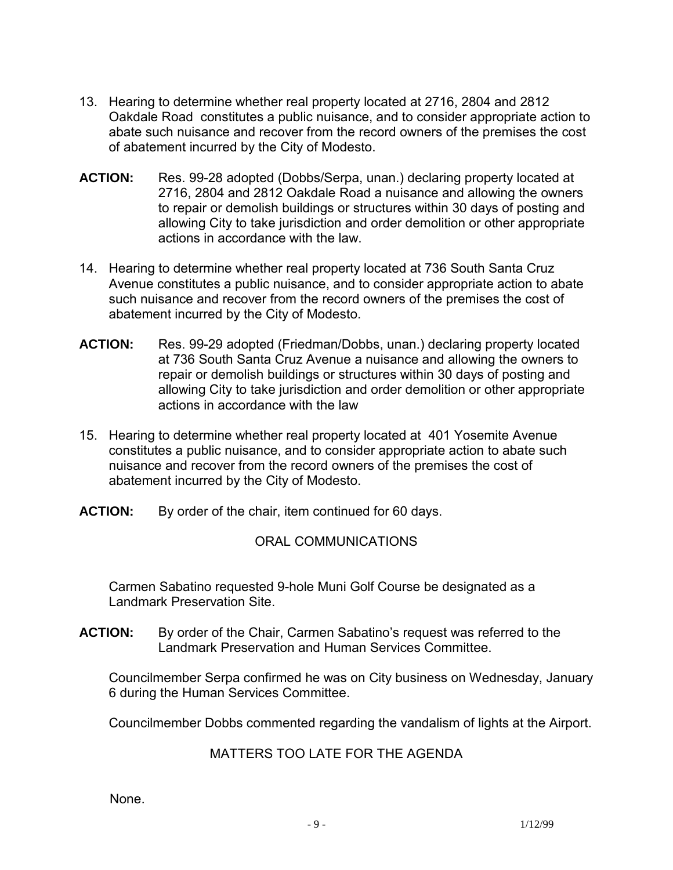- 13. Hearing to determine whether real property located at 2716, 2804 and 2812 Oakdale Road constitutes a public nuisance, and to consider appropriate action to abate such nuisance and recover from the record owners of the premises the cost of abatement incurred by the City of Modesto.
- **ACTION:** Res. 99-28 adopted (Dobbs/Serpa, unan.) declaring property located at 2716, 2804 and 2812 Oakdale Road a nuisance and allowing the owners to repair or demolish buildings or structures within 30 days of posting and allowing City to take jurisdiction and order demolition or other appropriate actions in accordance with the law.
- 14. Hearing to determine whether real property located at 736 South Santa Cruz Avenue constitutes a public nuisance, and to consider appropriate action to abate such nuisance and recover from the record owners of the premises the cost of abatement incurred by the City of Modesto.
- **ACTION:** Res. 99-29 adopted (Friedman/Dobbs, unan.) declaring property located at 736 South Santa Cruz Avenue a nuisance and allowing the owners to repair or demolish buildings or structures within 30 days of posting and allowing City to take jurisdiction and order demolition or other appropriate actions in accordance with the law
- 15. Hearing to determine whether real property located at 401 Yosemite Avenue constitutes a public nuisance, and to consider appropriate action to abate such nuisance and recover from the record owners of the premises the cost of abatement incurred by the City of Modesto.
- **ACTION:** By order of the chair, item continued for 60 days.

# ORAL COMMUNICATIONS

 Carmen Sabatino requested 9-hole Muni Golf Course be designated as a Landmark Preservation Site.

**ACTION:** By order of the Chair, Carmen Sabatino's request was referred to the Landmark Preservation and Human Services Committee.

 Councilmember Serpa confirmed he was on City business on Wednesday, January 6 during the Human Services Committee.

Councilmember Dobbs commented regarding the vandalism of lights at the Airport.

# MATTERS TOO LATE FOR THE AGENDA

None.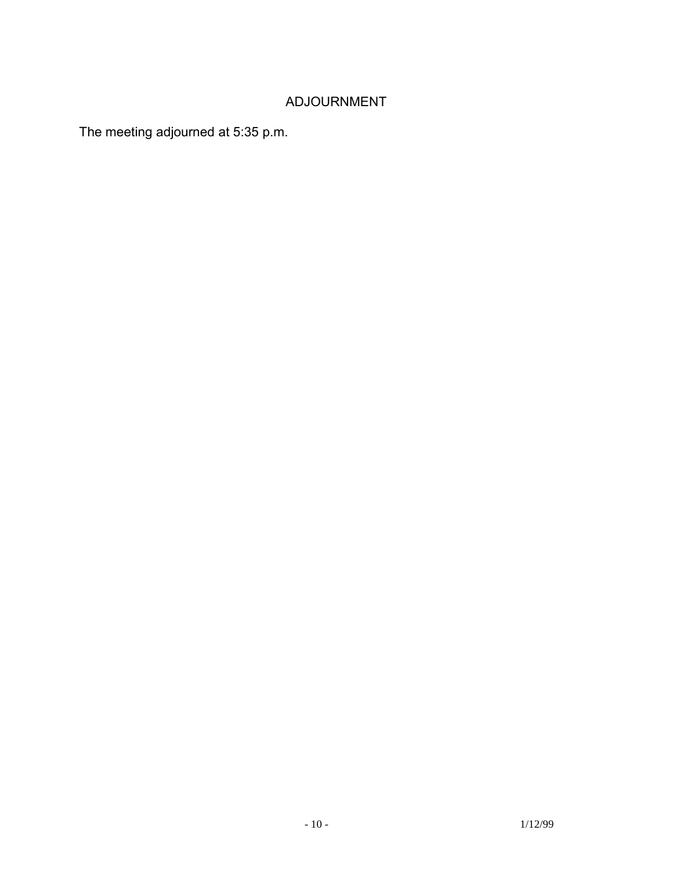# ADJOURNMENT

The meeting adjourned at 5:35 p.m.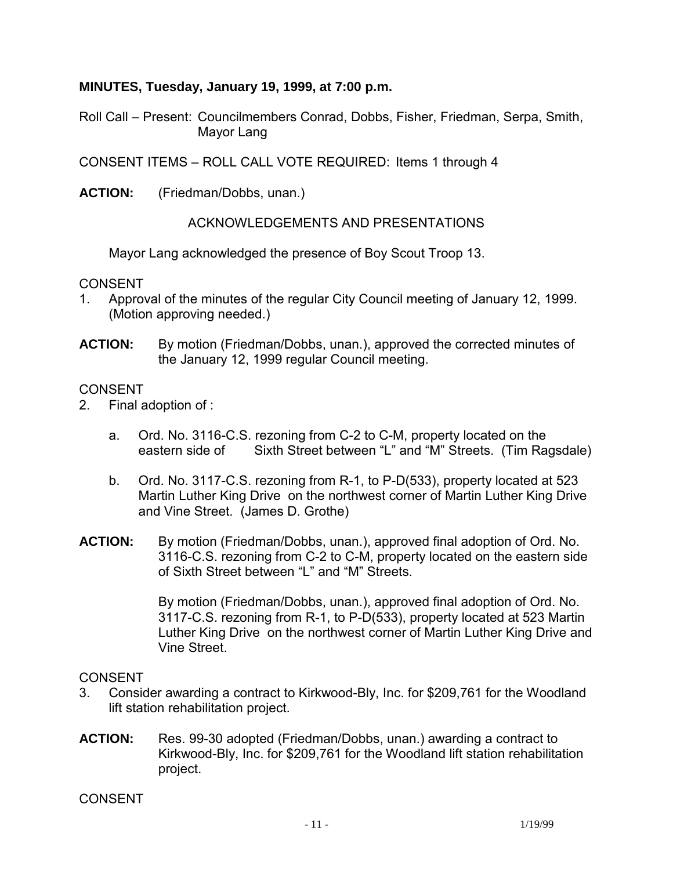#### **MINUTES, Tuesday, January 19, 1999, at 7:00 p.m.**

Roll Call – Present: Councilmembers Conrad, Dobbs, Fisher, Friedman, Serpa, Smith, Mayor Lang

CONSENT ITEMS – ROLL CALL VOTE REQUIRED: Items 1 through 4

**ACTION:** (Friedman/Dobbs, unan.)

ACKNOWLEDGEMENTS AND PRESENTATIONS

Mayor Lang acknowledged the presence of Boy Scout Troop 13.

CONSENT

- 1. Approval of the minutes of the regular City Council meeting of January 12, 1999. (Motion approving needed.)
- **ACTION:** By motion (Friedman/Dobbs, unan.), approved the corrected minutes of the January 12, 1999 regular Council meeting.

#### CONSENT

- 2. Final adoption of :
	- a. Ord. No. 3116-C.S. rezoning from C-2 to C-M, property located on the eastern side of Sixth Street between "L" and "M" Streets. (Tim Ragsdale)
	- b. Ord. No. 3117-C.S. rezoning from R-1, to P-D(533), property located at 523 Martin Luther King Drive on the northwest corner of Martin Luther King Drive and Vine Street. (James D. Grothe)
- **ACTION:** By motion (Friedman/Dobbs, unan.), approved final adoption of Ord. No. 3116-C.S. rezoning from C-2 to C-M, property located on the eastern side of Sixth Street between "L" and "M" Streets.

By motion (Friedman/Dobbs, unan.), approved final adoption of Ord. No. 3117-C.S. rezoning from R-1, to P-D(533), property located at 523 Martin Luther King Drive on the northwest corner of Martin Luther King Drive and Vine Street.

#### **CONSENT**

- 3. Consider awarding a contract to Kirkwood-Bly, Inc. for \$209,761 for the Woodland lift station rehabilitation project.
- **ACTION:** Res. 99-30 adopted (Friedman/Dobbs, unan.) awarding a contract to Kirkwood-Bly, Inc. for \$209,761 for the Woodland lift station rehabilitation project.

CONSENT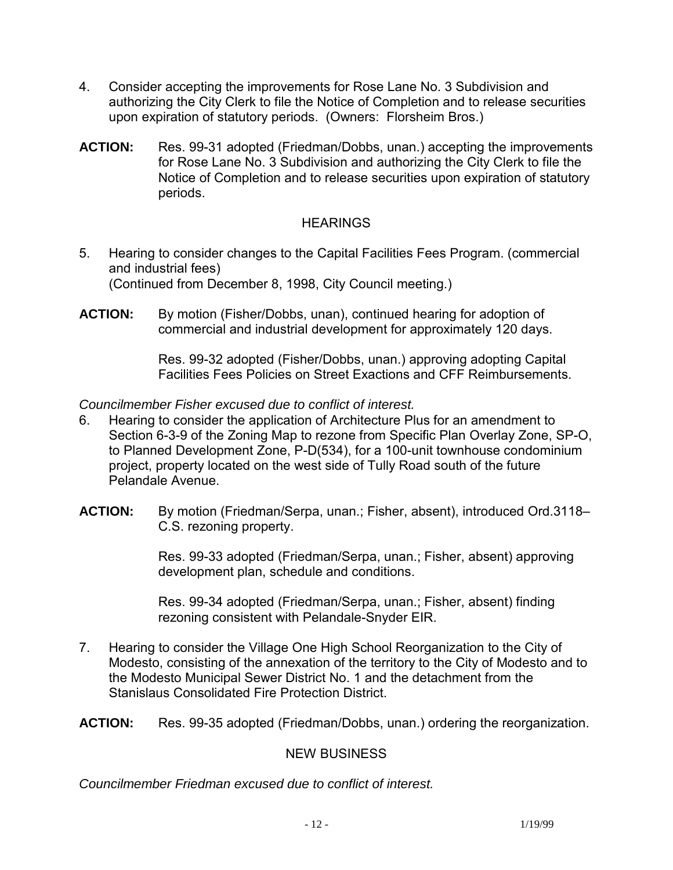- 4. Consider accepting the improvements for Rose Lane No. 3 Subdivision and authorizing the City Clerk to file the Notice of Completion and to release securities upon expiration of statutory periods. (Owners: Florsheim Bros.)
- **ACTION:** Res. 99-31 adopted (Friedman/Dobbs, unan.) accepting the improvements for Rose Lane No. 3 Subdivision and authorizing the City Clerk to file the Notice of Completion and to release securities upon expiration of statutory periods.

# **HEARINGS**

- 5. Hearing to consider changes to the Capital Facilities Fees Program. (commercial and industrial fees) (Continued from December 8, 1998, City Council meeting.)
- **ACTION:** By motion (Fisher/Dobbs, unan), continued hearing for adoption of commercial and industrial development for approximately 120 days.

Res. 99-32 adopted (Fisher/Dobbs, unan.) approving adopting Capital Facilities Fees Policies on Street Exactions and CFF Reimbursements.

*Councilmember Fisher excused due to conflict of interest.* 

- 6. Hearing to consider the application of Architecture Plus for an amendment to Section 6-3-9 of the Zoning Map to rezone from Specific Plan Overlay Zone, SP-O, to Planned Development Zone, P-D(534), for a 100-unit townhouse condominium project, property located on the west side of Tully Road south of the future Pelandale Avenue.
- ACTION: By motion (Friedman/Serpa, unan.; Fisher, absent), introduced Ord.3118– C.S. rezoning property.

Res. 99-33 adopted (Friedman/Serpa, unan.; Fisher, absent) approving development plan, schedule and conditions.

Res. 99-34 adopted (Friedman/Serpa, unan.; Fisher, absent) finding rezoning consistent with Pelandale-Snyder EIR.

7. Hearing to consider the Village One High School Reorganization to the City of Modesto, consisting of the annexation of the territory to the City of Modesto and to the Modesto Municipal Sewer District No. 1 and the detachment from the Stanislaus Consolidated Fire Protection District.

**ACTION:** Res. 99-35 adopted (Friedman/Dobbs, unan.) ordering the reorganization.

# NEW BUSINESS

*Councilmember Friedman excused due to conflict of interest.*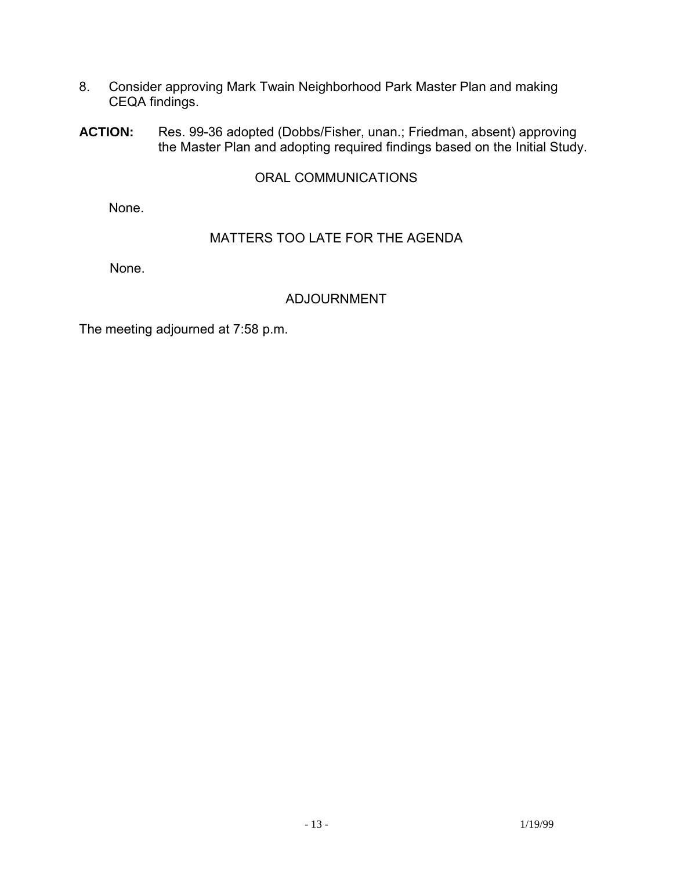- 8. Consider approving Mark Twain Neighborhood Park Master Plan and making CEQA findings.
- **ACTION:** Res. 99-36 adopted (Dobbs/Fisher, unan.; Friedman, absent) approving the Master Plan and adopting required findings based on the Initial Study.

#### ORAL COMMUNICATIONS

None.

# MATTERS TOO LATE FOR THE AGENDA

None.

# ADJOURNMENT

The meeting adjourned at 7:58 p.m.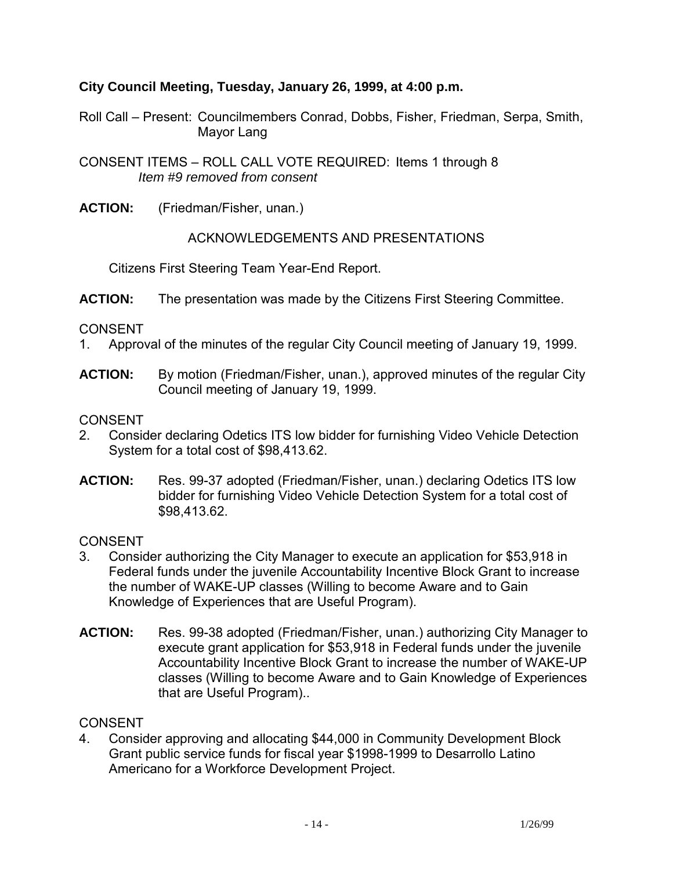# **City Council Meeting, Tuesday, January 26, 1999, at 4:00 p.m.**

Roll Call – Present: Councilmembers Conrad, Dobbs, Fisher, Friedman, Serpa, Smith, Mayor Lang

CONSENT ITEMS – ROLL CALL VOTE REQUIRED: Items 1 through 8 *Item #9 removed from consent* 

**ACTION:** (Friedman/Fisher, unan.)

ACKNOWLEDGEMENTS AND PRESENTATIONS

Citizens First Steering Team Year-End Report.

**ACTION:** The presentation was made by the Citizens First Steering Committee.

CONSENT

- 1. Approval of the minutes of the regular City Council meeting of January 19, 1999.
- **ACTION:** By motion (Friedman/Fisher, unan.), approved minutes of the regular City Council meeting of January 19, 1999.

**CONSENT** 

- 2. Consider declaring Odetics ITS low bidder for furnishing Video Vehicle Detection System for a total cost of \$98,413.62.
- **ACTION:** Res. 99-37 adopted (Friedman/Fisher, unan.) declaring Odetics ITS low bidder for furnishing Video Vehicle Detection System for a total cost of \$98,413.62.

CONSENT

- 3. Consider authorizing the City Manager to execute an application for \$53,918 in Federal funds under the juvenile Accountability Incentive Block Grant to increase the number of WAKE-UP classes (Willing to become Aware and to Gain Knowledge of Experiences that are Useful Program).
- **ACTION:** Res. 99-38 adopted (Friedman/Fisher, unan.) authorizing City Manager to execute grant application for \$53,918 in Federal funds under the juvenile Accountability Incentive Block Grant to increase the number of WAKE-UP classes (Willing to become Aware and to Gain Knowledge of Experiences that are Useful Program)..

# **CONSENT**

4. Consider approving and allocating \$44,000 in Community Development Block Grant public service funds for fiscal year \$1998-1999 to Desarrollo Latino Americano for a Workforce Development Project.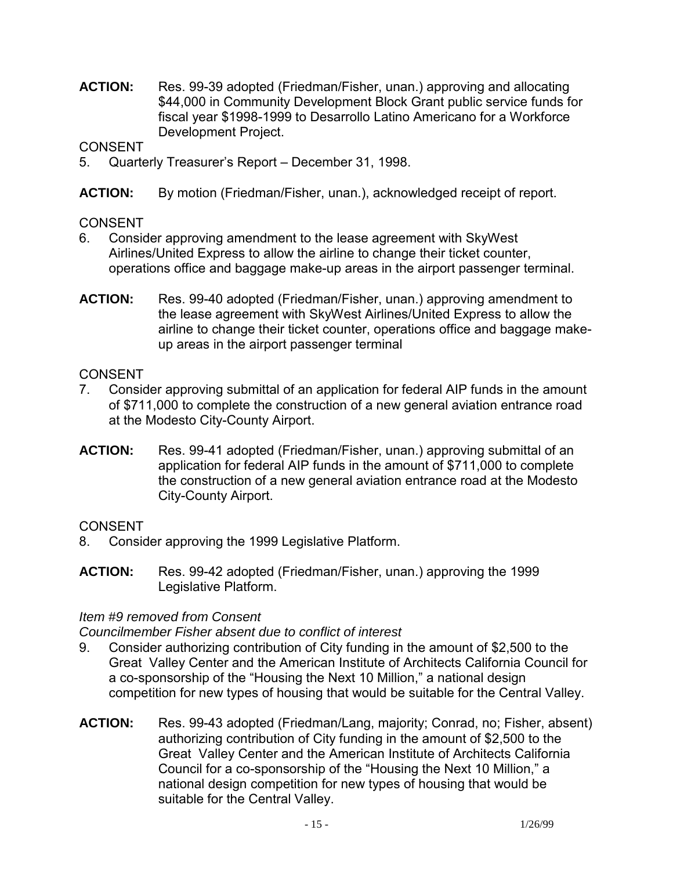**ACTION:** Res. 99-39 adopted (Friedman/Fisher, unan.) approving and allocating \$44,000 in Community Development Block Grant public service funds for fiscal year \$1998-1999 to Desarrollo Latino Americano for a Workforce Development Project.

**CONSENT** 

- 5. Quarterly Treasurer's Report December 31, 1998.
- **ACTION:** By motion (Friedman/Fisher, unan.), acknowledged receipt of report.

### **CONSENT**

- 6. Consider approving amendment to the lease agreement with SkyWest Airlines/United Express to allow the airline to change their ticket counter, operations office and baggage make-up areas in the airport passenger terminal.
- **ACTION:** Res. 99-40 adopted (Friedman/Fisher, unan.) approving amendment to the lease agreement with SkyWest Airlines/United Express to allow the airline to change their ticket counter, operations office and baggage makeup areas in the airport passenger terminal

### **CONSENT**

- 7. Consider approving submittal of an application for federal AIP funds in the amount of \$711,000 to complete the construction of a new general aviation entrance road at the Modesto City-County Airport.
- **ACTION:** Res. 99-41 adopted (Friedman/Fisher, unan.) approving submittal of an application for federal AIP funds in the amount of \$711,000 to complete the construction of a new general aviation entrance road at the Modesto City-County Airport.

# **CONSENT**

- 8. Consider approving the 1999 Legislative Platform.
- **ACTION:** Res. 99-42 adopted (Friedman/Fisher, unan.) approving the 1999 Legislative Platform.

#### *Item #9 removed from Consent*

*Councilmember Fisher absent due to conflict of interest* 

- 9. Consider authorizing contribution of City funding in the amount of \$2,500 to the Great Valley Center and the American Institute of Architects California Council for a co-sponsorship of the "Housing the Next 10 Million," a national design competition for new types of housing that would be suitable for the Central Valley.
- **ACTION:** Res. 99-43 adopted (Friedman/Lang, majority; Conrad, no; Fisher, absent) authorizing contribution of City funding in the amount of \$2,500 to the Great Valley Center and the American Institute of Architects California Council for a co-sponsorship of the "Housing the Next 10 Million," a national design competition for new types of housing that would be suitable for the Central Valley.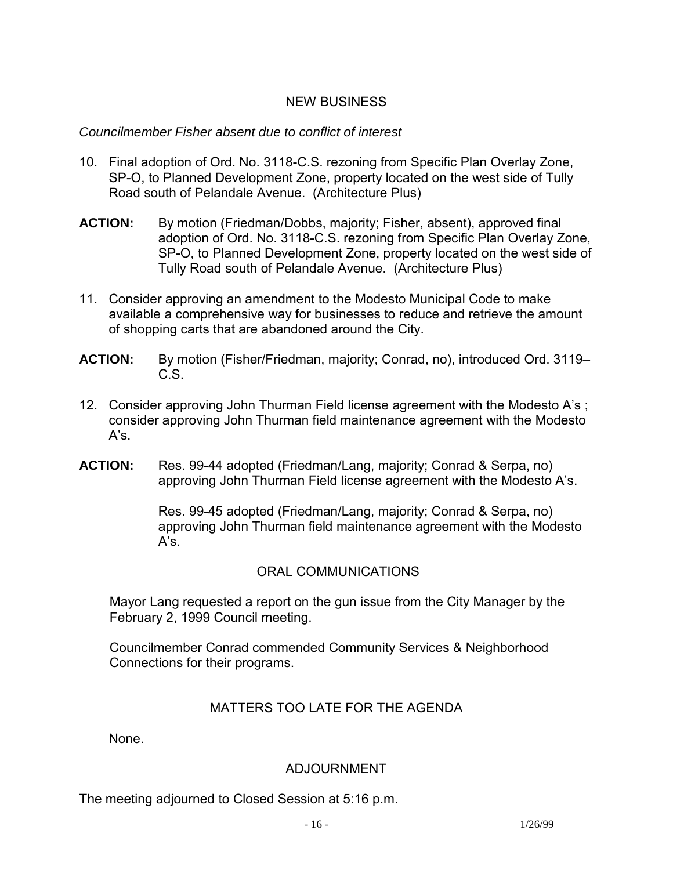# NEW BUSINESS

#### *Councilmember Fisher absent due to conflict of interest*

- 10. Final adoption of Ord. No. 3118-C.S. rezoning from Specific Plan Overlay Zone, SP-O, to Planned Development Zone, property located on the west side of Tully Road south of Pelandale Avenue. (Architecture Plus)
- **ACTION:** By motion (Friedman/Dobbs, majority; Fisher, absent), approved final adoption of Ord. No. 3118-C.S. rezoning from Specific Plan Overlay Zone, SP-O, to Planned Development Zone, property located on the west side of Tully Road south of Pelandale Avenue. (Architecture Plus)
- 11. Consider approving an amendment to the Modesto Municipal Code to make available a comprehensive way for businesses to reduce and retrieve the amount of shopping carts that are abandoned around the City.
- **ACTION:** By motion (Fisher/Friedman, majority; Conrad, no), introduced Ord. 3119– C.S.
- 12. Consider approving John Thurman Field license agreement with the Modesto A's ; consider approving John Thurman field maintenance agreement with the Modesto  $A's$ .
- **ACTION:** Res. 99-44 adopted (Friedman/Lang, majority; Conrad & Serpa, no) approving John Thurman Field license agreement with the Modesto A's.

Res. 99-45 adopted (Friedman/Lang, majority; Conrad & Serpa, no) approving John Thurman field maintenance agreement with the Modesto A's.

# ORAL COMMUNICATIONS

Mayor Lang requested a report on the gun issue from the City Manager by the February 2, 1999 Council meeting.

Councilmember Conrad commended Community Services & Neighborhood Connections for their programs.

#### MATTERS TOO LATE FOR THE AGENDA

None.

# ADJOURNMENT

The meeting adjourned to Closed Session at 5:16 p.m.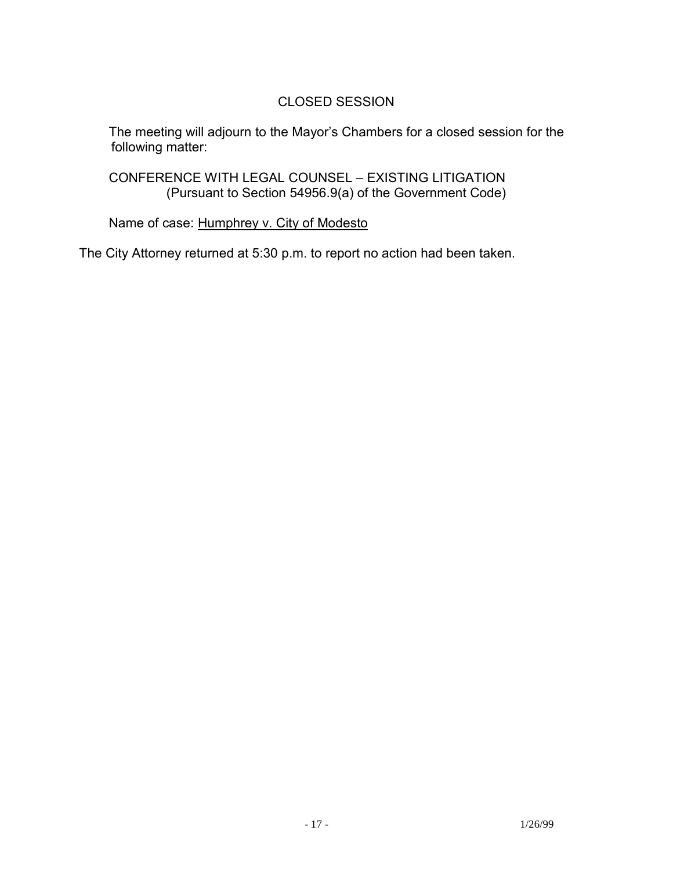# CLOSED SESSION

 The meeting will adjourn to the Mayor's Chambers for a closed session for the following matter:

 CONFERENCE WITH LEGAL COUNSEL – EXISTING LITIGATION (Pursuant to Section 54956.9(a) of the Government Code)

Name of case: Humphrey v. City of Modesto

The City Attorney returned at 5:30 p.m. to report no action had been taken.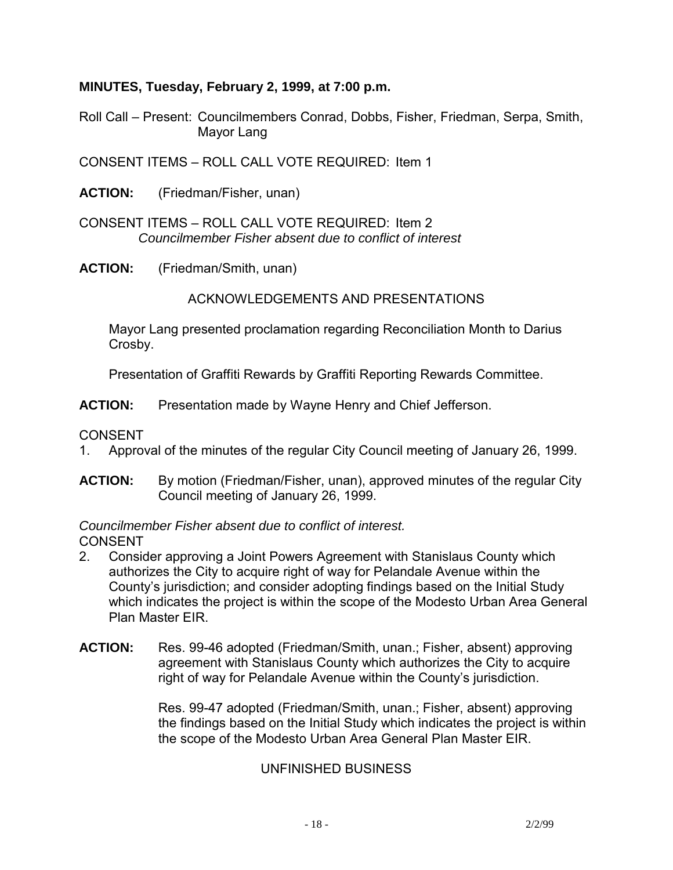# **MINUTES, Tuesday, February 2, 1999, at 7:00 p.m.**

Roll Call – Present: Councilmembers Conrad, Dobbs, Fisher, Friedman, Serpa, Smith, Mayor Lang

CONSENT ITEMS – ROLL CALL VOTE REQUIRED: Item 1

**ACTION:** (Friedman/Fisher, unan)

CONSENT ITEMS – ROLL CALL VOTE REQUIRED: Item 2  *Councilmember Fisher absent due to conflict of interest* 

**ACTION:** (Friedman/Smith, unan)

ACKNOWLEDGEMENTS AND PRESENTATIONS

 Mayor Lang presented proclamation regarding Reconciliation Month to Darius Crosby.

Presentation of Graffiti Rewards by Graffiti Reporting Rewards Committee.

**ACTION:** Presentation made by Wayne Henry and Chief Jefferson.

CONSENT

- 1. Approval of the minutes of the regular City Council meeting of January 26, 1999.
- **ACTION:** By motion (Friedman/Fisher, unan), approved minutes of the regular City Council meeting of January 26, 1999.

*Councilmember Fisher absent due to conflict of interest.* 

CONSENT

- 2. Consider approving a Joint Powers Agreement with Stanislaus County which authorizes the City to acquire right of way for Pelandale Avenue within the County's jurisdiction; and consider adopting findings based on the Initial Study which indicates the project is within the scope of the Modesto Urban Area General Plan Master EIR.
- **ACTION:** Res. 99-46 adopted (Friedman/Smith, unan.; Fisher, absent) approving agreement with Stanislaus County which authorizes the City to acquire right of way for Pelandale Avenue within the County's jurisdiction.

Res. 99-47 adopted (Friedman/Smith, unan.; Fisher, absent) approving the findings based on the Initial Study which indicates the project is within the scope of the Modesto Urban Area General Plan Master EIR.

# UNFINISHED BUSINESS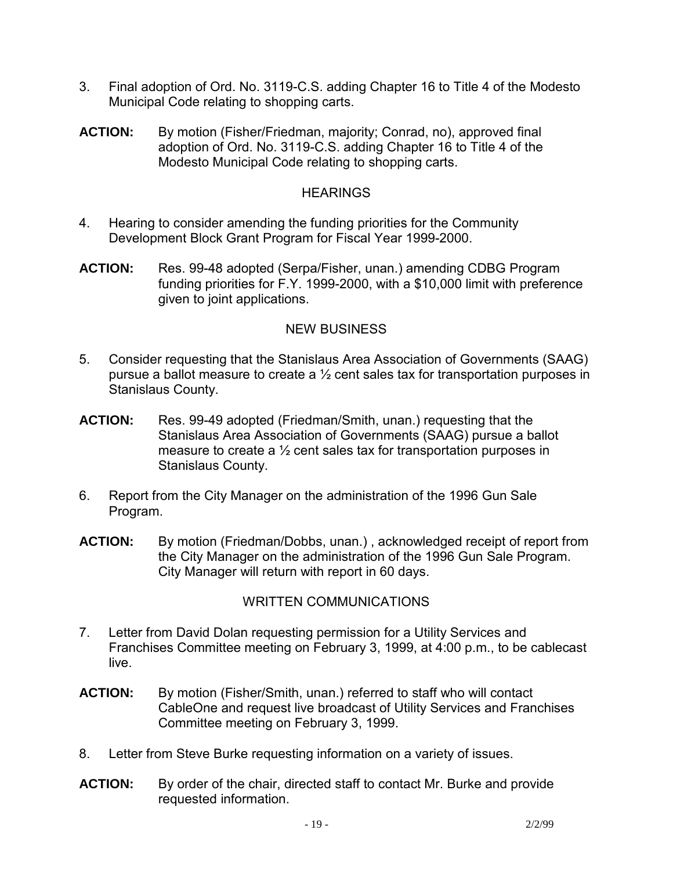- 3. Final adoption of Ord. No. 3119-C.S. adding Chapter 16 to Title 4 of the Modesto Municipal Code relating to shopping carts.
- **ACTION:** By motion (Fisher/Friedman, majority; Conrad, no), approved final adoption of Ord. No. 3119-C.S. adding Chapter 16 to Title 4 of the Modesto Municipal Code relating to shopping carts.

### **HEARINGS**

- 4. Hearing to consider amending the funding priorities for the Community Development Block Grant Program for Fiscal Year 1999-2000.
- **ACTION:** Res. 99-48 adopted (Serpa/Fisher, unan.) amending CDBG Program funding priorities for F.Y. 1999-2000, with a \$10,000 limit with preference given to joint applications.

# NEW BUSINESS

- 5. Consider requesting that the Stanislaus Area Association of Governments (SAAG) pursue a ballot measure to create a ½ cent sales tax for transportation purposes in Stanislaus County.
- **ACTION:** Res. 99-49 adopted (Friedman/Smith, unan.) requesting that the Stanislaus Area Association of Governments (SAAG) pursue a ballot measure to create a ½ cent sales tax for transportation purposes in Stanislaus County.
- 6. Report from the City Manager on the administration of the 1996 Gun Sale Program.
- **ACTION:** By motion (Friedman/Dobbs, unan.), acknowledged receipt of report from the City Manager on the administration of the 1996 Gun Sale Program. City Manager will return with report in 60 days.

# WRITTEN COMMUNICATIONS

- 7. Letter from David Dolan requesting permission for a Utility Services and Franchises Committee meeting on February 3, 1999, at 4:00 p.m., to be cablecast live.
- **ACTION:** By motion (Fisher/Smith, unan.) referred to staff who will contact CableOne and request live broadcast of Utility Services and Franchises Committee meeting on February 3, 1999.
- 8. Letter from Steve Burke requesting information on a variety of issues.
- **ACTION:** By order of the chair, directed staff to contact Mr. Burke and provide requested information.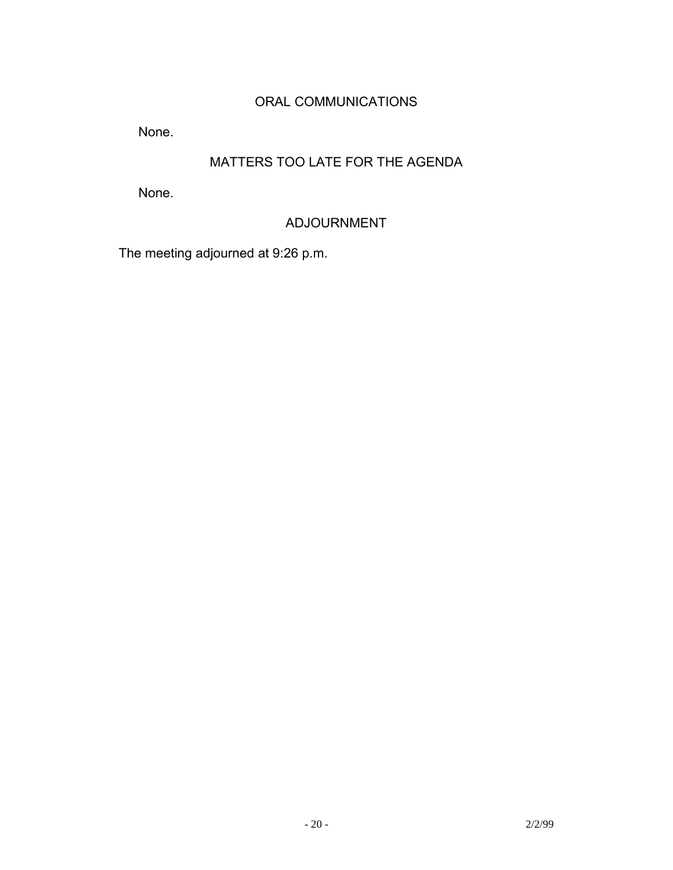# ORAL COMMUNICATIONS

None.

# MATTERS TOO LATE FOR THE AGENDA

None.

# ADJOURNMENT

The meeting adjourned at 9:26 p.m.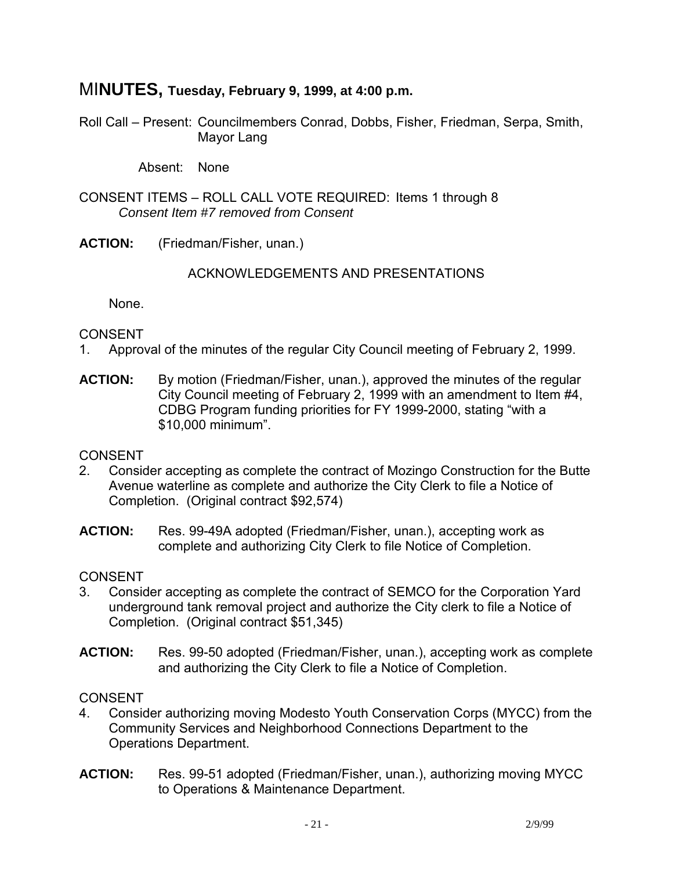# MI**NUTES, Tuesday, February 9, 1999, at 4:00 p.m.**

Roll Call – Present: Councilmembers Conrad, Dobbs, Fisher, Friedman, Serpa, Smith, Mayor Lang

Absent: None

CONSENT ITEMS – ROLL CALL VOTE REQUIRED: Items 1 through 8  *Consent Item #7 removed from Consent* 

**ACTION:** (Friedman/Fisher, unan.)

#### ACKNOWLEDGEMENTS AND PRESENTATIONS

None.

#### CONSENT

- 1. Approval of the minutes of the regular City Council meeting of February 2, 1999.
- **ACTION:** By motion (Friedman/Fisher, unan.), approved the minutes of the regular City Council meeting of February 2, 1999 with an amendment to Item #4, CDBG Program funding priorities for FY 1999-2000, stating "with a \$10,000 minimum".

**CONSENT** 

- 2. Consider accepting as complete the contract of Mozingo Construction for the Butte Avenue waterline as complete and authorize the City Clerk to file a Notice of Completion. (Original contract \$92,574)
- **ACTION:** Res. 99-49A adopted (Friedman/Fisher, unan.), accepting work as complete and authorizing City Clerk to file Notice of Completion.

# CONSENT

- 3. Consider accepting as complete the contract of SEMCO for the Corporation Yard underground tank removal project and authorize the City clerk to file a Notice of Completion. (Original contract \$51,345)
- **ACTION:** Res. 99-50 adopted (Friedman/Fisher, unan.), accepting work as complete and authorizing the City Clerk to file a Notice of Completion.

#### CONSENT

- 4. Consider authorizing moving Modesto Youth Conservation Corps (MYCC) from the Community Services and Neighborhood Connections Department to the Operations Department.
- **ACTION:** Res. 99-51 adopted (Friedman/Fisher, unan.), authorizing moving MYCC to Operations & Maintenance Department.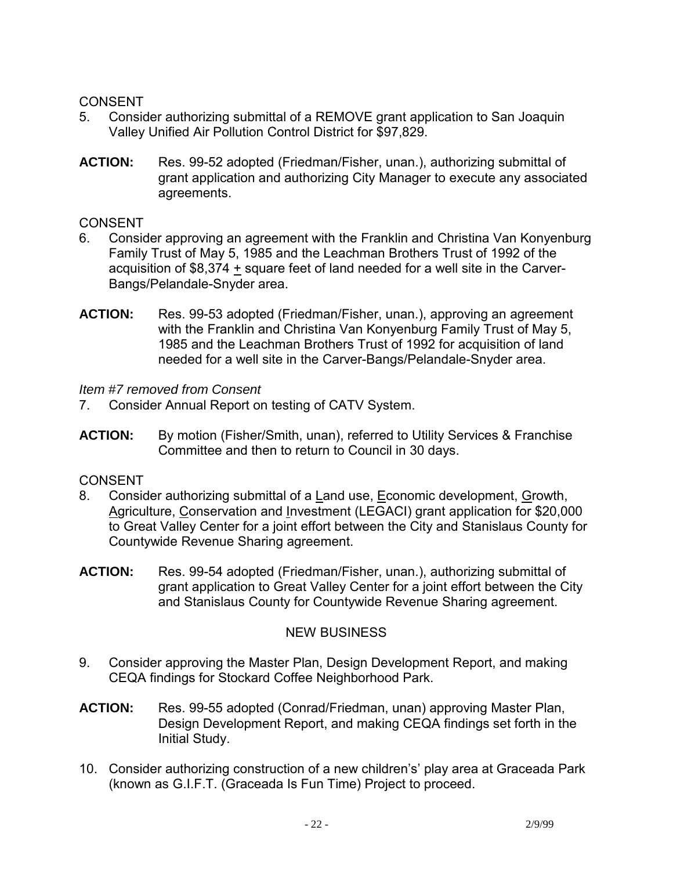# CONSENT

- 5. Consider authorizing submittal of a REMOVE grant application to San Joaquin Valley Unified Air Pollution Control District for \$97,829.
- **ACTION:** Res. 99-52 adopted (Friedman/Fisher, unan.), authorizing submittal of grant application and authorizing City Manager to execute any associated agreements.

#### **CONSENT**

- 6. Consider approving an agreement with the Franklin and Christina Van Konyenburg Family Trust of May 5, 1985 and the Leachman Brothers Trust of 1992 of the acquisition of \$8,374 + square feet of land needed for a well site in the Carver-Bangs/Pelandale-Snyder area.
- **ACTION:** Res. 99-53 adopted (Friedman/Fisher, unan.), approving an agreement with the Franklin and Christina Van Konyenburg Family Trust of May 5, 1985 and the Leachman Brothers Trust of 1992 for acquisition of land needed for a well site in the Carver-Bangs/Pelandale-Snyder area.

### *Item #7 removed from Consent*

- 7. Consider Annual Report on testing of CATV System.
- **ACTION:** By motion (Fisher/Smith, unan), referred to Utility Services & Franchise Committee and then to return to Council in 30 days.

# CONSENT

- 8. Consider authorizing submittal of a Land use, Economic development, Growth, Agriculture, Conservation and Investment (LEGACI) grant application for \$20,000 to Great Valley Center for a joint effort between the City and Stanislaus County for Countywide Revenue Sharing agreement.
- **ACTION:** Res. 99-54 adopted (Friedman/Fisher, unan.), authorizing submittal of grant application to Great Valley Center for a joint effort between the City and Stanislaus County for Countywide Revenue Sharing agreement.

# NEW BUSINESS

- 9. Consider approving the Master Plan, Design Development Report, and making CEQA findings for Stockard Coffee Neighborhood Park.
- **ACTION:** Res. 99-55 adopted (Conrad/Friedman, unan) approving Master Plan, Design Development Report, and making CEQA findings set forth in the Initial Study.
- 10. Consider authorizing construction of a new children's' play area at Graceada Park (known as G.I.F.T. (Graceada Is Fun Time) Project to proceed.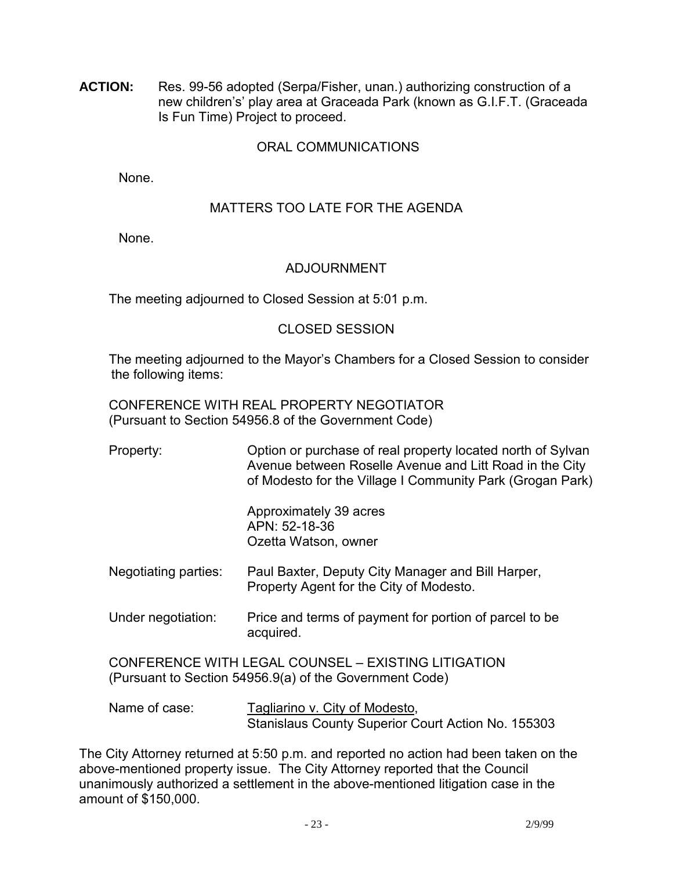**ACTION:** Res. 99-56 adopted (Serpa/Fisher, unan.) authorizing construction of a new children's' play area at Graceada Park (known as G.I.F.T. (Graceada Is Fun Time) Project to proceed.

#### ORAL COMMUNICATIONS

None.

### MATTERS TOO LATE FOR THE AGENDA

None.

#### ADJOURNMENT

The meeting adjourned to Closed Session at 5:01 p.m.

#### CLOSED SESSION

 The meeting adjourned to the Mayor's Chambers for a Closed Session to consider the following items:

 CONFERENCE WITH REAL PROPERTY NEGOTIATOR (Pursuant to Section 54956.8 of the Government Code)

| Property: | Option or purchase of real property located north of Sylvan<br>Avenue between Roselle Avenue and Litt Road in the City<br>of Modesto for the Village I Community Park (Grogan Park) |
|-----------|-------------------------------------------------------------------------------------------------------------------------------------------------------------------------------------|
|           |                                                                                                                                                                                     |

 Approximately 39 acres APN: 52-18-36 Ozetta Watson, owner

- Negotiating parties: Paul Baxter, Deputy City Manager and Bill Harper, Property Agent for the City of Modesto.
- Under negotiation: Price and terms of payment for portion of parcel to be acquired.

 CONFERENCE WITH LEGAL COUNSEL – EXISTING LITIGATION (Pursuant to Section 54956.9(a) of the Government Code)

Name of case: Tagliarino v. City of Modesto, Stanislaus County Superior Court Action No. 155303

The City Attorney returned at 5:50 p.m. and reported no action had been taken on the above-mentioned property issue. The City Attorney reported that the Council unanimously authorized a settlement in the above-mentioned litigation case in the amount of \$150,000.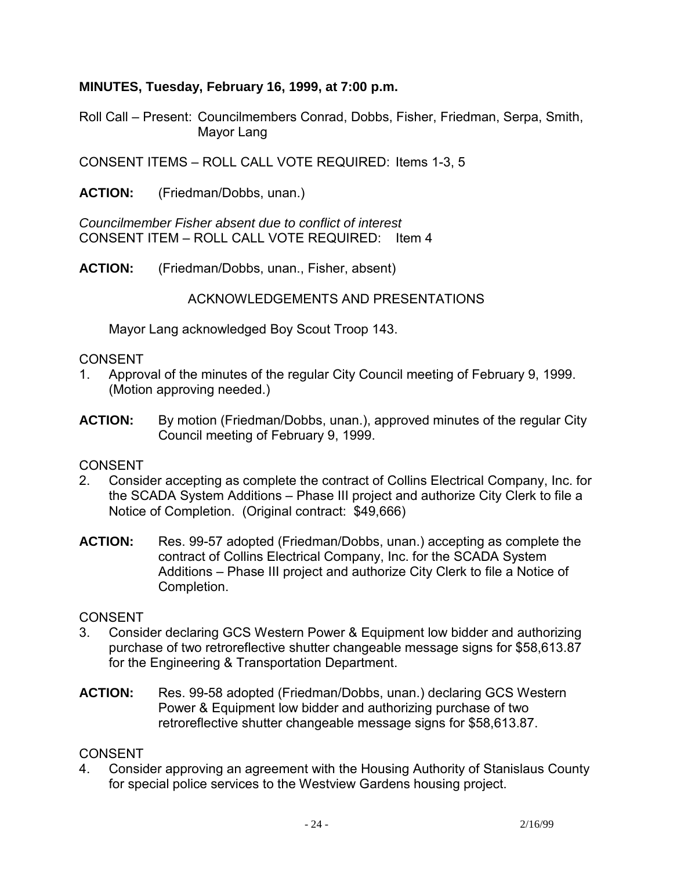### **MINUTES, Tuesday, February 16, 1999, at 7:00 p.m.**

Roll Call – Present: Councilmembers Conrad, Dobbs, Fisher, Friedman, Serpa, Smith, Mayor Lang

CONSENT ITEMS – ROLL CALL VOTE REQUIRED: Items 1-3, 5

**ACTION:** (Friedman/Dobbs, unan.)

*Councilmember Fisher absent due to conflict of interest*  CONSENT ITEM – ROLL CALL VOTE REQUIRED: Item 4

**ACTION:** (Friedman/Dobbs, unan., Fisher, absent)

ACKNOWLEDGEMENTS AND PRESENTATIONS

Mayor Lang acknowledged Boy Scout Troop 143.

#### **CONSENT**

- 1. Approval of the minutes of the regular City Council meeting of February 9, 1999. (Motion approving needed.)
- **ACTION:** By motion (Friedman/Dobbs, unan.), approved minutes of the regular City Council meeting of February 9, 1999.

#### CONSENT

- 2. Consider accepting as complete the contract of Collins Electrical Company, Inc. for the SCADA System Additions – Phase III project and authorize City Clerk to file a Notice of Completion. (Original contract: \$49,666)
- **ACTION:** Res. 99-57 adopted (Friedman/Dobbs, unan.) accepting as complete the contract of Collins Electrical Company, Inc. for the SCADA System Additions – Phase III project and authorize City Clerk to file a Notice of Completion.

#### CONSENT

- 3. Consider declaring GCS Western Power & Equipment low bidder and authorizing purchase of two retroreflective shutter changeable message signs for \$58,613.87 for the Engineering & Transportation Department.
- **ACTION:** Res. 99-58 adopted (Friedman/Dobbs, unan.) declaring GCS Western Power & Equipment low bidder and authorizing purchase of two retroreflective shutter changeable message signs for \$58,613.87.

#### **CONSENT**

4. Consider approving an agreement with the Housing Authority of Stanislaus County for special police services to the Westview Gardens housing project.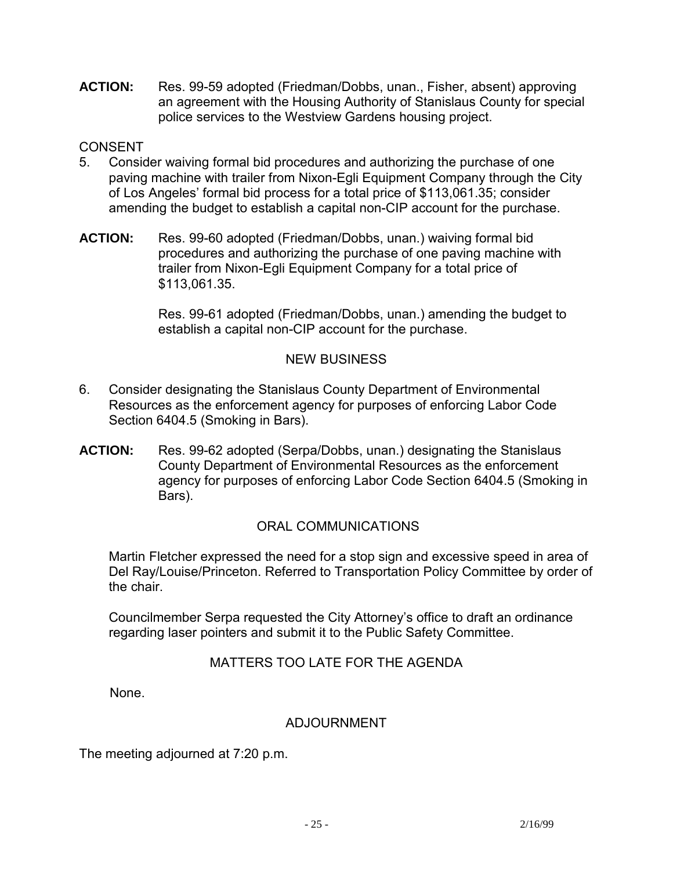**ACTION:** Res. 99-59 adopted (Friedman/Dobbs, unan., Fisher, absent) approving an agreement with the Housing Authority of Stanislaus County for special police services to the Westview Gardens housing project.

### **CONSENT**

- 5. Consider waiving formal bid procedures and authorizing the purchase of one paving machine with trailer from Nixon-Egli Equipment Company through the City of Los Angeles' formal bid process for a total price of \$113,061.35; consider amending the budget to establish a capital non-CIP account for the purchase.
- **ACTION:** Res. 99-60 adopted (Friedman/Dobbs, unan.) waiving formal bid procedures and authorizing the purchase of one paving machine with trailer from Nixon-Egli Equipment Company for a total price of \$113,061.35.

Res. 99-61 adopted (Friedman/Dobbs, unan.) amending the budget to establish a capital non-CIP account for the purchase.

### NEW BUSINESS

- 6. Consider designating the Stanislaus County Department of Environmental Resources as the enforcement agency for purposes of enforcing Labor Code Section 6404.5 (Smoking in Bars).
- **ACTION:** Res. 99-62 adopted (Serpa/Dobbs, unan.) designating the Stanislaus County Department of Environmental Resources as the enforcement agency for purposes of enforcing Labor Code Section 6404.5 (Smoking in Bars).

# ORAL COMMUNICATIONS

 Martin Fletcher expressed the need for a stop sign and excessive speed in area of Del Ray/Louise/Princeton. Referred to Transportation Policy Committee by order of the chair.

 Councilmember Serpa requested the City Attorney's office to draft an ordinance regarding laser pointers and submit it to the Public Safety Committee.

# MATTERS TOO LATE FOR THE AGENDA

None.

#### ADJOURNMENT

The meeting adjourned at 7:20 p.m.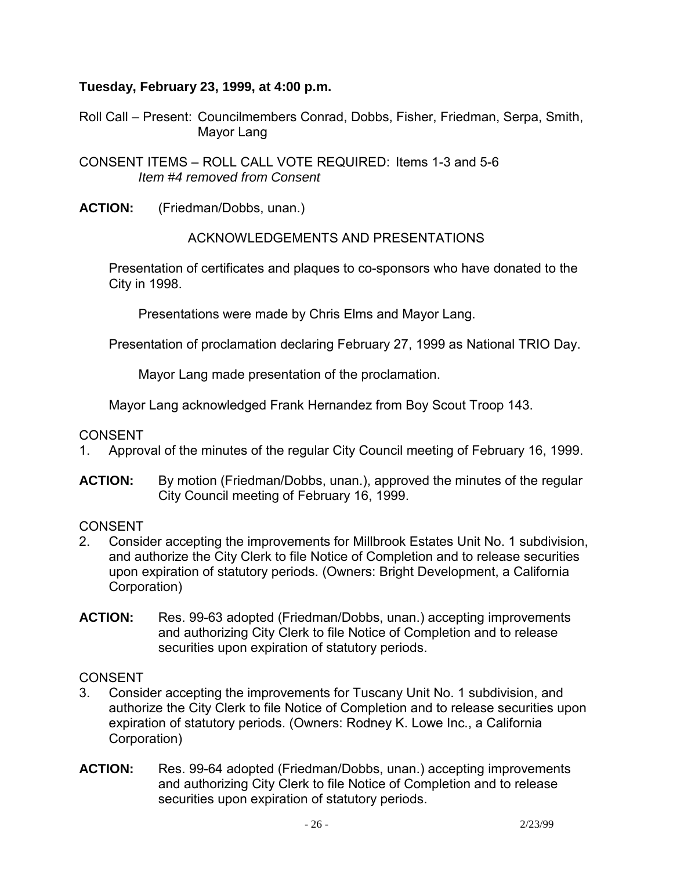### **Tuesday, February 23, 1999, at 4:00 p.m.**

Roll Call – Present: Councilmembers Conrad, Dobbs, Fisher, Friedman, Serpa, Smith, Mayor Lang

CONSENT ITEMS – ROLL CALL VOTE REQUIRED: Items 1-3 and 5-6 *Item #4 removed from Consent* 

**ACTION:** (Friedman/Dobbs, unan.)

#### ACKNOWLEDGEMENTS AND PRESENTATIONS

 Presentation of certificates and plaques to co-sponsors who have donated to the City in 1998.

Presentations were made by Chris Elms and Mayor Lang.

Presentation of proclamation declaring February 27, 1999 as National TRIO Day.

Mayor Lang made presentation of the proclamation.

Mayor Lang acknowledged Frank Hernandez from Boy Scout Troop 143.

CONSENT

- 1. Approval of the minutes of the regular City Council meeting of February 16, 1999.
- **ACTION:** By motion (Friedman/Dobbs, unan.), approved the minutes of the regular City Council meeting of February 16, 1999.

#### **CONSENT**

- 2. Consider accepting the improvements for Millbrook Estates Unit No. 1 subdivision, and authorize the City Clerk to file Notice of Completion and to release securities upon expiration of statutory periods. (Owners: Bright Development, a California Corporation)
- **ACTION:** Res. 99-63 adopted (Friedman/Dobbs, unan.) accepting improvements and authorizing City Clerk to file Notice of Completion and to release securities upon expiration of statutory periods.

#### **CONSENT**

- 3. Consider accepting the improvements for Tuscany Unit No. 1 subdivision, and authorize the City Clerk to file Notice of Completion and to release securities upon expiration of statutory periods. (Owners: Rodney K. Lowe Inc., a California Corporation)
- **ACTION:** Res. 99-64 adopted (Friedman/Dobbs, unan.) accepting improvements and authorizing City Clerk to file Notice of Completion and to release securities upon expiration of statutory periods.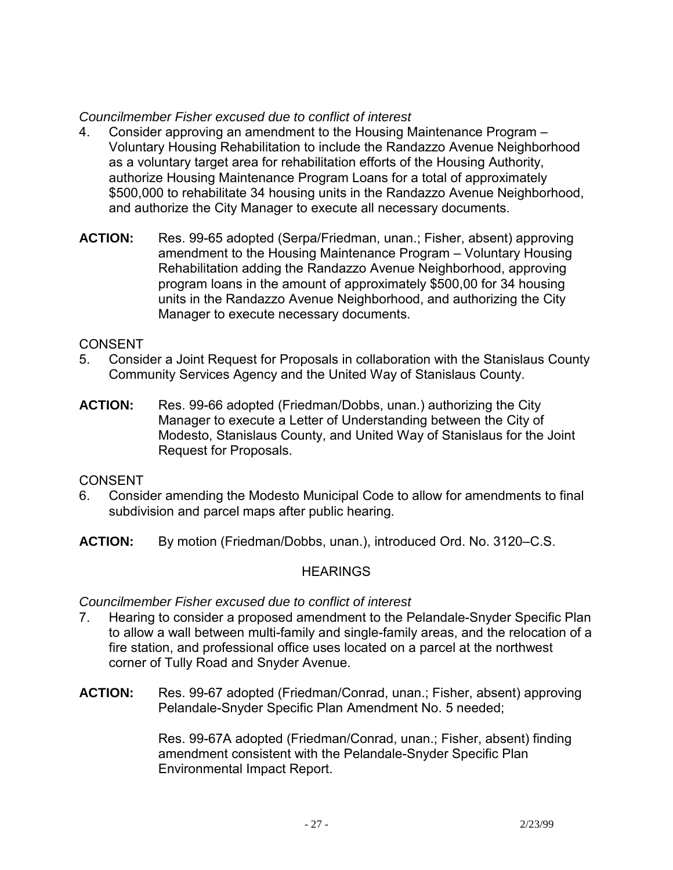### *Councilmember Fisher excused due to conflict of interest*

- 4. Consider approving an amendment to the Housing Maintenance Program Voluntary Housing Rehabilitation to include the Randazzo Avenue Neighborhood as a voluntary target area for rehabilitation efforts of the Housing Authority, authorize Housing Maintenance Program Loans for a total of approximately \$500,000 to rehabilitate 34 housing units in the Randazzo Avenue Neighborhood, and authorize the City Manager to execute all necessary documents.
- **ACTION:** Res. 99-65 adopted (Serpa/Friedman, unan.; Fisher, absent) approving amendment to the Housing Maintenance Program – Voluntary Housing Rehabilitation adding the Randazzo Avenue Neighborhood, approving program loans in the amount of approximately \$500,00 for 34 housing units in the Randazzo Avenue Neighborhood, and authorizing the City Manager to execute necessary documents.

#### CONSENT

- 5. Consider a Joint Request for Proposals in collaboration with the Stanislaus County Community Services Agency and the United Way of Stanislaus County.
- **ACTION:** Res. 99-66 adopted (Friedman/Dobbs, unan.) authorizing the City Manager to execute a Letter of Understanding between the City of Modesto, Stanislaus County, and United Way of Stanislaus for the Joint Request for Proposals.

#### CONSENT

- 6. Consider amending the Modesto Municipal Code to allow for amendments to final subdivision and parcel maps after public hearing.
- **ACTION:** By motion (Friedman/Dobbs, unan.), introduced Ord. No. 3120–C.S.

# **HEARINGS**

#### *Councilmember Fisher excused due to conflict of interest*

- 7. Hearing to consider a proposed amendment to the Pelandale-Snyder Specific Plan to allow a wall between multi-family and single-family areas, and the relocation of a fire station, and professional office uses located on a parcel at the northwest corner of Tully Road and Snyder Avenue.
- **ACTION:** Res. 99-67 adopted (Friedman/Conrad, unan.; Fisher, absent) approving Pelandale-Snyder Specific Plan Amendment No. 5 needed;

Res. 99-67A adopted (Friedman/Conrad, unan.; Fisher, absent) finding amendment consistent with the Pelandale-Snyder Specific Plan Environmental Impact Report.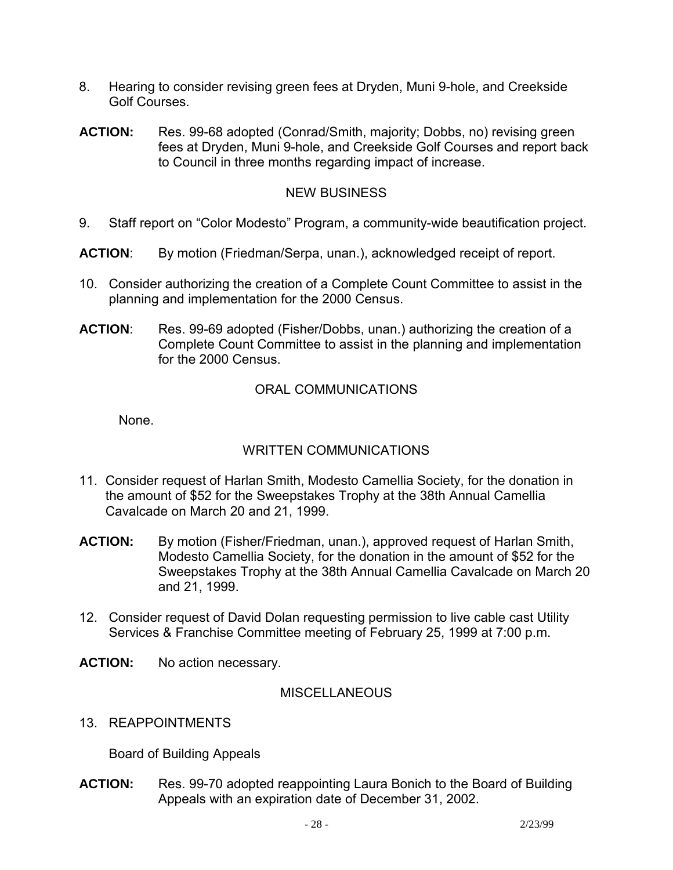- 8. Hearing to consider revising green fees at Dryden, Muni 9-hole, and Creekside Golf Courses.
- **ACTION:** Res. 99-68 adopted (Conrad/Smith, majority; Dobbs, no) revising green fees at Dryden, Muni 9-hole, and Creekside Golf Courses and report back to Council in three months regarding impact of increase.

### NEW BUSINESS

- 9. Staff report on "Color Modesto" Program, a community-wide beautification project.
- **ACTION**: By motion (Friedman/Serpa, unan.), acknowledged receipt of report.
- 10. Consider authorizing the creation of a Complete Count Committee to assist in the planning and implementation for the 2000 Census.
- **ACTION**: Res. 99-69 adopted (Fisher/Dobbs, unan.) authorizing the creation of a Complete Count Committee to assist in the planning and implementation for the 2000 Census.

### ORAL COMMUNICATIONS

None.

# WRITTEN COMMUNICATIONS

- 11. Consider request of Harlan Smith, Modesto Camellia Society, for the donation in the amount of \$52 for the Sweepstakes Trophy at the 38th Annual Camellia Cavalcade on March 20 and 21, 1999.
- **ACTION:** By motion (Fisher/Friedman, unan.), approved request of Harlan Smith, Modesto Camellia Society, for the donation in the amount of \$52 for the Sweepstakes Trophy at the 38th Annual Camellia Cavalcade on March 20 and 21, 1999.
- 12. Consider request of David Dolan requesting permission to live cable cast Utility Services & Franchise Committee meeting of February 25, 1999 at 7:00 p.m.
- **ACTION:** No action necessary.

#### **MISCELLANEOUS**

13. REAPPOINTMENTS

Board of Building Appeals

**ACTION:** Res. 99-70 adopted reappointing Laura Bonich to the Board of Building Appeals with an expiration date of December 31, 2002.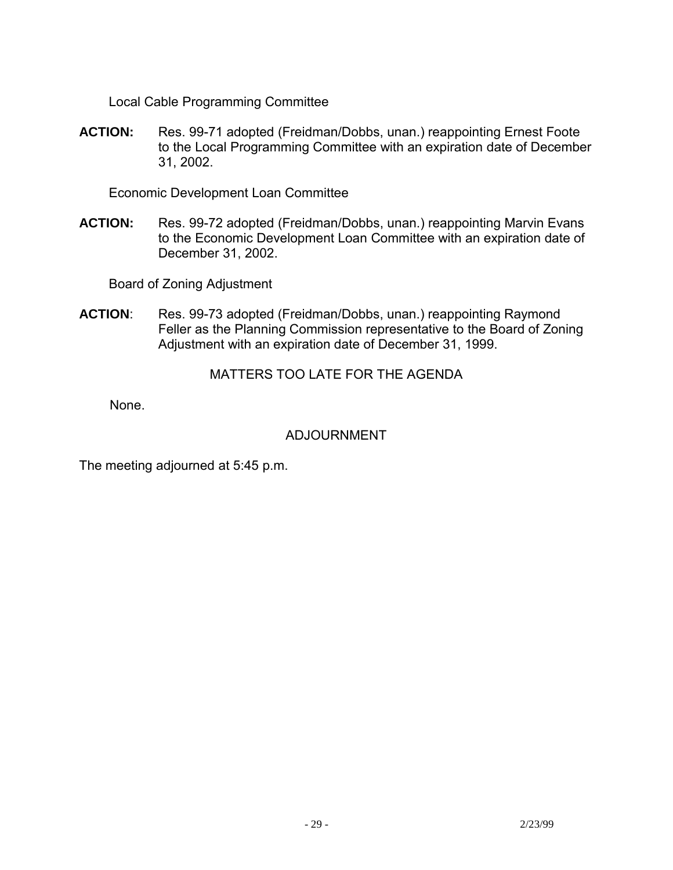Local Cable Programming Committee

**ACTION:** Res. 99-71 adopted (Freidman/Dobbs, unan.) reappointing Ernest Foote to the Local Programming Committee with an expiration date of December 31, 2002.

Economic Development Loan Committee

**ACTION:** Res. 99-72 adopted (Freidman/Dobbs, unan.) reappointing Marvin Evans to the Economic Development Loan Committee with an expiration date of December 31, 2002.

Board of Zoning Adjustment

**ACTION**: Res. 99-73 adopted (Freidman/Dobbs, unan.) reappointing Raymond Feller as the Planning Commission representative to the Board of Zoning Adjustment with an expiration date of December 31, 1999.

MATTERS TOO LATE FOR THE AGENDA

None.

# ADJOURNMENT

The meeting adjourned at 5:45 p.m.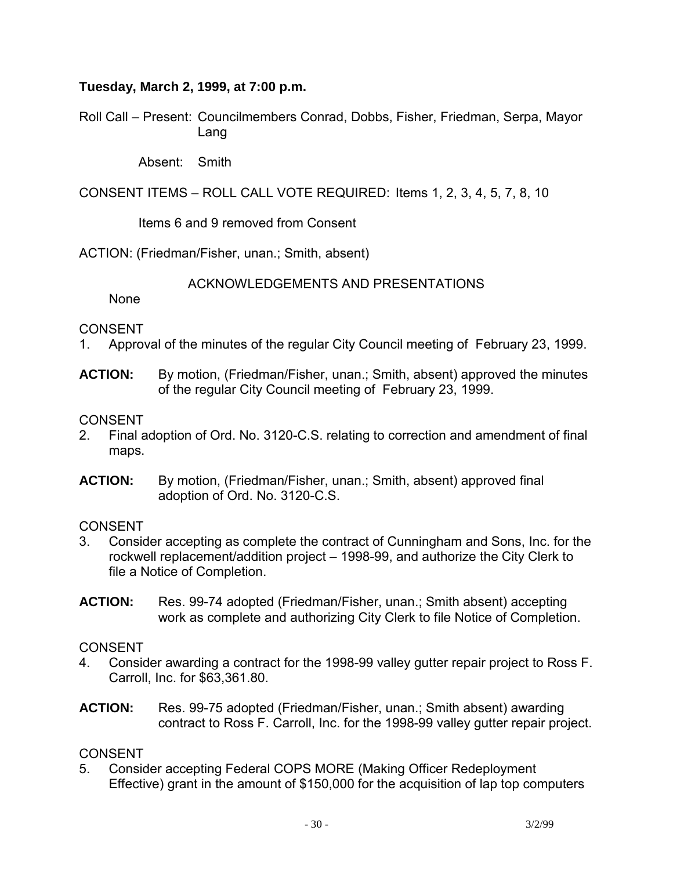### **Tuesday, March 2, 1999, at 7:00 p.m.**

Roll Call – Present: Councilmembers Conrad, Dobbs, Fisher, Friedman, Serpa, Mayor Lang

Absent: Smith

CONSENT ITEMS – ROLL CALL VOTE REQUIRED: Items 1, 2, 3, 4, 5, 7, 8, 10

Items 6 and 9 removed from Consent

ACTION: (Friedman/Fisher, unan.; Smith, absent)

ACKNOWLEDGEMENTS AND PRESENTATIONS

None

### CONSENT

- 1. Approval of the minutes of the regular City Council meeting of February 23, 1999.
- **ACTION:** By motion, (Friedman/Fisher, unan.; Smith, absent) approved the minutes of the regular City Council meeting of February 23, 1999.

#### CONSENT

- 2. Final adoption of Ord. No. 3120-C.S. relating to correction and amendment of final maps.
- **ACTION:** By motion, (Friedman/Fisher, unan.; Smith, absent) approved final adoption of Ord. No. 3120-C.S.

# **CONSENT**

- 3. Consider accepting as complete the contract of Cunningham and Sons, Inc. for the rockwell replacement/addition project – 1998-99, and authorize the City Clerk to file a Notice of Completion.
- **ACTION:** Res. 99-74 adopted (Friedman/Fisher, unan.; Smith absent) accepting work as complete and authorizing City Clerk to file Notice of Completion.

# CONSENT

- 4. Consider awarding a contract for the 1998-99 valley gutter repair project to Ross F. Carroll, Inc. for \$63,361.80.
- **ACTION:** Res. 99-75 adopted (Friedman/Fisher, unan.; Smith absent) awarding contract to Ross F. Carroll, Inc. for the 1998-99 valley gutter repair project.

# **CONSENT**

5. Consider accepting Federal COPS MORE (Making Officer Redeployment Effective) grant in the amount of \$150,000 for the acquisition of lap top computers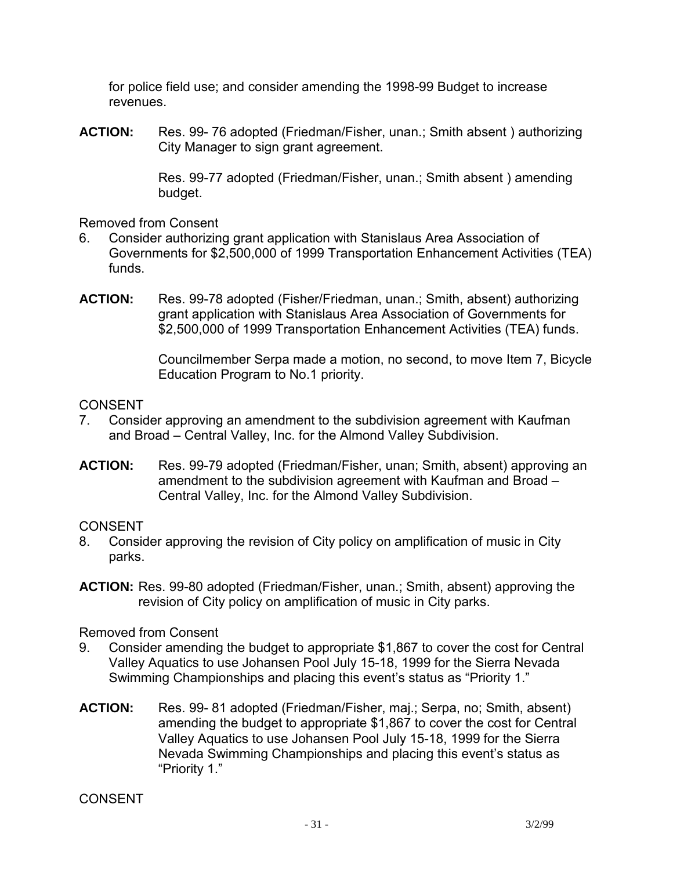for police field use; and consider amending the 1998-99 Budget to increase revenues.

**ACTION:** Res. 99- 76 adopted (Friedman/Fisher, unan.; Smith absent ) authorizing City Manager to sign grant agreement.

> Res. 99-77 adopted (Friedman/Fisher, unan.; Smith absent ) amending budget.

Removed from Consent

- 6. Consider authorizing grant application with Stanislaus Area Association of Governments for \$2,500,000 of 1999 Transportation Enhancement Activities (TEA) funds.
- **ACTION:** Res. 99-78 adopted (Fisher/Friedman, unan.; Smith, absent) authorizing grant application with Stanislaus Area Association of Governments for \$2,500,000 of 1999 Transportation Enhancement Activities (TEA) funds.

Councilmember Serpa made a motion, no second, to move Item 7, Bicycle Education Program to No.1 priority.

#### **CONSENT**

- 7. Consider approving an amendment to the subdivision agreement with Kaufman and Broad – Central Valley, Inc. for the Almond Valley Subdivision.
- **ACTION:** Res. 99-79 adopted (Friedman/Fisher, unan; Smith, absent) approving an amendment to the subdivision agreement with Kaufman and Broad – Central Valley, Inc. for the Almond Valley Subdivision.

#### CONSENT

- 8. Consider approving the revision of City policy on amplification of music in City parks.
- **ACTION:** Res. 99-80 adopted (Friedman/Fisher, unan.; Smith, absent) approving the revision of City policy on amplification of music in City parks.

Removed from Consent

- 9. Consider amending the budget to appropriate \$1,867 to cover the cost for Central Valley Aquatics to use Johansen Pool July 15-18, 1999 for the Sierra Nevada Swimming Championships and placing this event's status as "Priority 1."
- **ACTION:** Res. 99- 81 adopted (Friedman/Fisher, maj.; Serpa, no; Smith, absent) amending the budget to appropriate \$1,867 to cover the cost for Central Valley Aquatics to use Johansen Pool July 15-18, 1999 for the Sierra Nevada Swimming Championships and placing this event's status as "Priority 1."

**CONSENT**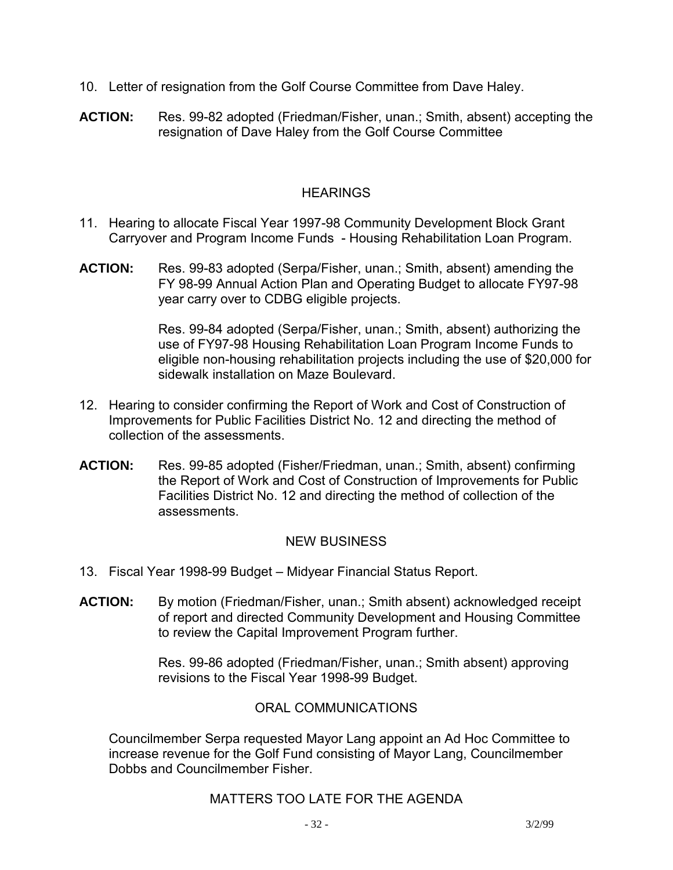- 10. Letter of resignation from the Golf Course Committee from Dave Haley.
- **ACTION:** Res. 99-82 adopted (Friedman/Fisher, unan.; Smith, absent) accepting the resignation of Dave Haley from the Golf Course Committee

### **HEARINGS**

- 11. Hearing to allocate Fiscal Year 1997-98 Community Development Block Grant Carryover and Program Income Funds - Housing Rehabilitation Loan Program.
- **ACTION:** Res. 99-83 adopted (Serpa/Fisher, unan.; Smith, absent) amending the FY 98-99 Annual Action Plan and Operating Budget to allocate FY97-98 year carry over to CDBG eligible projects.

Res. 99-84 adopted (Serpa/Fisher, unan.; Smith, absent) authorizing the use of FY97-98 Housing Rehabilitation Loan Program Income Funds to eligible non-housing rehabilitation projects including the use of \$20,000 for sidewalk installation on Maze Boulevard.

- 12. Hearing to consider confirming the Report of Work and Cost of Construction of Improvements for Public Facilities District No. 12 and directing the method of collection of the assessments.
- **ACTION:** Res. 99-85 adopted (Fisher/Friedman, unan.; Smith, absent) confirming the Report of Work and Cost of Construction of Improvements for Public Facilities District No. 12 and directing the method of collection of the assessments.

# NEW BUSINESS

- 13. Fiscal Year 1998-99 Budget Midyear Financial Status Report.
- **ACTION:** By motion (Friedman/Fisher, unan.; Smith absent) acknowledged receipt of report and directed Community Development and Housing Committee to review the Capital Improvement Program further.

Res. 99-86 adopted (Friedman/Fisher, unan.; Smith absent) approving revisions to the Fiscal Year 1998-99 Budget.

#### ORAL COMMUNICATIONS

 Councilmember Serpa requested Mayor Lang appoint an Ad Hoc Committee to increase revenue for the Golf Fund consisting of Mayor Lang, Councilmember Dobbs and Councilmember Fisher.

# MATTERS TOO LATE FOR THE AGENDA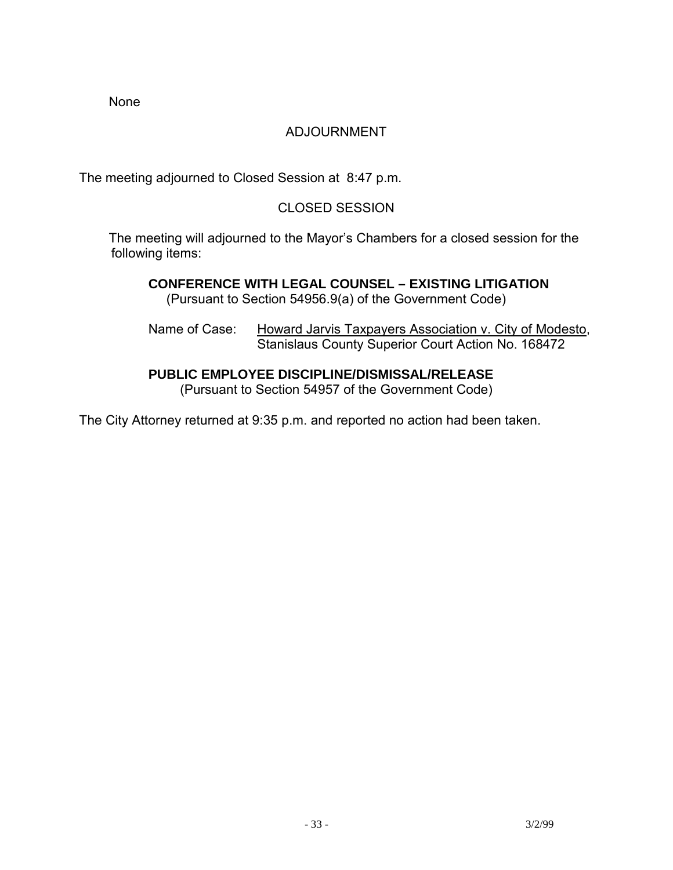None

# ADJOURNMENT

The meeting adjourned to Closed Session at 8:47 p.m.

# CLOSED SESSION

 The meeting will adjourned to the Mayor's Chambers for a closed session for the following items:

 **CONFERENCE WITH LEGAL COUNSEL – EXISTING LITIGATION**  (Pursuant to Section 54956.9(a) of the Government Code)

Name of Case: Howard Jarvis Taxpayers Association v. City of Modesto, Stanislaus County Superior Court Action No. 168472

# **PUBLIC EMPLOYEE DISCIPLINE/DISMISSAL/RELEASE**

(Pursuant to Section 54957 of the Government Code)

The City Attorney returned at 9:35 p.m. and reported no action had been taken.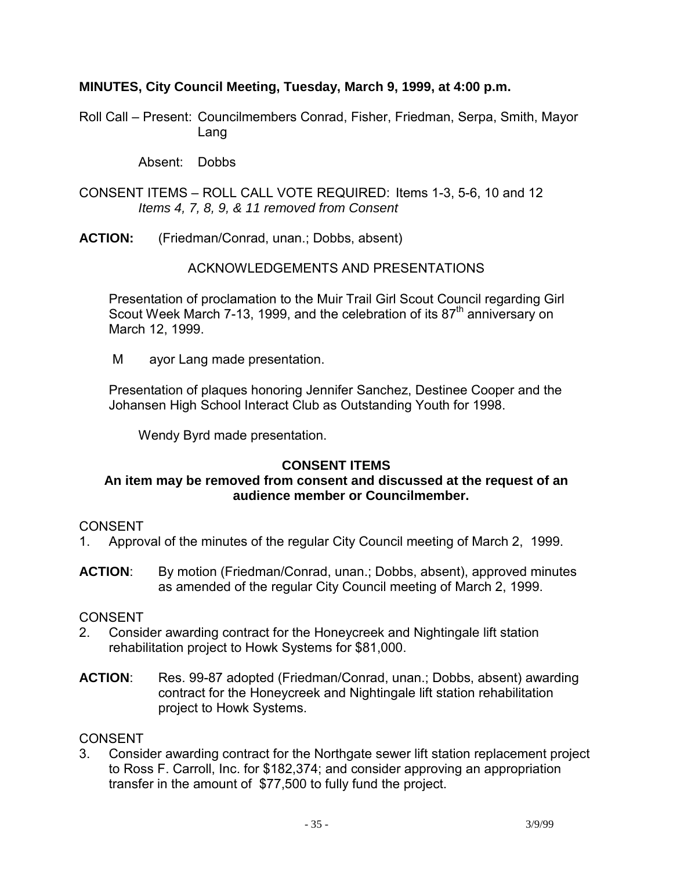### **MINUTES, City Council Meeting, Tuesday, March 9, 1999, at 4:00 p.m.**

Roll Call – Present: Councilmembers Conrad, Fisher, Friedman, Serpa, Smith, Mayor Lang

Absent: Dobbs

- CONSENT ITEMS ROLL CALL VOTE REQUIRED: Items 1-3, 5-6, 10 and 12 *Items 4, 7, 8, 9, & 11 removed from Consent*
- **ACTION:** (Friedman/Conrad, unan.; Dobbs, absent)

### ACKNOWLEDGEMENTS AND PRESENTATIONS

 Presentation of proclamation to the Muir Trail Girl Scout Council regarding Girl Scout Week March 7-13, 1999, and the celebration of its 87<sup>th</sup> anniversary on March 12, 1999.

M ayor Lang made presentation.

 Presentation of plaques honoring Jennifer Sanchez, Destinee Cooper and the Johansen High School Interact Club as Outstanding Youth for 1998.

Wendy Byrd made presentation.

# **CONSENT ITEMS**

#### **An item may be removed from consent and discussed at the request of an audience member or Councilmember.**

#### **CONSENT**

- 1. Approval of the minutes of the regular City Council meeting of March 2, 1999.
- **ACTION**: By motion (Friedman/Conrad, unan.; Dobbs, absent), approved minutes as amended of the regular City Council meeting of March 2, 1999.

# CONSENT

- 2. Consider awarding contract for the Honeycreek and Nightingale lift station rehabilitation project to Howk Systems for \$81,000.
- **ACTION**: Res. 99-87 adopted (Friedman/Conrad, unan.; Dobbs, absent) awarding contract for the Honeycreek and Nightingale lift station rehabilitation project to Howk Systems.

#### **CONSENT**

3. Consider awarding contract for the Northgate sewer lift station replacement project to Ross F. Carroll, Inc. for \$182,374; and consider approving an appropriation transfer in the amount of \$77,500 to fully fund the project.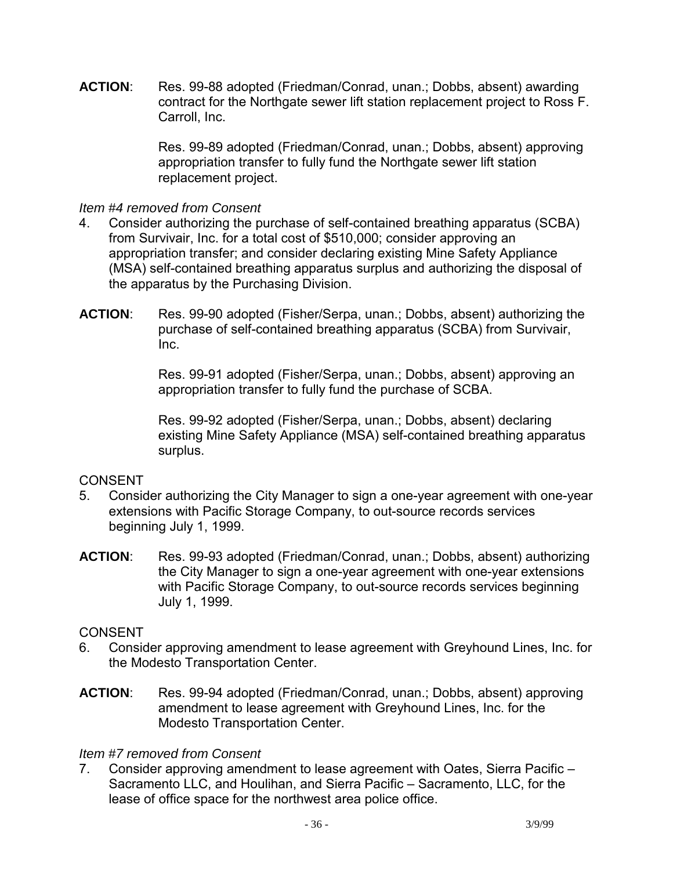**ACTION**: Res. 99-88 adopted (Friedman/Conrad, unan.; Dobbs, absent) awarding contract for the Northgate sewer lift station replacement project to Ross F. Carroll, Inc.

> Res. 99-89 adopted (Friedman/Conrad, unan.; Dobbs, absent) approving appropriation transfer to fully fund the Northgate sewer lift station replacement project.

#### *Item #4 removed from Consent*

- 4. Consider authorizing the purchase of self-contained breathing apparatus (SCBA) from Survivair, Inc. for a total cost of \$510,000; consider approving an appropriation transfer; and consider declaring existing Mine Safety Appliance (MSA) self-contained breathing apparatus surplus and authorizing the disposal of the apparatus by the Purchasing Division.
- **ACTION**: Res. 99-90 adopted (Fisher/Serpa, unan.; Dobbs, absent) authorizing the purchase of self-contained breathing apparatus (SCBA) from Survivair, Inc.

Res. 99-91 adopted (Fisher/Serpa, unan.; Dobbs, absent) approving an appropriation transfer to fully fund the purchase of SCBA.

Res. 99-92 adopted (Fisher/Serpa, unan.; Dobbs, absent) declaring existing Mine Safety Appliance (MSA) self-contained breathing apparatus surplus.

# **CONSENT**

- 5. Consider authorizing the City Manager to sign a one-year agreement with one-year extensions with Pacific Storage Company, to out-source records services beginning July 1, 1999.
- **ACTION**: Res. 99-93 adopted (Friedman/Conrad, unan.; Dobbs, absent) authorizing the City Manager to sign a one-year agreement with one-year extensions with Pacific Storage Company, to out-source records services beginning July 1, 1999.

# CONSENT

- 6. Consider approving amendment to lease agreement with Greyhound Lines, Inc. for the Modesto Transportation Center.
- **ACTION**: Res. 99-94 adopted (Friedman/Conrad, unan.; Dobbs, absent) approving amendment to lease agreement with Greyhound Lines, Inc. for the Modesto Transportation Center.

#### *Item #7 removed from Consent*

7. Consider approving amendment to lease agreement with Oates, Sierra Pacific – Sacramento LLC, and Houlihan, and Sierra Pacific – Sacramento, LLC, for the lease of office space for the northwest area police office.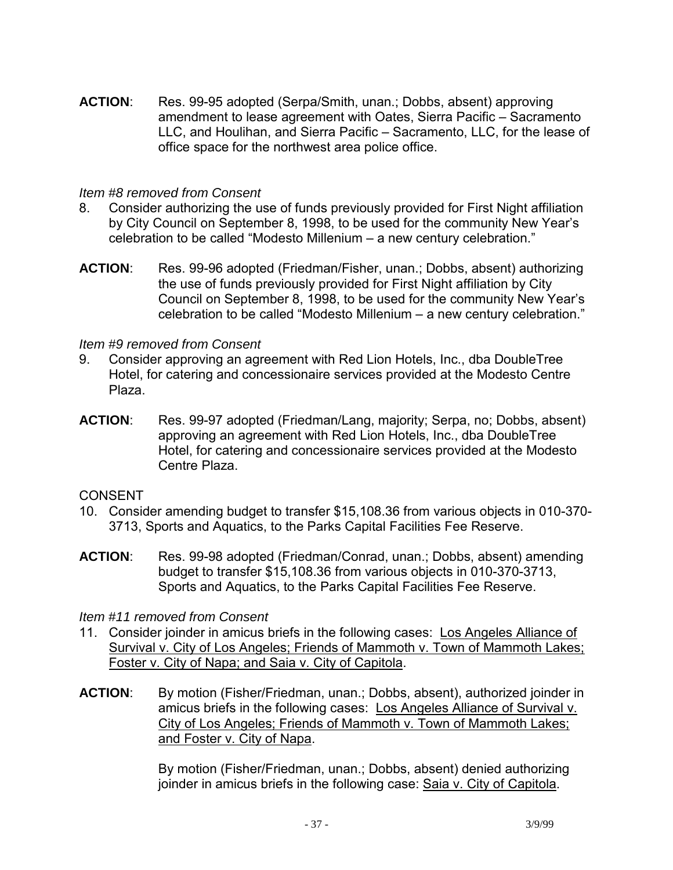**ACTION**: Res. 99-95 adopted (Serpa/Smith, unan.; Dobbs, absent) approving amendment to lease agreement with Oates, Sierra Pacific – Sacramento LLC, and Houlihan, and Sierra Pacific – Sacramento, LLC, for the lease of office space for the northwest area police office.

### *Item #8 removed from Consent*

- 8. Consider authorizing the use of funds previously provided for First Night affiliation by City Council on September 8, 1998, to be used for the community New Year's celebration to be called "Modesto Millenium – a new century celebration."
- **ACTION**: Res. 99-96 adopted (Friedman/Fisher, unan.; Dobbs, absent) authorizing the use of funds previously provided for First Night affiliation by City Council on September 8, 1998, to be used for the community New Year's celebration to be called "Modesto Millenium – a new century celebration."

#### *Item #9 removed from Consent*

- 9. Consider approving an agreement with Red Lion Hotels, Inc., dba DoubleTree Hotel, for catering and concessionaire services provided at the Modesto Centre Plaza.
- **ACTION**: Res. 99-97 adopted (Friedman/Lang, majority; Serpa, no; Dobbs, absent) approving an agreement with Red Lion Hotels, Inc., dba DoubleTree Hotel, for catering and concessionaire services provided at the Modesto Centre Plaza.

### CONSENT

- 10. Consider amending budget to transfer \$15,108.36 from various objects in 010-370- 3713, Sports and Aquatics, to the Parks Capital Facilities Fee Reserve.
- **ACTION**: Res. 99-98 adopted (Friedman/Conrad, unan.; Dobbs, absent) amending budget to transfer \$15,108.36 from various objects in 010-370-3713, Sports and Aquatics, to the Parks Capital Facilities Fee Reserve.

#### *Item #11 removed from Consent*

- 11. Consider joinder in amicus briefs in the following cases: Los Angeles Alliance of Survival v. City of Los Angeles; Friends of Mammoth v. Town of Mammoth Lakes; Foster v. City of Napa; and Saia v. City of Capitola.
- **ACTION**: By motion (Fisher/Friedman, unan.; Dobbs, absent), authorized joinder in amicus briefs in the following cases: Los Angeles Alliance of Survival v. City of Los Angeles; Friends of Mammoth v. Town of Mammoth Lakes; and Foster v. City of Napa.

By motion (Fisher/Friedman, unan.; Dobbs, absent) denied authorizing joinder in amicus briefs in the following case: Saia v. City of Capitola.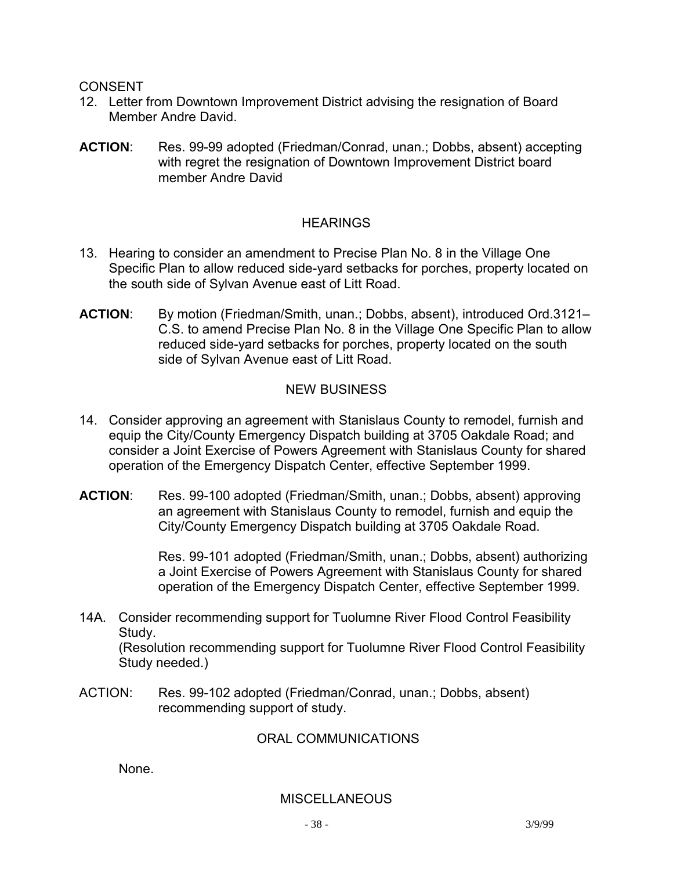- 12. Letter from Downtown Improvement District advising the resignation of Board Member Andre David.
- **ACTION**: Res. 99-99 adopted (Friedman/Conrad, unan.; Dobbs, absent) accepting with regret the resignation of Downtown Improvement District board member Andre David

## **HEARINGS**

- 13. Hearing to consider an amendment to Precise Plan No. 8 in the Village One Specific Plan to allow reduced side-yard setbacks for porches, property located on the south side of Sylvan Avenue east of Litt Road.
- **ACTION**: By motion (Friedman/Smith, unan.; Dobbs, absent), introduced Ord.3121– C.S. to amend Precise Plan No. 8 in the Village One Specific Plan to allow reduced side-yard setbacks for porches, property located on the south side of Sylvan Avenue east of Litt Road.

## NEW BUSINESS

- 14. Consider approving an agreement with Stanislaus County to remodel, furnish and equip the City/County Emergency Dispatch building at 3705 Oakdale Road; and consider a Joint Exercise of Powers Agreement with Stanislaus County for shared operation of the Emergency Dispatch Center, effective September 1999.
- **ACTION**: Res. 99-100 adopted (Friedman/Smith, unan.; Dobbs, absent) approving an agreement with Stanislaus County to remodel, furnish and equip the City/County Emergency Dispatch building at 3705 Oakdale Road.

Res. 99-101 adopted (Friedman/Smith, unan.; Dobbs, absent) authorizing a Joint Exercise of Powers Agreement with Stanislaus County for shared operation of the Emergency Dispatch Center, effective September 1999.

14A. Consider recommending support for Tuolumne River Flood Control Feasibility Study.

 (Resolution recommending support for Tuolumne River Flood Control Feasibility Study needed.)

ACTION: Res. 99-102 adopted (Friedman/Conrad, unan.; Dobbs, absent) recommending support of study.

## ORAL COMMUNICATIONS

None.

### **MISCELLANEOUS**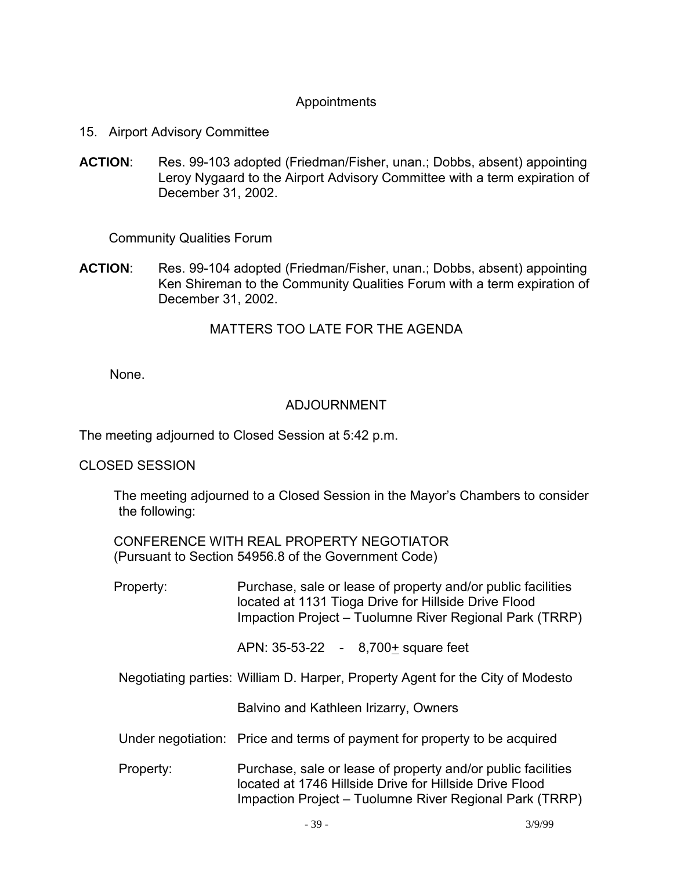## Appointments

- 15. Airport Advisory Committee
- **ACTION**: Res. 99-103 adopted (Friedman/Fisher, unan.; Dobbs, absent) appointing Leroy Nygaard to the Airport Advisory Committee with a term expiration of December 31, 2002.

Community Qualities Forum

**ACTION**: Res. 99-104 adopted (Friedman/Fisher, unan.; Dobbs, absent) appointing Ken Shireman to the Community Qualities Forum with a term expiration of December 31, 2002.

### MATTERS TOO LATE FOR THE AGENDA

None.

### ADJOURNMENT

The meeting adjourned to Closed Session at 5:42 p.m.

#### CLOSED SESSION

 The meeting adjourned to a Closed Session in the Mayor's Chambers to consider the following:

 CONFERENCE WITH REAL PROPERTY NEGOTIATOR (Pursuant to Section 54956.8 of the Government Code)

 Property: Purchase, sale or lease of property and/or public facilities located at 1131 Tioga Drive for Hillside Drive Flood Impaction Project – Tuolumne River Regional Park (TRRP)

APN: 35-53-22 - 8,700+ square feet

Negotiating parties: William D. Harper, Property Agent for the City of Modesto

Balvino and Kathleen Irizarry, Owners

- Under negotiation: Price and terms of payment for property to be acquired
- Property: Purchase, sale or lease of property and/or public facilities located at 1746 Hillside Drive for Hillside Drive Flood Impaction Project – Tuolumne River Regional Park (TRRP)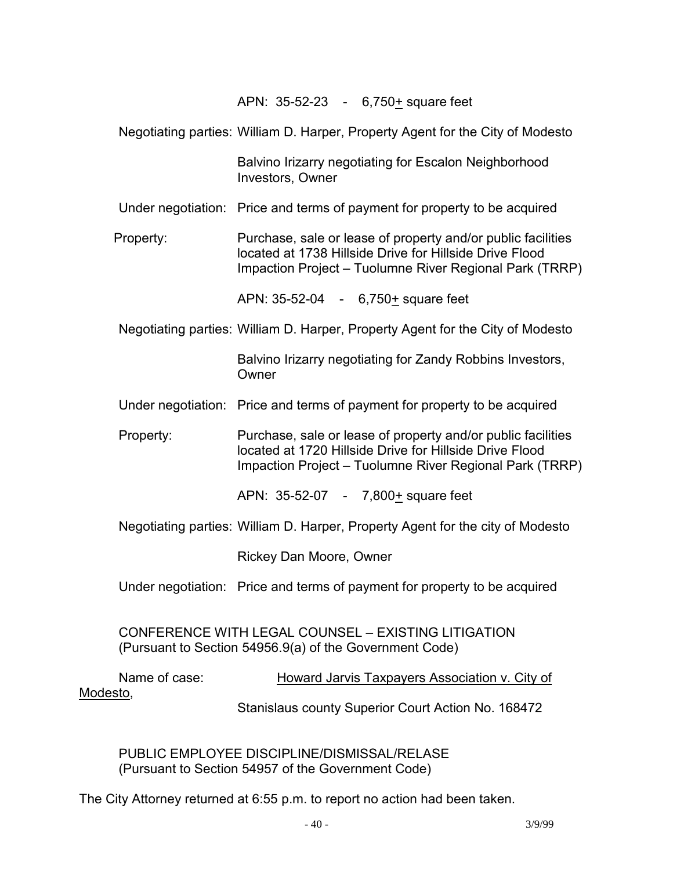APN: 35-52-23 - 6,750+ square feet

Negotiating parties: William D. Harper, Property Agent for the City of Modesto

 Balvino Irizarry negotiating for Escalon Neighborhood Investors, Owner

Under negotiation: Price and terms of payment for property to be acquired

 Property: Purchase, sale or lease of property and/or public facilities located at 1738 Hillside Drive for Hillside Drive Flood Impaction Project – Tuolumne River Regional Park (TRRP)

APN: 35-52-04 - 6,750+ square feet

Negotiating parties: William D. Harper, Property Agent for the City of Modesto

 Balvino Irizarry negotiating for Zandy Robbins Investors, **Owner** 

Under negotiation: Price and terms of payment for property to be acquired

 Property: Purchase, sale or lease of property and/or public facilities located at 1720 Hillside Drive for Hillside Drive Flood Impaction Project – Tuolumne River Regional Park (TRRP)

APN: 35-52-07 - 7,800+ square feet

Negotiating parties: William D. Harper, Property Agent for the city of Modesto

Rickey Dan Moore, Owner

Under negotiation: Price and terms of payment for property to be acquired

 CONFERENCE WITH LEGAL COUNSEL – EXISTING LITIGATION (Pursuant to Section 54956.9(a) of the Government Code)

 Name of case: Howard Jarvis Taxpayers Association v. City of Modesto, Stanislaus county Superior Court Action No. 168472

 PUBLIC EMPLOYEE DISCIPLINE/DISMISSAL/RELASE (Pursuant to Section 54957 of the Government Code)

The City Attorney returned at 6:55 p.m. to report no action had been taken.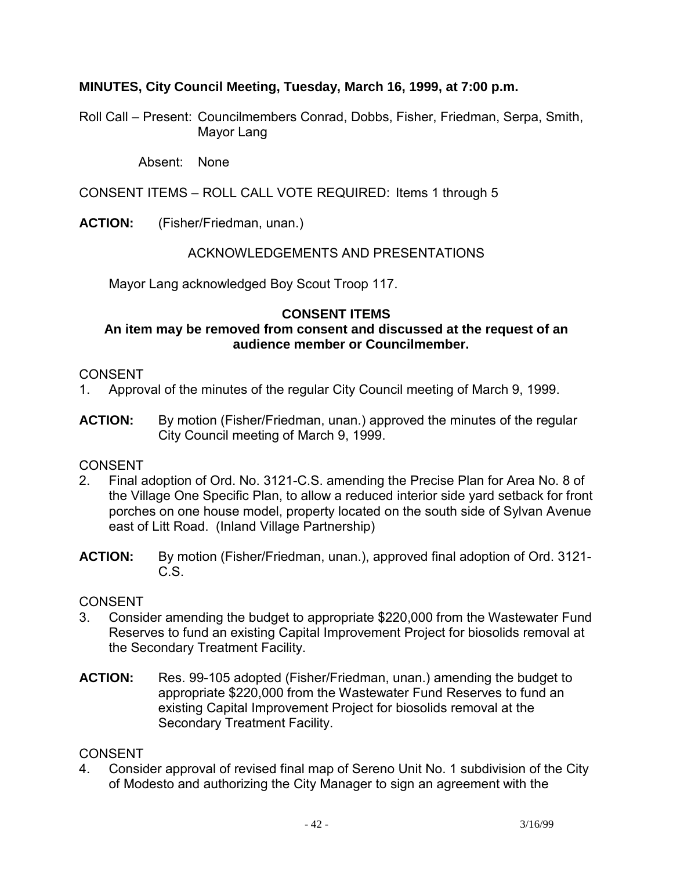## **MINUTES, City Council Meeting, Tuesday, March 16, 1999, at 7:00 p.m.**

Roll Call – Present: Councilmembers Conrad, Dobbs, Fisher, Friedman, Serpa, Smith, Mayor Lang

Absent: None

CONSENT ITEMS – ROLL CALL VOTE REQUIRED: Items 1 through 5

**ACTION:** (Fisher/Friedman, unan.)

### ACKNOWLEDGEMENTS AND PRESENTATIONS

Mayor Lang acknowledged Boy Scout Troop 117.

### **CONSENT ITEMS**

### **An item may be removed from consent and discussed at the request of an audience member or Councilmember.**

### **CONSENT**

- 1. Approval of the minutes of the regular City Council meeting of March 9, 1999.
- **ACTION:** By motion (Fisher/Friedman, unan.) approved the minutes of the regular City Council meeting of March 9, 1999.

## CONSENT

- 2. Final adoption of Ord. No. 3121-C.S. amending the Precise Plan for Area No. 8 of the Village One Specific Plan, to allow a reduced interior side yard setback for front porches on one house model, property located on the south side of Sylvan Avenue east of Litt Road. (Inland Village Partnership)
- **ACTION:** By motion (Fisher/Friedman, unan.), approved final adoption of Ord. 3121- C.S.

### **CONSENT**

- 3. Consider amending the budget to appropriate \$220,000 from the Wastewater Fund Reserves to fund an existing Capital Improvement Project for biosolids removal at the Secondary Treatment Facility.
- **ACTION:** Res. 99-105 adopted (Fisher/Friedman, unan.) amending the budget to appropriate \$220,000 from the Wastewater Fund Reserves to fund an existing Capital Improvement Project for biosolids removal at the Secondary Treatment Facility.

### **CONSENT**

4. Consider approval of revised final map of Sereno Unit No. 1 subdivision of the City of Modesto and authorizing the City Manager to sign an agreement with the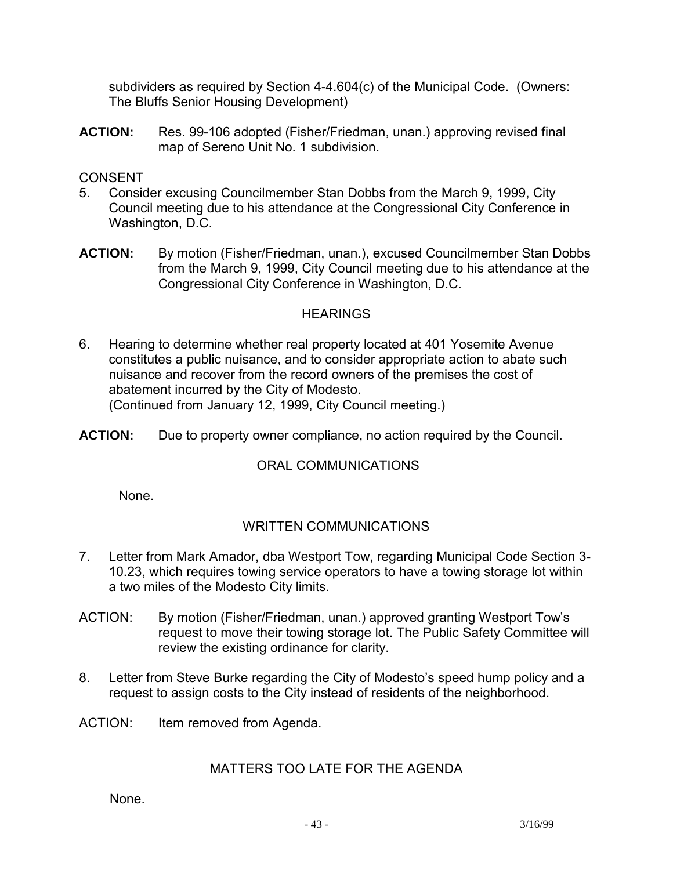subdividers as required by Section 4-4.604(c) of the Municipal Code. (Owners: The Bluffs Senior Housing Development)

**ACTION:** Res. 99-106 adopted (Fisher/Friedman, unan.) approving revised final map of Sereno Unit No. 1 subdivision.

## CONSENT

- 5. Consider excusing Councilmember Stan Dobbs from the March 9, 1999, City Council meeting due to his attendance at the Congressional City Conference in Washington, D.C.
- **ACTION:** By motion (Fisher/Friedman, unan.), excused Councilmember Stan Dobbs from the March 9, 1999, City Council meeting due to his attendance at the Congressional City Conference in Washington, D.C.

### **HEARINGS**

- 6. Hearing to determine whether real property located at 401 Yosemite Avenue constitutes a public nuisance, and to consider appropriate action to abate such nuisance and recover from the record owners of the premises the cost of abatement incurred by the City of Modesto. (Continued from January 12, 1999, City Council meeting.)
- **ACTION:** Due to property owner compliance, no action required by the Council.

## ORAL COMMUNICATIONS

None.

## WRITTEN COMMUNICATIONS

- 7. Letter from Mark Amador, dba Westport Tow, regarding Municipal Code Section 3- 10.23, which requires towing service operators to have a towing storage lot within a two miles of the Modesto City limits.
- ACTION: By motion (Fisher/Friedman, unan.) approved granting Westport Tow's request to move their towing storage lot. The Public Safety Committee will review the existing ordinance for clarity.
- 8. Letter from Steve Burke regarding the City of Modesto's speed hump policy and a request to assign costs to the City instead of residents of the neighborhood.
- ACTION: Item removed from Agenda.

## MATTERS TOO LATE FOR THE AGENDA

None.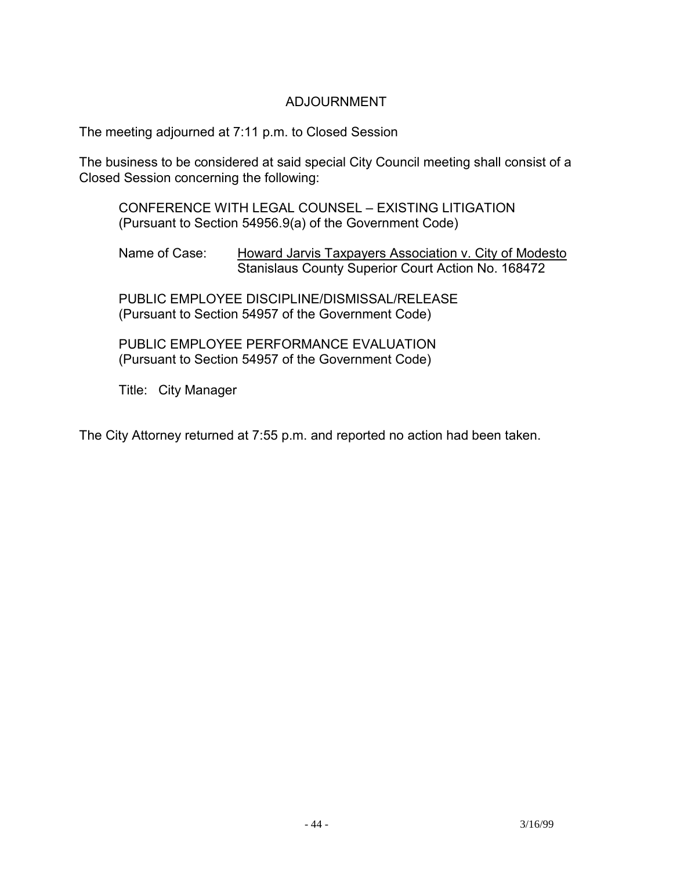## ADJOURNMENT

The meeting adjourned at 7:11 p.m. to Closed Session

The business to be considered at said special City Council meeting shall consist of a Closed Session concerning the following:

 CONFERENCE WITH LEGAL COUNSEL – EXISTING LITIGATION (Pursuant to Section 54956.9(a) of the Government Code)

Name of Case: Howard Jarvis Taxpayers Association v. City of Modesto Stanislaus County Superior Court Action No. 168472

 PUBLIC EMPLOYEE DISCIPLINE/DISMISSAL/RELEASE (Pursuant to Section 54957 of the Government Code)

 PUBLIC EMPLOYEE PERFORMANCE EVALUATION (Pursuant to Section 54957 of the Government Code)

Title: City Manager

The City Attorney returned at 7:55 p.m. and reported no action had been taken.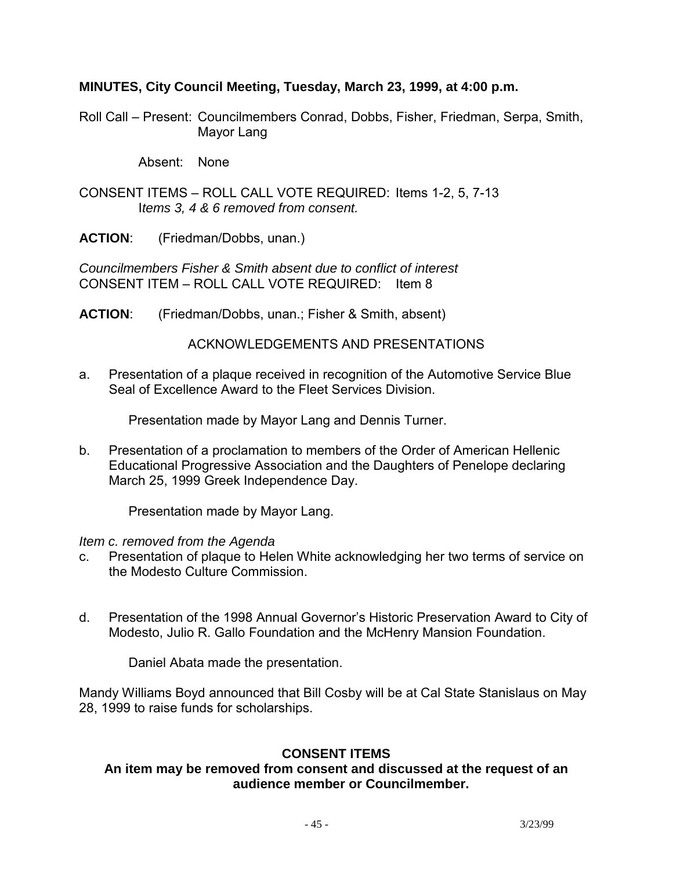### **MINUTES, City Council Meeting, Tuesday, March 23, 1999, at 4:00 p.m.**

Roll Call – Present: Councilmembers Conrad, Dobbs, Fisher, Friedman, Serpa, Smith, Mayor Lang

Absent: None

CONSENT ITEMS – ROLL CALL VOTE REQUIRED: Items 1-2, 5, 7-13 I*tems 3, 4 & 6 removed from consent.* 

**ACTION**: (Friedman/Dobbs, unan.)

*Councilmembers Fisher & Smith absent due to conflict of interest*  CONSENT ITEM – ROLL CALL VOTE REQUIRED: Item 8

**ACTION**: (Friedman/Dobbs, unan.; Fisher & Smith, absent)

ACKNOWLEDGEMENTS AND PRESENTATIONS

a. Presentation of a plaque received in recognition of the Automotive Service Blue Seal of Excellence Award to the Fleet Services Division.

Presentation made by Mayor Lang and Dennis Turner.

b. Presentation of a proclamation to members of the Order of American Hellenic Educational Progressive Association and the Daughters of Penelope declaring March 25, 1999 Greek Independence Day.

Presentation made by Mayor Lang.

### *Item c. removed from the Agenda*

- c. Presentation of plaque to Helen White acknowledging her two terms of service on the Modesto Culture Commission.
- d. Presentation of the 1998 Annual Governor's Historic Preservation Award to City of Modesto, Julio R. Gallo Foundation and the McHenry Mansion Foundation.

Daniel Abata made the presentation.

Mandy Williams Boyd announced that Bill Cosby will be at Cal State Stanislaus on May 28, 1999 to raise funds for scholarships.

## **CONSENT ITEMS**

### **An item may be removed from consent and discussed at the request of an audience member or Councilmember.**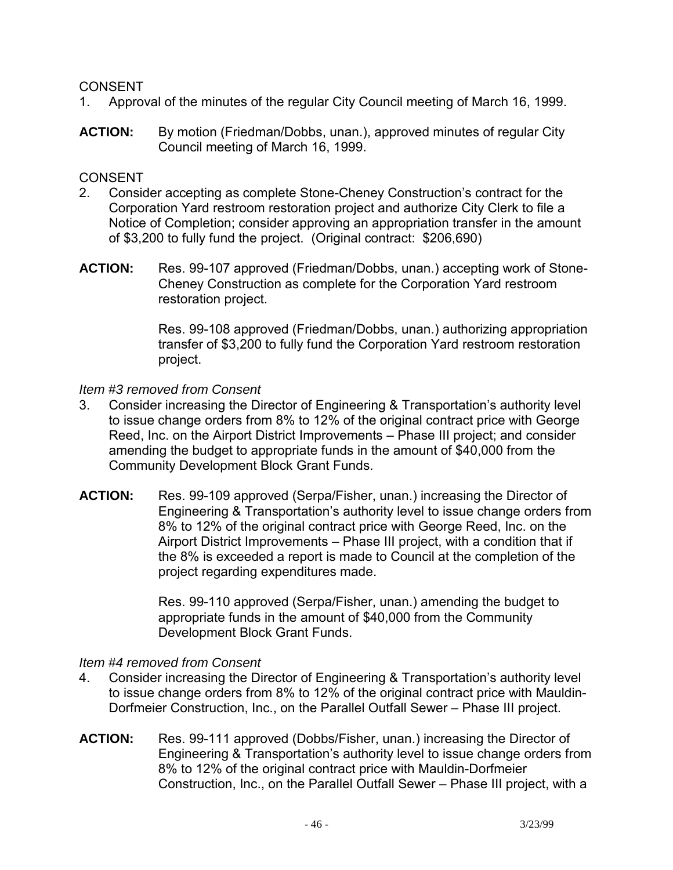- 1. Approval of the minutes of the regular City Council meeting of March 16, 1999.
- **ACTION:** By motion (Friedman/Dobbs, unan.), approved minutes of regular City Council meeting of March 16, 1999.

## CONSENT

- 2. Consider accepting as complete Stone-Cheney Construction's contract for the Corporation Yard restroom restoration project and authorize City Clerk to file a Notice of Completion; consider approving an appropriation transfer in the amount of \$3,200 to fully fund the project. (Original contract: \$206,690)
- **ACTION:** Res. 99-107 approved (Friedman/Dobbs, unan.) accepting work of Stone-Cheney Construction as complete for the Corporation Yard restroom restoration project.

Res. 99-108 approved (Friedman/Dobbs, unan.) authorizing appropriation transfer of \$3,200 to fully fund the Corporation Yard restroom restoration project.

### *Item #3 removed from Consent*

- 3. Consider increasing the Director of Engineering & Transportation's authority level to issue change orders from 8% to 12% of the original contract price with George Reed, Inc. on the Airport District Improvements – Phase III project; and consider amending the budget to appropriate funds in the amount of \$40,000 from the Community Development Block Grant Funds.
- **ACTION:** Res. 99-109 approved (Serpa/Fisher, unan.) increasing the Director of Engineering & Transportation's authority level to issue change orders from 8% to 12% of the original contract price with George Reed, Inc. on the Airport District Improvements – Phase III project, with a condition that if the 8% is exceeded a report is made to Council at the completion of the project regarding expenditures made.

Res. 99-110 approved (Serpa/Fisher, unan.) amending the budget to appropriate funds in the amount of \$40,000 from the Community Development Block Grant Funds.

### *Item #4 removed from Consent*

- 4. Consider increasing the Director of Engineering & Transportation's authority level to issue change orders from 8% to 12% of the original contract price with Mauldin-Dorfmeier Construction, Inc., on the Parallel Outfall Sewer – Phase III project.
- **ACTION:** Res. 99-111 approved (Dobbs/Fisher, unan.) increasing the Director of Engineering & Transportation's authority level to issue change orders from 8% to 12% of the original contract price with Mauldin-Dorfmeier Construction, Inc., on the Parallel Outfall Sewer – Phase III project, with a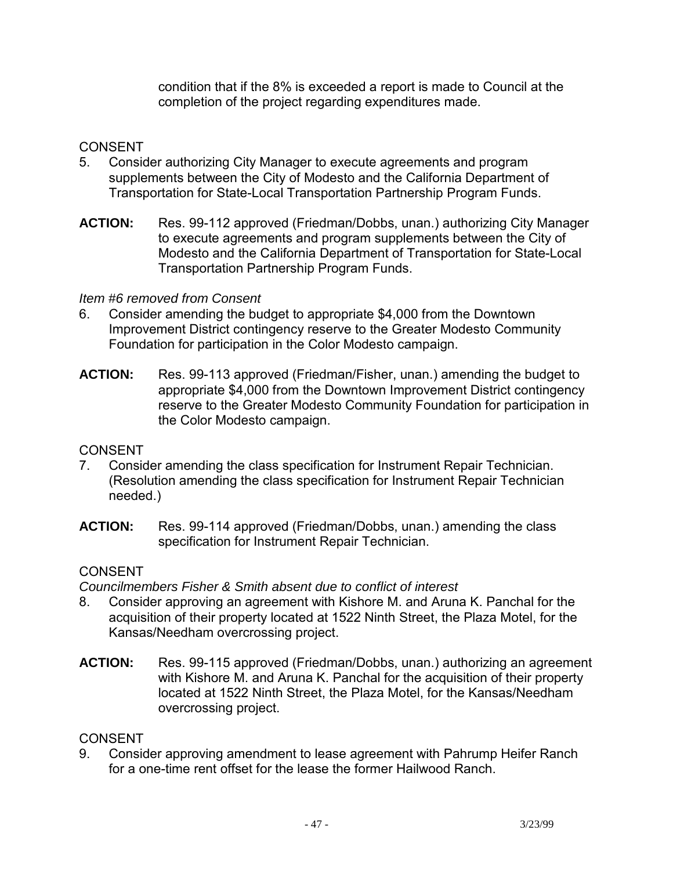condition that if the 8% is exceeded a report is made to Council at the completion of the project regarding expenditures made.

# **CONSENT**

- 5. Consider authorizing City Manager to execute agreements and program supplements between the City of Modesto and the California Department of Transportation for State-Local Transportation Partnership Program Funds.
- **ACTION:** Res. 99-112 approved (Friedman/Dobbs, unan.) authorizing City Manager to execute agreements and program supplements between the City of Modesto and the California Department of Transportation for State-Local Transportation Partnership Program Funds.

## *Item #6 removed from Consent*

- 6. Consider amending the budget to appropriate \$4,000 from the Downtown Improvement District contingency reserve to the Greater Modesto Community Foundation for participation in the Color Modesto campaign.
- **ACTION:** Res. 99-113 approved (Friedman/Fisher, unan.) amending the budget to appropriate \$4,000 from the Downtown Improvement District contingency reserve to the Greater Modesto Community Foundation for participation in the Color Modesto campaign.

# CONSENT

- 7. Consider amending the class specification for Instrument Repair Technician. (Resolution amending the class specification for Instrument Repair Technician needed.)
- **ACTION:** Res. 99-114 approved (Friedman/Dobbs, unan.) amending the class specification for Instrument Repair Technician.

## **CONSENT**

*Councilmembers Fisher & Smith absent due to conflict of interest* 

- 8. Consider approving an agreement with Kishore M. and Aruna K. Panchal for the acquisition of their property located at 1522 Ninth Street, the Plaza Motel, for the Kansas/Needham overcrossing project.
- **ACTION:** Res. 99-115 approved (Friedman/Dobbs, unan.) authorizing an agreement with Kishore M. and Aruna K. Panchal for the acquisition of their property located at 1522 Ninth Street, the Plaza Motel, for the Kansas/Needham overcrossing project.

# **CONSENT**

9. Consider approving amendment to lease agreement with Pahrump Heifer Ranch for a one-time rent offset for the lease the former Hailwood Ranch.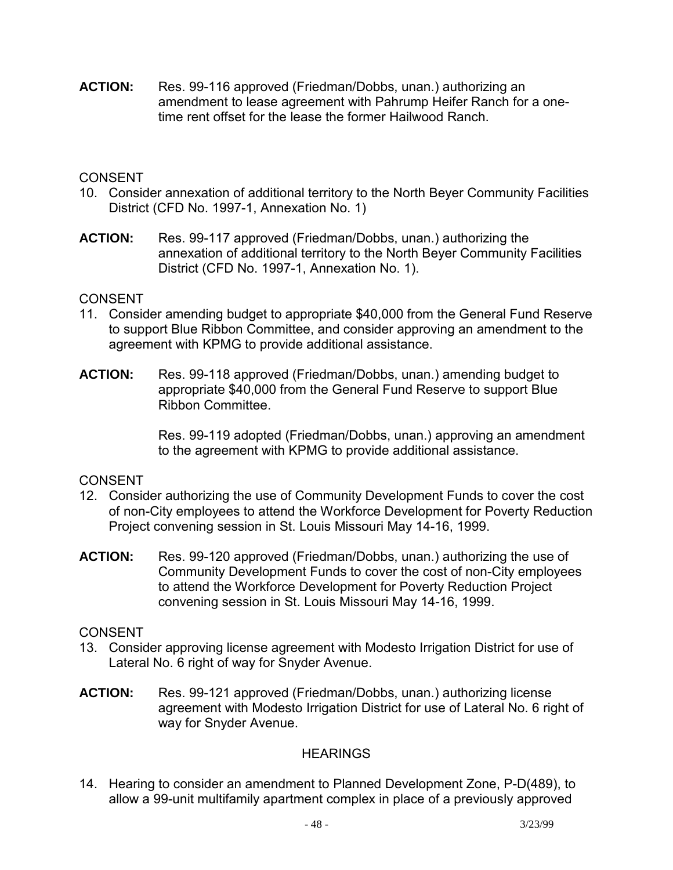**ACTION:** Res. 99-116 approved (Friedman/Dobbs, unan.) authorizing an amendment to lease agreement with Pahrump Heifer Ranch for a onetime rent offset for the lease the former Hailwood Ranch.

## CONSENT

- 10. Consider annexation of additional territory to the North Beyer Community Facilities District (CFD No. 1997-1, Annexation No. 1)
- **ACTION:** Res. 99-117 approved (Friedman/Dobbs, unan.) authorizing the annexation of additional territory to the North Beyer Community Facilities District (CFD No. 1997-1, Annexation No. 1).

#### **CONSENT**

- 11. Consider amending budget to appropriate \$40,000 from the General Fund Reserve to support Blue Ribbon Committee, and consider approving an amendment to the agreement with KPMG to provide additional assistance.
- **ACTION:** Res. 99-118 approved (Friedman/Dobbs, unan.) amending budget to appropriate \$40,000 from the General Fund Reserve to support Blue Ribbon Committee.

Res. 99-119 adopted (Friedman/Dobbs, unan.) approving an amendment to the agreement with KPMG to provide additional assistance.

### CONSENT

- 12. Consider authorizing the use of Community Development Funds to cover the cost of non-City employees to attend the Workforce Development for Poverty Reduction Project convening session in St. Louis Missouri May 14-16, 1999.
- **ACTION:** Res. 99-120 approved (Friedman/Dobbs, unan.) authorizing the use of Community Development Funds to cover the cost of non-City employees to attend the Workforce Development for Poverty Reduction Project convening session in St. Louis Missouri May 14-16, 1999.

### CONSENT

- 13. Consider approving license agreement with Modesto Irrigation District for use of Lateral No. 6 right of way for Snyder Avenue.
- **ACTION:** Res. 99-121 approved (Friedman/Dobbs, unan.) authorizing license agreement with Modesto Irrigation District for use of Lateral No. 6 right of way for Snyder Avenue.

### **HEARINGS**

14. Hearing to consider an amendment to Planned Development Zone, P-D(489), to allow a 99-unit multifamily apartment complex in place of a previously approved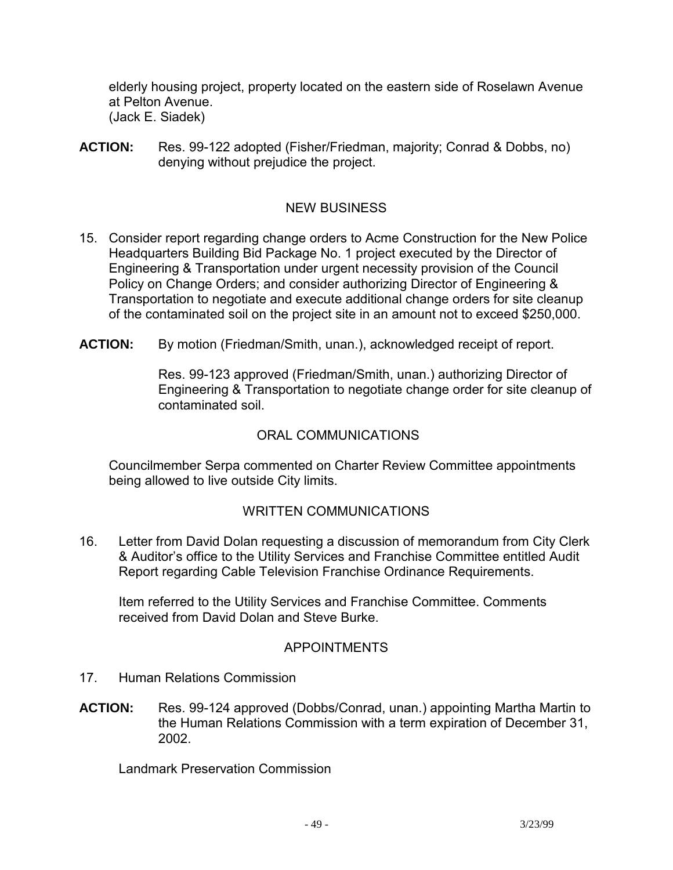elderly housing project, property located on the eastern side of Roselawn Avenue at Pelton Avenue. (Jack E. Siadek)

**ACTION:** Res. 99-122 adopted (Fisher/Friedman, majority; Conrad & Dobbs, no) denying without prejudice the project.

# NEW BUSINESS

- 15. Consider report regarding change orders to Acme Construction for the New Police Headquarters Building Bid Package No. 1 project executed by the Director of Engineering & Transportation under urgent necessity provision of the Council Policy on Change Orders; and consider authorizing Director of Engineering & Transportation to negotiate and execute additional change orders for site cleanup of the contaminated soil on the project site in an amount not to exceed \$250,000.
- **ACTION:** By motion (Friedman/Smith, unan.), acknowledged receipt of report.

Res. 99-123 approved (Friedman/Smith, unan.) authorizing Director of Engineering & Transportation to negotiate change order for site cleanup of contaminated soil.

### ORAL COMMUNICATIONS

 Councilmember Serpa commented on Charter Review Committee appointments being allowed to live outside City limits.

### WRITTEN COMMUNICATIONS

16. Letter from David Dolan requesting a discussion of memorandum from City Clerk & Auditor's office to the Utility Services and Franchise Committee entitled Audit Report regarding Cable Television Franchise Ordinance Requirements.

 Item referred to the Utility Services and Franchise Committee. Comments received from David Dolan and Steve Burke.

### APPOINTMENTS

- 17. Human Relations Commission
- **ACTION:** Res. 99-124 approved (Dobbs/Conrad, unan.) appointing Martha Martin to the Human Relations Commission with a term expiration of December 31, 2002.

Landmark Preservation Commission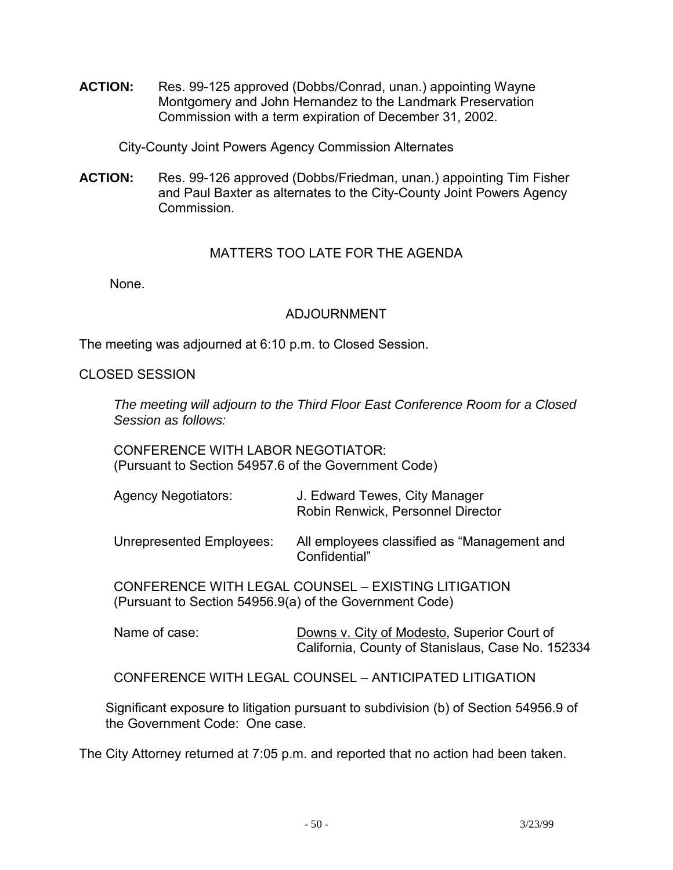**ACTION:** Res. 99-125 approved (Dobbs/Conrad, unan.) appointing Wayne Montgomery and John Hernandez to the Landmark Preservation Commission with a term expiration of December 31, 2002.

City-County Joint Powers Agency Commission Alternates

**ACTION:** Res. 99-126 approved (Dobbs/Friedman, unan.) appointing Tim Fisher and Paul Baxter as alternates to the City-County Joint Powers Agency Commission.

## MATTERS TOO LATE FOR THE AGENDA

None.

### ADJOURNMENT

The meeting was adjourned at 6:10 p.m. to Closed Session.

#### CLOSED SESSION

 *The meeting will adjourn to the Third Floor East Conference Room for a Closed Session as follows:* 

 CONFERENCE WITH LABOR NEGOTIATOR: (Pursuant to Section 54957.6 of the Government Code)

| <b>Agency Negotiators:</b>                                                                                     | J. Edward Tewes, City Manager<br>Robin Renwick, Personnel Director                               |
|----------------------------------------------------------------------------------------------------------------|--------------------------------------------------------------------------------------------------|
| Unrepresented Employees:                                                                                       | All employees classified as "Management and<br>Confidential"                                     |
| CONFERENCE WITH LEGAL COUNSEL - EXISTING LITIGATION<br>(Pursuant to Section 54956.9(a) of the Government Code) |                                                                                                  |
| Name of case:                                                                                                  | Downs v. City of Modesto, Superior Court of<br>California, County of Stanislaus, Case No. 152334 |
|                                                                                                                | CONFERENCE WITH LEGAL COUNSEL – ANTICIPATED LITIGATION                                           |
|                                                                                                                | Significant exposure to litigation pursuant to subdivision (b) of Section 54056 0 of             |

 Significant exposure to litigation pursuant to subdivision (b) of Section 54956.9 of the Government Code: One case.

The City Attorney returned at 7:05 p.m. and reported that no action had been taken.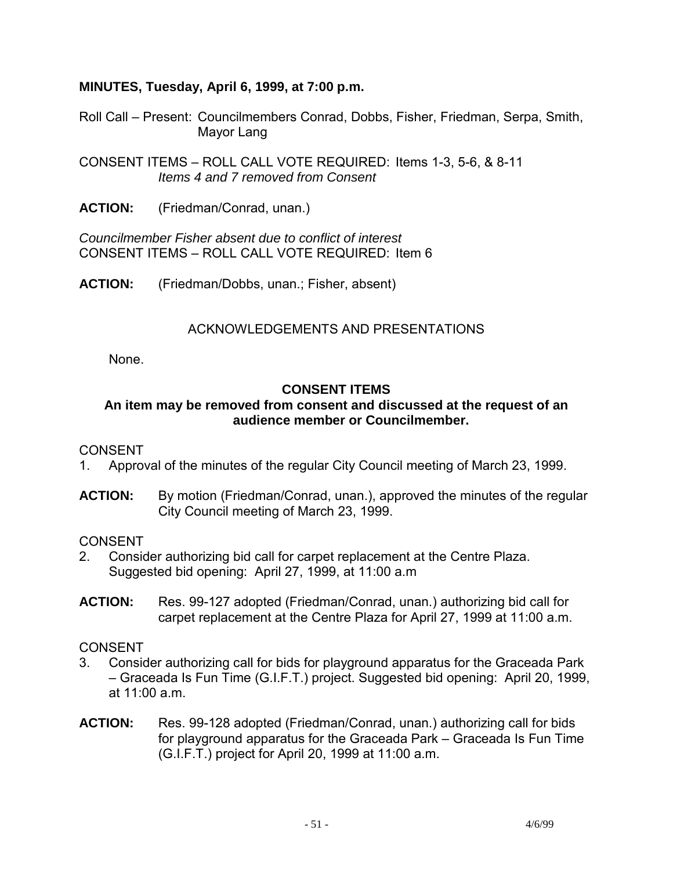## **MINUTES, Tuesday, April 6, 1999, at 7:00 p.m.**

Roll Call – Present: Councilmembers Conrad, Dobbs, Fisher, Friedman, Serpa, Smith, Mayor Lang

CONSENT ITEMS – ROLL CALL VOTE REQUIRED: Items 1-3, 5-6, & 8-11 *Items 4 and 7 removed from Consent* 

**ACTION:** (Friedman/Conrad, unan.)

*Councilmember Fisher absent due to conflict of interest*  CONSENT ITEMS – ROLL CALL VOTE REQUIRED: Item 6

**ACTION:** (Friedman/Dobbs, unan.; Fisher, absent)

## ACKNOWLEDGEMENTS AND PRESENTATIONS

None.

## **CONSENT ITEMS**

## **An item may be removed from consent and discussed at the request of an audience member or Councilmember.**

### **CONSENT**

- 1. Approval of the minutes of the regular City Council meeting of March 23, 1999.
- **ACTION:** By motion (Friedman/Conrad, unan.), approved the minutes of the regular City Council meeting of March 23, 1999.

CONSENT

- 2. Consider authorizing bid call for carpet replacement at the Centre Plaza. Suggested bid opening: April 27, 1999, at 11:00 a.m
- **ACTION:** Res. 99-127 adopted (Friedman/Conrad, unan.) authorizing bid call for carpet replacement at the Centre Plaza for April 27, 1999 at 11:00 a.m.

- 3. Consider authorizing call for bids for playground apparatus for the Graceada Park – Graceada Is Fun Time (G.I.F.T.) project. Suggested bid opening: April 20, 1999, at 11:00 a.m.
- **ACTION:** Res. 99-128 adopted (Friedman/Conrad, unan.) authorizing call for bids for playground apparatus for the Graceada Park – Graceada Is Fun Time (G.I.F.T.) project for April 20, 1999 at 11:00 a.m.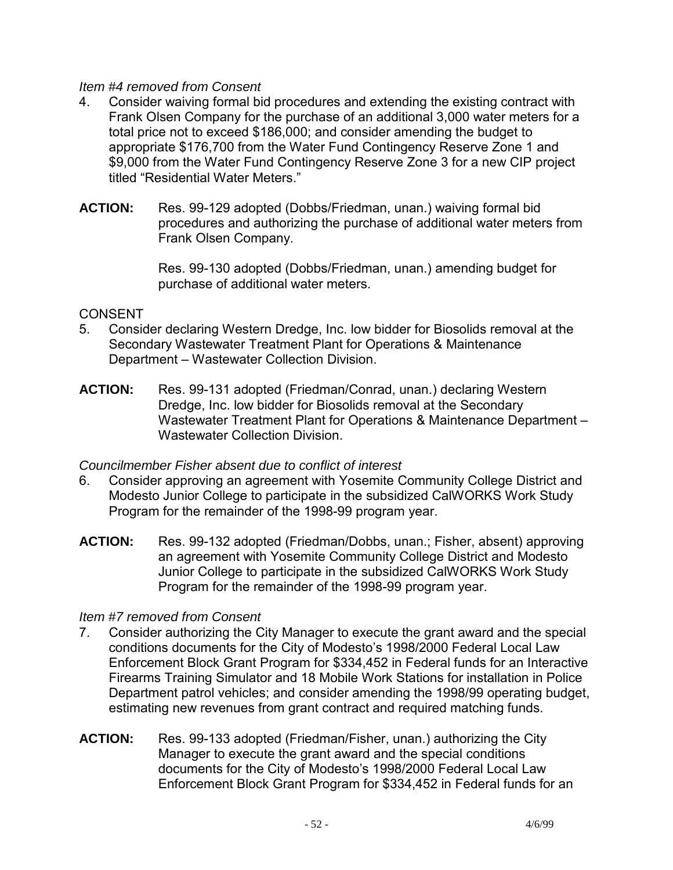### *Item #4 removed from Consent*

- 4. Consider waiving formal bid procedures and extending the existing contract with Frank Olsen Company for the purchase of an additional 3,000 water meters for a total price not to exceed \$186,000; and consider amending the budget to appropriate \$176,700 from the Water Fund Contingency Reserve Zone 1 and \$9,000 from the Water Fund Contingency Reserve Zone 3 for a new CIP project titled "Residential Water Meters."
- **ACTION:** Res. 99-129 adopted (Dobbs/Friedman, unan.) waiving formal bid procedures and authorizing the purchase of additional water meters from Frank Olsen Company.

Res. 99-130 adopted (Dobbs/Friedman, unan.) amending budget for purchase of additional water meters.

## CONSENT

- 5. Consider declaring Western Dredge, Inc. low bidder for Biosolids removal at the Secondary Wastewater Treatment Plant for Operations & Maintenance Department – Wastewater Collection Division.
- **ACTION:** Res. 99-131 adopted (Friedman/Conrad, unan.) declaring Western Dredge, Inc. low bidder for Biosolids removal at the Secondary Wastewater Treatment Plant for Operations & Maintenance Department – Wastewater Collection Division.

## *Councilmember Fisher absent due to conflict of interest*

- 6. Consider approving an agreement with Yosemite Community College District and Modesto Junior College to participate in the subsidized CalWORKS Work Study Program for the remainder of the 1998-99 program year.
- **ACTION:** Res. 99-132 adopted (Friedman/Dobbs, unan.; Fisher, absent) approving an agreement with Yosemite Community College District and Modesto Junior College to participate in the subsidized CalWORKS Work Study Program for the remainder of the 1998-99 program year.

## *Item #7 removed from Consent*

- 7. Consider authorizing the City Manager to execute the grant award and the special conditions documents for the City of Modesto's 1998/2000 Federal Local Law Enforcement Block Grant Program for \$334,452 in Federal funds for an Interactive Firearms Training Simulator and 18 Mobile Work Stations for installation in Police Department patrol vehicles; and consider amending the 1998/99 operating budget, estimating new revenues from grant contract and required matching funds.
- **ACTION:** Res. 99-133 adopted (Friedman/Fisher, unan.) authorizing the City Manager to execute the grant award and the special conditions documents for the City of Modesto's 1998/2000 Federal Local Law Enforcement Block Grant Program for \$334,452 in Federal funds for an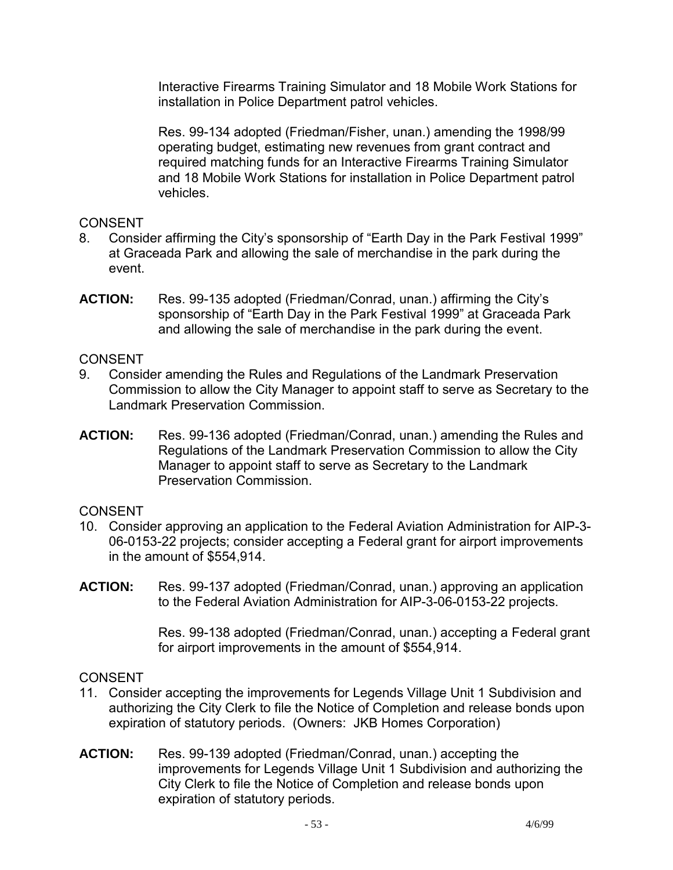Interactive Firearms Training Simulator and 18 Mobile Work Stations for installation in Police Department patrol vehicles.

Res. 99-134 adopted (Friedman/Fisher, unan.) amending the 1998/99 operating budget, estimating new revenues from grant contract and required matching funds for an Interactive Firearms Training Simulator and 18 Mobile Work Stations for installation in Police Department patrol vehicles.

## **CONSENT**

- 8. Consider affirming the City's sponsorship of "Earth Day in the Park Festival 1999" at Graceada Park and allowing the sale of merchandise in the park during the event.
- **ACTION:** Res. 99-135 adopted (Friedman/Conrad, unan.) affirming the City's sponsorship of "Earth Day in the Park Festival 1999" at Graceada Park and allowing the sale of merchandise in the park during the event.

### CONSENT

- 9. Consider amending the Rules and Regulations of the Landmark Preservation Commission to allow the City Manager to appoint staff to serve as Secretary to the Landmark Preservation Commission.
- **ACTION:** Res. 99-136 adopted (Friedman/Conrad, unan.) amending the Rules and Regulations of the Landmark Preservation Commission to allow the City Manager to appoint staff to serve as Secretary to the Landmark Preservation Commission.

## CONSENT

- 10. Consider approving an application to the Federal Aviation Administration for AIP-3- 06-0153-22 projects; consider accepting a Federal grant for airport improvements in the amount of \$554,914.
- **ACTION:** Res. 99-137 adopted (Friedman/Conrad, unan.) approving an application to the Federal Aviation Administration for AIP-3-06-0153-22 projects.

Res. 99-138 adopted (Friedman/Conrad, unan.) accepting a Federal grant for airport improvements in the amount of \$554,914.

- 11. Consider accepting the improvements for Legends Village Unit 1 Subdivision and authorizing the City Clerk to file the Notice of Completion and release bonds upon expiration of statutory periods. (Owners: JKB Homes Corporation)
- **ACTION:** Res. 99-139 adopted (Friedman/Conrad, unan.) accepting the improvements for Legends Village Unit 1 Subdivision and authorizing the City Clerk to file the Notice of Completion and release bonds upon expiration of statutory periods.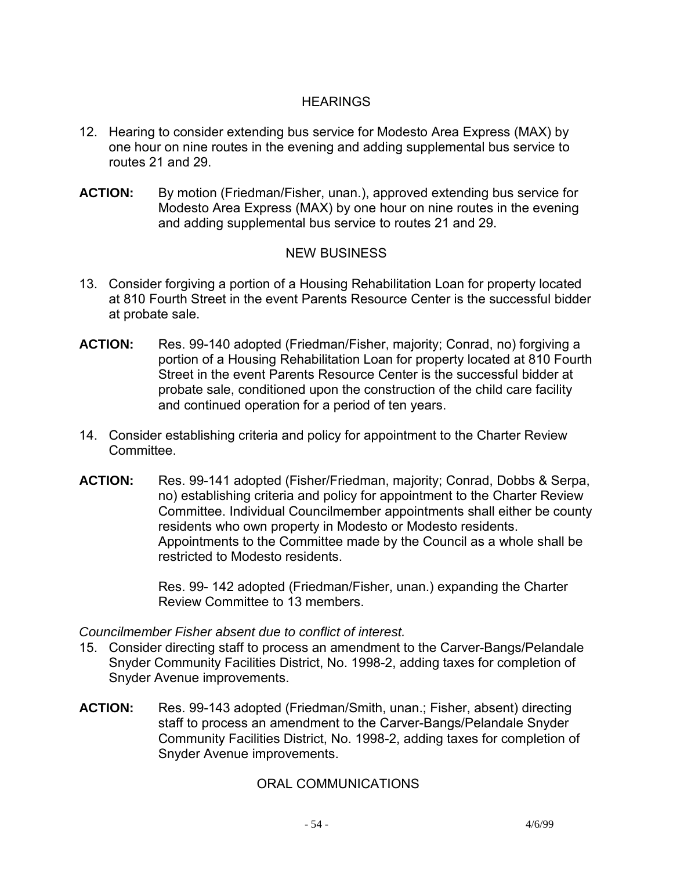# **HEARINGS**

- 12. Hearing to consider extending bus service for Modesto Area Express (MAX) by one hour on nine routes in the evening and adding supplemental bus service to routes 21 and 29.
- **ACTION:** By motion (Friedman/Fisher, unan.), approved extending bus service for Modesto Area Express (MAX) by one hour on nine routes in the evening and adding supplemental bus service to routes 21 and 29.

## NEW BUSINESS

- 13. Consider forgiving a portion of a Housing Rehabilitation Loan for property located at 810 Fourth Street in the event Parents Resource Center is the successful bidder at probate sale.
- **ACTION:** Res. 99-140 adopted (Friedman/Fisher, majority; Conrad, no) forgiving a portion of a Housing Rehabilitation Loan for property located at 810 Fourth Street in the event Parents Resource Center is the successful bidder at probate sale, conditioned upon the construction of the child care facility and continued operation for a period of ten years.
- 14. Consider establishing criteria and policy for appointment to the Charter Review **Committee.**
- **ACTION:** Res. 99-141 adopted (Fisher/Friedman, majority; Conrad, Dobbs & Serpa, no) establishing criteria and policy for appointment to the Charter Review Committee. Individual Councilmember appointments shall either be county residents who own property in Modesto or Modesto residents. Appointments to the Committee made by the Council as a whole shall be restricted to Modesto residents.

Res. 99- 142 adopted (Friedman/Fisher, unan.) expanding the Charter Review Committee to 13 members.

### *Councilmember Fisher absent due to conflict of interest.*

- 15. Consider directing staff to process an amendment to the Carver-Bangs/Pelandale Snyder Community Facilities District, No. 1998-2, adding taxes for completion of Snyder Avenue improvements.
- **ACTION:** Res. 99-143 adopted (Friedman/Smith, unan.; Fisher, absent) directing staff to process an amendment to the Carver-Bangs/Pelandale Snyder Community Facilities District, No. 1998-2, adding taxes for completion of Snyder Avenue improvements.

### ORAL COMMUNICATIONS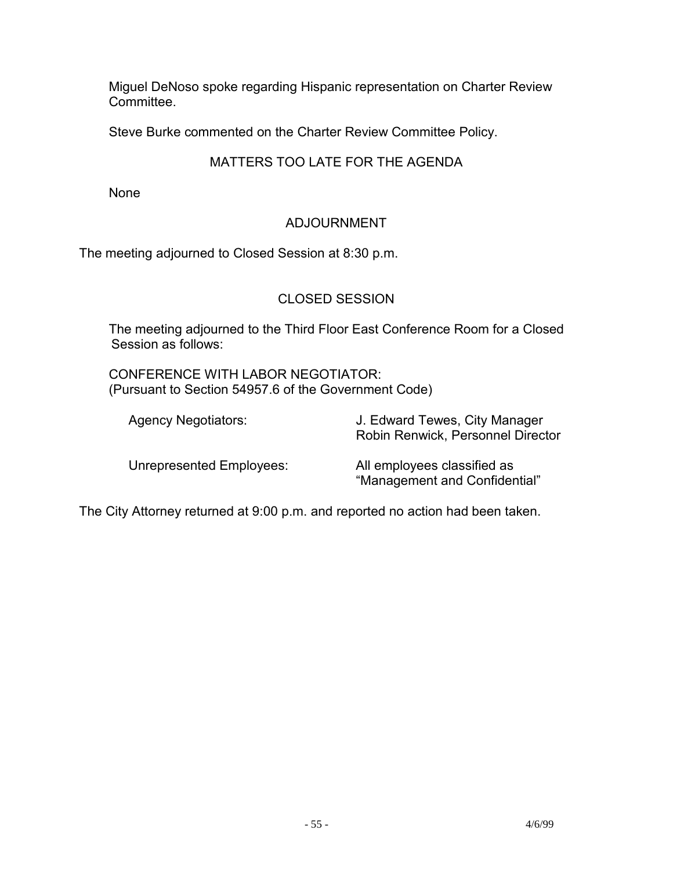Miguel DeNoso spoke regarding Hispanic representation on Charter Review Committee.

Steve Burke commented on the Charter Review Committee Policy.

# MATTERS TOO LATE FOR THE AGENDA

None

# ADJOURNMENT

The meeting adjourned to Closed Session at 8:30 p.m.

## CLOSED SESSION

 The meeting adjourned to the Third Floor East Conference Room for a Closed Session as follows:

 CONFERENCE WITH LABOR NEGOTIATOR: (Pursuant to Section 54957.6 of the Government Code)

| <b>Agency Negotiators:</b>      | J. Edward Tewes, City Manager<br>Robin Renwick, Personnel Director |
|---------------------------------|--------------------------------------------------------------------|
| <b>Unrepresented Employees:</b> | All employees classified as<br>"Management and Confidential"       |

The City Attorney returned at 9:00 p.m. and reported no action had been taken.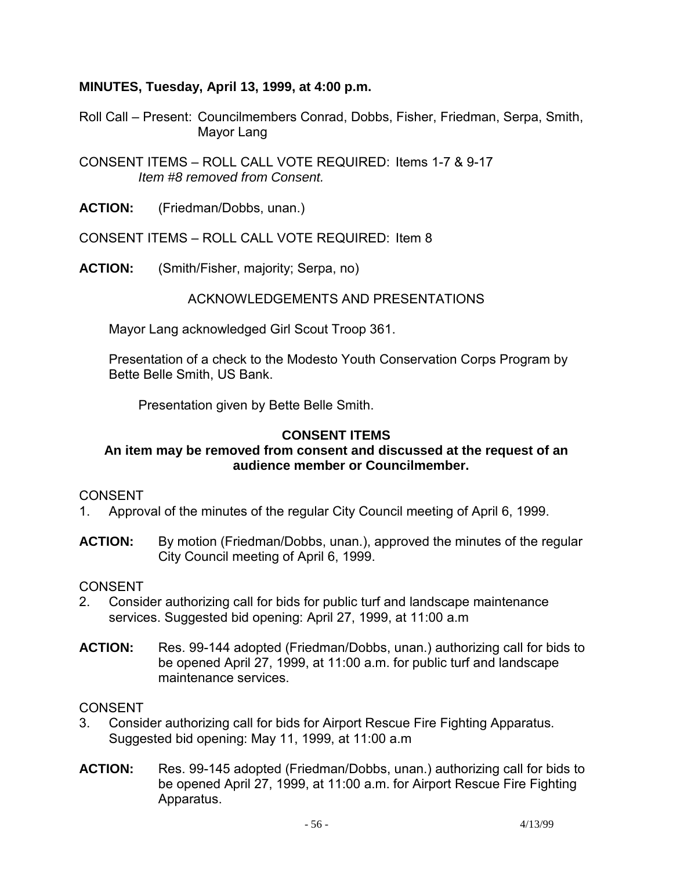### **MINUTES, Tuesday, April 13, 1999, at 4:00 p.m.**

Roll Call – Present: Councilmembers Conrad, Dobbs, Fisher, Friedman, Serpa, Smith, Mayor Lang

CONSENT ITEMS – ROLL CALL VOTE REQUIRED: Items 1-7 & 9-17  *Item #8 removed from Consent.* 

**ACTION:** (Friedman/Dobbs, unan.)

CONSENT ITEMS – ROLL CALL VOTE REQUIRED: Item 8

**ACTION:** (Smith/Fisher, majority; Serpa, no)

ACKNOWLEDGEMENTS AND PRESENTATIONS

Mayor Lang acknowledged Girl Scout Troop 361.

 Presentation of a check to the Modesto Youth Conservation Corps Program by Bette Belle Smith, US Bank.

Presentation given by Bette Belle Smith.

#### **CONSENT ITEMS**

### **An item may be removed from consent and discussed at the request of an audience member or Councilmember.**

#### CONSENT

- 1. Approval of the minutes of the regular City Council meeting of April 6, 1999.
- **ACTION:** By motion (Friedman/Dobbs, unan.), approved the minutes of the regular City Council meeting of April 6, 1999.

#### CONSENT

- 2. Consider authorizing call for bids for public turf and landscape maintenance services. Suggested bid opening: April 27, 1999, at 11:00 a.m
- **ACTION:** Res. 99-144 adopted (Friedman/Dobbs, unan.) authorizing call for bids to be opened April 27, 1999, at 11:00 a.m. for public turf and landscape maintenance services.

- 3. Consider authorizing call for bids for Airport Rescue Fire Fighting Apparatus. Suggested bid opening: May 11, 1999, at 11:00 a.m
- **ACTION:** Res. 99-145 adopted (Friedman/Dobbs, unan.) authorizing call for bids to be opened April 27, 1999, at 11:00 a.m. for Airport Rescue Fire Fighting Apparatus.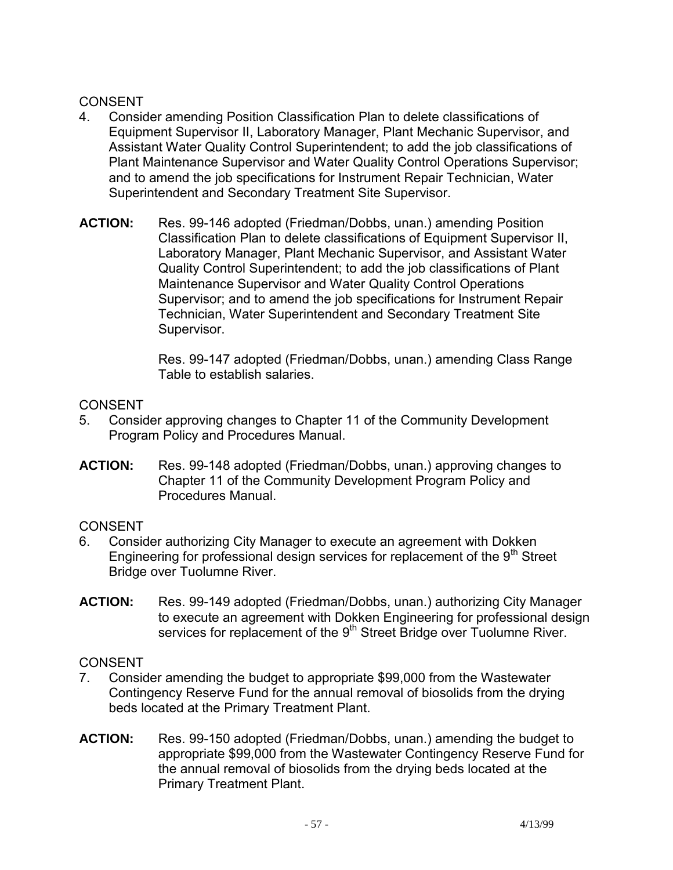- 4. Consider amending Position Classification Plan to delete classifications of Equipment Supervisor II, Laboratory Manager, Plant Mechanic Supervisor, and Assistant Water Quality Control Superintendent; to add the job classifications of Plant Maintenance Supervisor and Water Quality Control Operations Supervisor; and to amend the job specifications for Instrument Repair Technician, Water Superintendent and Secondary Treatment Site Supervisor.
- **ACTION:** Res. 99-146 adopted (Friedman/Dobbs, unan.) amending Position Classification Plan to delete classifications of Equipment Supervisor II, Laboratory Manager, Plant Mechanic Supervisor, and Assistant Water Quality Control Superintendent; to add the job classifications of Plant Maintenance Supervisor and Water Quality Control Operations Supervisor; and to amend the job specifications for Instrument Repair Technician, Water Superintendent and Secondary Treatment Site Supervisor.

Res. 99-147 adopted (Friedman/Dobbs, unan.) amending Class Range Table to establish salaries.

## **CONSENT**

- 5. Consider approving changes to Chapter 11 of the Community Development Program Policy and Procedures Manual.
- **ACTION:** Res. 99-148 adopted (Friedman/Dobbs, unan.) approving changes to Chapter 11 of the Community Development Program Policy and Procedures Manual.

# **CONSENT**

- 6. Consider authorizing City Manager to execute an agreement with Dokken Engineering for professional design services for replacement of the  $9<sup>th</sup>$  Street Bridge over Tuolumne River.
- **ACTION:** Res. 99-149 adopted (Friedman/Dobbs, unan.) authorizing City Manager to execute an agreement with Dokken Engineering for professional design services for replacement of the 9<sup>th</sup> Street Bridge over Tuolumne River.

- 7. Consider amending the budget to appropriate \$99,000 from the Wastewater Contingency Reserve Fund for the annual removal of biosolids from the drying beds located at the Primary Treatment Plant.
- **ACTION:** Res. 99-150 adopted (Friedman/Dobbs, unan.) amending the budget to appropriate \$99,000 from the Wastewater Contingency Reserve Fund for the annual removal of biosolids from the drying beds located at the Primary Treatment Plant.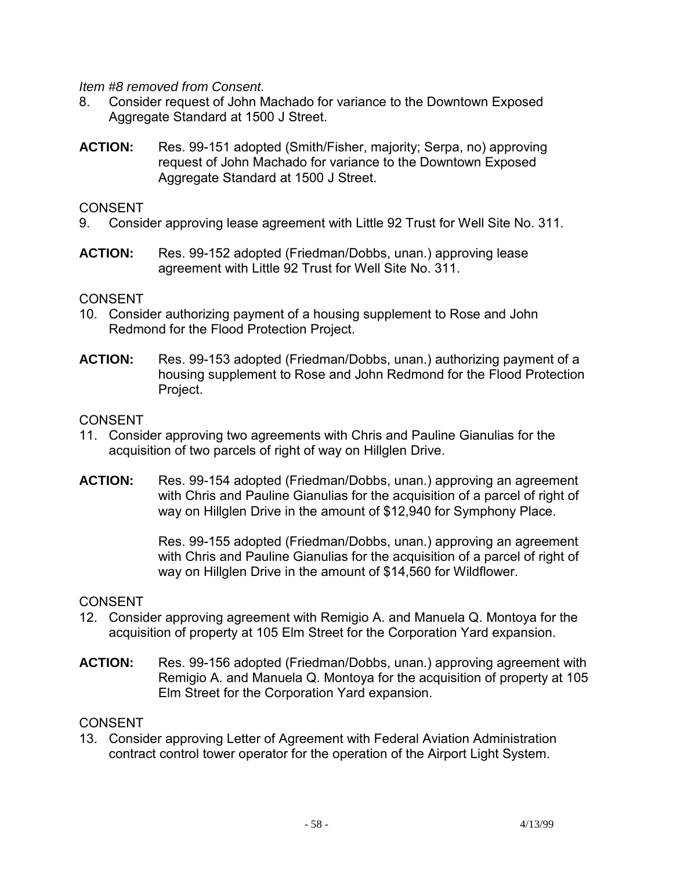*Item #8 removed from Consent.* 

- 8. Consider request of John Machado for variance to the Downtown Exposed Aggregate Standard at 1500 J Street.
- **ACTION:** Res. 99-151 adopted (Smith/Fisher, majority; Serpa, no) approving request of John Machado for variance to the Downtown Exposed Aggregate Standard at 1500 J Street.

### CONSENT

- 9. Consider approving lease agreement with Little 92 Trust for Well Site No. 311.
- **ACTION:** Res. 99-152 adopted (Friedman/Dobbs, unan.) approving lease agreement with Little 92 Trust for Well Site No. 311.

### **CONSENT**

- 10. Consider authorizing payment of a housing supplement to Rose and John Redmond for the Flood Protection Project.
- **ACTION:** Res. 99-153 adopted (Friedman/Dobbs, unan.) authorizing payment of a housing supplement to Rose and John Redmond for the Flood Protection Project.

### CONSENT

- 11. Consider approving two agreements with Chris and Pauline Gianulias for the acquisition of two parcels of right of way on Hillglen Drive.
- **ACTION:** Res. 99-154 adopted (Friedman/Dobbs, unan.) approving an agreement with Chris and Pauline Gianulias for the acquisition of a parcel of right of way on Hillglen Drive in the amount of \$12,940 for Symphony Place.

Res. 99-155 adopted (Friedman/Dobbs, unan.) approving an agreement with Chris and Pauline Gianulias for the acquisition of a parcel of right of way on Hillglen Drive in the amount of \$14,560 for Wildflower.

#### **CONSENT**

- 12. Consider approving agreement with Remigio A. and Manuela Q. Montoya for the acquisition of property at 105 Elm Street for the Corporation Yard expansion.
- **ACTION:** Res. 99-156 adopted (Friedman/Dobbs, unan.) approving agreement with Remigio A. and Manuela Q. Montoya for the acquisition of property at 105 Elm Street for the Corporation Yard expansion.

### CONSENT

13. Consider approving Letter of Agreement with Federal Aviation Administration contract control tower operator for the operation of the Airport Light System.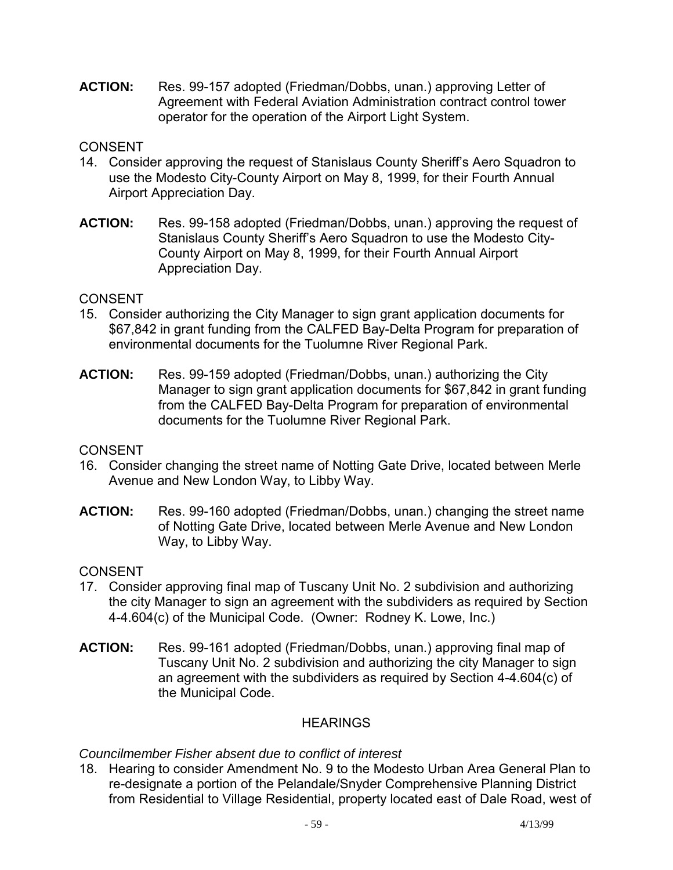**ACTION:** Res. 99-157 adopted (Friedman/Dobbs, unan.) approving Letter of Agreement with Federal Aviation Administration contract control tower operator for the operation of the Airport Light System.

## **CONSENT**

- 14. Consider approving the request of Stanislaus County Sheriff's Aero Squadron to use the Modesto City-County Airport on May 8, 1999, for their Fourth Annual Airport Appreciation Day.
- **ACTION:** Res. 99-158 adopted (Friedman/Dobbs, unan.) approving the request of Stanislaus County Sheriff's Aero Squadron to use the Modesto City-County Airport on May 8, 1999, for their Fourth Annual Airport Appreciation Day.

### **CONSENT**

- 15. Consider authorizing the City Manager to sign grant application documents for \$67,842 in grant funding from the CALFED Bay-Delta Program for preparation of environmental documents for the Tuolumne River Regional Park.
- **ACTION:** Res. 99-159 adopted (Friedman/Dobbs, unan.) authorizing the City Manager to sign grant application documents for \$67,842 in grant funding from the CALFED Bay-Delta Program for preparation of environmental documents for the Tuolumne River Regional Park.

## **CONSENT**

- 16. Consider changing the street name of Notting Gate Drive, located between Merle Avenue and New London Way, to Libby Way.
- **ACTION:** Res. 99-160 adopted (Friedman/Dobbs, unan.) changing the street name of Notting Gate Drive, located between Merle Avenue and New London Way, to Libby Way.

## CONSENT

- 17. Consider approving final map of Tuscany Unit No. 2 subdivision and authorizing the city Manager to sign an agreement with the subdividers as required by Section 4-4.604(c) of the Municipal Code. (Owner: Rodney K. Lowe, Inc.)
- **ACTION:** Res. 99-161 adopted (Friedman/Dobbs, unan.) approving final map of Tuscany Unit No. 2 subdivision and authorizing the city Manager to sign an agreement with the subdividers as required by Section 4-4.604(c) of the Municipal Code.

## **HEARINGS**

### *Councilmember Fisher absent due to conflict of interest*

18. Hearing to consider Amendment No. 9 to the Modesto Urban Area General Plan to re-designate a portion of the Pelandale/Snyder Comprehensive Planning District from Residential to Village Residential, property located east of Dale Road, west of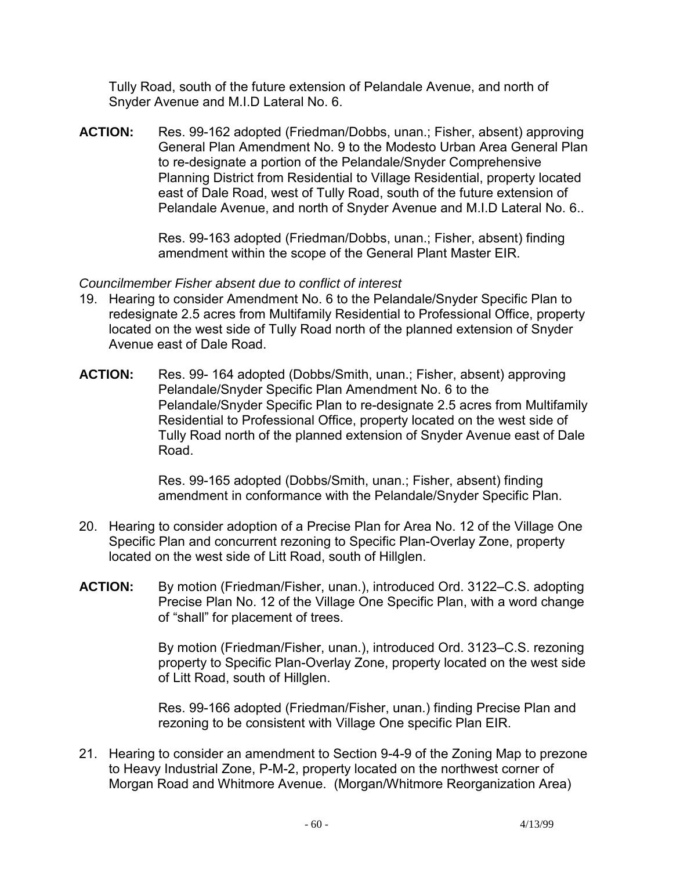Tully Road, south of the future extension of Pelandale Avenue, and north of Snyder Avenue and M.I.D Lateral No. 6.

**ACTION:** Res. 99-162 adopted (Friedman/Dobbs, unan.; Fisher, absent) approving General Plan Amendment No. 9 to the Modesto Urban Area General Plan to re-designate a portion of the Pelandale/Snyder Comprehensive Planning District from Residential to Village Residential, property located east of Dale Road, west of Tully Road, south of the future extension of Pelandale Avenue, and north of Snyder Avenue and M.I.D Lateral No. 6..

> Res. 99-163 adopted (Friedman/Dobbs, unan.; Fisher, absent) finding amendment within the scope of the General Plant Master EIR.

### *Councilmember Fisher absent due to conflict of interest*

- 19. Hearing to consider Amendment No. 6 to the Pelandale/Snyder Specific Plan to redesignate 2.5 acres from Multifamily Residential to Professional Office, property located on the west side of Tully Road north of the planned extension of Snyder Avenue east of Dale Road.
- **ACTION:** Res. 99- 164 adopted (Dobbs/Smith, unan.; Fisher, absent) approving Pelandale/Snyder Specific Plan Amendment No. 6 to the Pelandale/Snyder Specific Plan to re-designate 2.5 acres from Multifamily Residential to Professional Office, property located on the west side of Tully Road north of the planned extension of Snyder Avenue east of Dale Road.

Res. 99-165 adopted (Dobbs/Smith, unan.; Fisher, absent) finding amendment in conformance with the Pelandale/Snyder Specific Plan.

- 20. Hearing to consider adoption of a Precise Plan for Area No. 12 of the Village One Specific Plan and concurrent rezoning to Specific Plan-Overlay Zone, property located on the west side of Litt Road, south of Hillglen.
- **ACTION:** By motion (Friedman/Fisher, unan.), introduced Ord. 3122–C.S. adopting Precise Plan No. 12 of the Village One Specific Plan, with a word change of "shall" for placement of trees.

By motion (Friedman/Fisher, unan.), introduced Ord. 3123–C.S. rezoning property to Specific Plan-Overlay Zone, property located on the west side of Litt Road, south of Hillglen.

Res. 99-166 adopted (Friedman/Fisher, unan.) finding Precise Plan and rezoning to be consistent with Village One specific Plan EIR.

21. Hearing to consider an amendment to Section 9-4-9 of the Zoning Map to prezone to Heavy Industrial Zone, P-M-2, property located on the northwest corner of Morgan Road and Whitmore Avenue. (Morgan/Whitmore Reorganization Area)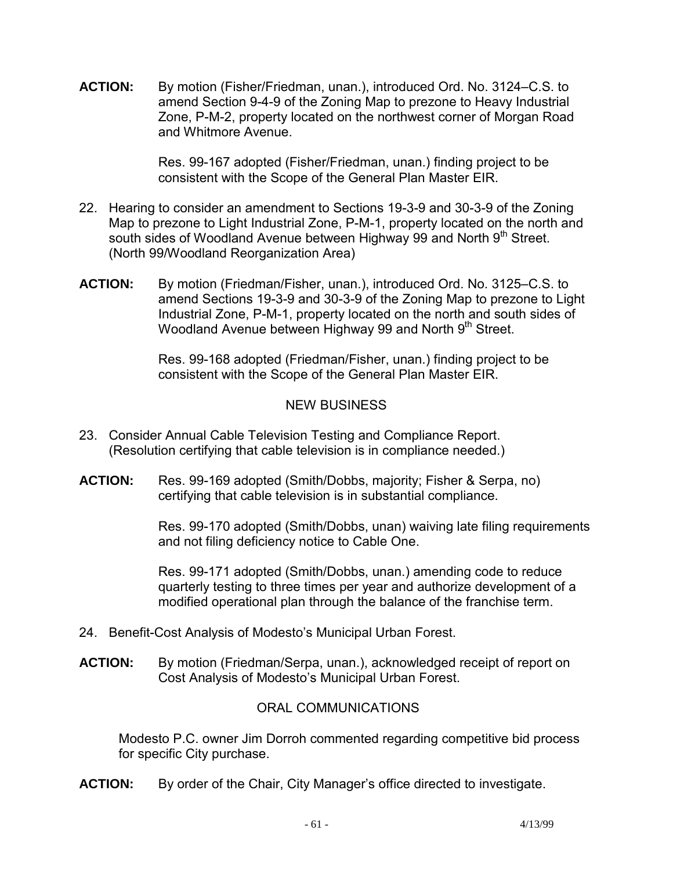**ACTION:** By motion (Fisher/Friedman, unan.), introduced Ord. No. 3124–C.S. to amend Section 9-4-9 of the Zoning Map to prezone to Heavy Industrial Zone, P-M-2, property located on the northwest corner of Morgan Road and Whitmore Avenue.

> Res. 99-167 adopted (Fisher/Friedman, unan.) finding project to be consistent with the Scope of the General Plan Master EIR.

- 22. Hearing to consider an amendment to Sections 19-3-9 and 30-3-9 of the Zoning Map to prezone to Light Industrial Zone, P-M-1, property located on the north and south sides of Woodland Avenue between Highway 99 and North 9<sup>th</sup> Street. (North 99/Woodland Reorganization Area)
- **ACTION:** By motion (Friedman/Fisher, unan.), introduced Ord. No. 3125–C.S. to amend Sections 19-3-9 and 30-3-9 of the Zoning Map to prezone to Light Industrial Zone, P-M-1, property located on the north and south sides of Woodland Avenue between Highway 99 and North 9<sup>th</sup> Street.

Res. 99-168 adopted (Friedman/Fisher, unan.) finding project to be consistent with the Scope of the General Plan Master EIR.

## NEW BUSINESS

- 23. Consider Annual Cable Television Testing and Compliance Report. (Resolution certifying that cable television is in compliance needed.)
- **ACTION:** Res. 99-169 adopted (Smith/Dobbs, majority; Fisher & Serpa, no) certifying that cable television is in substantial compliance.

Res. 99-170 adopted (Smith/Dobbs, unan) waiving late filing requirements and not filing deficiency notice to Cable One.

Res. 99-171 adopted (Smith/Dobbs, unan.) amending code to reduce quarterly testing to three times per year and authorize development of a modified operational plan through the balance of the franchise term.

- 24. Benefit-Cost Analysis of Modesto's Municipal Urban Forest.
- **ACTION:** By motion (Friedman/Serpa, unan.), acknowledged receipt of report on Cost Analysis of Modesto's Municipal Urban Forest.

## ORAL COMMUNICATIONS

 Modesto P.C. owner Jim Dorroh commented regarding competitive bid process for specific City purchase.

**ACTION:** By order of the Chair, City Manager's office directed to investigate.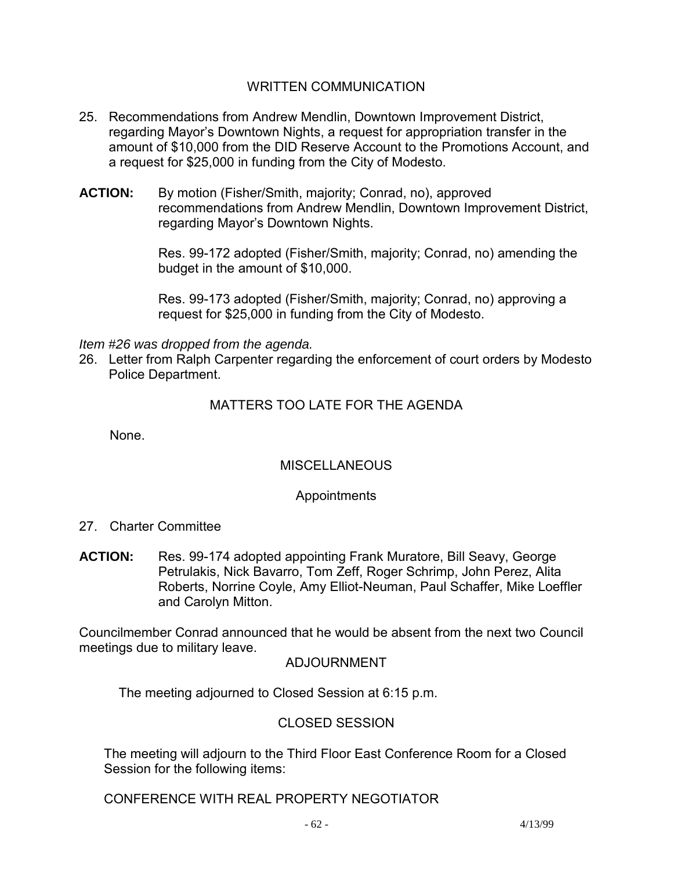### WRITTEN COMMUNICATION

- 25. Recommendations from Andrew Mendlin, Downtown Improvement District, regarding Mayor's Downtown Nights, a request for appropriation transfer in the amount of \$10,000 from the DID Reserve Account to the Promotions Account, and a request for \$25,000 in funding from the City of Modesto.
- **ACTION:** By motion (Fisher/Smith, majority; Conrad, no), approved recommendations from Andrew Mendlin, Downtown Improvement District, regarding Mayor's Downtown Nights.

Res. 99-172 adopted (Fisher/Smith, majority; Conrad, no) amending the budget in the amount of \$10,000.

Res. 99-173 adopted (Fisher/Smith, majority; Conrad, no) approving a request for \$25,000 in funding from the City of Modesto.

#### *Item #26 was dropped from the agenda.*

26. Letter from Ralph Carpenter regarding the enforcement of court orders by Modesto Police Department.

### MATTERS TOO LATE FOR THE AGENDA

None.

### **MISCELLANEOUS**

### Appointments

- 27. Charter Committee
- **ACTION:** Res. 99-174 adopted appointing Frank Muratore, Bill Seavy, George Petrulakis, Nick Bavarro, Tom Zeff, Roger Schrimp, John Perez, Alita Roberts, Norrine Coyle, Amy Elliot-Neuman, Paul Schaffer, Mike Loeffler and Carolyn Mitton.

Councilmember Conrad announced that he would be absent from the next two Council meetings due to military leave.

### ADJOURNMENT

The meeting adjourned to Closed Session at 6:15 p.m.

### CLOSED SESSION

The meeting will adjourn to the Third Floor East Conference Room for a Closed Session for the following items:

CONFERENCE WITH REAL PROPERTY NEGOTIATOR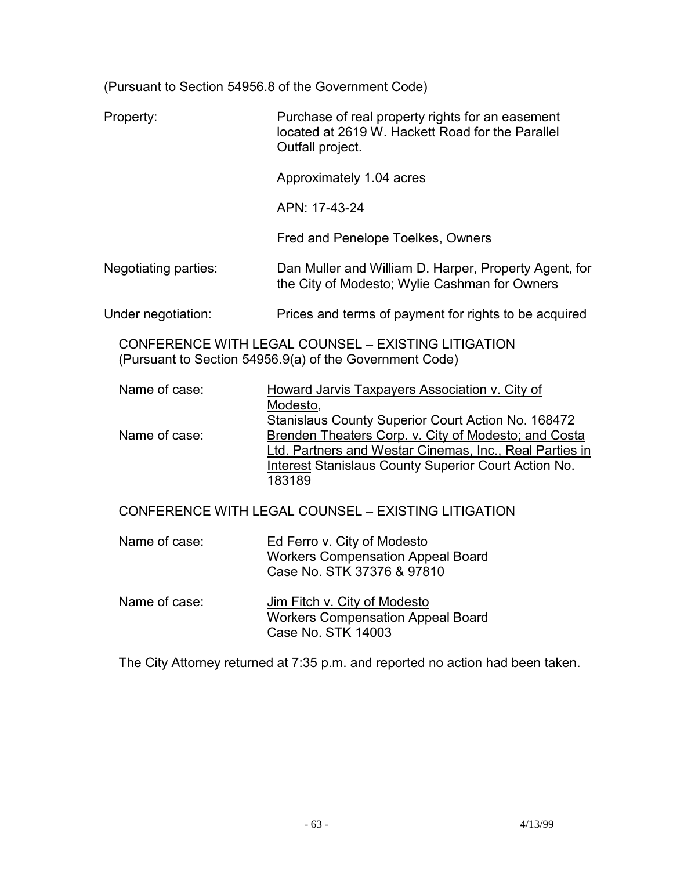(Pursuant to Section 54956.8 of the Government Code)

| Property:                                                                                                      | Purchase of real property rights for an easement<br>located at 2619 W. Hackett Road for the Parallel<br>Outfall project.                                                                                                                |  |
|----------------------------------------------------------------------------------------------------------------|-----------------------------------------------------------------------------------------------------------------------------------------------------------------------------------------------------------------------------------------|--|
|                                                                                                                | Approximately 1.04 acres                                                                                                                                                                                                                |  |
|                                                                                                                | APN: 17-43-24                                                                                                                                                                                                                           |  |
|                                                                                                                | Fred and Penelope Toelkes, Owners                                                                                                                                                                                                       |  |
| Negotiating parties:                                                                                           | Dan Muller and William D. Harper, Property Agent, for<br>the City of Modesto; Wylie Cashman for Owners                                                                                                                                  |  |
| Under negotiation:                                                                                             | Prices and terms of payment for rights to be acquired                                                                                                                                                                                   |  |
| CONFERENCE WITH LEGAL COUNSEL - EXISTING LITIGATION<br>(Pursuant to Section 54956.9(a) of the Government Code) |                                                                                                                                                                                                                                         |  |
| Name of case:                                                                                                  | Howard Jarvis Taxpayers Association v. City of<br>Modesto,                                                                                                                                                                              |  |
| Name of case:                                                                                                  | Stanislaus County Superior Court Action No. 168472<br>Brenden Theaters Corp. v. City of Modesto; and Costa<br>Ltd. Partners and Westar Cinemas, Inc., Real Parties in<br>Interest Stanislaus County Superior Court Action No.<br>183189 |  |
| CONFERENCE WITH LEGAL COUNSEL - EXISTING LITIGATION                                                            |                                                                                                                                                                                                                                         |  |
| Name of case:                                                                                                  | Ed Ferro v. City of Modesto<br><b>Workers Compensation Appeal Board</b><br>Case No. STK 37376 & 97810                                                                                                                                   |  |
| Name of case:                                                                                                  | Jim Fitch v. City of Modesto<br><b>Workers Compensation Appeal Board</b><br>Case No. STK 14003                                                                                                                                          |  |

The City Attorney returned at 7:35 p.m. and reported no action had been taken.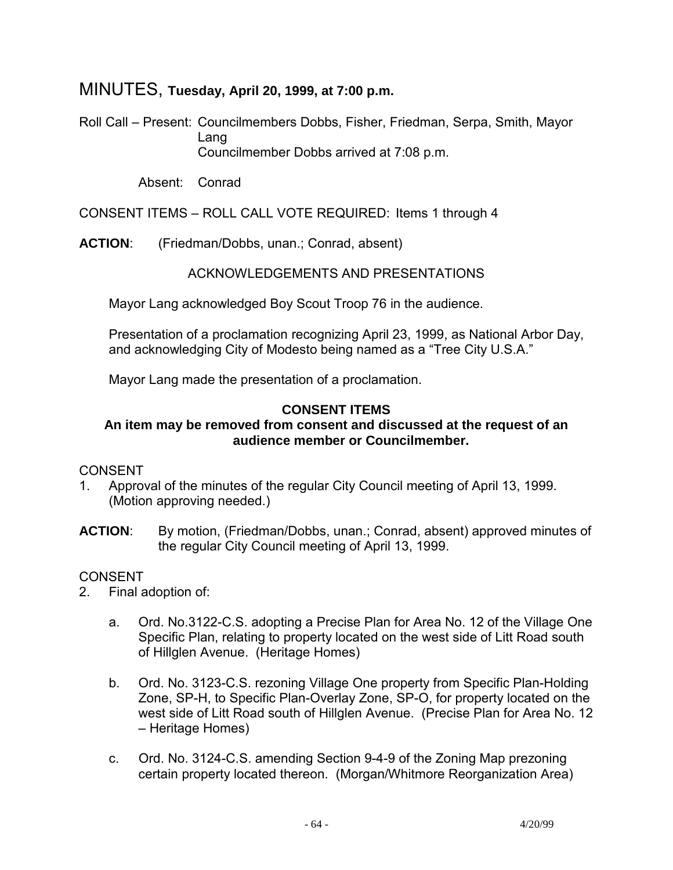# MINUTES, **Tuesday, April 20, 1999, at 7:00 p.m.**

Roll Call – Present: Councilmembers Dobbs, Fisher, Friedman, Serpa, Smith, Mayor Lang Councilmember Dobbs arrived at 7:08 p.m.

Absent: Conrad

CONSENT ITEMS – ROLL CALL VOTE REQUIRED: Items 1 through 4

**ACTION**: (Friedman/Dobbs, unan.; Conrad, absent)

### ACKNOWLEDGEMENTS AND PRESENTATIONS

Mayor Lang acknowledged Boy Scout Troop 76 in the audience.

 Presentation of a proclamation recognizing April 23, 1999, as National Arbor Day, and acknowledging City of Modesto being named as a "Tree City U.S.A."

Mayor Lang made the presentation of a proclamation.

## **CONSENT ITEMS**

### **An item may be removed from consent and discussed at the request of an audience member or Councilmember.**

### CONSENT

- 1. Approval of the minutes of the regular City Council meeting of April 13, 1999. (Motion approving needed.)
- **ACTION**: By motion, (Friedman/Dobbs, unan.; Conrad, absent) approved minutes of the regular City Council meeting of April 13, 1999.

- 2. Final adoption of:
	- a. Ord. No.3122-C.S. adopting a Precise Plan for Area No. 12 of the Village One Specific Plan, relating to property located on the west side of Litt Road south of Hillglen Avenue. (Heritage Homes)
	- b. Ord. No. 3123-C.S. rezoning Village One property from Specific Plan-Holding Zone, SP-H, to Specific Plan-Overlay Zone, SP-O, for property located on the west side of Litt Road south of Hillglen Avenue. (Precise Plan for Area No. 12 – Heritage Homes)
	- c. Ord. No. 3124-C.S. amending Section 9-4-9 of the Zoning Map prezoning certain property located thereon. (Morgan/Whitmore Reorganization Area)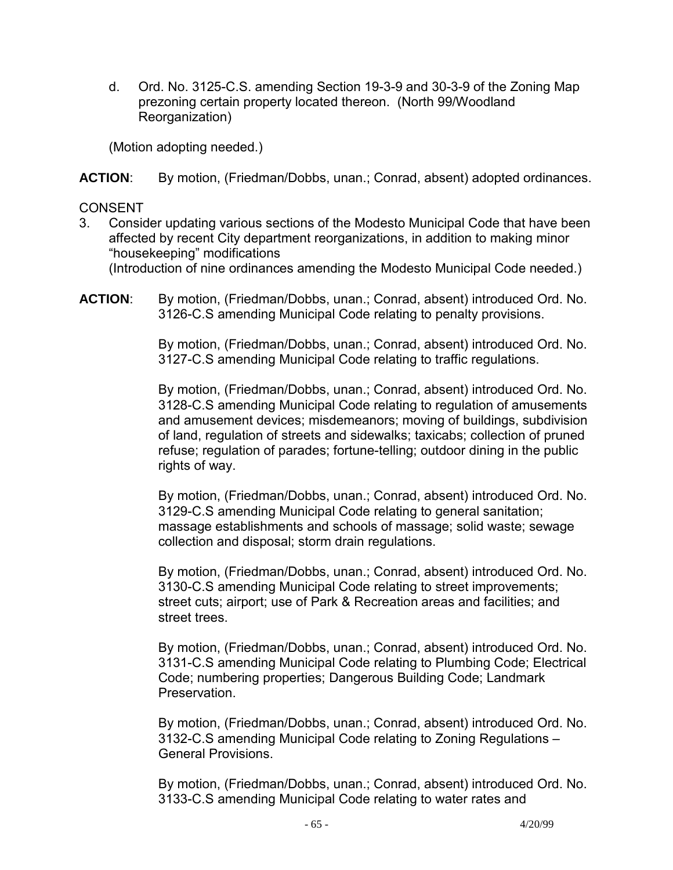d. Ord. No. 3125-C.S. amending Section 19-3-9 and 30-3-9 of the Zoning Map prezoning certain property located thereon. (North 99/Woodland Reorganization)

(Motion adopting needed.)

**ACTION**: By motion, (Friedman/Dobbs, unan.; Conrad, absent) adopted ordinances.

## CONSENT

- 3. Consider updating various sections of the Modesto Municipal Code that have been affected by recent City department reorganizations, in addition to making minor "housekeeping" modifications (Introduction of nine ordinances amending the Modesto Municipal Code needed.)
- **ACTION**: By motion, (Friedman/Dobbs, unan.; Conrad, absent) introduced Ord. No. 3126-C.S amending Municipal Code relating to penalty provisions.

By motion, (Friedman/Dobbs, unan.; Conrad, absent) introduced Ord. No. 3127-C.S amending Municipal Code relating to traffic regulations.

By motion, (Friedman/Dobbs, unan.; Conrad, absent) introduced Ord. No. 3128-C.S amending Municipal Code relating to regulation of amusements and amusement devices; misdemeanors; moving of buildings, subdivision of land, regulation of streets and sidewalks; taxicabs; collection of pruned refuse; regulation of parades; fortune-telling; outdoor dining in the public rights of way.

By motion, (Friedman/Dobbs, unan.; Conrad, absent) introduced Ord. No. 3129-C.S amending Municipal Code relating to general sanitation; massage establishments and schools of massage; solid waste; sewage collection and disposal; storm drain regulations.

By motion, (Friedman/Dobbs, unan.; Conrad, absent) introduced Ord. No. 3130-C.S amending Municipal Code relating to street improvements; street cuts; airport; use of Park & Recreation areas and facilities; and street trees.

By motion, (Friedman/Dobbs, unan.; Conrad, absent) introduced Ord. No. 3131-C.S amending Municipal Code relating to Plumbing Code; Electrical Code; numbering properties; Dangerous Building Code; Landmark Preservation.

By motion, (Friedman/Dobbs, unan.; Conrad, absent) introduced Ord. No. 3132-C.S amending Municipal Code relating to Zoning Regulations – General Provisions.

By motion, (Friedman/Dobbs, unan.; Conrad, absent) introduced Ord. No. 3133-C.S amending Municipal Code relating to water rates and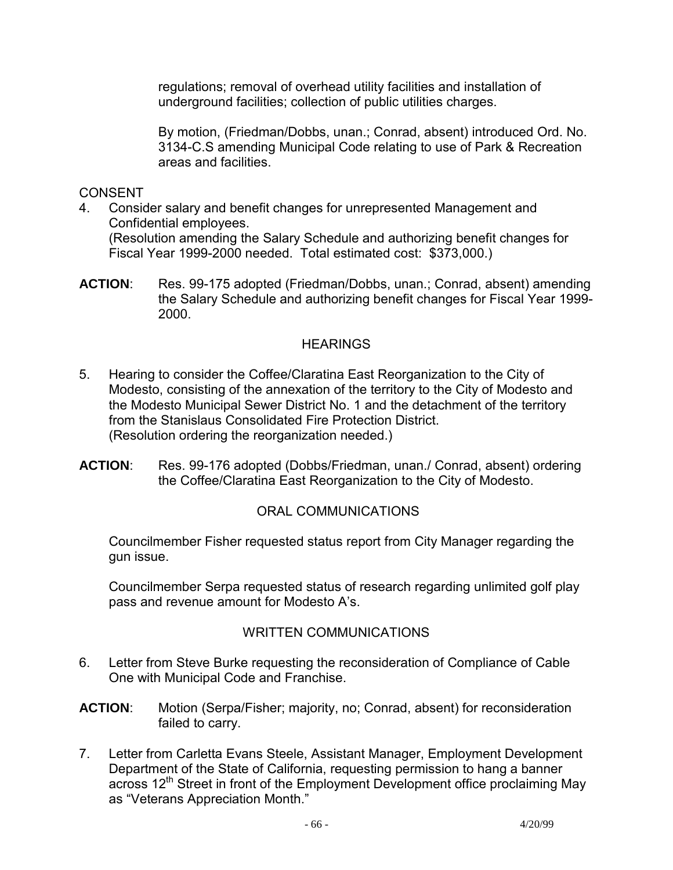regulations; removal of overhead utility facilities and installation of underground facilities; collection of public utilities charges.

By motion, (Friedman/Dobbs, unan.; Conrad, absent) introduced Ord. No. 3134-C.S amending Municipal Code relating to use of Park & Recreation areas and facilities.

### CONSENT

- 4. Consider salary and benefit changes for unrepresented Management and Confidential employees. (Resolution amending the Salary Schedule and authorizing benefit changes for Fiscal Year 1999-2000 needed. Total estimated cost: \$373,000.)
- **ACTION**: Res. 99-175 adopted (Friedman/Dobbs, unan.; Conrad, absent) amending the Salary Schedule and authorizing benefit changes for Fiscal Year 1999- 2000.

### **HEARINGS**

- 5. Hearing to consider the Coffee/Claratina East Reorganization to the City of Modesto, consisting of the annexation of the territory to the City of Modesto and the Modesto Municipal Sewer District No. 1 and the detachment of the territory from the Stanislaus Consolidated Fire Protection District. (Resolution ordering the reorganization needed.)
- **ACTION**: Res. 99-176 adopted (Dobbs/Friedman, unan./ Conrad, absent) ordering the Coffee/Claratina East Reorganization to the City of Modesto.

## ORAL COMMUNICATIONS

 Councilmember Fisher requested status report from City Manager regarding the gun issue.

 Councilmember Serpa requested status of research regarding unlimited golf play pass and revenue amount for Modesto A's.

### WRITTEN COMMUNICATIONS

- 6. Letter from Steve Burke requesting the reconsideration of Compliance of Cable One with Municipal Code and Franchise.
- **ACTION**: Motion (Serpa/Fisher; majority, no; Conrad, absent) for reconsideration failed to carry.
- 7. Letter from Carletta Evans Steele, Assistant Manager, Employment Development Department of the State of California, requesting permission to hang a banner across 12<sup>th</sup> Street in front of the Employment Development office proclaiming May as "Veterans Appreciation Month."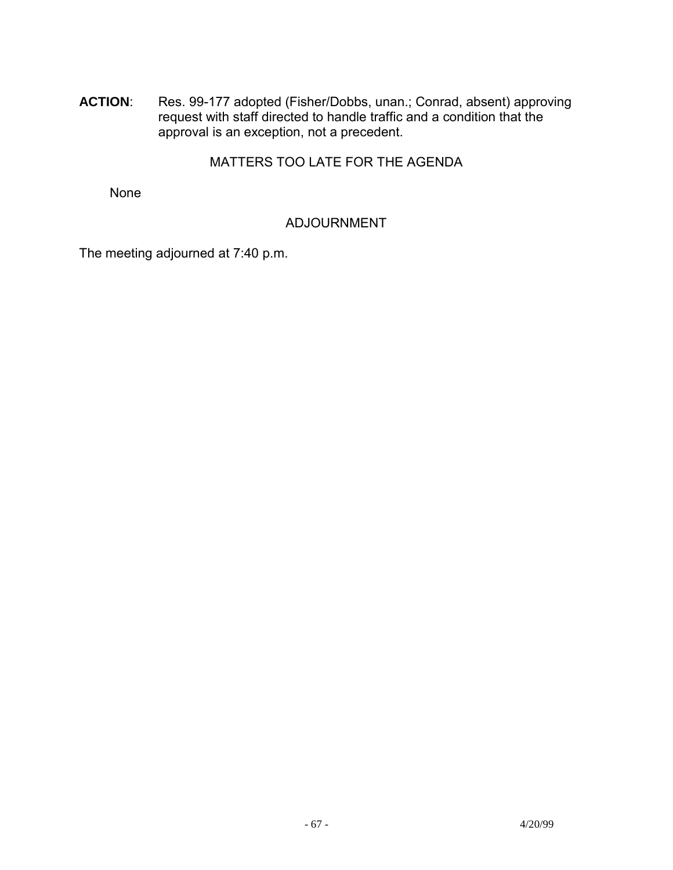**ACTION**: Res. 99-177 adopted (Fisher/Dobbs, unan.; Conrad, absent) approving request with staff directed to handle traffic and a condition that the approval is an exception, not a precedent.

## MATTERS TOO LATE FOR THE AGENDA

None

## ADJOURNMENT

The meeting adjourned at 7:40 p.m.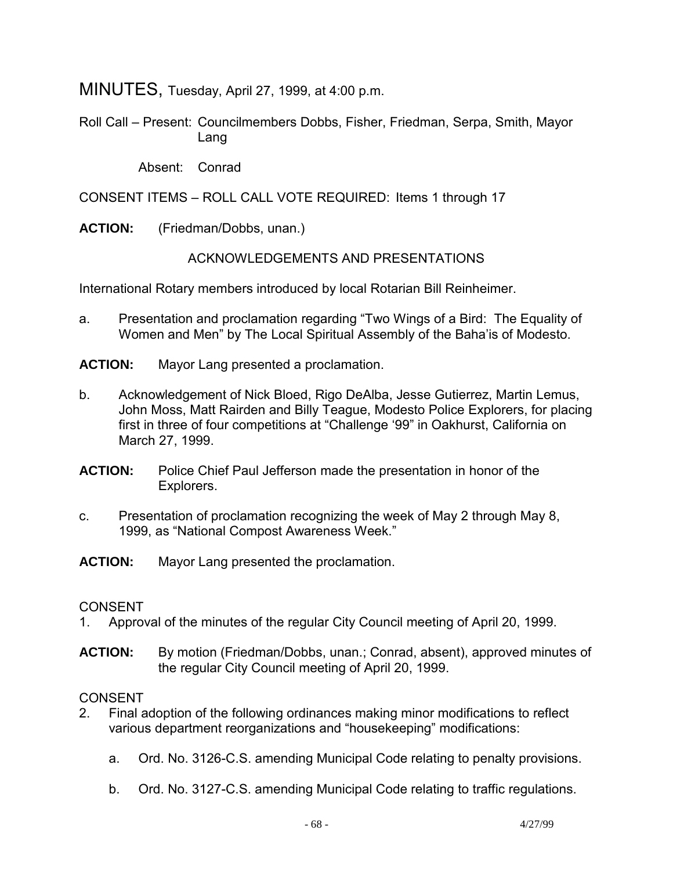MINUTES, Tuesday, April 27, 1999, at 4:00 p.m.

Roll Call – Present: Councilmembers Dobbs, Fisher, Friedman, Serpa, Smith, Mayor Lang

Absent: Conrad

CONSENT ITEMS – ROLL CALL VOTE REQUIRED: Items 1 through 17

**ACTION:** (Friedman/Dobbs, unan.)

ACKNOWLEDGEMENTS AND PRESENTATIONS

International Rotary members introduced by local Rotarian Bill Reinheimer.

- a. Presentation and proclamation regarding "Two Wings of a Bird: The Equality of Women and Men" by The Local Spiritual Assembly of the Baha'is of Modesto.
- **ACTION:** Mayor Lang presented a proclamation.
- b. Acknowledgement of Nick Bloed, Rigo DeAlba, Jesse Gutierrez, Martin Lemus, John Moss, Matt Rairden and Billy Teague, Modesto Police Explorers, for placing first in three of four competitions at "Challenge '99" in Oakhurst, California on March 27, 1999.
- **ACTION:** Police Chief Paul Jefferson made the presentation in honor of the Explorers.
- c. Presentation of proclamation recognizing the week of May 2 through May 8, 1999, as "National Compost Awareness Week."
- **ACTION:** Mayor Lang presented the proclamation.

### **CONSENT**

- 1. Approval of the minutes of the regular City Council meeting of April 20, 1999.
- **ACTION:** By motion (Friedman/Dobbs, unan.; Conrad, absent), approved minutes of the regular City Council meeting of April 20, 1999.

- 2. Final adoption of the following ordinances making minor modifications to reflect various department reorganizations and "housekeeping" modifications:
	- a. Ord. No. 3126-C.S. amending Municipal Code relating to penalty provisions.
	- b. Ord. No. 3127-C.S. amending Municipal Code relating to traffic regulations.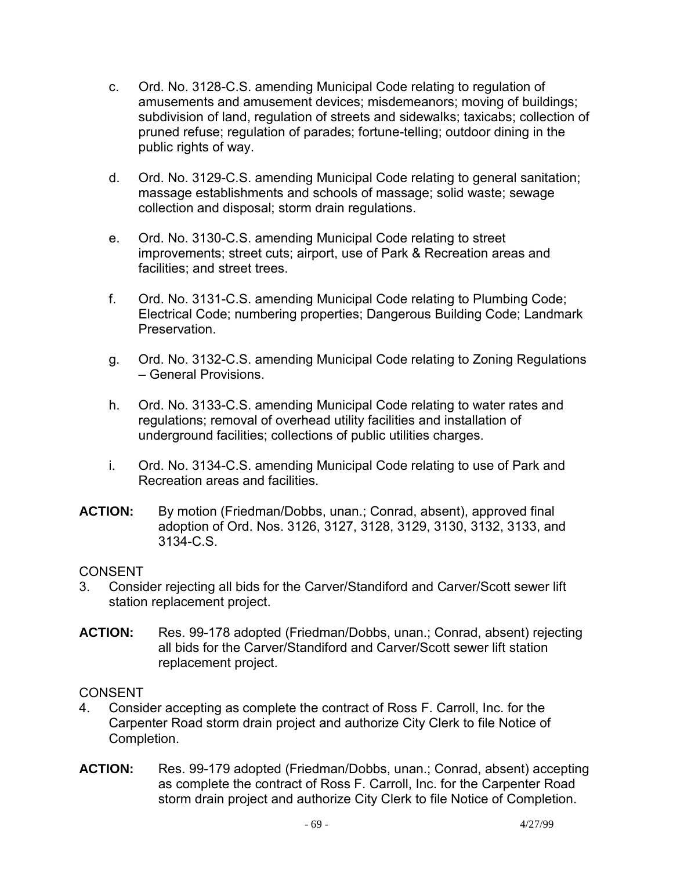- c. Ord. No. 3128-C.S. amending Municipal Code relating to regulation of amusements and amusement devices; misdemeanors; moving of buildings; subdivision of land, regulation of streets and sidewalks; taxicabs; collection of pruned refuse; regulation of parades; fortune-telling; outdoor dining in the public rights of way.
- d. Ord. No. 3129-C.S. amending Municipal Code relating to general sanitation; massage establishments and schools of massage; solid waste; sewage collection and disposal; storm drain regulations.
- e. Ord. No. 3130-C.S. amending Municipal Code relating to street improvements; street cuts; airport, use of Park & Recreation areas and facilities; and street trees.
- f. Ord. No. 3131-C.S. amending Municipal Code relating to Plumbing Code; Electrical Code; numbering properties; Dangerous Building Code; Landmark Preservation.
- g. Ord. No. 3132-C.S. amending Municipal Code relating to Zoning Regulations – General Provisions.
- h. Ord. No. 3133-C.S. amending Municipal Code relating to water rates and regulations; removal of overhead utility facilities and installation of underground facilities; collections of public utilities charges.
- i. Ord. No. 3134-C.S. amending Municipal Code relating to use of Park and Recreation areas and facilities.
- **ACTION:** By motion (Friedman/Dobbs, unan.; Conrad, absent), approved final adoption of Ord. Nos. 3126, 3127, 3128, 3129, 3130, 3132, 3133, and 3134-C.S.

- 3. Consider rejecting all bids for the Carver/Standiford and Carver/Scott sewer lift station replacement project.
- **ACTION:** Res. 99-178 adopted (Friedman/Dobbs, unan.; Conrad, absent) rejecting all bids for the Carver/Standiford and Carver/Scott sewer lift station replacement project.

- 4. Consider accepting as complete the contract of Ross F. Carroll, Inc. for the Carpenter Road storm drain project and authorize City Clerk to file Notice of Completion.
- **ACTION:** Res. 99-179 adopted (Friedman/Dobbs, unan.; Conrad, absent) accepting as complete the contract of Ross F. Carroll, Inc. for the Carpenter Road storm drain project and authorize City Clerk to file Notice of Completion.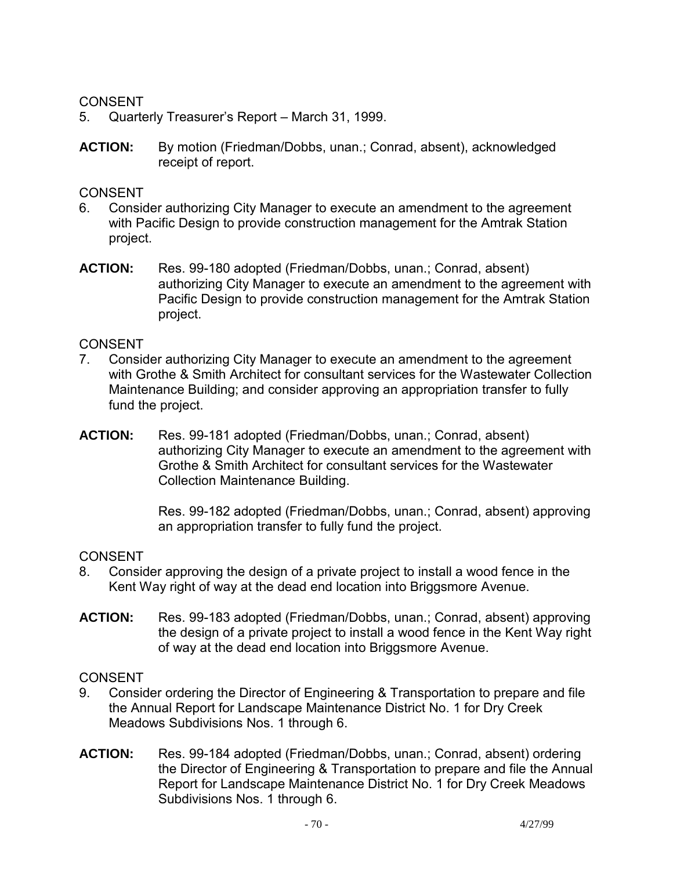- 5. Quarterly Treasurer's Report March 31, 1999.
- **ACTION:** By motion (Friedman/Dobbs, unan.; Conrad, absent), acknowledged receipt of report.

### CONSENT

- 6. Consider authorizing City Manager to execute an amendment to the agreement with Pacific Design to provide construction management for the Amtrak Station project.
- **ACTION:** Res. 99-180 adopted (Friedman/Dobbs, unan.; Conrad, absent) authorizing City Manager to execute an amendment to the agreement with Pacific Design to provide construction management for the Amtrak Station project.

### CONSENT

- 7. Consider authorizing City Manager to execute an amendment to the agreement with Grothe & Smith Architect for consultant services for the Wastewater Collection Maintenance Building; and consider approving an appropriation transfer to fully fund the project.
- **ACTION:** Res. 99-181 adopted (Friedman/Dobbs, unan.; Conrad, absent) authorizing City Manager to execute an amendment to the agreement with Grothe & Smith Architect for consultant services for the Wastewater Collection Maintenance Building.

Res. 99-182 adopted (Friedman/Dobbs, unan.; Conrad, absent) approving an appropriation transfer to fully fund the project.

### CONSENT

- 8. Consider approving the design of a private project to install a wood fence in the Kent Way right of way at the dead end location into Briggsmore Avenue.
- **ACTION:** Res. 99-183 adopted (Friedman/Dobbs, unan.; Conrad, absent) approving the design of a private project to install a wood fence in the Kent Way right of way at the dead end location into Briggsmore Avenue.

- 9. Consider ordering the Director of Engineering & Transportation to prepare and file the Annual Report for Landscape Maintenance District No. 1 for Dry Creek Meadows Subdivisions Nos. 1 through 6.
- **ACTION:** Res. 99-184 adopted (Friedman/Dobbs, unan.; Conrad, absent) ordering the Director of Engineering & Transportation to prepare and file the Annual Report for Landscape Maintenance District No. 1 for Dry Creek Meadows Subdivisions Nos. 1 through 6.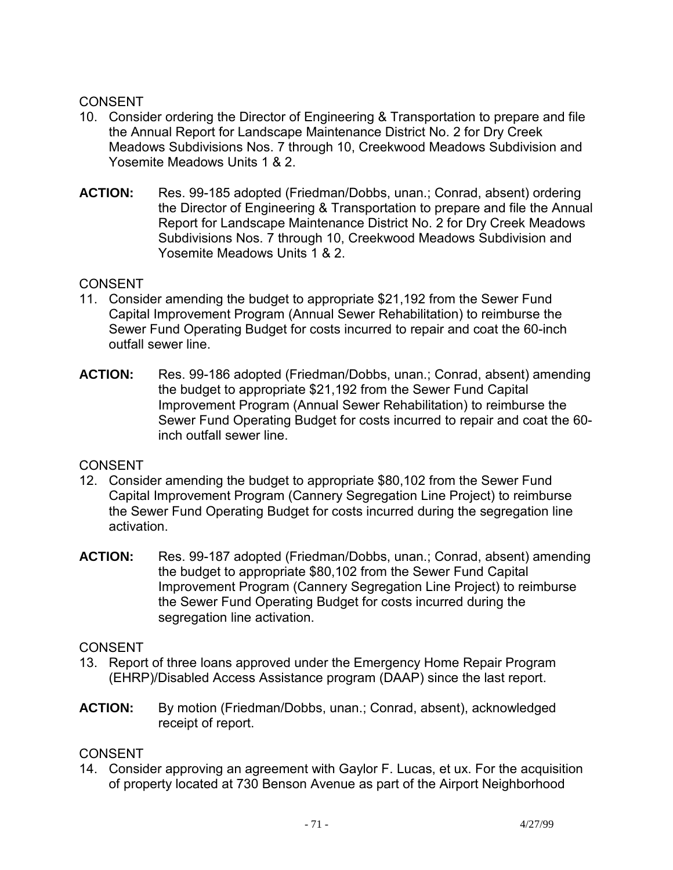- 10. Consider ordering the Director of Engineering & Transportation to prepare and file the Annual Report for Landscape Maintenance District No. 2 for Dry Creek Meadows Subdivisions Nos. 7 through 10, Creekwood Meadows Subdivision and Yosemite Meadows Units 1 & 2.
- **ACTION:** Res. 99-185 adopted (Friedman/Dobbs, unan.; Conrad, absent) ordering the Director of Engineering & Transportation to prepare and file the Annual Report for Landscape Maintenance District No. 2 for Dry Creek Meadows Subdivisions Nos. 7 through 10, Creekwood Meadows Subdivision and Yosemite Meadows Units 1 & 2.

### CONSENT

- 11. Consider amending the budget to appropriate \$21,192 from the Sewer Fund Capital Improvement Program (Annual Sewer Rehabilitation) to reimburse the Sewer Fund Operating Budget for costs incurred to repair and coat the 60-inch outfall sewer line.
- **ACTION:** Res. 99-186 adopted (Friedman/Dobbs, unan.; Conrad, absent) amending the budget to appropriate \$21,192 from the Sewer Fund Capital Improvement Program (Annual Sewer Rehabilitation) to reimburse the Sewer Fund Operating Budget for costs incurred to repair and coat the 60 inch outfall sewer line.

### CONSENT

- 12. Consider amending the budget to appropriate \$80,102 from the Sewer Fund Capital Improvement Program (Cannery Segregation Line Project) to reimburse the Sewer Fund Operating Budget for costs incurred during the segregation line activation.
- **ACTION:** Res. 99-187 adopted (Friedman/Dobbs, unan.; Conrad, absent) amending the budget to appropriate \$80,102 from the Sewer Fund Capital Improvement Program (Cannery Segregation Line Project) to reimburse the Sewer Fund Operating Budget for costs incurred during the segregation line activation.

## **CONSENT**

- 13. Report of three loans approved under the Emergency Home Repair Program (EHRP)/Disabled Access Assistance program (DAAP) since the last report.
- **ACTION:** By motion (Friedman/Dobbs, unan.; Conrad, absent), acknowledged receipt of report.

### **CONSENT**

14. Consider approving an agreement with Gaylor F. Lucas, et ux. For the acquisition of property located at 730 Benson Avenue as part of the Airport Neighborhood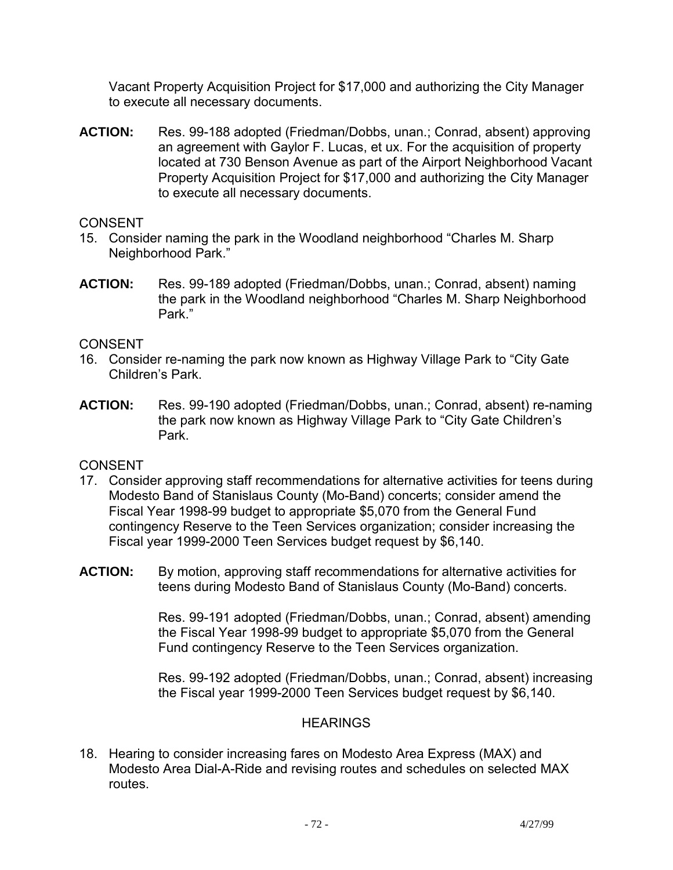Vacant Property Acquisition Project for \$17,000 and authorizing the City Manager to execute all necessary documents.

**ACTION:** Res. 99-188 adopted (Friedman/Dobbs, unan.; Conrad, absent) approving an agreement with Gaylor F. Lucas, et ux. For the acquisition of property located at 730 Benson Avenue as part of the Airport Neighborhood Vacant Property Acquisition Project for \$17,000 and authorizing the City Manager to execute all necessary documents.

## **CONSENT**

- 15. Consider naming the park in the Woodland neighborhood "Charles M. Sharp Neighborhood Park."
- **ACTION:** Res. 99-189 adopted (Friedman/Dobbs, unan.; Conrad, absent) naming the park in the Woodland neighborhood "Charles M. Sharp Neighborhood Park."

## CONSENT

- 16. Consider re-naming the park now known as Highway Village Park to "City Gate Children's Park.
- **ACTION:** Res. 99-190 adopted (Friedman/Dobbs, unan.; Conrad, absent) re-naming the park now known as Highway Village Park to "City Gate Children's Park.

## CONSENT

- 17. Consider approving staff recommendations for alternative activities for teens during Modesto Band of Stanislaus County (Mo-Band) concerts; consider amend the Fiscal Year 1998-99 budget to appropriate \$5,070 from the General Fund contingency Reserve to the Teen Services organization; consider increasing the Fiscal year 1999-2000 Teen Services budget request by \$6,140.
- **ACTION:** By motion, approving staff recommendations for alternative activities for teens during Modesto Band of Stanislaus County (Mo-Band) concerts.

Res. 99-191 adopted (Friedman/Dobbs, unan.; Conrad, absent) amending the Fiscal Year 1998-99 budget to appropriate \$5,070 from the General Fund contingency Reserve to the Teen Services organization.

Res. 99-192 adopted (Friedman/Dobbs, unan.; Conrad, absent) increasing the Fiscal year 1999-2000 Teen Services budget request by \$6,140.

## **HEARINGS**

18. Hearing to consider increasing fares on Modesto Area Express (MAX) and Modesto Area Dial-A-Ride and revising routes and schedules on selected MAX routes.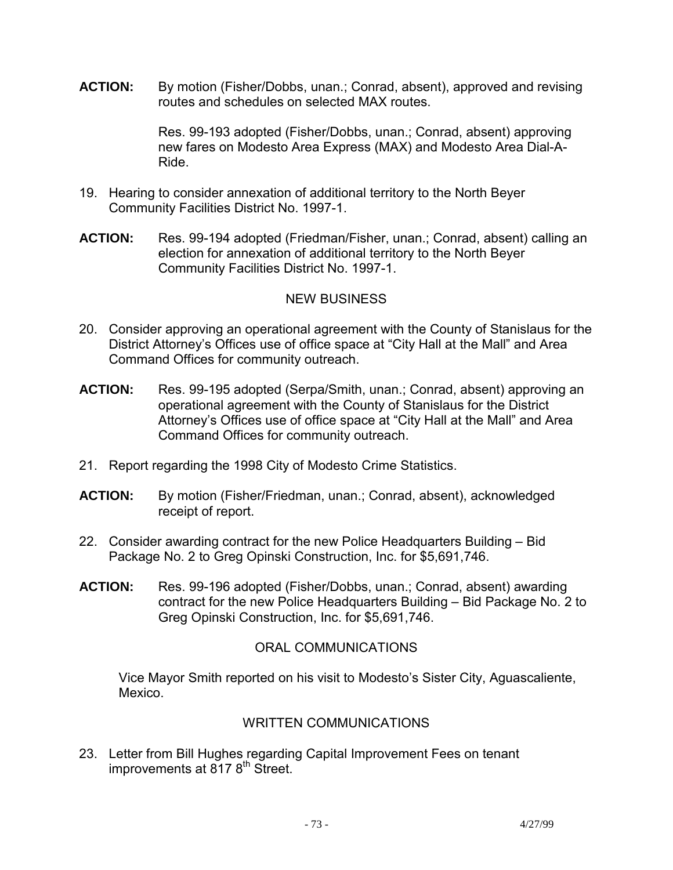**ACTION:** By motion (Fisher/Dobbs, unan.; Conrad, absent), approved and revising routes and schedules on selected MAX routes.

> Res. 99-193 adopted (Fisher/Dobbs, unan.; Conrad, absent) approving new fares on Modesto Area Express (MAX) and Modesto Area Dial-A-Ride.

- 19. Hearing to consider annexation of additional territory to the North Beyer Community Facilities District No. 1997-1.
- **ACTION:** Res. 99-194 adopted (Friedman/Fisher, unan.; Conrad, absent) calling an election for annexation of additional territory to the North Beyer Community Facilities District No. 1997-1.

## NEW BUSINESS

- 20. Consider approving an operational agreement with the County of Stanislaus for the District Attorney's Offices use of office space at "City Hall at the Mall" and Area Command Offices for community outreach.
- **ACTION:** Res. 99-195 adopted (Serpa/Smith, unan.; Conrad, absent) approving an operational agreement with the County of Stanislaus for the District Attorney's Offices use of office space at "City Hall at the Mall" and Area Command Offices for community outreach.
- 21. Report regarding the 1998 City of Modesto Crime Statistics.
- **ACTION:** By motion (Fisher/Friedman, unan.; Conrad, absent), acknowledged receipt of report.
- 22. Consider awarding contract for the new Police Headquarters Building Bid Package No. 2 to Greg Opinski Construction, Inc. for \$5,691,746.
- **ACTION:** Res. 99-196 adopted (Fisher/Dobbs, unan.; Conrad, absent) awarding contract for the new Police Headquarters Building – Bid Package No. 2 to Greg Opinski Construction, Inc. for \$5,691,746.

# ORAL COMMUNICATIONS

 Vice Mayor Smith reported on his visit to Modesto's Sister City, Aguascaliente, Mexico.

# WRITTEN COMMUNICATIONS

23. Letter from Bill Hughes regarding Capital Improvement Fees on tenant improvements at  $817.8<sup>th</sup>$  Street.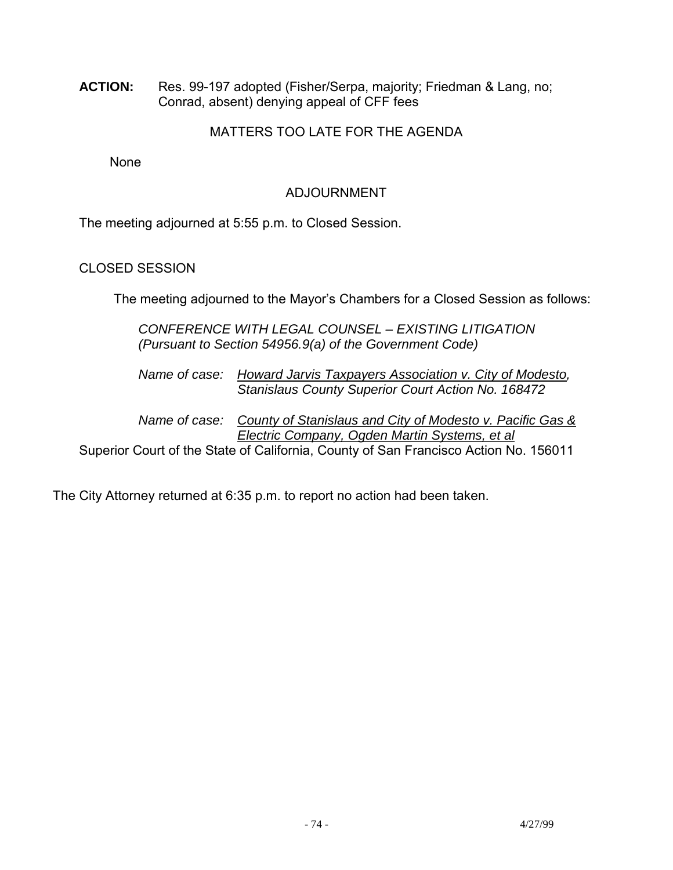**ACTION:** Res. 99-197 adopted (Fisher/Serpa, majority; Friedman & Lang, no; Conrad, absent) denying appeal of CFF fees

# MATTERS TOO LATE FOR THE AGENDA

None

# ADJOURNMENT

The meeting adjourned at 5:55 p.m. to Closed Session.

# CLOSED SESSION

The meeting adjourned to the Mayor's Chambers for a Closed Session as follows:

 *CONFERENCE WITH LEGAL COUNSEL – EXISTING LITIGATION (Pursuant to Section 54956.9(a) of the Government Code)* 

 *Name of case: Howard Jarvis Taxpayers Association v. City of Modesto, Stanislaus County Superior Court Action No. 168472* 

 *Name of case: County of Stanislaus and City of Modesto v. Pacific Gas & Electric Company, Ogden Martin Systems, et al*

Superior Court of the State of California, County of San Francisco Action No. 156011

The City Attorney returned at 6:35 p.m. to report no action had been taken.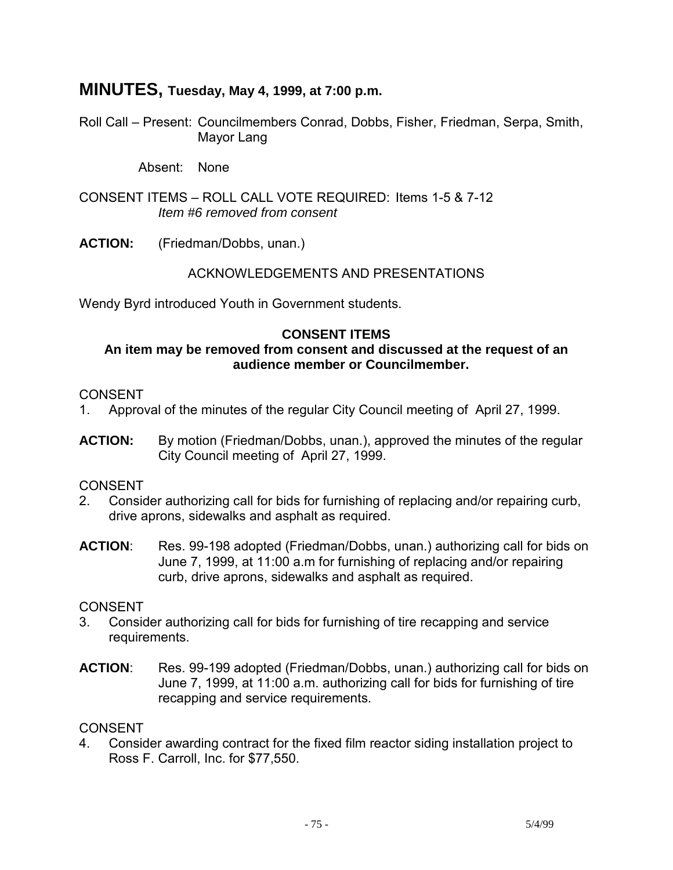# **MINUTES, Tuesday, May 4, 1999, at 7:00 p.m.**

Roll Call – Present: Councilmembers Conrad, Dobbs, Fisher, Friedman, Serpa, Smith, Mayor Lang

Absent: None

CONSENT ITEMS – ROLL CALL VOTE REQUIRED: Items 1-5 & 7-12 *Item #6 removed from consent* 

**ACTION:** (Friedman/Dobbs, unan.)

### ACKNOWLEDGEMENTS AND PRESENTATIONS

Wendy Byrd introduced Youth in Government students.

### **CONSENT ITEMS**

#### **An item may be removed from consent and discussed at the request of an audience member or Councilmember.**

#### **CONSENT**

- 1. Approval of the minutes of the regular City Council meeting of April 27, 1999.
- **ACTION:** By motion (Friedman/Dobbs, unan.), approved the minutes of the regular City Council meeting of April 27, 1999.

### CONSENT

- 2. Consider authorizing call for bids for furnishing of replacing and/or repairing curb, drive aprons, sidewalks and asphalt as required.
- **ACTION**: Res. 99-198 adopted (Friedman/Dobbs, unan.) authorizing call for bids on June 7, 1999, at 11:00 a.m for furnishing of replacing and/or repairing curb, drive aprons, sidewalks and asphalt as required.

#### **CONSENT**

- 3. Consider authorizing call for bids for furnishing of tire recapping and service requirements.
- **ACTION**: Res. 99-199 adopted (Friedman/Dobbs, unan.) authorizing call for bids on June 7, 1999, at 11:00 a.m. authorizing call for bids for furnishing of tire recapping and service requirements.

#### CONSENT

4. Consider awarding contract for the fixed film reactor siding installation project to Ross F. Carroll, Inc. for \$77,550.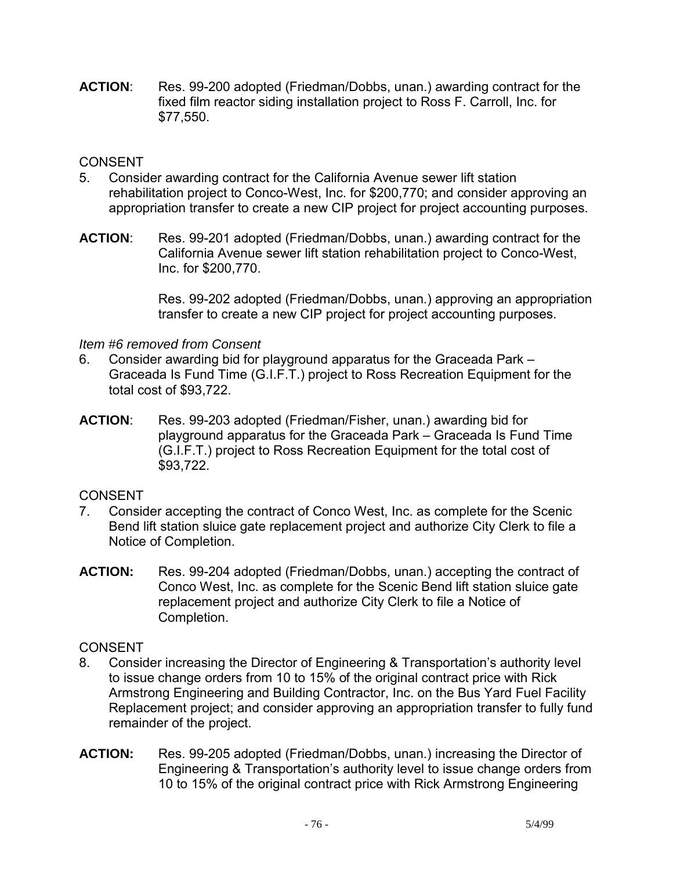**ACTION**: Res. 99-200 adopted (Friedman/Dobbs, unan.) awarding contract for the fixed film reactor siding installation project to Ross F. Carroll, Inc. for \$77,550.

## **CONSENT**

- 5. Consider awarding contract for the California Avenue sewer lift station rehabilitation project to Conco-West, Inc. for \$200,770; and consider approving an appropriation transfer to create a new CIP project for project accounting purposes.
- **ACTION**: Res. 99-201 adopted (Friedman/Dobbs, unan.) awarding contract for the California Avenue sewer lift station rehabilitation project to Conco-West, Inc. for \$200,770.

Res. 99-202 adopted (Friedman/Dobbs, unan.) approving an appropriation transfer to create a new CIP project for project accounting purposes.

## *Item #6 removed from Consent*

- 6. Consider awarding bid for playground apparatus for the Graceada Park Graceada Is Fund Time (G.I.F.T.) project to Ross Recreation Equipment for the total cost of \$93,722.
- **ACTION**: Res. 99-203 adopted (Friedman/Fisher, unan.) awarding bid for playground apparatus for the Graceada Park – Graceada Is Fund Time (G.I.F.T.) project to Ross Recreation Equipment for the total cost of \$93,722.

# CONSENT

- 7. Consider accepting the contract of Conco West, Inc. as complete for the Scenic Bend lift station sluice gate replacement project and authorize City Clerk to file a Notice of Completion.
- **ACTION:** Res. 99-204 adopted (Friedman/Dobbs, unan.) accepting the contract of Conco West, Inc. as complete for the Scenic Bend lift station sluice gate replacement project and authorize City Clerk to file a Notice of Completion.

# CONSENT

- 8. Consider increasing the Director of Engineering & Transportation's authority level to issue change orders from 10 to 15% of the original contract price with Rick Armstrong Engineering and Building Contractor, Inc. on the Bus Yard Fuel Facility Replacement project; and consider approving an appropriation transfer to fully fund remainder of the project.
- **ACTION:** Res. 99-205 adopted (Friedman/Dobbs, unan.) increasing the Director of Engineering & Transportation's authority level to issue change orders from 10 to 15% of the original contract price with Rick Armstrong Engineering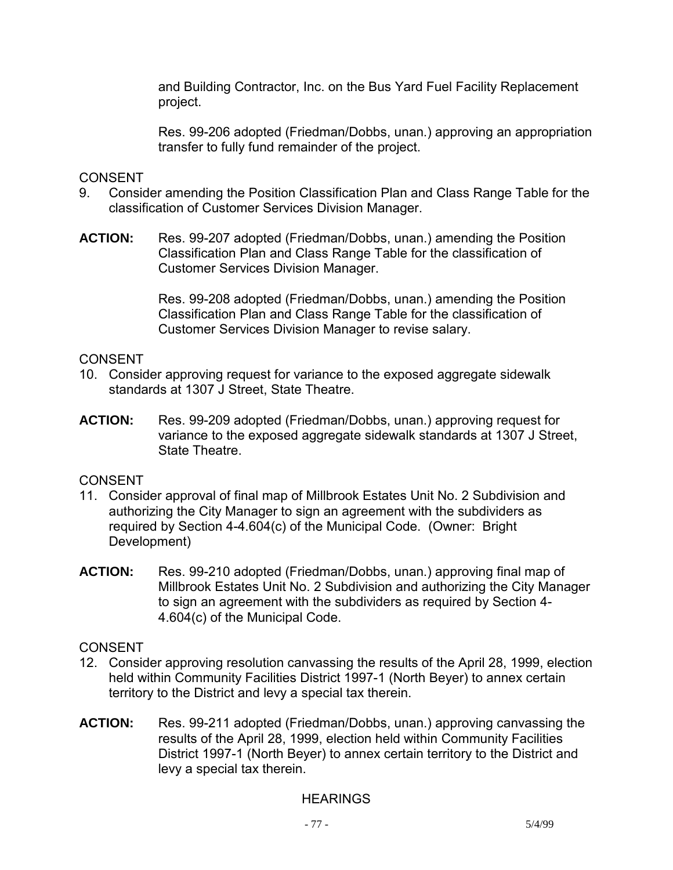and Building Contractor, Inc. on the Bus Yard Fuel Facility Replacement project.

Res. 99-206 adopted (Friedman/Dobbs, unan.) approving an appropriation transfer to fully fund remainder of the project.

## **CONSENT**

- 9. Consider amending the Position Classification Plan and Class Range Table for the classification of Customer Services Division Manager.
- **ACTION:** Res. 99-207 adopted (Friedman/Dobbs, unan.) amending the Position Classification Plan and Class Range Table for the classification of Customer Services Division Manager.

Res. 99-208 adopted (Friedman/Dobbs, unan.) amending the Position Classification Plan and Class Range Table for the classification of Customer Services Division Manager to revise salary.

## **CONSENT**

- 10. Consider approving request for variance to the exposed aggregate sidewalk standards at 1307 J Street, State Theatre.
- **ACTION:** Res. 99-209 adopted (Friedman/Dobbs, unan.) approving request for variance to the exposed aggregate sidewalk standards at 1307 J Street, State Theatre.

# CONSENT

- 11. Consider approval of final map of Millbrook Estates Unit No. 2 Subdivision and authorizing the City Manager to sign an agreement with the subdividers as required by Section 4-4.604(c) of the Municipal Code. (Owner: Bright Development)
- **ACTION:** Res. 99-210 adopted (Friedman/Dobbs, unan.) approving final map of Millbrook Estates Unit No. 2 Subdivision and authorizing the City Manager to sign an agreement with the subdividers as required by Section 4- 4.604(c) of the Municipal Code.

# **CONSENT**

- 12. Consider approving resolution canvassing the results of the April 28, 1999, election held within Community Facilities District 1997-1 (North Beyer) to annex certain territory to the District and levy a special tax therein.
- **ACTION:** Res. 99-211 adopted (Friedman/Dobbs, unan.) approving canvassing the results of the April 28, 1999, election held within Community Facilities District 1997-1 (North Beyer) to annex certain territory to the District and levy a special tax therein.

# **HEARINGS**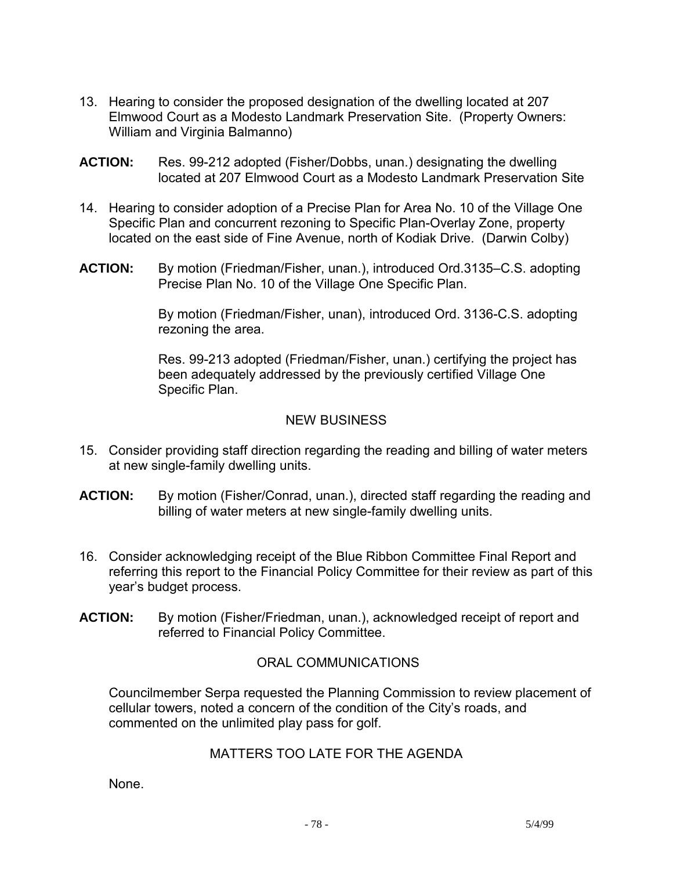- 13. Hearing to consider the proposed designation of the dwelling located at 207 Elmwood Court as a Modesto Landmark Preservation Site. (Property Owners: William and Virginia Balmanno)
- **ACTION:** Res. 99-212 adopted (Fisher/Dobbs, unan.) designating the dwelling located at 207 Elmwood Court as a Modesto Landmark Preservation Site
- 14. Hearing to consider adoption of a Precise Plan for Area No. 10 of the Village One Specific Plan and concurrent rezoning to Specific Plan-Overlay Zone, property located on the east side of Fine Avenue, north of Kodiak Drive. (Darwin Colby)
- **ACTION:** By motion (Friedman/Fisher, unan.), introduced Ord.3135–C.S. adopting Precise Plan No. 10 of the Village One Specific Plan.

By motion (Friedman/Fisher, unan), introduced Ord. 3136-C.S. adopting rezoning the area.

Res. 99-213 adopted (Friedman/Fisher, unan.) certifying the project has been adequately addressed by the previously certified Village One Specific Plan.

## NEW BUSINESS

- 15. Consider providing staff direction regarding the reading and billing of water meters at new single-family dwelling units.
- **ACTION:** By motion (Fisher/Conrad, unan.), directed staff regarding the reading and billing of water meters at new single-family dwelling units.
- 16. Consider acknowledging receipt of the Blue Ribbon Committee Final Report and referring this report to the Financial Policy Committee for their review as part of this year's budget process.
- **ACTION:** By motion (Fisher/Friedman, unan.), acknowledged receipt of report and referred to Financial Policy Committee.

# ORAL COMMUNICATIONS

 Councilmember Serpa requested the Planning Commission to review placement of cellular towers, noted a concern of the condition of the City's roads, and commented on the unlimited play pass for golf.

# MATTERS TOO LATE FOR THE AGENDA

None.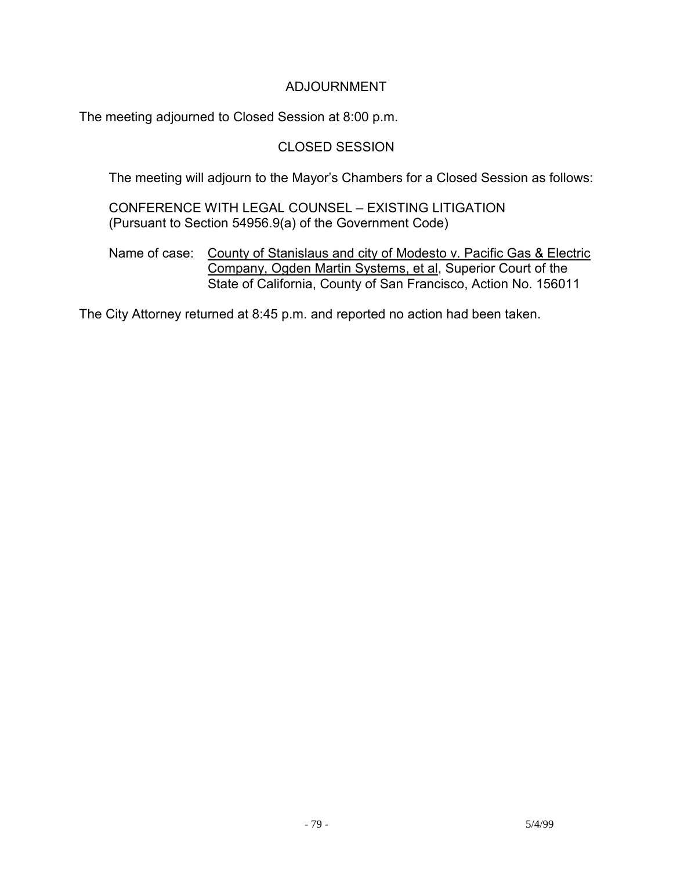# ADJOURNMENT

The meeting adjourned to Closed Session at 8:00 p.m.

# CLOSED SESSION

The meeting will adjourn to the Mayor's Chambers for a Closed Session as follows:

 CONFERENCE WITH LEGAL COUNSEL – EXISTING LITIGATION (Pursuant to Section 54956.9(a) of the Government Code)

 Name of case: County of Stanislaus and city of Modesto v. Pacific Gas & Electric Company, Ogden Martin Systems, et al, Superior Court of the State of California, County of San Francisco, Action No. 156011

The City Attorney returned at 8:45 p.m. and reported no action had been taken.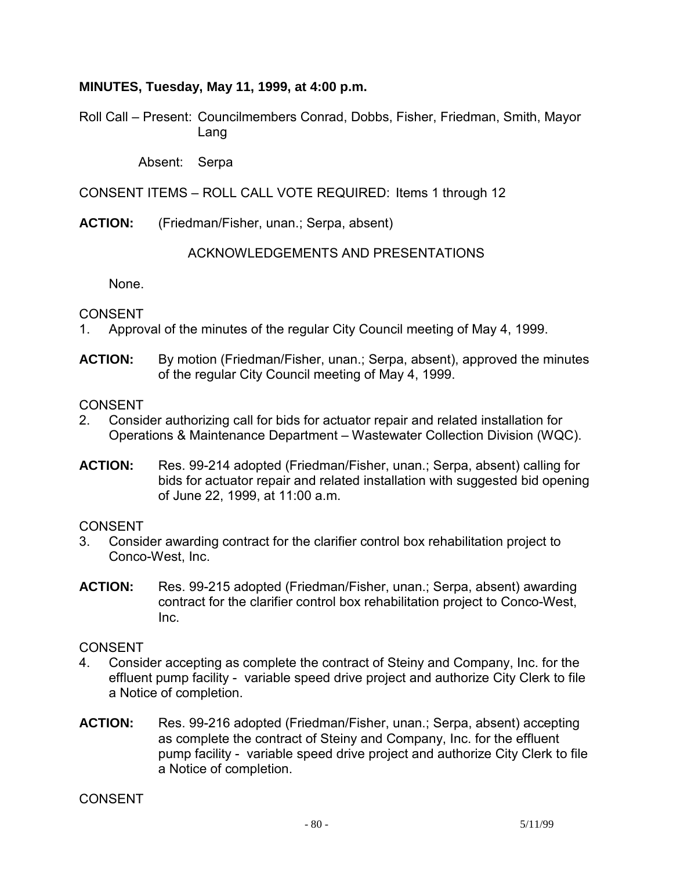## **MINUTES, Tuesday, May 11, 1999, at 4:00 p.m.**

Roll Call – Present: Councilmembers Conrad, Dobbs, Fisher, Friedman, Smith, Mayor Lang

Absent: Serpa

CONSENT ITEMS – ROLL CALL VOTE REQUIRED: Items 1 through 12

**ACTION:** (Friedman/Fisher, unan.; Serpa, absent)

### ACKNOWLEDGEMENTS AND PRESENTATIONS

None.

CONSENT

- 1. Approval of the minutes of the regular City Council meeting of May 4, 1999.
- **ACTION:** By motion (Friedman/Fisher, unan.; Serpa, absent), approved the minutes of the regular City Council meeting of May 4, 1999.

**CONSENT** 

- 2. Consider authorizing call for bids for actuator repair and related installation for Operations & Maintenance Department – Wastewater Collection Division (WQC).
- **ACTION:** Res. 99-214 adopted (Friedman/Fisher, unan.; Serpa, absent) calling for bids for actuator repair and related installation with suggested bid opening of June 22, 1999, at 11:00 a.m.

**CONSENT** 

- 3. Consider awarding contract for the clarifier control box rehabilitation project to Conco-West, Inc.
- **ACTION:** Res. 99-215 adopted (Friedman/Fisher, unan.; Serpa, absent) awarding contract for the clarifier control box rehabilitation project to Conco-West, Inc.

CONSENT

- 4. Consider accepting as complete the contract of Steiny and Company, Inc. for the effluent pump facility - variable speed drive project and authorize City Clerk to file a Notice of completion.
- **ACTION:** Res. 99-216 adopted (Friedman/Fisher, unan.; Serpa, absent) accepting as complete the contract of Steiny and Company, Inc. for the effluent pump facility - variable speed drive project and authorize City Clerk to file a Notice of completion.

CONSENT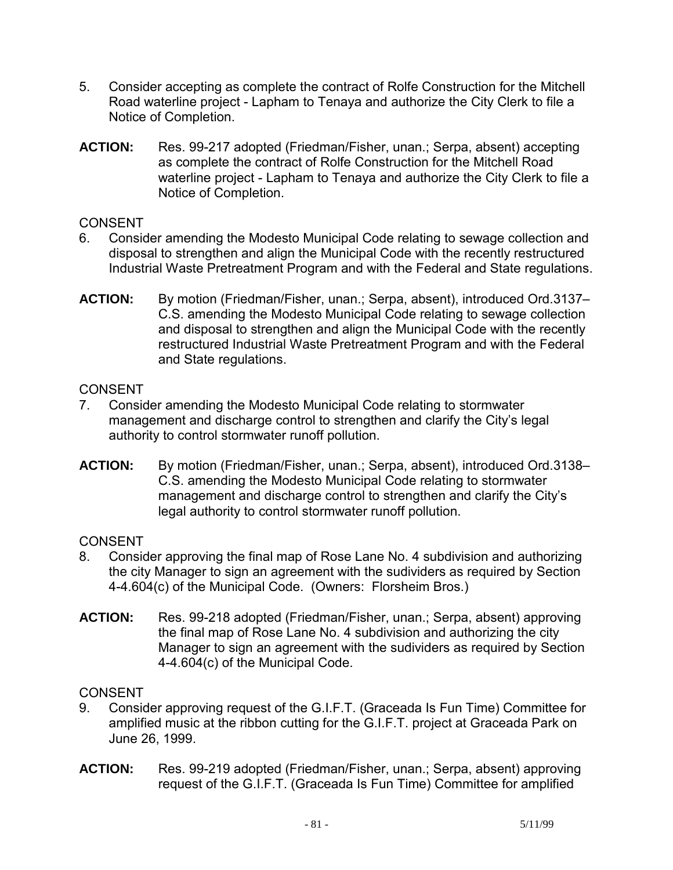- 5. Consider accepting as complete the contract of Rolfe Construction for the Mitchell Road waterline project - Lapham to Tenaya and authorize the City Clerk to file a Notice of Completion.
- **ACTION:** Res. 99-217 adopted (Friedman/Fisher, unan.; Serpa, absent) accepting as complete the contract of Rolfe Construction for the Mitchell Road waterline project - Lapham to Tenaya and authorize the City Clerk to file a Notice of Completion.

- 6. Consider amending the Modesto Municipal Code relating to sewage collection and disposal to strengthen and align the Municipal Code with the recently restructured Industrial Waste Pretreatment Program and with the Federal and State regulations.
- **ACTION:** By motion (Friedman/Fisher, unan.; Serpa, absent), introduced Ord.3137– C.S. amending the Modesto Municipal Code relating to sewage collection and disposal to strengthen and align the Municipal Code with the recently restructured Industrial Waste Pretreatment Program and with the Federal and State regulations.

# CONSENT

- 7. Consider amending the Modesto Municipal Code relating to stormwater management and discharge control to strengthen and clarify the City's legal authority to control stormwater runoff pollution.
- **ACTION:** By motion (Friedman/Fisher, unan.; Serpa, absent), introduced Ord.3138– C.S. amending the Modesto Municipal Code relating to stormwater management and discharge control to strengthen and clarify the City's legal authority to control stormwater runoff pollution.

# CONSENT

- 8. Consider approving the final map of Rose Lane No. 4 subdivision and authorizing the city Manager to sign an agreement with the sudividers as required by Section 4-4.604(c) of the Municipal Code. (Owners: Florsheim Bros.)
- **ACTION:** Res. 99-218 adopted (Friedman/Fisher, unan.; Serpa, absent) approving the final map of Rose Lane No. 4 subdivision and authorizing the city Manager to sign an agreement with the sudividers as required by Section 4-4.604(c) of the Municipal Code.

# **CONSENT**

- 9. Consider approving request of the G.I.F.T. (Graceada Is Fun Time) Committee for amplified music at the ribbon cutting for the G.I.F.T. project at Graceada Park on June 26, 1999.
- **ACTION:** Res. 99-219 adopted (Friedman/Fisher, unan.; Serpa, absent) approving request of the G.I.F.T. (Graceada Is Fun Time) Committee for amplified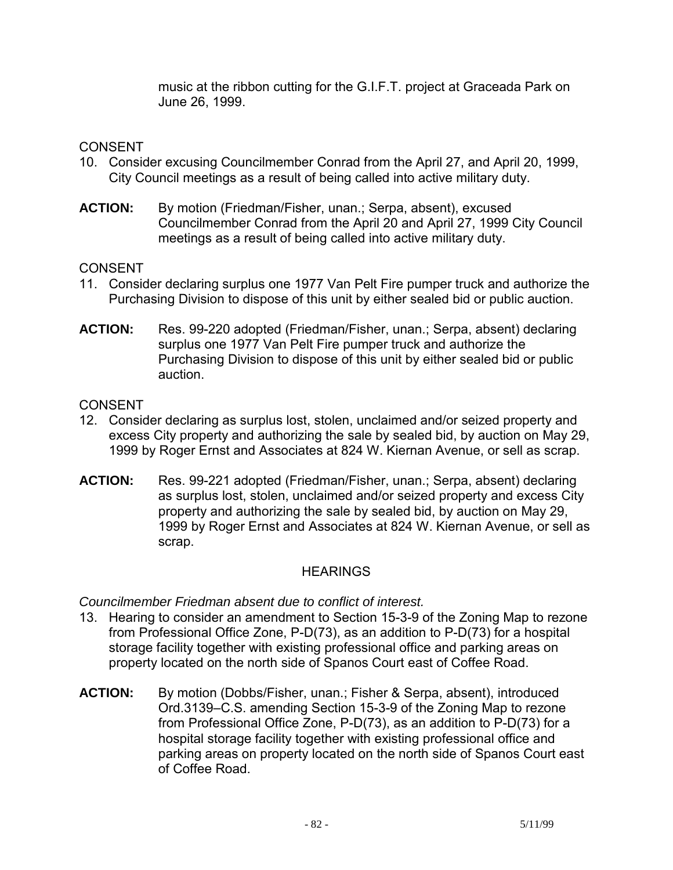music at the ribbon cutting for the G.I.F.T. project at Graceada Park on June 26, 1999.

# **CONSENT**

- 10. Consider excusing Councilmember Conrad from the April 27, and April 20, 1999, City Council meetings as a result of being called into active military duty.
- **ACTION:** By motion (Friedman/Fisher, unan.; Serpa, absent), excused Councilmember Conrad from the April 20 and April 27, 1999 City Council meetings as a result of being called into active military duty.

# **CONSENT**

- 11. Consider declaring surplus one 1977 Van Pelt Fire pumper truck and authorize the Purchasing Division to dispose of this unit by either sealed bid or public auction.
- **ACTION:** Res. 99-220 adopted (Friedman/Fisher, unan.; Serpa, absent) declaring surplus one 1977 Van Pelt Fire pumper truck and authorize the Purchasing Division to dispose of this unit by either sealed bid or public auction.

## **CONSENT**

- 12. Consider declaring as surplus lost, stolen, unclaimed and/or seized property and excess City property and authorizing the sale by sealed bid, by auction on May 29, 1999 by Roger Ernst and Associates at 824 W. Kiernan Avenue, or sell as scrap.
- **ACTION:** Res. 99-221 adopted (Friedman/Fisher, unan.; Serpa, absent) declaring as surplus lost, stolen, unclaimed and/or seized property and excess City property and authorizing the sale by sealed bid, by auction on May 29, 1999 by Roger Ernst and Associates at 824 W. Kiernan Avenue, or sell as scrap.

# HEARINGS

*Councilmember Friedman absent due to conflict of interest.* 

- 13. Hearing to consider an amendment to Section 15-3-9 of the Zoning Map to rezone from Professional Office Zone, P-D(73), as an addition to P-D(73) for a hospital storage facility together with existing professional office and parking areas on property located on the north side of Spanos Court east of Coffee Road.
- **ACTION:** By motion (Dobbs/Fisher, unan.; Fisher & Serpa, absent), introduced Ord.3139–C.S. amending Section 15-3-9 of the Zoning Map to rezone from Professional Office Zone, P-D(73), as an addition to P-D(73) for a hospital storage facility together with existing professional office and parking areas on property located on the north side of Spanos Court east of Coffee Road.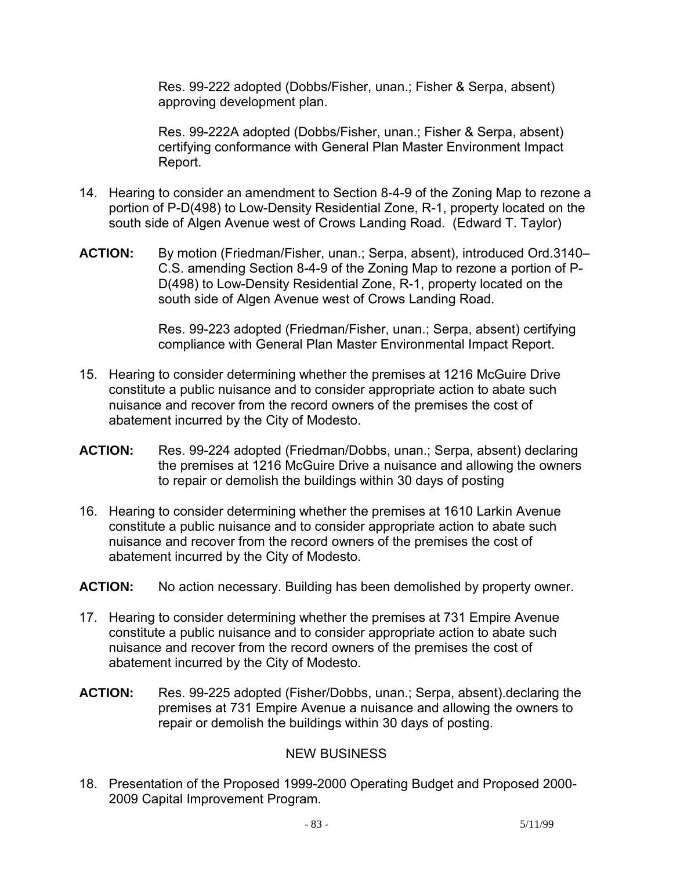Res. 99-222 adopted (Dobbs/Fisher, unan.; Fisher & Serpa, absent) approving development plan.

Res. 99-222A adopted (Dobbs/Fisher, unan.; Fisher & Serpa, absent) certifying conformance with General Plan Master Environment Impact Report.

- 14. Hearing to consider an amendment to Section 8-4-9 of the Zoning Map to rezone a portion of P-D(498) to Low-Density Residential Zone, R-1, property located on the south side of Algen Avenue west of Crows Landing Road. (Edward T. Taylor)
- **ACTION:** By motion (Friedman/Fisher, unan.; Serpa, absent), introduced Ord.3140– C.S. amending Section 8-4-9 of the Zoning Map to rezone a portion of P-D(498) to Low-Density Residential Zone, R-1, property located on the south side of Algen Avenue west of Crows Landing Road.

Res. 99-223 adopted (Friedman/Fisher, unan.; Serpa, absent) certifying compliance with General Plan Master Environmental Impact Report.

- 15. Hearing to consider determining whether the premises at 1216 McGuire Drive constitute a public nuisance and to consider appropriate action to abate such nuisance and recover from the record owners of the premises the cost of abatement incurred by the City of Modesto.
- **ACTION:** Res. 99-224 adopted (Friedman/Dobbs, unan.; Serpa, absent) declaring the premises at 1216 McGuire Drive a nuisance and allowing the owners to repair or demolish the buildings within 30 days of posting
- 16. Hearing to consider determining whether the premises at 1610 Larkin Avenue constitute a public nuisance and to consider appropriate action to abate such nuisance and recover from the record owners of the premises the cost of abatement incurred by the City of Modesto.
- **ACTION:** No action necessary. Building has been demolished by property owner.
- 17. Hearing to consider determining whether the premises at 731 Empire Avenue constitute a public nuisance and to consider appropriate action to abate such nuisance and recover from the record owners of the premises the cost of abatement incurred by the City of Modesto.
- **ACTION:** Res. 99-225 adopted (Fisher/Dobbs, unan.; Serpa, absent).declaring the premises at 731 Empire Avenue a nuisance and allowing the owners to repair or demolish the buildings within 30 days of posting.

### NEW BUSINESS

18. Presentation of the Proposed 1999-2000 Operating Budget and Proposed 2000- 2009 Capital Improvement Program.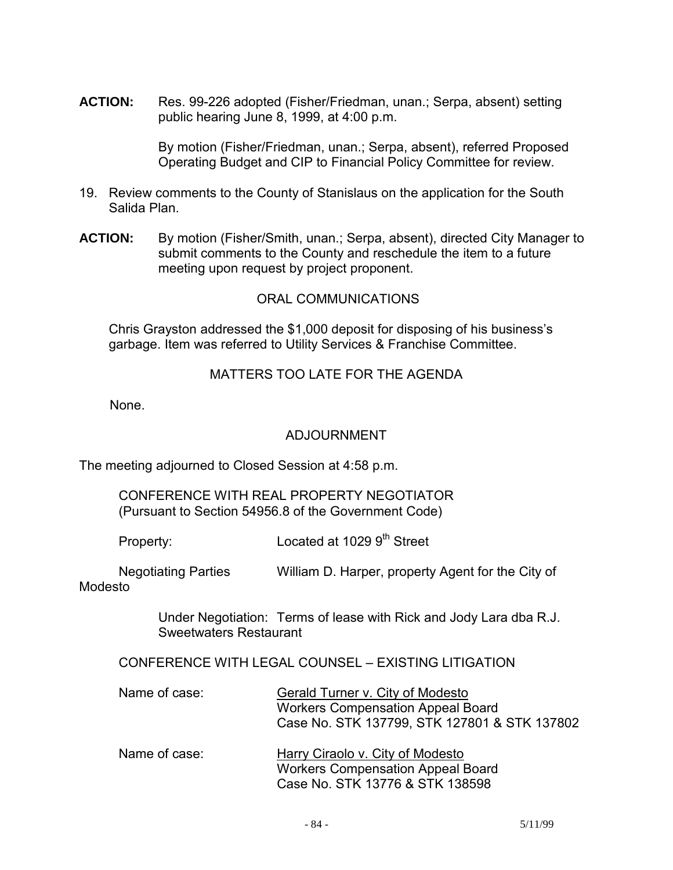**ACTION:** Res. 99-226 adopted (Fisher/Friedman, unan.; Serpa, absent) setting public hearing June 8, 1999, at 4:00 p.m.

> By motion (Fisher/Friedman, unan.; Serpa, absent), referred Proposed Operating Budget and CIP to Financial Policy Committee for review.

- 19. Review comments to the County of Stanislaus on the application for the South Salida Plan.
- **ACTION:** By motion (Fisher/Smith, unan.; Serpa, absent), directed City Manager to submit comments to the County and reschedule the item to a future meeting upon request by project proponent.

## ORAL COMMUNICATIONS

 Chris Grayston addressed the \$1,000 deposit for disposing of his business's garbage. Item was referred to Utility Services & Franchise Committee.

#### MATTERS TOO LATE FOR THE AGENDA

None.

#### ADJOURNMENT

The meeting adjourned to Closed Session at 4:58 p.m.

#### CONFERENCE WITH REAL PROPERTY NEGOTIATOR (Pursuant to Section 54956.8 of the Government Code)

Property: Located at 1029 9<sup>th</sup> Street

 Negotiating Parties William D. Harper, property Agent for the City of Modesto

> Under Negotiation: Terms of lease with Rick and Jody Lara dba R.J. Sweetwaters Restaurant

CONFERENCE WITH LEGAL COUNSEL – EXISTING LITIGATION

- Name of case: Gerald Turner v. City of Modesto Workers Compensation Appeal Board Case No. STK 137799, STK 127801 & STK 137802
- Name of case: Harry Ciraolo v. City of Modesto Workers Compensation Appeal Board Case No. STK 13776 & STK 138598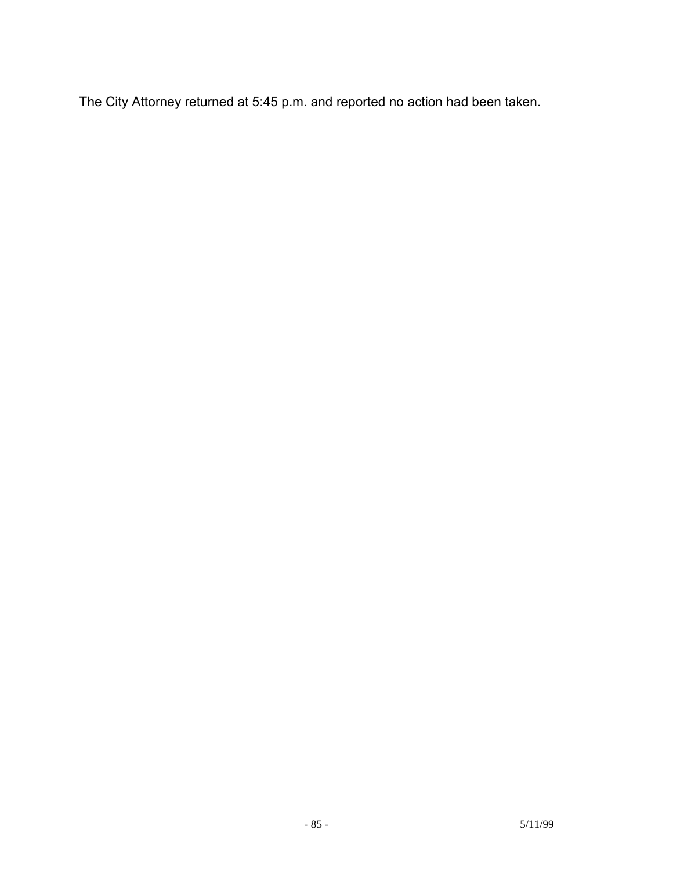The City Attorney returned at 5:45 p.m. and reported no action had been taken.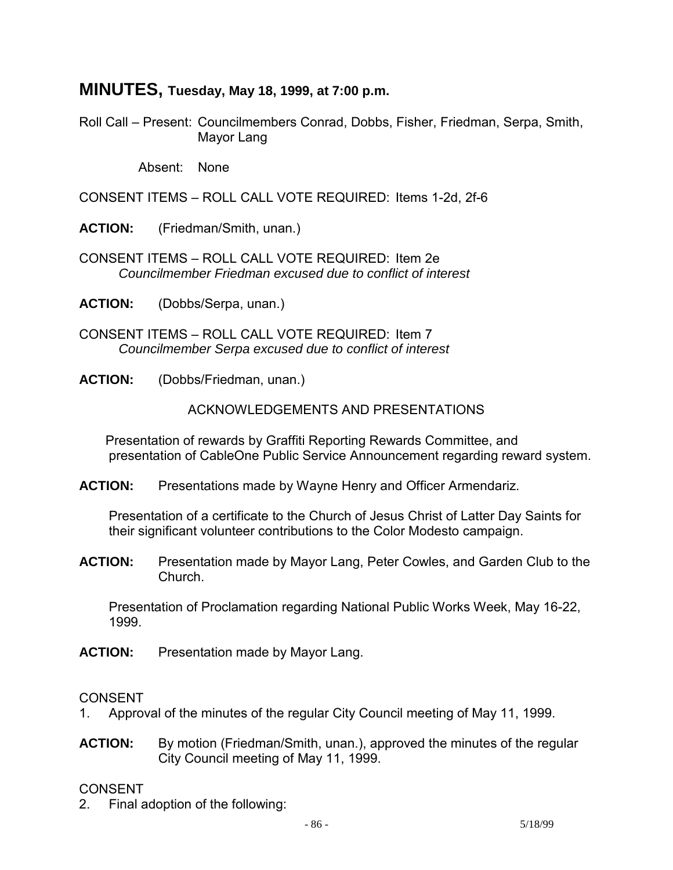# **MINUTES, Tuesday, May 18, 1999, at 7:00 p.m.**

Roll Call – Present: Councilmembers Conrad, Dobbs, Fisher, Friedman, Serpa, Smith, Mayor Lang

Absent: None

CONSENT ITEMS – ROLL CALL VOTE REQUIRED: Items 1-2d, 2f-6

**ACTION:** (Friedman/Smith, unan.)

CONSENT ITEMS – ROLL CALL VOTE REQUIRED: Item 2e  *Councilmember Friedman excused due to conflict of interest* 

**ACTION:** (Dobbs/Serpa, unan.)

CONSENT ITEMS – ROLL CALL VOTE REQUIRED: Item 7  *Councilmember Serpa excused due to conflict of interest* 

**ACTION:** (Dobbs/Friedman, unan.)

#### ACKNOWLEDGEMENTS AND PRESENTATIONS

 Presentation of rewards by Graffiti Reporting Rewards Committee, and presentation of CableOne Public Service Announcement regarding reward system.

**ACTION:** Presentations made by Wayne Henry and Officer Armendariz.

 Presentation of a certificate to the Church of Jesus Christ of Latter Day Saints for their significant volunteer contributions to the Color Modesto campaign.

**ACTION:** Presentation made by Mayor Lang, Peter Cowles, and Garden Club to the Church.

 Presentation of Proclamation regarding National Public Works Week, May 16-22, 1999.

**ACTION:** Presentation made by Mayor Lang.

#### CONSENT

- 1. Approval of the minutes of the regular City Council meeting of May 11, 1999.
- **ACTION:** By motion (Friedman/Smith, unan.), approved the minutes of the regular City Council meeting of May 11, 1999.

### CONSENT

2. Final adoption of the following: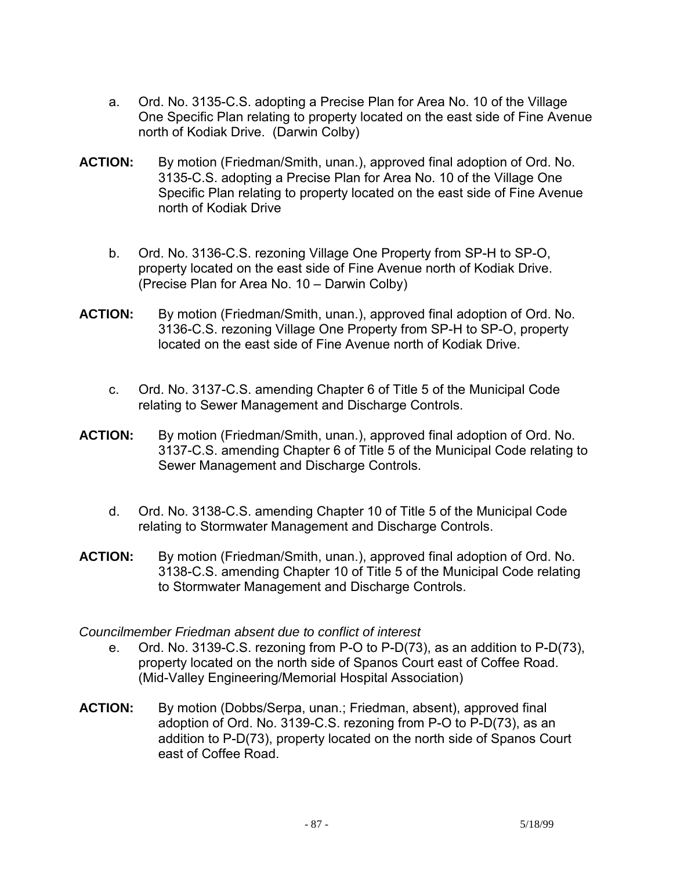- a. Ord. No. 3135-C.S. adopting a Precise Plan for Area No. 10 of the Village One Specific Plan relating to property located on the east side of Fine Avenue north of Kodiak Drive. (Darwin Colby)
- **ACTION:** By motion (Friedman/Smith, unan.), approved final adoption of Ord. No. 3135-C.S. adopting a Precise Plan for Area No. 10 of the Village One Specific Plan relating to property located on the east side of Fine Avenue north of Kodiak Drive
	- b. Ord. No. 3136-C.S. rezoning Village One Property from SP-H to SP-O, property located on the east side of Fine Avenue north of Kodiak Drive. (Precise Plan for Area No. 10 – Darwin Colby)
- **ACTION:** By motion (Friedman/Smith, unan.), approved final adoption of Ord. No. 3136-C.S. rezoning Village One Property from SP-H to SP-O, property located on the east side of Fine Avenue north of Kodiak Drive.
	- c. Ord. No. 3137-C.S. amending Chapter 6 of Title 5 of the Municipal Code relating to Sewer Management and Discharge Controls.
- **ACTION:** By motion (Friedman/Smith, unan.), approved final adoption of Ord. No. 3137-C.S. amending Chapter 6 of Title 5 of the Municipal Code relating to Sewer Management and Discharge Controls.
	- d. Ord. No. 3138-C.S. amending Chapter 10 of Title 5 of the Municipal Code relating to Stormwater Management and Discharge Controls.
- **ACTION:** By motion (Friedman/Smith, unan.), approved final adoption of Ord. No. 3138-C.S. amending Chapter 10 of Title 5 of the Municipal Code relating to Stormwater Management and Discharge Controls.

### *Councilmember Friedman absent due to conflict of interest*

- e. Ord. No. 3139-C.S. rezoning from P-O to P-D(73), as an addition to P-D(73), property located on the north side of Spanos Court east of Coffee Road. (Mid-Valley Engineering/Memorial Hospital Association)
- **ACTION:** By motion (Dobbs/Serpa, unan.; Friedman, absent), approved final adoption of Ord. No. 3139-C.S. rezoning from P-O to P-D(73), as an addition to P-D(73), property located on the north side of Spanos Court east of Coffee Road.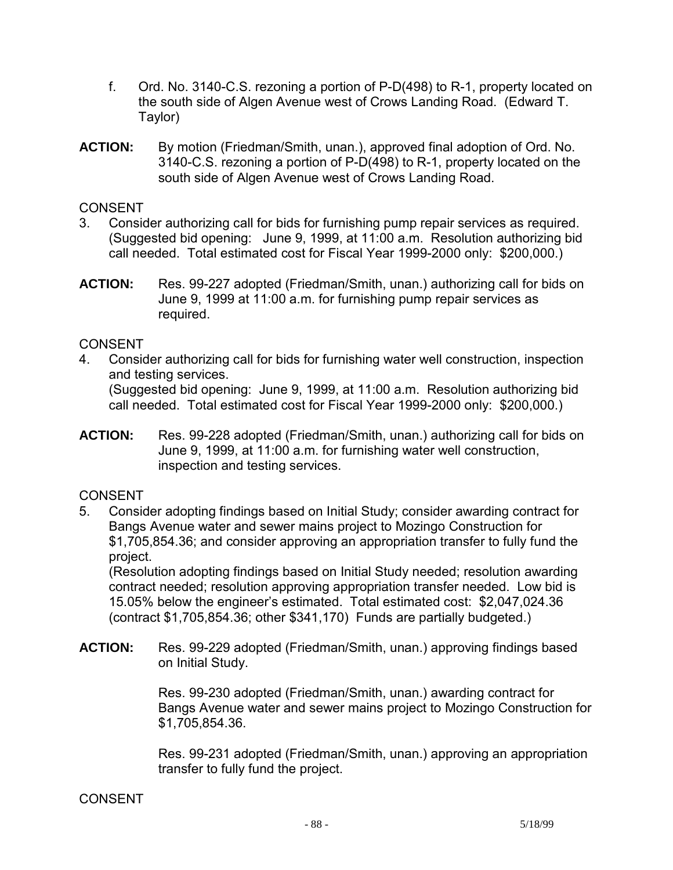- f. Ord. No. 3140-C.S. rezoning a portion of P-D(498) to R-1, property located on the south side of Algen Avenue west of Crows Landing Road. (Edward T. Taylor)
- **ACTION:** By motion (Friedman/Smith, unan.), approved final adoption of Ord. No. 3140-C.S. rezoning a portion of P-D(498) to R-1, property located on the south side of Algen Avenue west of Crows Landing Road.

- 3. Consider authorizing call for bids for furnishing pump repair services as required. (Suggested bid opening: June 9, 1999, at 11:00 a.m. Resolution authorizing bid call needed. Total estimated cost for Fiscal Year 1999-2000 only: \$200,000.)
- **ACTION:** Res. 99-227 adopted (Friedman/Smith, unan.) authorizing call for bids on June 9, 1999 at 11:00 a.m. for furnishing pump repair services as required.

### CONSENT

- 4. Consider authorizing call for bids for furnishing water well construction, inspection and testing services. (Suggested bid opening: June 9, 1999, at 11:00 a.m. Resolution authorizing bid call needed. Total estimated cost for Fiscal Year 1999-2000 only: \$200,000.)
- **ACTION:** Res. 99-228 adopted (Friedman/Smith, unan.) authorizing call for bids on June 9, 1999, at 11:00 a.m. for furnishing water well construction, inspection and testing services.

### CONSENT

5. Consider adopting findings based on Initial Study; consider awarding contract for Bangs Avenue water and sewer mains project to Mozingo Construction for \$1,705,854.36; and consider approving an appropriation transfer to fully fund the project.

 (Resolution adopting findings based on Initial Study needed; resolution awarding contract needed; resolution approving appropriation transfer needed. Low bid is 15.05% below the engineer's estimated. Total estimated cost: \$2,047,024.36 (contract \$1,705,854.36; other \$341,170) Funds are partially budgeted.)

**ACTION:** Res. 99-229 adopted (Friedman/Smith, unan.) approving findings based on Initial Study.

> Res. 99-230 adopted (Friedman/Smith, unan.) awarding contract for Bangs Avenue water and sewer mains project to Mozingo Construction for \$1,705,854.36.

> Res. 99-231 adopted (Friedman/Smith, unan.) approving an appropriation transfer to fully fund the project.

#### **CONSENT**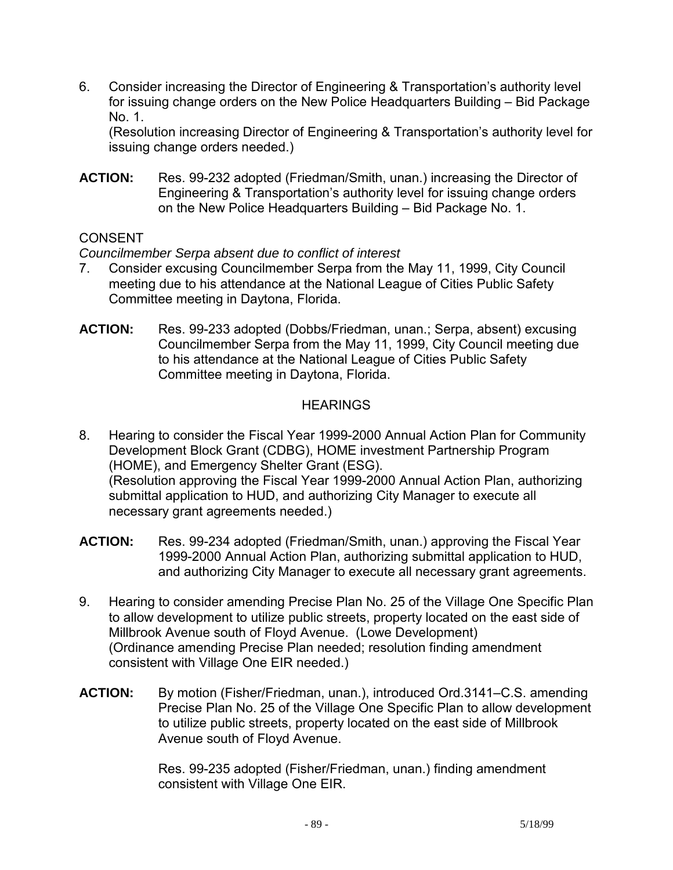6. Consider increasing the Director of Engineering & Transportation's authority level for issuing change orders on the New Police Headquarters Building – Bid Package No. 1.

 (Resolution increasing Director of Engineering & Transportation's authority level for issuing change orders needed.)

**ACTION:** Res. 99-232 adopted (Friedman/Smith, unan.) increasing the Director of Engineering & Transportation's authority level for issuing change orders on the New Police Headquarters Building – Bid Package No. 1.

# CONSENT

## *Councilmember Serpa absent due to conflict of interest*

- 7. Consider excusing Councilmember Serpa from the May 11, 1999, City Council meeting due to his attendance at the National League of Cities Public Safety Committee meeting in Daytona, Florida.
- **ACTION:** Res. 99-233 adopted (Dobbs/Friedman, unan.; Serpa, absent) excusing Councilmember Serpa from the May 11, 1999, City Council meeting due to his attendance at the National League of Cities Public Safety Committee meeting in Daytona, Florida.

# **HEARINGS**

- 8. Hearing to consider the Fiscal Year 1999-2000 Annual Action Plan for Community Development Block Grant (CDBG), HOME investment Partnership Program (HOME), and Emergency Shelter Grant (ESG). (Resolution approving the Fiscal Year 1999-2000 Annual Action Plan, authorizing submittal application to HUD, and authorizing City Manager to execute all necessary grant agreements needed.)
- **ACTION:** Res. 99-234 adopted (Friedman/Smith, unan.) approving the Fiscal Year 1999-2000 Annual Action Plan, authorizing submittal application to HUD, and authorizing City Manager to execute all necessary grant agreements.
- 9. Hearing to consider amending Precise Plan No. 25 of the Village One Specific Plan to allow development to utilize public streets, property located on the east side of Millbrook Avenue south of Floyd Avenue. (Lowe Development) (Ordinance amending Precise Plan needed; resolution finding amendment consistent with Village One EIR needed.)
- **ACTION:** By motion (Fisher/Friedman, unan.), introduced Ord.3141–C.S. amending Precise Plan No. 25 of the Village One Specific Plan to allow development to utilize public streets, property located on the east side of Millbrook Avenue south of Floyd Avenue.

Res. 99-235 adopted (Fisher/Friedman, unan.) finding amendment consistent with Village One EIR.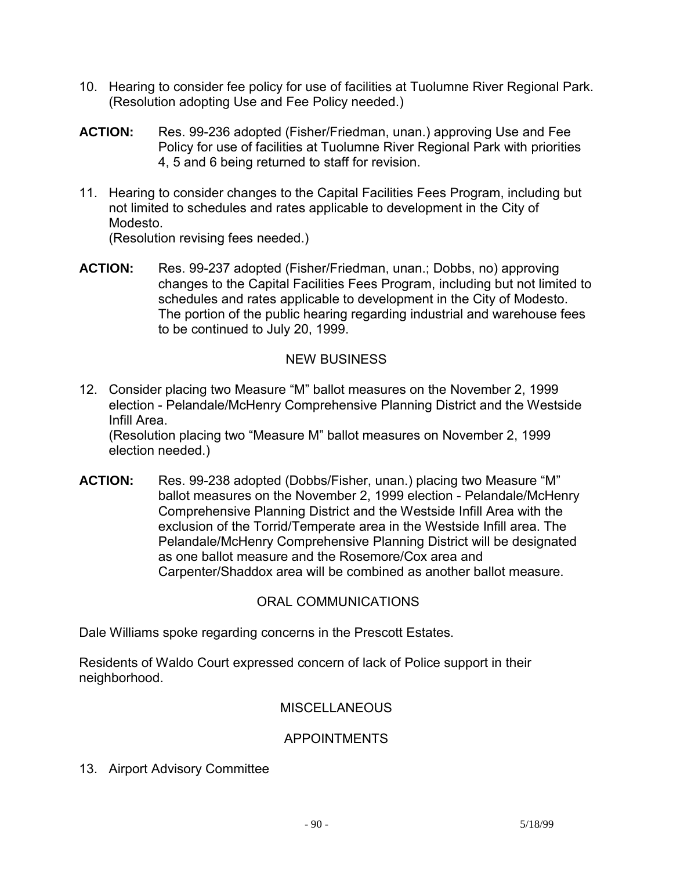- 10. Hearing to consider fee policy for use of facilities at Tuolumne River Regional Park. (Resolution adopting Use and Fee Policy needed.)
- **ACTION:** Res. 99-236 adopted (Fisher/Friedman, unan.) approving Use and Fee Policy for use of facilities at Tuolumne River Regional Park with priorities 4, 5 and 6 being returned to staff for revision.
- 11. Hearing to consider changes to the Capital Facilities Fees Program, including but not limited to schedules and rates applicable to development in the City of Modesto.

(Resolution revising fees needed.)

**ACTION:** Res. 99-237 adopted (Fisher/Friedman, unan.; Dobbs, no) approving changes to the Capital Facilities Fees Program, including but not limited to schedules and rates applicable to development in the City of Modesto. The portion of the public hearing regarding industrial and warehouse fees to be continued to July 20, 1999.

## NEW BUSINESS

12. Consider placing two Measure "M" ballot measures on the November 2, 1999 election - Pelandale/McHenry Comprehensive Planning District and the Westside Infill Area.

 (Resolution placing two "Measure M" ballot measures on November 2, 1999 election needed.)

**ACTION:** Res. 99-238 adopted (Dobbs/Fisher, unan.) placing two Measure "M" ballot measures on the November 2, 1999 election - Pelandale/McHenry Comprehensive Planning District and the Westside Infill Area with the exclusion of the Torrid/Temperate area in the Westside Infill area. The Pelandale/McHenry Comprehensive Planning District will be designated as one ballot measure and the Rosemore/Cox area and Carpenter/Shaddox area will be combined as another ballot measure.

### ORAL COMMUNICATIONS

Dale Williams spoke regarding concerns in the Prescott Estates.

Residents of Waldo Court expressed concern of lack of Police support in their neighborhood.

### **MISCELLANEOUS**

### APPOINTMENTS

13. Airport Advisory Committee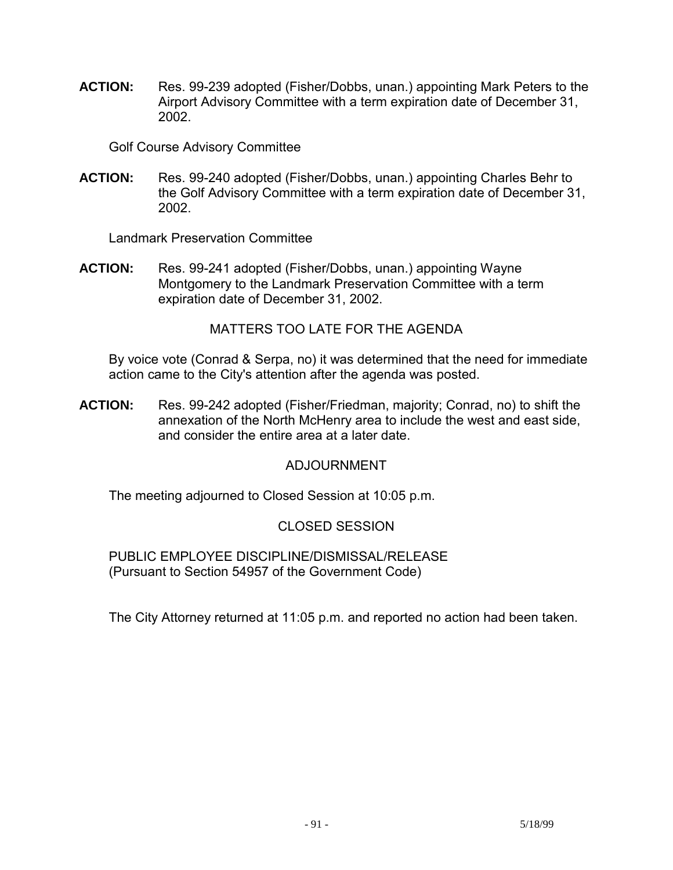**ACTION:** Res. 99-239 adopted (Fisher/Dobbs, unan.) appointing Mark Peters to the Airport Advisory Committee with a term expiration date of December 31, 2002.

Golf Course Advisory Committee

**ACTION:** Res. 99-240 adopted (Fisher/Dobbs, unan.) appointing Charles Behr to the Golf Advisory Committee with a term expiration date of December 31, 2002.

Landmark Preservation Committee

**ACTION:** Res. 99-241 adopted (Fisher/Dobbs, unan.) appointing Wayne Montgomery to the Landmark Preservation Committee with a term expiration date of December 31, 2002.

MATTERS TOO LATE FOR THE AGENDA

 By voice vote (Conrad & Serpa, no) it was determined that the need for immediate action came to the City's attention after the agenda was posted.

**ACTION:** Res. 99-242 adopted (Fisher/Friedman, majority; Conrad, no) to shift the annexation of the North McHenry area to include the west and east side, and consider the entire area at a later date.

# ADJOURNMENT

The meeting adjourned to Closed Session at 10:05 p.m.

# CLOSED SESSION

 PUBLIC EMPLOYEE DISCIPLINE/DISMISSAL/RELEASE (Pursuant to Section 54957 of the Government Code)

The City Attorney returned at 11:05 p.m. and reported no action had been taken.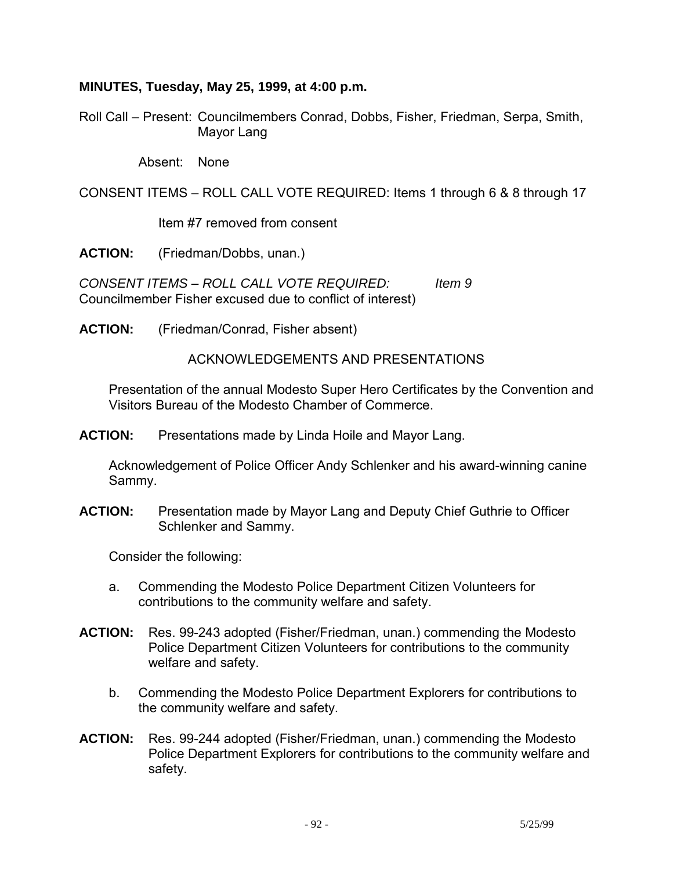#### **MINUTES, Tuesday, May 25, 1999, at 4:00 p.m.**

Roll Call – Present: Councilmembers Conrad, Dobbs, Fisher, Friedman, Serpa, Smith, Mayor Lang

Absent: None

CONSENT ITEMS – ROLL CALL VOTE REQUIRED: Items 1 through 6 & 8 through 17

Item #7 removed from consent

**ACTION:** (Friedman/Dobbs, unan.)

*CONSENT ITEMS – ROLL CALL VOTE REQUIRED: Item 9*  Councilmember Fisher excused due to conflict of interest)

**ACTION:** (Friedman/Conrad, Fisher absent)

ACKNOWLEDGEMENTS AND PRESENTATIONS

 Presentation of the annual Modesto Super Hero Certificates by the Convention and Visitors Bureau of the Modesto Chamber of Commerce.

**ACTION:** Presentations made by Linda Hoile and Mayor Lang.

 Acknowledgement of Police Officer Andy Schlenker and his award-winning canine Sammy.

**ACTION:** Presentation made by Mayor Lang and Deputy Chief Guthrie to Officer Schlenker and Sammy.

Consider the following:

- a. Commending the Modesto Police Department Citizen Volunteers for contributions to the community welfare and safety.
- **ACTION:** Res. 99-243 adopted (Fisher/Friedman, unan.) commending the Modesto Police Department Citizen Volunteers for contributions to the community welfare and safety.
	- b. Commending the Modesto Police Department Explorers for contributions to the community welfare and safety.
- **ACTION:** Res. 99-244 adopted (Fisher/Friedman, unan.) commending the Modesto Police Department Explorers for contributions to the community welfare and safety.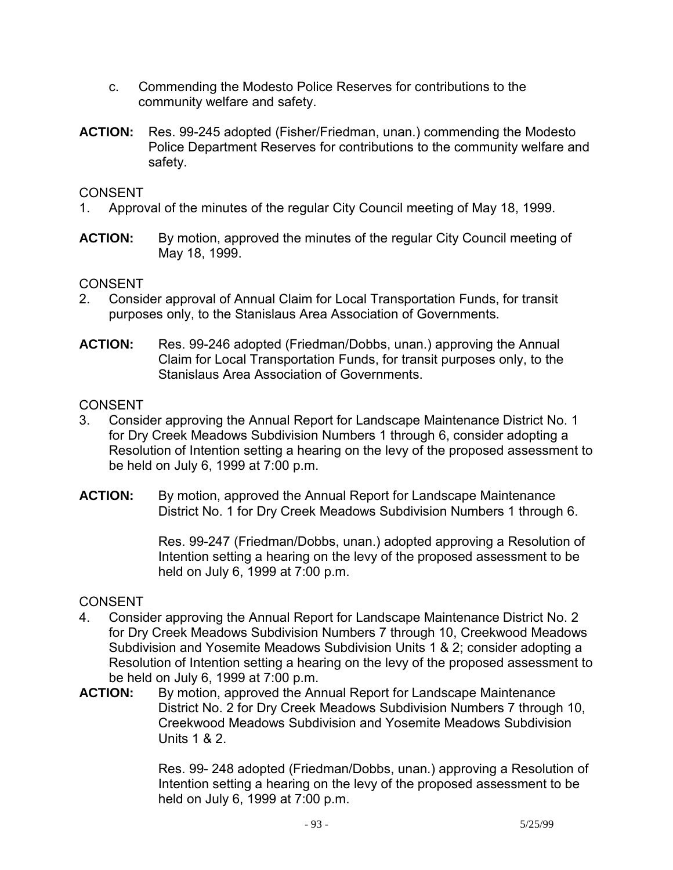- c. Commending the Modesto Police Reserves for contributions to the community welfare and safety.
- **ACTION:** Res. 99-245 adopted (Fisher/Friedman, unan.) commending the Modesto Police Department Reserves for contributions to the community welfare and safety.

- 1. Approval of the minutes of the regular City Council meeting of May 18, 1999.
- **ACTION:** By motion, approved the minutes of the regular City Council meeting of May 18, 1999.

## CONSENT

- 2. Consider approval of Annual Claim for Local Transportation Funds, for transit purposes only, to the Stanislaus Area Association of Governments.
- **ACTION:** Res. 99-246 adopted (Friedman/Dobbs, unan.) approving the Annual Claim for Local Transportation Funds, for transit purposes only, to the Stanislaus Area Association of Governments.

### **CONSENT**

- 3. Consider approving the Annual Report for Landscape Maintenance District No. 1 for Dry Creek Meadows Subdivision Numbers 1 through 6, consider adopting a Resolution of Intention setting a hearing on the levy of the proposed assessment to be held on July 6, 1999 at 7:00 p.m.
- **ACTION:** By motion, approved the Annual Report for Landscape Maintenance District No. 1 for Dry Creek Meadows Subdivision Numbers 1 through 6.

Res. 99-247 (Friedman/Dobbs, unan.) adopted approving a Resolution of Intention setting a hearing on the levy of the proposed assessment to be held on July 6, 1999 at 7:00 p.m.

### **CONSENT**

- 4. Consider approving the Annual Report for Landscape Maintenance District No. 2 for Dry Creek Meadows Subdivision Numbers 7 through 10, Creekwood Meadows Subdivision and Yosemite Meadows Subdivision Units 1 & 2; consider adopting a Resolution of Intention setting a hearing on the levy of the proposed assessment to be held on July 6, 1999 at 7:00 p.m.
- **ACTION:** By motion, approved the Annual Report for Landscape Maintenance District No. 2 for Dry Creek Meadows Subdivision Numbers 7 through 10, Creekwood Meadows Subdivision and Yosemite Meadows Subdivision Units 1 & 2.

Res. 99- 248 adopted (Friedman/Dobbs, unan.) approving a Resolution of Intention setting a hearing on the levy of the proposed assessment to be held on July 6, 1999 at 7:00 p.m.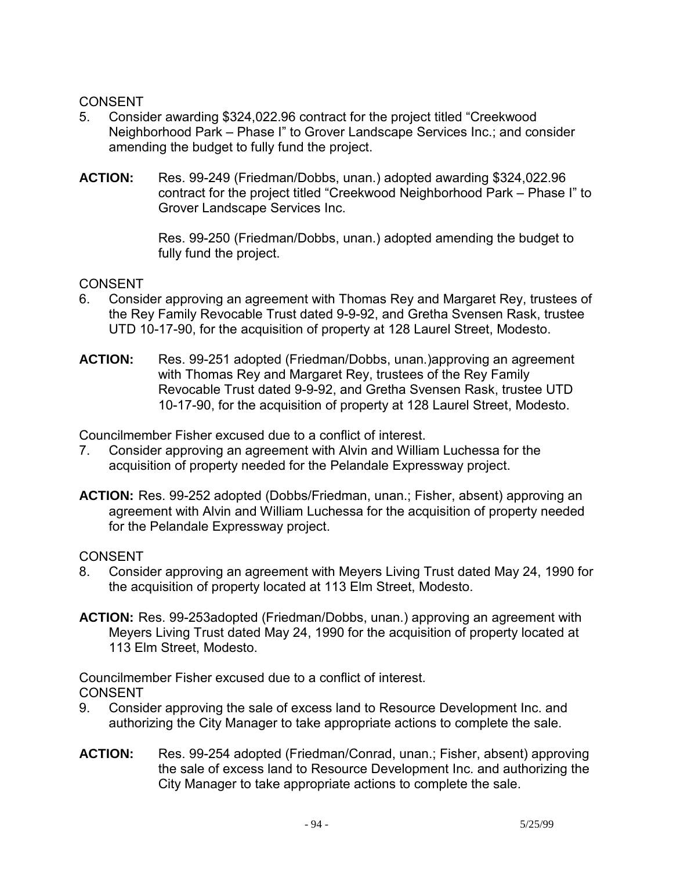- 5. Consider awarding \$324,022.96 contract for the project titled "Creekwood Neighborhood Park – Phase I" to Grover Landscape Services Inc.; and consider amending the budget to fully fund the project.
- **ACTION:** Res. 99-249 (Friedman/Dobbs, unan.) adopted awarding \$324,022.96 contract for the project titled "Creekwood Neighborhood Park – Phase I" to Grover Landscape Services Inc.

Res. 99-250 (Friedman/Dobbs, unan.) adopted amending the budget to fully fund the project.

## CONSENT

- 6. Consider approving an agreement with Thomas Rey and Margaret Rey, trustees of the Rey Family Revocable Trust dated 9-9-92, and Gretha Svensen Rask, trustee UTD 10-17-90, for the acquisition of property at 128 Laurel Street, Modesto.
- **ACTION:** Res. 99-251 adopted (Friedman/Dobbs, unan.)approving an agreement with Thomas Rey and Margaret Rey, trustees of the Rey Family Revocable Trust dated 9-9-92, and Gretha Svensen Rask, trustee UTD 10-17-90, for the acquisition of property at 128 Laurel Street, Modesto.

Councilmember Fisher excused due to a conflict of interest.

- 7. Consider approving an agreement with Alvin and William Luchessa for the acquisition of property needed for the Pelandale Expressway project.
- **ACTION:** Res. 99-252 adopted (Dobbs/Friedman, unan.; Fisher, absent) approving an agreement with Alvin and William Luchessa for the acquisition of property needed for the Pelandale Expressway project.

### **CONSENT**

- 8. Consider approving an agreement with Meyers Living Trust dated May 24, 1990 for the acquisition of property located at 113 Elm Street, Modesto.
- **ACTION:** Res. 99-253adopted (Friedman/Dobbs, unan.) approving an agreement with Meyers Living Trust dated May 24, 1990 for the acquisition of property located at 113 Elm Street, Modesto.

Councilmember Fisher excused due to a conflict of interest. CONSENT

- 9. Consider approving the sale of excess land to Resource Development Inc. and authorizing the City Manager to take appropriate actions to complete the sale.
- **ACTION:** Res. 99-254 adopted (Friedman/Conrad, unan.; Fisher, absent) approving the sale of excess land to Resource Development Inc. and authorizing the City Manager to take appropriate actions to complete the sale.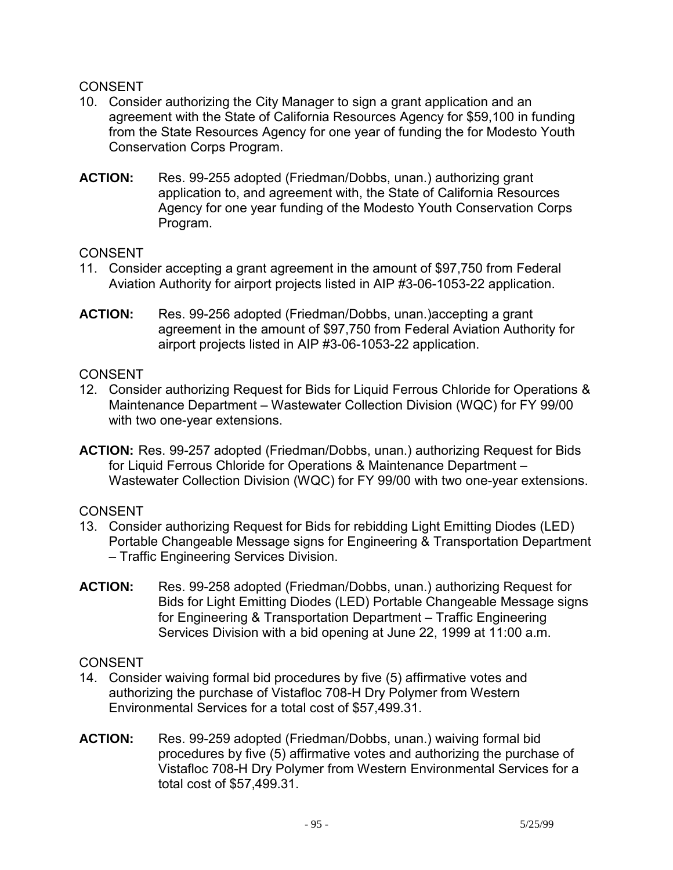- 10. Consider authorizing the City Manager to sign a grant application and an agreement with the State of California Resources Agency for \$59,100 in funding from the State Resources Agency for one year of funding the for Modesto Youth Conservation Corps Program.
- **ACTION:** Res. 99-255 adopted (Friedman/Dobbs, unan.) authorizing grant application to, and agreement with, the State of California Resources Agency for one year funding of the Modesto Youth Conservation Corps Program.

## CONSENT

- 11. Consider accepting a grant agreement in the amount of \$97,750 from Federal Aviation Authority for airport projects listed in AIP #3-06-1053-22 application.
- **ACTION:** Res. 99-256 adopted (Friedman/Dobbs, unan.)accepting a grant agreement in the amount of \$97,750 from Federal Aviation Authority for airport projects listed in AIP #3-06-1053-22 application.

## **CONSENT**

- 12. Consider authorizing Request for Bids for Liquid Ferrous Chloride for Operations & Maintenance Department – Wastewater Collection Division (WQC) for FY 99/00 with two one-year extensions.
- **ACTION:** Res. 99-257 adopted (Friedman/Dobbs, unan.) authorizing Request for Bids for Liquid Ferrous Chloride for Operations & Maintenance Department – Wastewater Collection Division (WQC) for FY 99/00 with two one-year extensions.

CONSENT

- 13. Consider authorizing Request for Bids for rebidding Light Emitting Diodes (LED) Portable Changeable Message signs for Engineering & Transportation Department – Traffic Engineering Services Division.
- **ACTION:** Res. 99-258 adopted (Friedman/Dobbs, unan.) authorizing Request for Bids for Light Emitting Diodes (LED) Portable Changeable Message signs for Engineering & Transportation Department – Traffic Engineering Services Division with a bid opening at June 22, 1999 at 11:00 a.m.

# CONSENT

- 14. Consider waiving formal bid procedures by five (5) affirmative votes and authorizing the purchase of Vistafloc 708-H Dry Polymer from Western Environmental Services for a total cost of \$57,499.31.
- **ACTION:** Res. 99-259 adopted (Friedman/Dobbs, unan.) waiving formal bid procedures by five (5) affirmative votes and authorizing the purchase of Vistafloc 708-H Dry Polymer from Western Environmental Services for a total cost of \$57,499.31.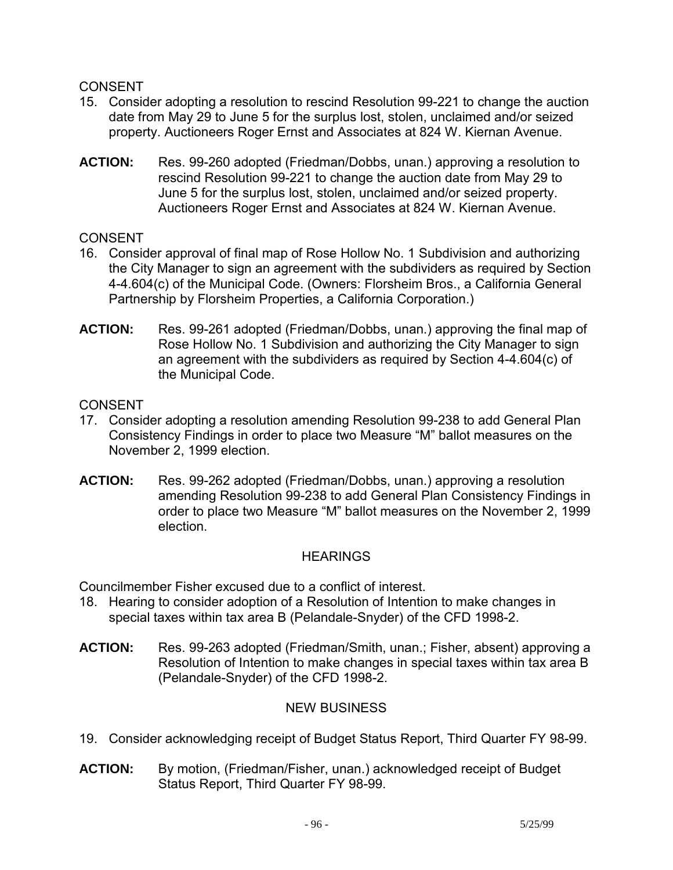- 15. Consider adopting a resolution to rescind Resolution 99-221 to change the auction date from May 29 to June 5 for the surplus lost, stolen, unclaimed and/or seized property. Auctioneers Roger Ernst and Associates at 824 W. Kiernan Avenue.
- **ACTION:** Res. 99-260 adopted (Friedman/Dobbs, unan.) approving a resolution to rescind Resolution 99-221 to change the auction date from May 29 to June 5 for the surplus lost, stolen, unclaimed and/or seized property. Auctioneers Roger Ernst and Associates at 824 W. Kiernan Avenue.

# CONSENT

- 16. Consider approval of final map of Rose Hollow No. 1 Subdivision and authorizing the City Manager to sign an agreement with the subdividers as required by Section 4-4.604(c) of the Municipal Code. (Owners: Florsheim Bros., a California General Partnership by Florsheim Properties, a California Corporation.)
- **ACTION:** Res. 99-261 adopted (Friedman/Dobbs, unan.) approving the final map of Rose Hollow No. 1 Subdivision and authorizing the City Manager to sign an agreement with the subdividers as required by Section 4-4.604(c) of the Municipal Code.

# **CONSENT**

- 17. Consider adopting a resolution amending Resolution 99-238 to add General Plan Consistency Findings in order to place two Measure "M" ballot measures on the November 2, 1999 election.
- **ACTION:** Res. 99-262 adopted (Friedman/Dobbs, unan.) approving a resolution amending Resolution 99-238 to add General Plan Consistency Findings in order to place two Measure "M" ballot measures on the November 2, 1999 election.

# **HEARINGS**

Councilmember Fisher excused due to a conflict of interest.

- 18. Hearing to consider adoption of a Resolution of Intention to make changes in special taxes within tax area B (Pelandale-Snyder) of the CFD 1998-2.
- **ACTION:** Res. 99-263 adopted (Friedman/Smith, unan.; Fisher, absent) approving a Resolution of Intention to make changes in special taxes within tax area B (Pelandale-Snyder) of the CFD 1998-2.

# NEW BUSINESS

- 19. Consider acknowledging receipt of Budget Status Report, Third Quarter FY 98-99.
- **ACTION:** By motion, (Friedman/Fisher, unan.) acknowledged receipt of Budget Status Report, Third Quarter FY 98-99.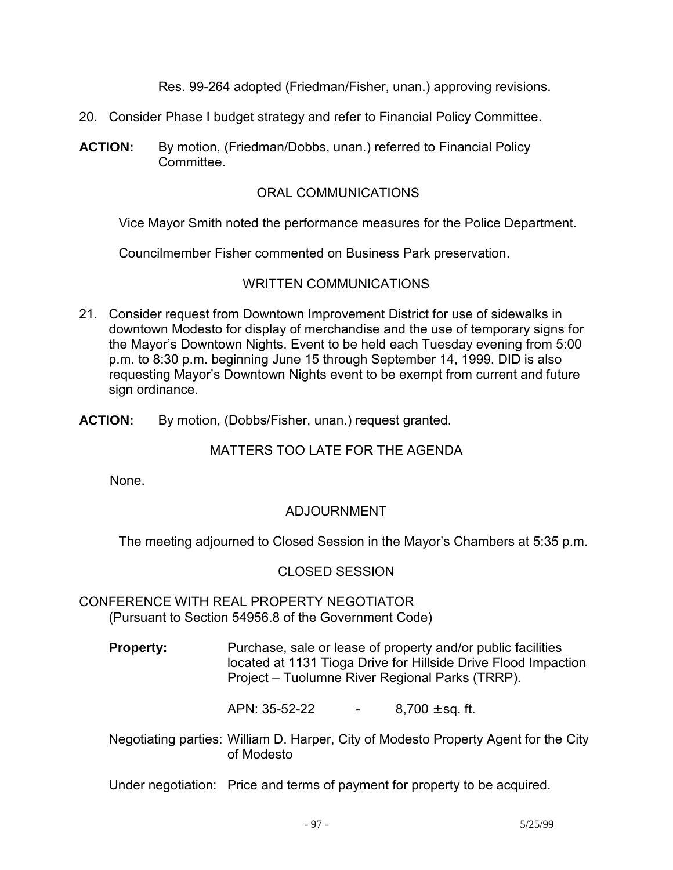Res. 99-264 adopted (Friedman/Fisher, unan.) approving revisions.

- 20. Consider Phase I budget strategy and refer to Financial Policy Committee.
- **ACTION:** By motion, (Friedman/Dobbs, unan.) referred to Financial Policy Committee.

## ORAL COMMUNICATIONS

Vice Mayor Smith noted the performance measures for the Police Department.

Councilmember Fisher commented on Business Park preservation.

## WRITTEN COMMUNICATIONS

- 21. Consider request from Downtown Improvement District for use of sidewalks in downtown Modesto for display of merchandise and the use of temporary signs for the Mayor's Downtown Nights. Event to be held each Tuesday evening from 5:00 p.m. to 8:30 p.m. beginning June 15 through September 14, 1999. DID is also requesting Mayor's Downtown Nights event to be exempt from current and future sign ordinance.
- **ACTION:** By motion, (Dobbs/Fisher, unan.) request granted.

# MATTERS TOO LATE FOR THE AGENDA

None.

# ADJOURNMENT

The meeting adjourned to Closed Session in the Mayor's Chambers at 5:35 p.m.

### CLOSED SESSION

CONFERENCE WITH REAL PROPERTY NEGOTIATOR (Pursuant to Section 54956.8 of the Government Code)

**Property:** Purchase, sale or lease of property and/or public facilities located at 1131 Tioga Drive for Hillside Drive Flood Impaction Project – Tuolumne River Regional Parks (TRRP).

APN:  $35-52-22$  - 8,700  $\pm$  sq. ft.

- Negotiating parties: William D. Harper, City of Modesto Property Agent for the City of Modesto
- Under negotiation: Price and terms of payment for property to be acquired.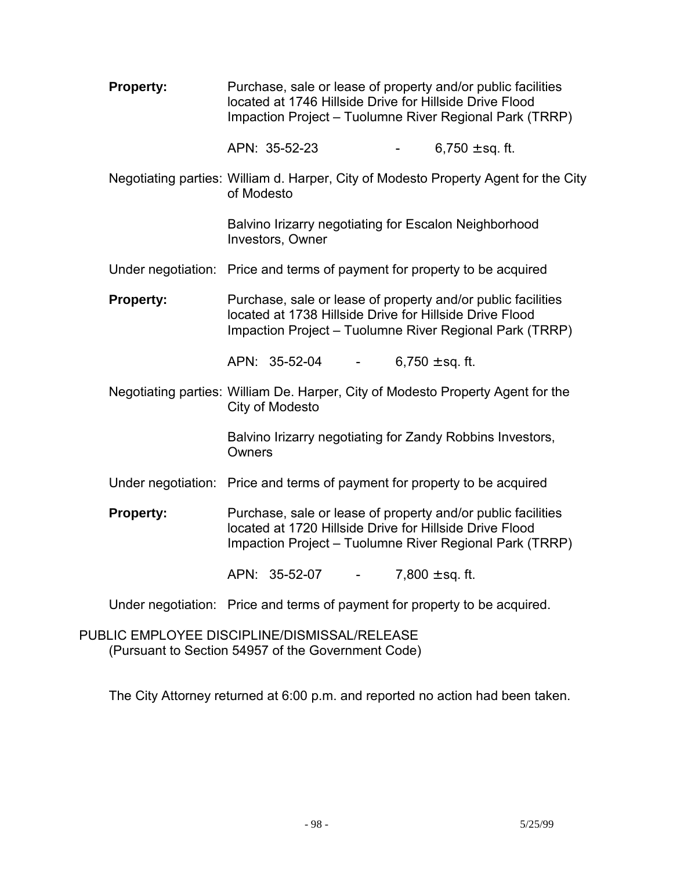| <b>Property:</b> | Purchase, sale or lease of property and/or public facilities<br>located at 1746 Hillside Drive for Hillside Drive Flood<br>Impaction Project - Tuolumne River Regional Park (TRRP) |
|------------------|------------------------------------------------------------------------------------------------------------------------------------------------------------------------------------|
|                  | APN: 35-52-23<br>6,750 $\pm$ sq. ft.                                                                                                                                               |
|                  | Negotiating parties: William d. Harper, City of Modesto Property Agent for the City<br>of Modesto                                                                                  |
|                  | Balvino Irizarry negotiating for Escalon Neighborhood<br>Investors, Owner                                                                                                          |
|                  | Under negotiation: Price and terms of payment for property to be acquired                                                                                                          |
| <b>Property:</b> | Purchase, sale or lease of property and/or public facilities<br>located at 1738 Hillside Drive for Hillside Drive Flood<br>Impaction Project - Tuolumne River Regional Park (TRRP) |
|                  | APN: 35-52-04<br>6,750 $\pm$ sq. ft.<br>$\sim 100$                                                                                                                                 |
|                  | Negotiating parties: William De. Harper, City of Modesto Property Agent for the<br>City of Modesto                                                                                 |
|                  | Balvino Irizarry negotiating for Zandy Robbins Investors,<br>Owners                                                                                                                |
|                  | Under negotiation: Price and terms of payment for property to be acquired                                                                                                          |
| <b>Property:</b> | Purchase, sale or lease of property and/or public facilities<br>located at 1720 Hillside Drive for Hillside Drive Flood<br>Impaction Project - Tuolumne River Regional Park (TRRP) |
|                  | APN: 35-52-07 -<br>7,800 $\pm$ sq. ft.                                                                                                                                             |
|                  | Under negotiation: Price and terms of payment for property to be acquired.                                                                                                         |

PUBLIC EMPLOYEE DISCIPLINE/DISMISSAL/RELEASE (Pursuant to Section 54957 of the Government Code)

The City Attorney returned at 6:00 p.m. and reported no action had been taken.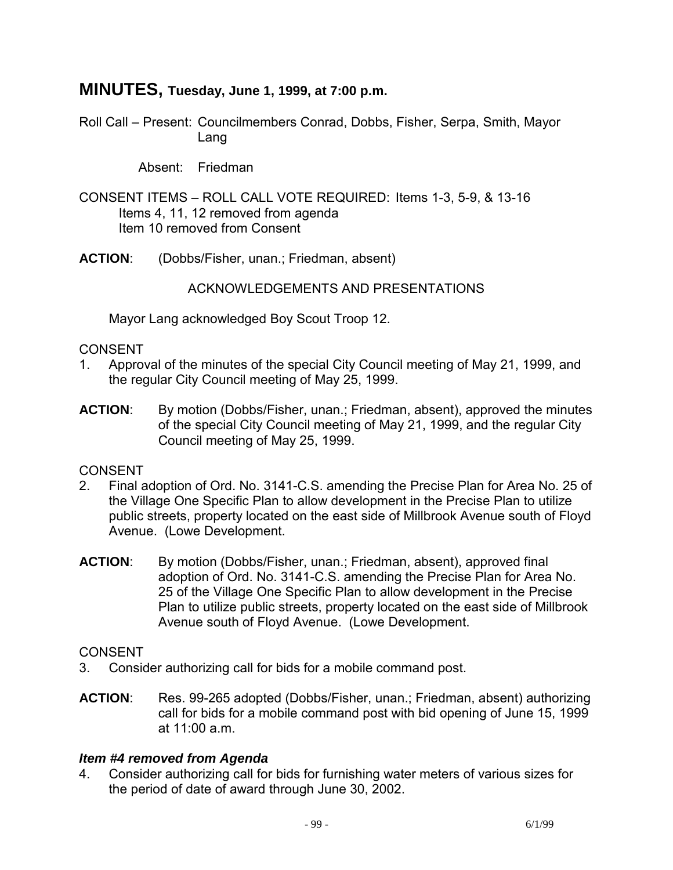# **MINUTES, Tuesday, June 1, 1999, at 7:00 p.m.**

Roll Call – Present: Councilmembers Conrad, Dobbs, Fisher, Serpa, Smith, Mayor Lang

Absent: Friedman

- CONSENT ITEMS ROLL CALL VOTE REQUIRED: Items 1-3, 5-9, & 13-16 Items 4, 11, 12 removed from agenda Item 10 removed from Consent
- **ACTION**: (Dobbs/Fisher, unan.; Friedman, absent)

### ACKNOWLEDGEMENTS AND PRESENTATIONS

Mayor Lang acknowledged Boy Scout Troop 12.

#### CONSENT

- 1. Approval of the minutes of the special City Council meeting of May 21, 1999, and the regular City Council meeting of May 25, 1999.
- **ACTION:** By motion (Dobbs/Fisher, unan.; Friedman, absent), approved the minutes of the special City Council meeting of May 21, 1999, and the regular City Council meeting of May 25, 1999.

### **CONSENT**

- 2. Final adoption of Ord. No. 3141-C.S. amending the Precise Plan for Area No. 25 of the Village One Specific Plan to allow development in the Precise Plan to utilize public streets, property located on the east side of Millbrook Avenue south of Floyd Avenue. (Lowe Development.
- **ACTION**: By motion (Dobbs/Fisher, unan.; Friedman, absent), approved final adoption of Ord. No. 3141-C.S. amending the Precise Plan for Area No. 25 of the Village One Specific Plan to allow development in the Precise Plan to utilize public streets, property located on the east side of Millbrook Avenue south of Floyd Avenue. (Lowe Development.

### **CONSENT**

- 3. Consider authorizing call for bids for a mobile command post.
- **ACTION**: Res. 99-265 adopted (Dobbs/Fisher, unan.; Friedman, absent) authorizing call for bids for a mobile command post with bid opening of June 15, 1999 at 11:00 a.m.

### *Item #4 removed from Agenda*

4. Consider authorizing call for bids for furnishing water meters of various sizes for the period of date of award through June 30, 2002.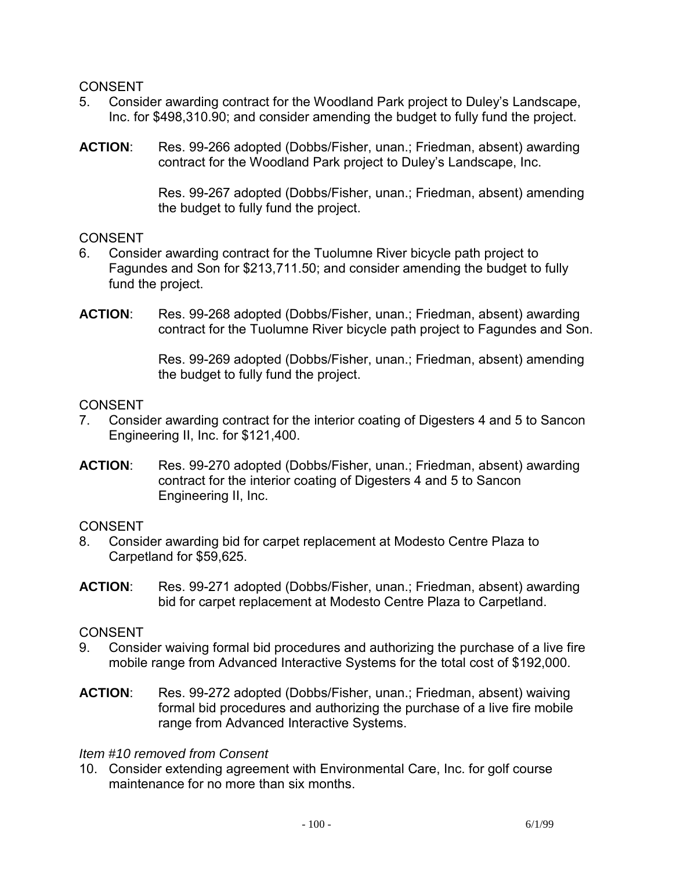- 5. Consider awarding contract for the Woodland Park project to Duley's Landscape, Inc. for \$498,310.90; and consider amending the budget to fully fund the project.
- **ACTION**: Res. 99-266 adopted (Dobbs/Fisher, unan.; Friedman, absent) awarding contract for the Woodland Park project to Duley's Landscape, Inc.

Res. 99-267 adopted (Dobbs/Fisher, unan.; Friedman, absent) amending the budget to fully fund the project.

## **CONSENT**

- 6. Consider awarding contract for the Tuolumne River bicycle path project to Fagundes and Son for \$213,711.50; and consider amending the budget to fully fund the project.
- **ACTION**: Res. 99-268 adopted (Dobbs/Fisher, unan.; Friedman, absent) awarding contract for the Tuolumne River bicycle path project to Fagundes and Son.

Res. 99-269 adopted (Dobbs/Fisher, unan.; Friedman, absent) amending the budget to fully fund the project.

### **CONSENT**

- 7. Consider awarding contract for the interior coating of Digesters 4 and 5 to Sancon Engineering II, Inc. for \$121,400.
- **ACTION**: Res. 99-270 adopted (Dobbs/Fisher, unan.; Friedman, absent) awarding contract for the interior coating of Digesters 4 and 5 to Sancon Engineering II, Inc.

# **CONSENT**

- 8. Consider awarding bid for carpet replacement at Modesto Centre Plaza to Carpetland for \$59,625.
- **ACTION**: Res. 99-271 adopted (Dobbs/Fisher, unan.; Friedman, absent) awarding bid for carpet replacement at Modesto Centre Plaza to Carpetland.

# CONSENT

- 9. Consider waiving formal bid procedures and authorizing the purchase of a live fire mobile range from Advanced Interactive Systems for the total cost of \$192,000.
- **ACTION**: Res. 99-272 adopted (Dobbs/Fisher, unan.; Friedman, absent) waiving formal bid procedures and authorizing the purchase of a live fire mobile range from Advanced Interactive Systems.

### *Item #10 removed from Consent*

10. Consider extending agreement with Environmental Care, Inc. for golf course maintenance for no more than six months.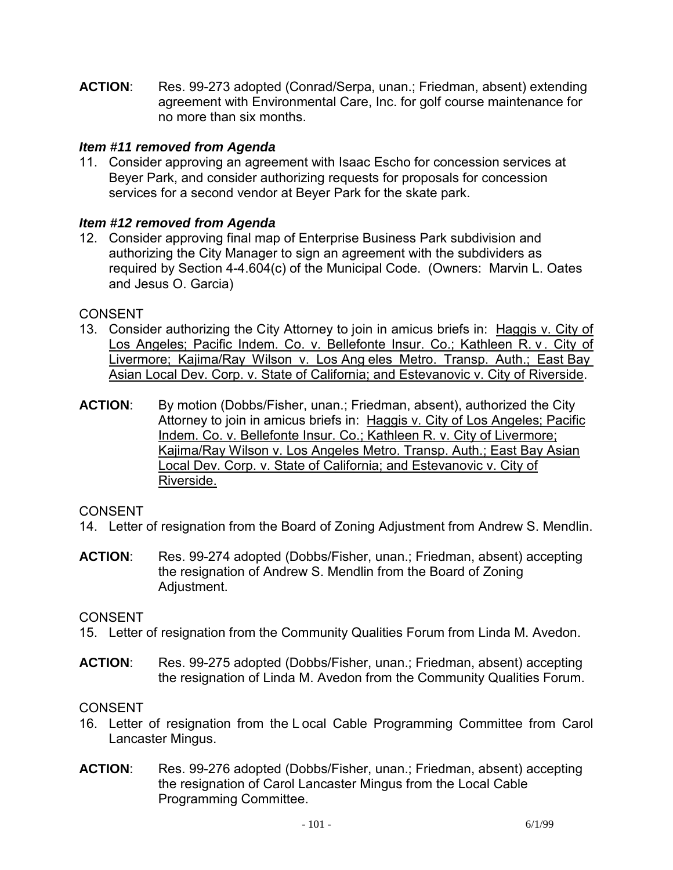**ACTION**: Res. 99-273 adopted (Conrad/Serpa, unan.; Friedman, absent) extending agreement with Environmental Care, Inc. for golf course maintenance for no more than six months.

## *Item #11 removed from Agenda*

11. Consider approving an agreement with Isaac Escho for concession services at Beyer Park, and consider authorizing requests for proposals for concession services for a second vendor at Beyer Park for the skate park.

## *Item #12 removed from Agenda*

12. Consider approving final map of Enterprise Business Park subdivision and authorizing the City Manager to sign an agreement with the subdividers as required by Section 4-4.604(c) of the Municipal Code. (Owners: Marvin L. Oates and Jesus O. Garcia)

### CONSENT

- 13. Consider authorizing the City Attorney to join in amicus briefs in: Haggis v. City of Los Angeles; Pacific Indem. Co. v. Bellefonte Insur. Co.; Kathleen R. v. City of Livermore; Kajima/Ray Wilson v. Los Ang eles Metro. Transp. Auth.; East Bay Asian Local Dev. Corp. v. State of California; and Estevanovic v. City of Riverside.
- **ACTION**: By motion (Dobbs/Fisher, unan.; Friedman, absent), authorized the City Attorney to join in amicus briefs in: Haggis v. City of Los Angeles; Pacific Indem. Co. v. Bellefonte Insur. Co.; Kathleen R. v. City of Livermore; Kajima/Ray Wilson v. Los Angeles Metro. Transp. Auth.; East Bay Asian Local Dev. Corp. v. State of California; and Estevanovic v. City of Riverside.

### **CONSENT**

- 14. Letter of resignation from the Board of Zoning Adjustment from Andrew S. Mendlin.
- **ACTION**: Res. 99-274 adopted (Dobbs/Fisher, unan.; Friedman, absent) accepting the resignation of Andrew S. Mendlin from the Board of Zoning Adjustment.

### CONSENT

- 15. Letter of resignation from the Community Qualities Forum from Linda M. Avedon.
- **ACTION**: Res. 99-275 adopted (Dobbs/Fisher, unan.; Friedman, absent) accepting the resignation of Linda M. Avedon from the Community Qualities Forum.

### CONSENT

- 16. Letter of resignation from the L ocal Cable Programming Committee from Carol Lancaster Mingus.
- **ACTION**: Res. 99-276 adopted (Dobbs/Fisher, unan.; Friedman, absent) accepting the resignation of Carol Lancaster Mingus from the Local Cable Programming Committee.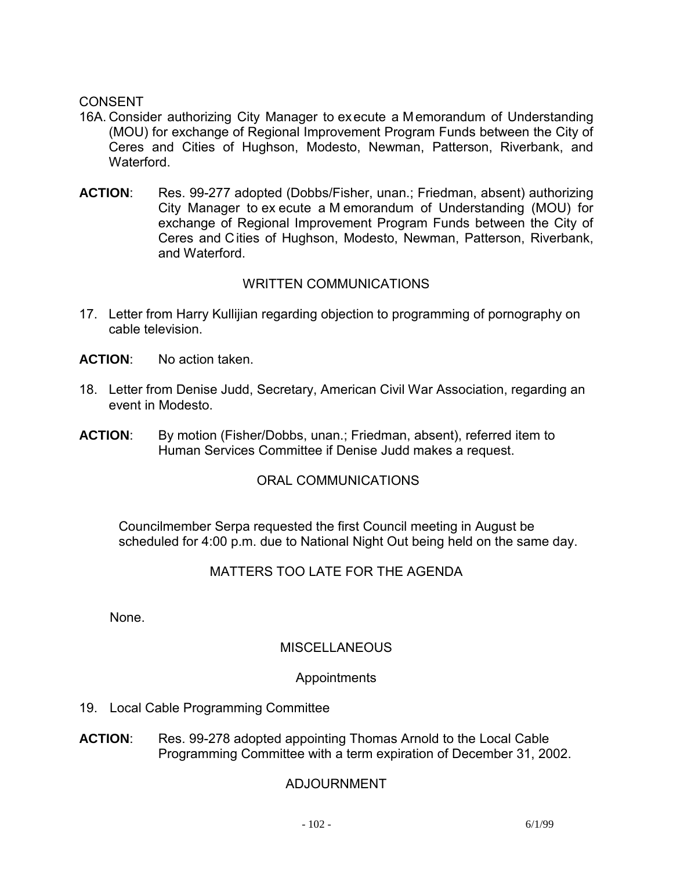- 16A. Consider authorizing City Manager to execute a Memorandum of Understanding (MOU) for exchange of Regional Improvement Program Funds between the City of Ceres and Cities of Hughson, Modesto, Newman, Patterson, Riverbank, and Waterford.
- **ACTION**: Res. 99-277 adopted (Dobbs/Fisher, unan.; Friedman, absent) authorizing City Manager to ex ecute a M emorandum of Understanding (MOU) for exchange of Regional Improvement Program Funds between the City of Ceres and Cities of Hughson, Modesto, Newman, Patterson, Riverbank, and Waterford.

# WRITTEN COMMUNICATIONS

- 17. Letter from Harry Kullijian regarding objection to programming of pornography on cable television.
- **ACTION**: No action taken.
- 18. Letter from Denise Judd, Secretary, American Civil War Association, regarding an event in Modesto.
- **ACTION**: By motion (Fisher/Dobbs, unan.; Friedman, absent), referred item to Human Services Committee if Denise Judd makes a request.

# ORAL COMMUNICATIONS

 Councilmember Serpa requested the first Council meeting in August be scheduled for 4:00 p.m. due to National Night Out being held on the same day.

# MATTERS TOO LATE FOR THE AGENDA

None.

# **MISCELLANEOUS**

# Appointments

- 19. Local Cable Programming Committee
- **ACTION**: Res. 99-278 adopted appointing Thomas Arnold to the Local Cable Programming Committee with a term expiration of December 31, 2002.

# ADJOURNMENT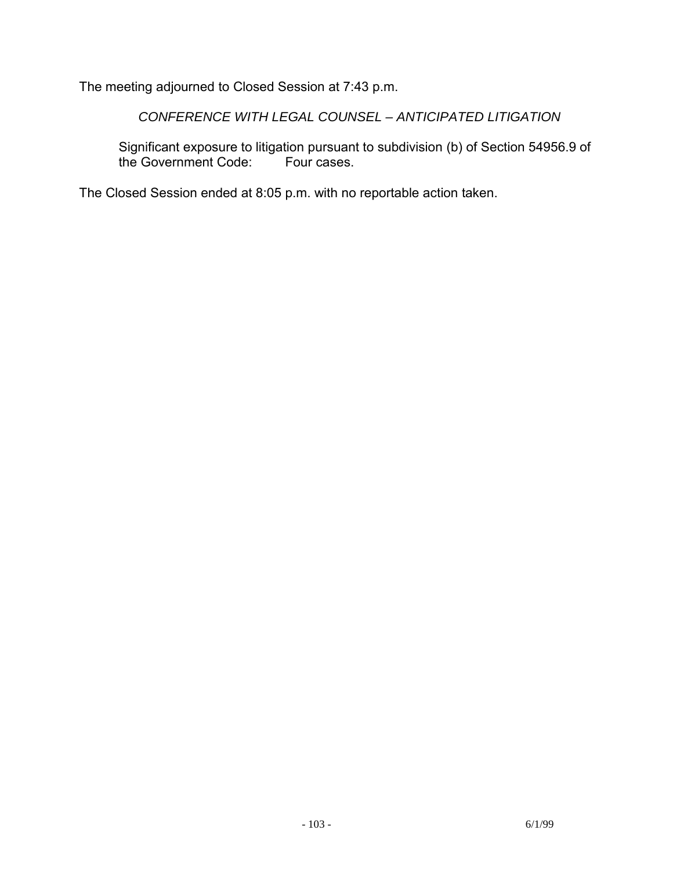The meeting adjourned to Closed Session at 7:43 p.m.

 *CONFERENCE WITH LEGAL COUNSEL – ANTICIPATED LITIGATION* 

 Significant exposure to litigation pursuant to subdivision (b) of Section 54956.9 of the Government Code:

The Closed Session ended at 8:05 p.m. with no reportable action taken.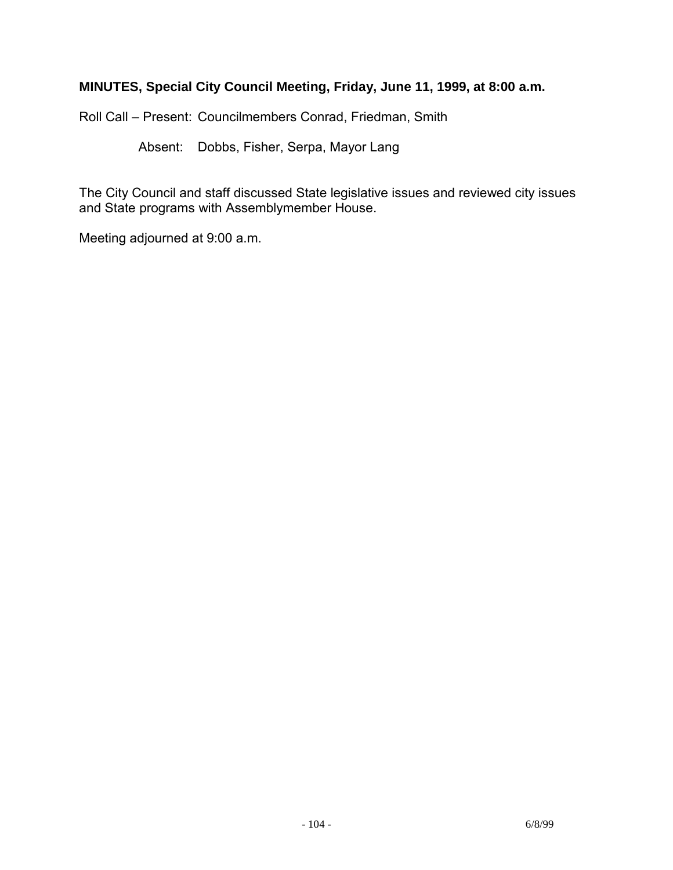# **MINUTES, Special City Council Meeting, Friday, June 11, 1999, at 8:00 a.m.**

Roll Call – Present: Councilmembers Conrad, Friedman, Smith

Absent: Dobbs, Fisher, Serpa, Mayor Lang

The City Council and staff discussed State legislative issues and reviewed city issues and State programs with Assemblymember House.

Meeting adjourned at 9:00 a.m.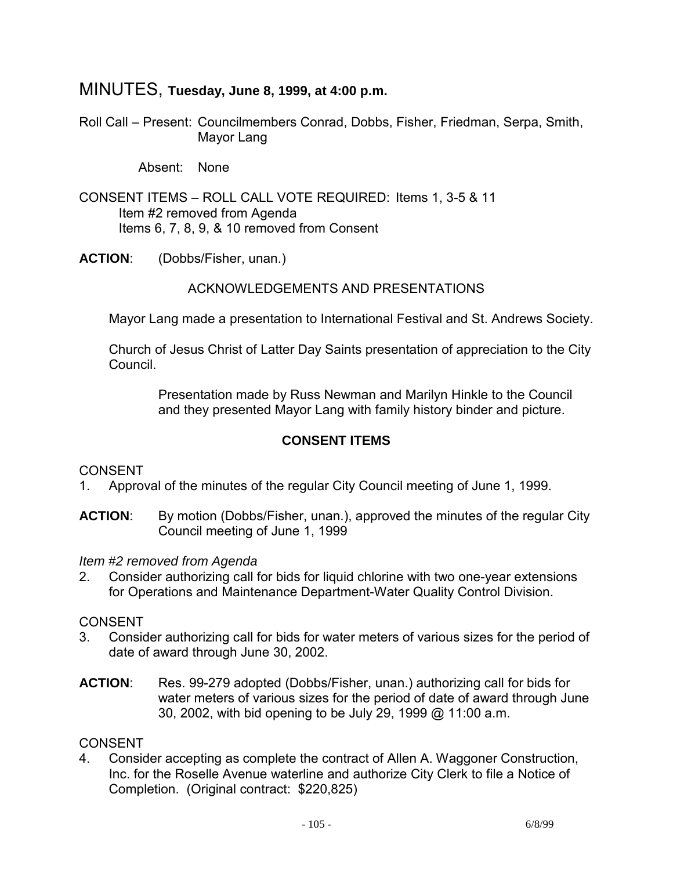# MINUTES, **Tuesday, June 8, 1999, at 4:00 p.m.**

Roll Call – Present: Councilmembers Conrad, Dobbs, Fisher, Friedman, Serpa, Smith, Mayor Lang

Absent: None

- CONSENT ITEMS ROLL CALL VOTE REQUIRED: Items 1, 3-5 & 11 Item #2 removed from Agenda Items 6, 7, 8, 9, & 10 removed from Consent
- **ACTION**: (Dobbs/Fisher, unan.)

## ACKNOWLEDGEMENTS AND PRESENTATIONS

Mayor Lang made a presentation to International Festival and St. Andrews Society.

 Church of Jesus Christ of Latter Day Saints presentation of appreciation to the City Council.

> Presentation made by Russ Newman and Marilyn Hinkle to the Council and they presented Mayor Lang with family history binder and picture.

# **CONSENT ITEMS**

# CONSENT

- 1. Approval of the minutes of the regular City Council meeting of June 1, 1999.
- **ACTION**: By motion (Dobbs/Fisher, unan.), approved the minutes of the regular City Council meeting of June 1, 1999

### *Item #2 removed from Agenda*

2. Consider authorizing call for bids for liquid chlorine with two one-year extensions for Operations and Maintenance Department-Water Quality Control Division.

### CONSENT

- 3. Consider authorizing call for bids for water meters of various sizes for the period of date of award through June 30, 2002.
- **ACTION**: Res. 99-279 adopted (Dobbs/Fisher, unan.) authorizing call for bids for water meters of various sizes for the period of date of award through June 30, 2002, with bid opening to be July 29, 1999 @ 11:00 a.m.

# CONSENT

4. Consider accepting as complete the contract of Allen A. Waggoner Construction, Inc. for the Roselle Avenue waterline and authorize City Clerk to file a Notice of Completion. (Original contract: \$220,825)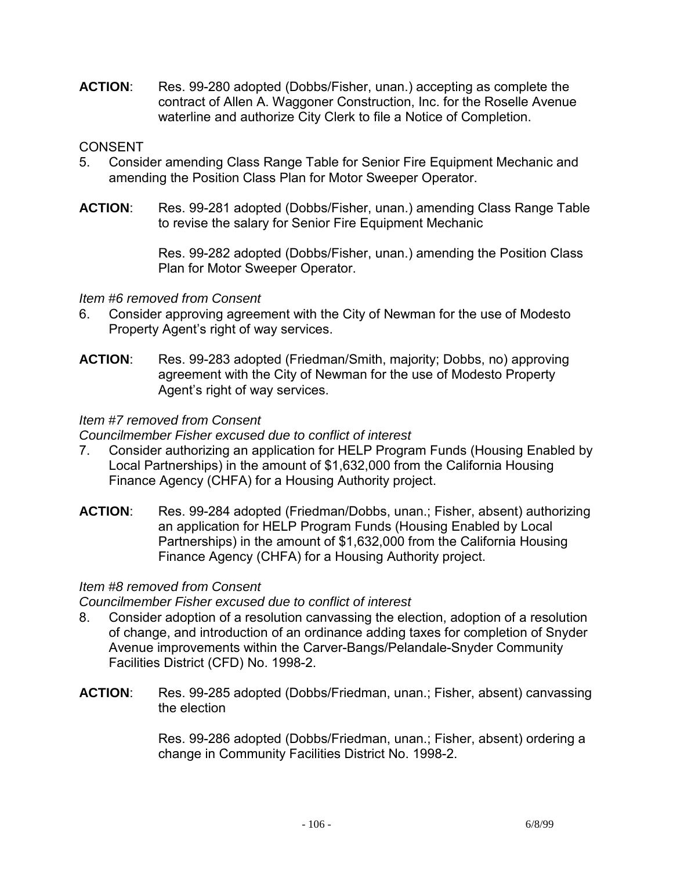**ACTION**: Res. 99-280 adopted (Dobbs/Fisher, unan.) accepting as complete the contract of Allen A. Waggoner Construction, Inc. for the Roselle Avenue waterline and authorize City Clerk to file a Notice of Completion.

## **CONSENT**

- 5. Consider amending Class Range Table for Senior Fire Equipment Mechanic and amending the Position Class Plan for Motor Sweeper Operator.
- **ACTION**: Res. 99-281 adopted (Dobbs/Fisher, unan.) amending Class Range Table to revise the salary for Senior Fire Equipment Mechanic

Res. 99-282 adopted (Dobbs/Fisher, unan.) amending the Position Class Plan for Motor Sweeper Operator.

## *Item #6 removed from Consent*

- 6. Consider approving agreement with the City of Newman for the use of Modesto Property Agent's right of way services.
- **ACTION**: Res. 99-283 adopted (Friedman/Smith, majority; Dobbs, no) approving agreement with the City of Newman for the use of Modesto Property Agent's right of way services.

## *Item #7 removed from Consent*

### *Councilmember Fisher excused due to conflict of interest*

- 7. Consider authorizing an application for HELP Program Funds (Housing Enabled by Local Partnerships) in the amount of \$1,632,000 from the California Housing Finance Agency (CHFA) for a Housing Authority project.
- **ACTION**: Res. 99-284 adopted (Friedman/Dobbs, unan.; Fisher, absent) authorizing an application for HELP Program Funds (Housing Enabled by Local Partnerships) in the amount of \$1,632,000 from the California Housing Finance Agency (CHFA) for a Housing Authority project.

### *Item #8 removed from Consent*

*Councilmember Fisher excused due to conflict of interest* 

- 8. Consider adoption of a resolution canvassing the election, adoption of a resolution of change, and introduction of an ordinance adding taxes for completion of Snyder Avenue improvements within the Carver-Bangs/Pelandale-Snyder Community Facilities District (CFD) No. 1998-2.
- **ACTION**: Res. 99-285 adopted (Dobbs/Friedman, unan.; Fisher, absent) canvassing the election

Res. 99-286 adopted (Dobbs/Friedman, unan.; Fisher, absent) ordering a change in Community Facilities District No. 1998-2.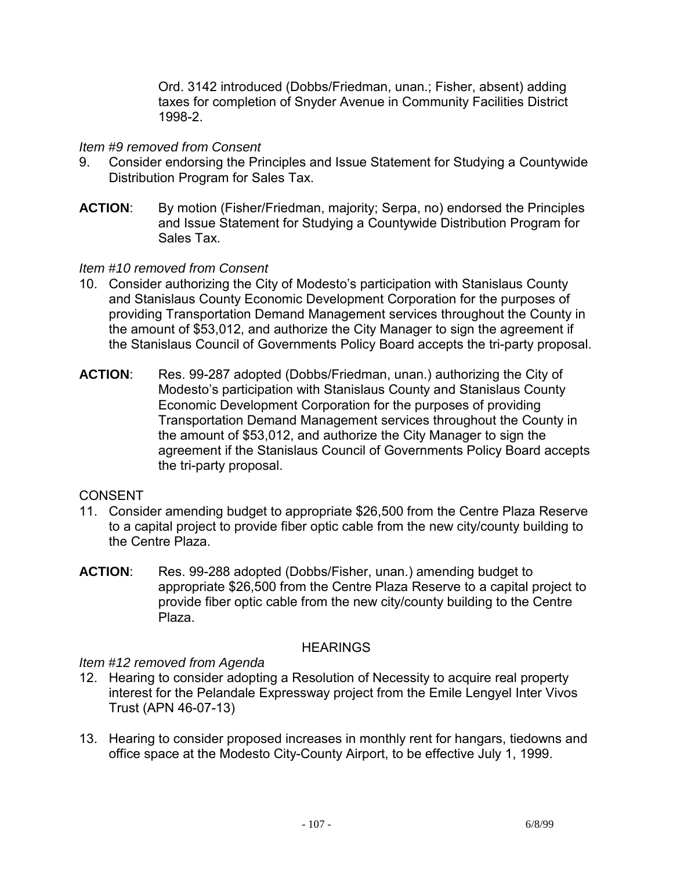Ord. 3142 introduced (Dobbs/Friedman, unan.; Fisher, absent) adding taxes for completion of Snyder Avenue in Community Facilities District 1998-2.

## *Item #9 removed from Consent*

- 9. Consider endorsing the Principles and Issue Statement for Studying a Countywide Distribution Program for Sales Tax.
- **ACTION**: By motion (Fisher/Friedman, majority; Serpa, no) endorsed the Principles and Issue Statement for Studying a Countywide Distribution Program for Sales Tax.

## *Item #10 removed from Consent*

- 10. Consider authorizing the City of Modesto's participation with Stanislaus County and Stanislaus County Economic Development Corporation for the purposes of providing Transportation Demand Management services throughout the County in the amount of \$53,012, and authorize the City Manager to sign the agreement if the Stanislaus Council of Governments Policy Board accepts the tri-party proposal.
- **ACTION**: Res. 99-287 adopted (Dobbs/Friedman, unan.) authorizing the City of Modesto's participation with Stanislaus County and Stanislaus County Economic Development Corporation for the purposes of providing Transportation Demand Management services throughout the County in the amount of \$53,012, and authorize the City Manager to sign the agreement if the Stanislaus Council of Governments Policy Board accepts the tri-party proposal.

# CONSENT

- 11. Consider amending budget to appropriate \$26,500 from the Centre Plaza Reserve to a capital project to provide fiber optic cable from the new city/county building to the Centre Plaza.
- **ACTION**: Res. 99-288 adopted (Dobbs/Fisher, unan.) amending budget to appropriate \$26,500 from the Centre Plaza Reserve to a capital project to provide fiber optic cable from the new city/county building to the Centre Plaza.

# **HEARINGS**

### *Item #12 removed from Agenda*

- 12. Hearing to consider adopting a Resolution of Necessity to acquire real property interest for the Pelandale Expressway project from the Emile Lengyel Inter Vivos Trust (APN 46-07-13)
- 13. Hearing to consider proposed increases in monthly rent for hangars, tiedowns and office space at the Modesto City-County Airport, to be effective July 1, 1999.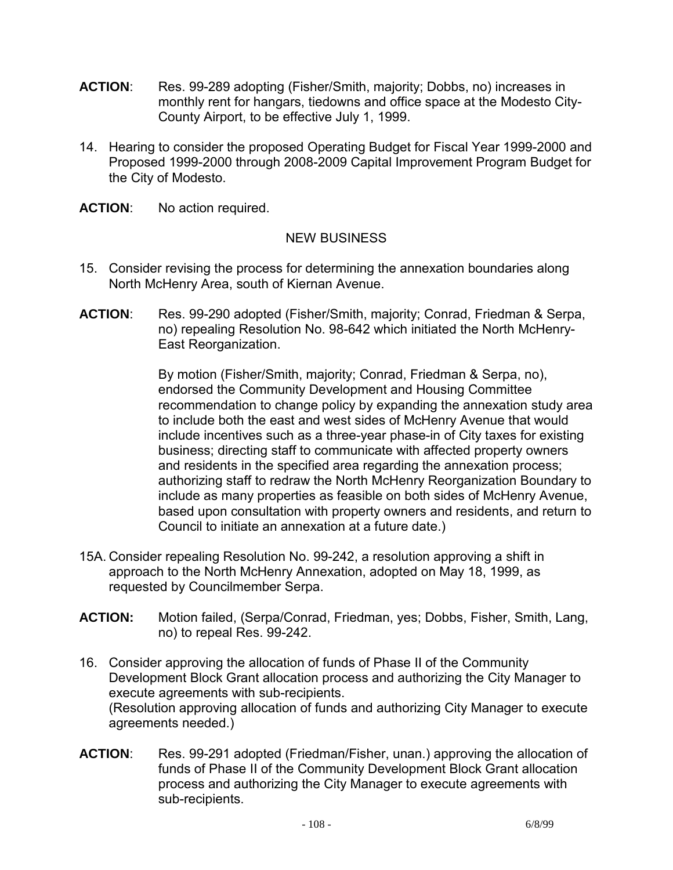- **ACTION**: Res. 99-289 adopting (Fisher/Smith, majority; Dobbs, no) increases in monthly rent for hangars, tiedowns and office space at the Modesto City-County Airport, to be effective July 1, 1999.
- 14. Hearing to consider the proposed Operating Budget for Fiscal Year 1999-2000 and Proposed 1999-2000 through 2008-2009 Capital Improvement Program Budget for the City of Modesto.
- **ACTION**: No action required.

# NEW BUSINESS

- 15. Consider revising the process for determining the annexation boundaries along North McHenry Area, south of Kiernan Avenue.
- **ACTION**: Res. 99-290 adopted (Fisher/Smith, majority; Conrad, Friedman & Serpa, no) repealing Resolution No. 98-642 which initiated the North McHenry-East Reorganization.

By motion (Fisher/Smith, majority; Conrad, Friedman & Serpa, no), endorsed the Community Development and Housing Committee recommendation to change policy by expanding the annexation study area to include both the east and west sides of McHenry Avenue that would include incentives such as a three-year phase-in of City taxes for existing business; directing staff to communicate with affected property owners and residents in the specified area regarding the annexation process; authorizing staff to redraw the North McHenry Reorganization Boundary to include as many properties as feasible on both sides of McHenry Avenue, based upon consultation with property owners and residents, and return to Council to initiate an annexation at a future date.)

- 15A. Consider repealing Resolution No. 99-242, a resolution approving a shift in approach to the North McHenry Annexation, adopted on May 18, 1999, as requested by Councilmember Serpa.
- **ACTION:** Motion failed, (Serpa/Conrad, Friedman, yes; Dobbs, Fisher, Smith, Lang, no) to repeal Res. 99-242.
- 16. Consider approving the allocation of funds of Phase II of the Community Development Block Grant allocation process and authorizing the City Manager to execute agreements with sub-recipients. (Resolution approving allocation of funds and authorizing City Manager to execute agreements needed.)
- **ACTION**: Res. 99-291 adopted (Friedman/Fisher, unan.) approving the allocation of funds of Phase II of the Community Development Block Grant allocation process and authorizing the City Manager to execute agreements with sub-recipients.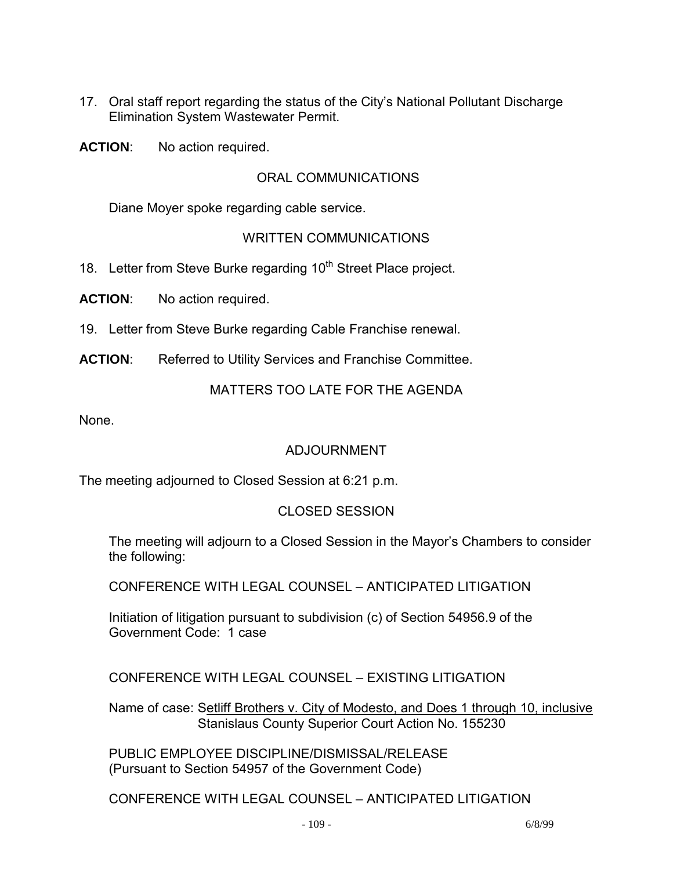17. Oral staff report regarding the status of the City's National Pollutant Discharge Elimination System Wastewater Permit.

**ACTION**: No action required.

## ORAL COMMUNICATIONS

Diane Moyer spoke regarding cable service.

## WRITTEN COMMUNICATIONS

18. Letter from Steve Burke regarding 10<sup>th</sup> Street Place project.

**ACTION**: No action required.

19. Letter from Steve Burke regarding Cable Franchise renewal.

**ACTION**: Referred to Utility Services and Franchise Committee.

#### MATTERS TOO LATE FOR THE AGENDA

None.

## ADJOURNMENT

The meeting adjourned to Closed Session at 6:21 p.m.

#### CLOSED SESSION

 The meeting will adjourn to a Closed Session in the Mayor's Chambers to consider the following:

CONFERENCE WITH LEGAL COUNSEL – ANTICIPATED LITIGATION

 Initiation of litigation pursuant to subdivision (c) of Section 54956.9 of the Government Code: 1 case

CONFERENCE WITH LEGAL COUNSEL – EXISTING LITIGATION

Name of case: Setliff Brothers v. City of Modesto, and Does 1 through 10, inclusive Stanislaus County Superior Court Action No. 155230

 PUBLIC EMPLOYEE DISCIPLINE/DISMISSAL/RELEASE (Pursuant to Section 54957 of the Government Code)

CONFERENCE WITH LEGAL COUNSEL – ANTICIPATED LITIGATION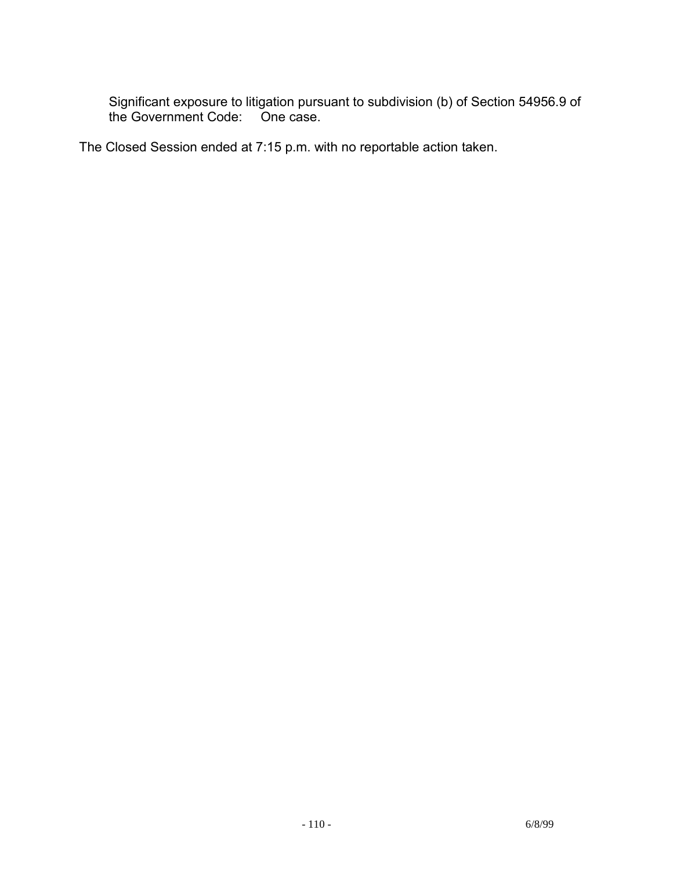Significant exposure to litigation pursuant to subdivision (b) of Section 54956.9 of the Government Code:

The Closed Session ended at 7:15 p.m. with no reportable action taken.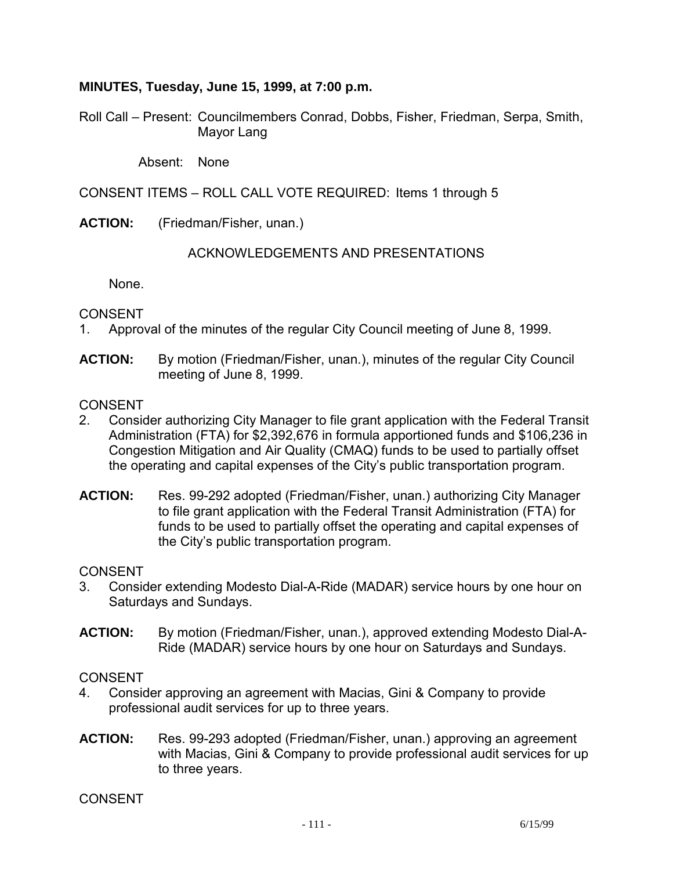### **MINUTES, Tuesday, June 15, 1999, at 7:00 p.m.**

Roll Call – Present: Councilmembers Conrad, Dobbs, Fisher, Friedman, Serpa, Smith, Mayor Lang

Absent: None

CONSENT ITEMS – ROLL CALL VOTE REQUIRED: Items 1 through 5

**ACTION:** (Friedman/Fisher, unan.)

#### ACKNOWLEDGEMENTS AND PRESENTATIONS

None.

CONSENT

- 1. Approval of the minutes of the regular City Council meeting of June 8, 1999.
- **ACTION:** By motion (Friedman/Fisher, unan.), minutes of the regular City Council meeting of June 8, 1999.

**CONSENT** 

- 2. Consider authorizing City Manager to file grant application with the Federal Transit Administration (FTA) for \$2,392,676 in formula apportioned funds and \$106,236 in Congestion Mitigation and Air Quality (CMAQ) funds to be used to partially offset the operating and capital expenses of the City's public transportation program.
- **ACTION:** Res. 99-292 adopted (Friedman/Fisher, unan.) authorizing City Manager to file grant application with the Federal Transit Administration (FTA) for funds to be used to partially offset the operating and capital expenses of the City's public transportation program.

#### CONSENT

- 3. Consider extending Modesto Dial-A-Ride (MADAR) service hours by one hour on Saturdays and Sundays.
- **ACTION:** By motion (Friedman/Fisher, unan.), approved extending Modesto Dial-A-Ride (MADAR) service hours by one hour on Saturdays and Sundays.

CONSENT

- 4. Consider approving an agreement with Macias, Gini & Company to provide professional audit services for up to three years.
- **ACTION:** Res. 99-293 adopted (Friedman/Fisher, unan.) approving an agreement with Macias, Gini & Company to provide professional audit services for up to three years.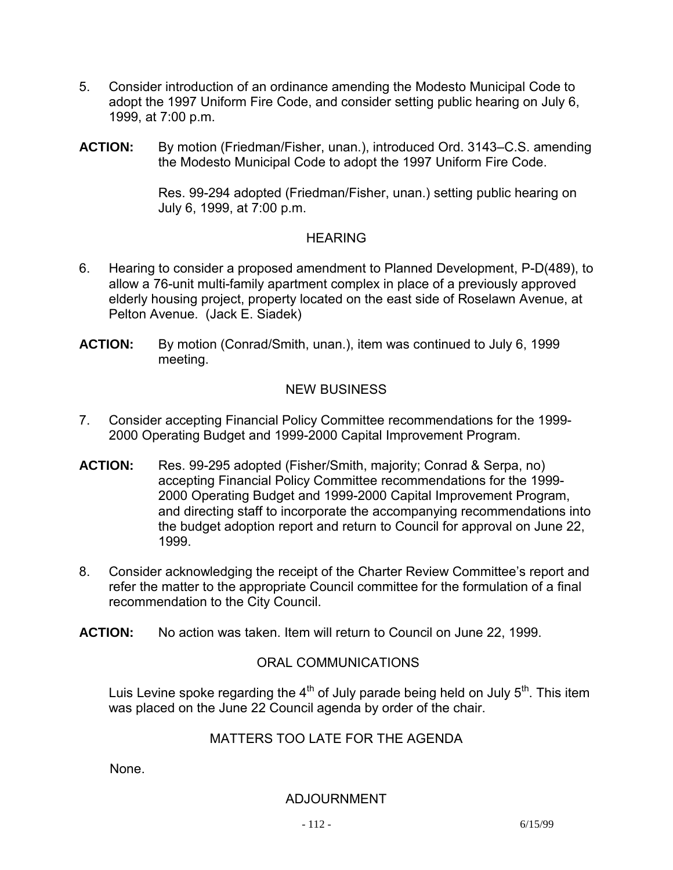- 5. Consider introduction of an ordinance amending the Modesto Municipal Code to adopt the 1997 Uniform Fire Code, and consider setting public hearing on July 6, 1999, at 7:00 p.m.
- **ACTION:** By motion (Friedman/Fisher, unan.), introduced Ord. 3143–C.S. amending the Modesto Municipal Code to adopt the 1997 Uniform Fire Code.

Res. 99-294 adopted (Friedman/Fisher, unan.) setting public hearing on July 6, 1999, at 7:00 p.m.

## **HEARING**

- 6. Hearing to consider a proposed amendment to Planned Development, P-D(489), to allow a 76-unit multi-family apartment complex in place of a previously approved elderly housing project, property located on the east side of Roselawn Avenue, at Pelton Avenue. (Jack E. Siadek)
- **ACTION:** By motion (Conrad/Smith, unan.), item was continued to July 6, 1999 meeting.

## NEW BUSINESS

- 7. Consider accepting Financial Policy Committee recommendations for the 1999- 2000 Operating Budget and 1999-2000 Capital Improvement Program.
- **ACTION:** Res. 99-295 adopted (Fisher/Smith, majority; Conrad & Serpa, no) accepting Financial Policy Committee recommendations for the 1999- 2000 Operating Budget and 1999-2000 Capital Improvement Program, and directing staff to incorporate the accompanying recommendations into the budget adoption report and return to Council for approval on June 22, 1999.
- 8. Consider acknowledging the receipt of the Charter Review Committee's report and refer the matter to the appropriate Council committee for the formulation of a final recommendation to the City Council.
- **ACTION:** No action was taken. Item will return to Council on June 22, 1999.

## ORAL COMMUNICATIONS

Luis Levine spoke regarding the  $4<sup>th</sup>$  of July parade being held on July  $5<sup>th</sup>$ . This item was placed on the June 22 Council agenda by order of the chair.

## MATTERS TOO LATE FOR THE AGENDA

None.

#### ADJOURNMENT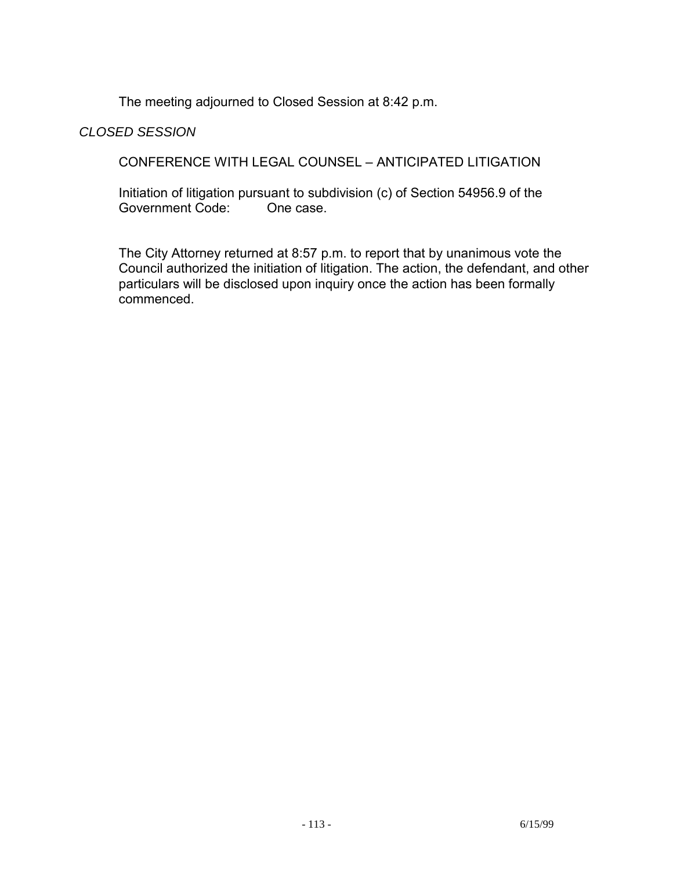The meeting adjourned to Closed Session at 8:42 p.m.

## *CLOSED SESSION*

CONFERENCE WITH LEGAL COUNSEL – ANTICIPATED LITIGATION

Initiation of litigation pursuant to subdivision (c) of Section 54956.9 of the Government Code: Government Code:

 The City Attorney returned at 8:57 p.m. to report that by unanimous vote the Council authorized the initiation of litigation. The action, the defendant, and other particulars will be disclosed upon inquiry once the action has been formally commenced.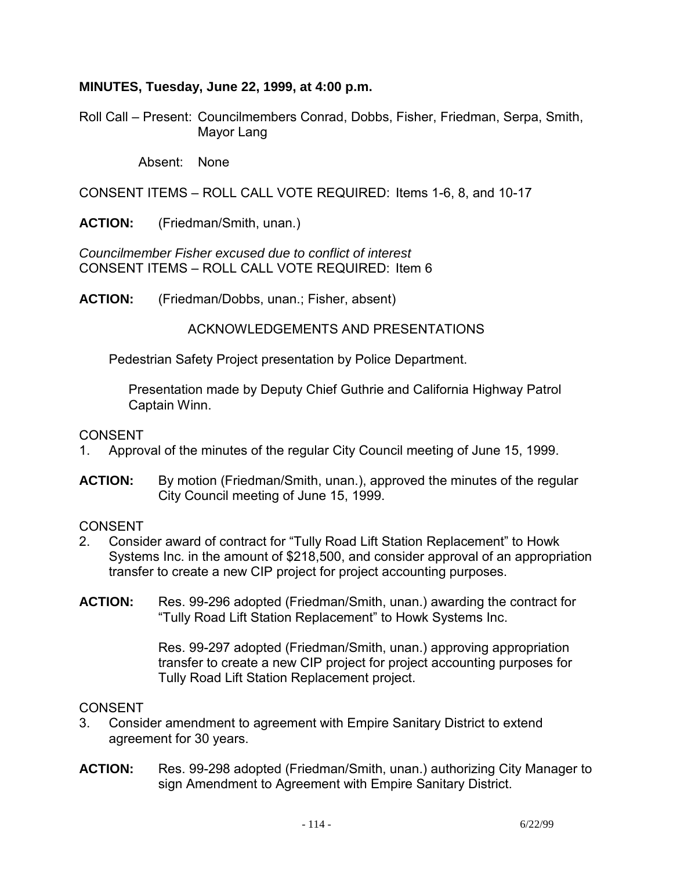### **MINUTES, Tuesday, June 22, 1999, at 4:00 p.m.**

Roll Call – Present: Councilmembers Conrad, Dobbs, Fisher, Friedman, Serpa, Smith, Mayor Lang

Absent: None

CONSENT ITEMS – ROLL CALL VOTE REQUIRED: Items 1-6, 8, and 10-17

**ACTION:** (Friedman/Smith, unan.)

*Councilmember Fisher excused due to conflict of interest*  CONSENT ITEMS – ROLL CALL VOTE REQUIRED: Item 6

**ACTION:** (Friedman/Dobbs, unan.; Fisher, absent)

ACKNOWLEDGEMENTS AND PRESENTATIONS

Pedestrian Safety Project presentation by Police Department.

 Presentation made by Deputy Chief Guthrie and California Highway Patrol Captain Winn.

CONSENT

- 1. Approval of the minutes of the regular City Council meeting of June 15, 1999.
- **ACTION:** By motion (Friedman/Smith, unan.), approved the minutes of the regular City Council meeting of June 15, 1999.

#### **CONSENT**

- 2. Consider award of contract for "Tully Road Lift Station Replacement" to Howk Systems Inc. in the amount of \$218,500, and consider approval of an appropriation transfer to create a new CIP project for project accounting purposes.
- **ACTION:** Res. 99-296 adopted (Friedman/Smith, unan.) awarding the contract for "Tully Road Lift Station Replacement" to Howk Systems Inc.

Res. 99-297 adopted (Friedman/Smith, unan.) approving appropriation transfer to create a new CIP project for project accounting purposes for Tully Road Lift Station Replacement project.

- 3. Consider amendment to agreement with Empire Sanitary District to extend agreement for 30 years.
- **ACTION:** Res. 99-298 adopted (Friedman/Smith, unan.) authorizing City Manager to sign Amendment to Agreement with Empire Sanitary District.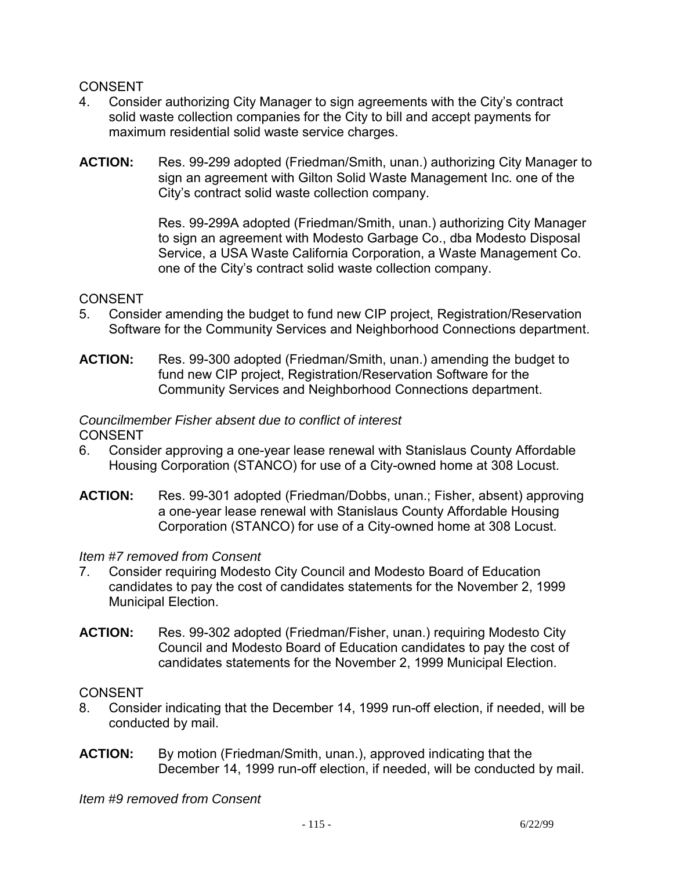## CONSENT

- 4. Consider authorizing City Manager to sign agreements with the City's contract solid waste collection companies for the City to bill and accept payments for maximum residential solid waste service charges.
- **ACTION:** Res. 99-299 adopted (Friedman/Smith, unan.) authorizing City Manager to sign an agreement with Gilton Solid Waste Management Inc. one of the City's contract solid waste collection company.

Res. 99-299A adopted (Friedman/Smith, unan.) authorizing City Manager to sign an agreement with Modesto Garbage Co., dba Modesto Disposal Service, a USA Waste California Corporation, a Waste Management Co. one of the City's contract solid waste collection company.

## **CONSENT**

- 5. Consider amending the budget to fund new CIP project, Registration/Reservation Software for the Community Services and Neighborhood Connections department.
- **ACTION:** Res. 99-300 adopted (Friedman/Smith, unan.) amending the budget to fund new CIP project, Registration/Reservation Software for the Community Services and Neighborhood Connections department.

#### *Councilmember Fisher absent due to conflict of interest*  CONSENT

- 6. Consider approving a one-year lease renewal with Stanislaus County Affordable Housing Corporation (STANCO) for use of a City-owned home at 308 Locust.
- **ACTION:** Res. 99-301 adopted (Friedman/Dobbs, unan.; Fisher, absent) approving a one-year lease renewal with Stanislaus County Affordable Housing Corporation (STANCO) for use of a City-owned home at 308 Locust.

#### *Item #7 removed from Consent*

- 7. Consider requiring Modesto City Council and Modesto Board of Education candidates to pay the cost of candidates statements for the November 2, 1999 Municipal Election.
- **ACTION:** Res. 99-302 adopted (Friedman/Fisher, unan.) requiring Modesto City Council and Modesto Board of Education candidates to pay the cost of candidates statements for the November 2, 1999 Municipal Election.

#### CONSENT

- 8. Consider indicating that the December 14, 1999 run-off election, if needed, will be conducted by mail.
- **ACTION:** By motion (Friedman/Smith, unan.), approved indicating that the December 14, 1999 run-off election, if needed, will be conducted by mail.

*Item #9 removed from Consent*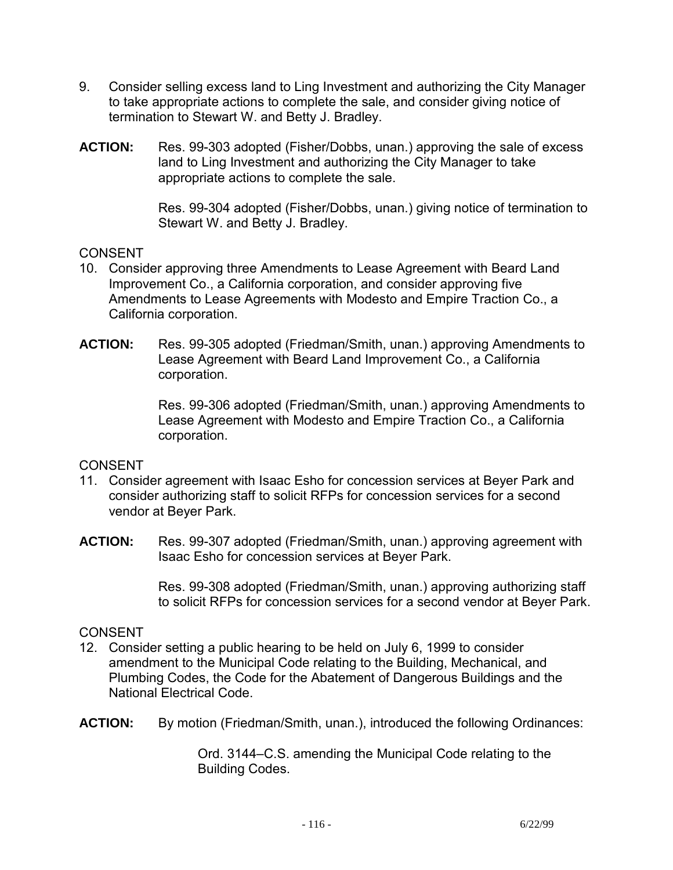- 9. Consider selling excess land to Ling Investment and authorizing the City Manager to take appropriate actions to complete the sale, and consider giving notice of termination to Stewart W. and Betty J. Bradley.
- **ACTION:** Res. 99-303 adopted (Fisher/Dobbs, unan.) approving the sale of excess land to Ling Investment and authorizing the City Manager to take appropriate actions to complete the sale.

Res. 99-304 adopted (Fisher/Dobbs, unan.) giving notice of termination to Stewart W. and Betty J. Bradley.

#### CONSENT

- 10. Consider approving three Amendments to Lease Agreement with Beard Land Improvement Co., a California corporation, and consider approving five Amendments to Lease Agreements with Modesto and Empire Traction Co., a California corporation.
- **ACTION:** Res. 99-305 adopted (Friedman/Smith, unan.) approving Amendments to Lease Agreement with Beard Land Improvement Co., a California corporation.

Res. 99-306 adopted (Friedman/Smith, unan.) approving Amendments to Lease Agreement with Modesto and Empire Traction Co., a California corporation.

## CONSENT

- 11. Consider agreement with Isaac Esho for concession services at Beyer Park and consider authorizing staff to solicit RFPs for concession services for a second vendor at Beyer Park.
- **ACTION:** Res. 99-307 adopted (Friedman/Smith, unan.) approving agreement with Isaac Esho for concession services at Beyer Park.

Res. 99-308 adopted (Friedman/Smith, unan.) approving authorizing staff to solicit RFPs for concession services for a second vendor at Beyer Park.

#### CONSENT

- 12. Consider setting a public hearing to be held on July 6, 1999 to consider amendment to the Municipal Code relating to the Building, Mechanical, and Plumbing Codes, the Code for the Abatement of Dangerous Buildings and the National Electrical Code.
- **ACTION:** By motion (Friedman/Smith, unan.), introduced the following Ordinances:

Ord. 3144–C.S. amending the Municipal Code relating to the Building Codes.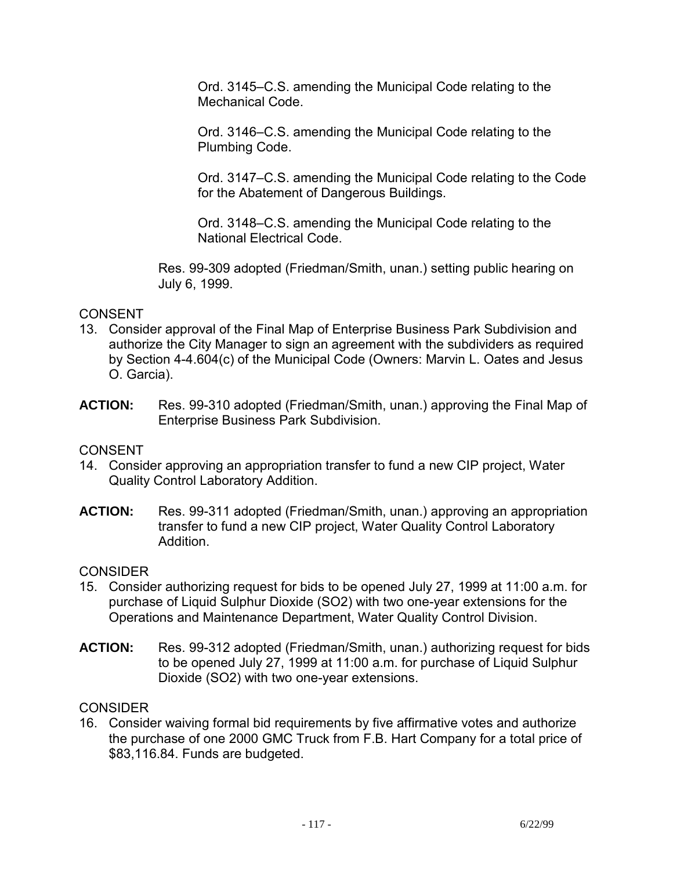Ord. 3145–C.S. amending the Municipal Code relating to the Mechanical Code.

Ord. 3146–C.S. amending the Municipal Code relating to the Plumbing Code.

Ord. 3147–C.S. amending the Municipal Code relating to the Code for the Abatement of Dangerous Buildings.

Ord. 3148–C.S. amending the Municipal Code relating to the National Electrical Code.

Res. 99-309 adopted (Friedman/Smith, unan.) setting public hearing on July 6, 1999.

## CONSENT

- 13. Consider approval of the Final Map of Enterprise Business Park Subdivision and authorize the City Manager to sign an agreement with the subdividers as required by Section 4-4.604(c) of the Municipal Code (Owners: Marvin L. Oates and Jesus O. Garcia).
- **ACTION:** Res. 99-310 adopted (Friedman/Smith, unan.) approving the Final Map of Enterprise Business Park Subdivision.

## **CONSENT**

- 14. Consider approving an appropriation transfer to fund a new CIP project, Water Quality Control Laboratory Addition.
- **ACTION:** Res. 99-311 adopted (Friedman/Smith, unan.) approving an appropriation transfer to fund a new CIP project, Water Quality Control Laboratory Addition.

#### CONSIDER

- 15. Consider authorizing request for bids to be opened July 27, 1999 at 11:00 a.m. for purchase of Liquid Sulphur Dioxide (SO2) with two one-year extensions for the Operations and Maintenance Department, Water Quality Control Division.
- **ACTION:** Res. 99-312 adopted (Friedman/Smith, unan.) authorizing request for bids to be opened July 27, 1999 at 11:00 a.m. for purchase of Liquid Sulphur Dioxide (SO2) with two one-year extensions.

## **CONSIDER**

16. Consider waiving formal bid requirements by five affirmative votes and authorize the purchase of one 2000 GMC Truck from F.B. Hart Company for a total price of \$83,116.84. Funds are budgeted.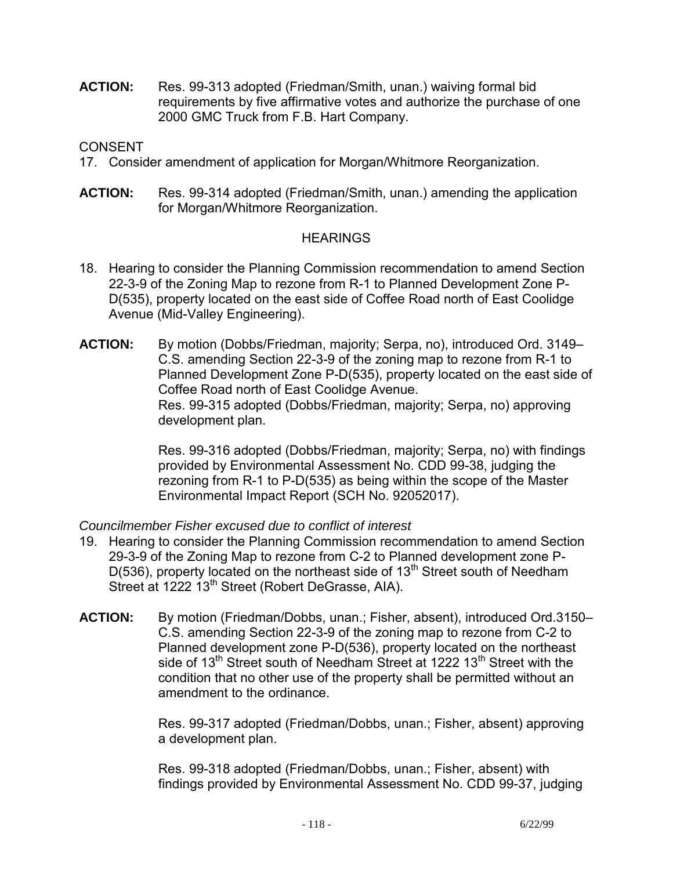**ACTION:** Res. 99-313 adopted (Friedman/Smith, unan.) waiving formal bid requirements by five affirmative votes and authorize the purchase of one 2000 GMC Truck from F.B. Hart Company.

**CONSENT** 

- 17. Consider amendment of application for Morgan/Whitmore Reorganization.
- **ACTION:** Res. 99-314 adopted (Friedman/Smith, unan.) amending the application for Morgan/Whitmore Reorganization.

## **HEARINGS**

- 18. Hearing to consider the Planning Commission recommendation to amend Section 22-3-9 of the Zoning Map to rezone from R-1 to Planned Development Zone P-D(535), property located on the east side of Coffee Road north of East Coolidge Avenue (Mid-Valley Engineering).
- **ACTION:** By motion (Dobbs/Friedman, majority; Serpa, no), introduced Ord. 3149– C.S. amending Section 22-3-9 of the zoning map to rezone from R-1 to Planned Development Zone P-D(535), property located on the east side of Coffee Road north of East Coolidge Avenue. Res. 99-315 adopted (Dobbs/Friedman, majority; Serpa, no) approving development plan.

Res. 99-316 adopted (Dobbs/Friedman, majority; Serpa, no) with findings provided by Environmental Assessment No. CDD 99-38, judging the rezoning from R-1 to P-D(535) as being within the scope of the Master Environmental Impact Report (SCH No. 92052017).

## *Councilmember Fisher excused due to conflict of interest*

- 19. Hearing to consider the Planning Commission recommendation to amend Section 29-3-9 of the Zoning Map to rezone from C-2 to Planned development zone P- $D(536)$ , property located on the northeast side of  $13<sup>th</sup>$  Street south of Needham Street at 1222 13<sup>th</sup> Street (Robert DeGrasse, AIA).
- **ACTION:** By motion (Friedman/Dobbs, unan.; Fisher, absent), introduced Ord.3150– C.S. amending Section 22-3-9 of the zoning map to rezone from C-2 to Planned development zone P-D(536), property located on the northeast side of 13<sup>th</sup> Street south of Needham Street at 1222 13<sup>th</sup> Street with the condition that no other use of the property shall be permitted without an amendment to the ordinance.

Res. 99-317 adopted (Friedman/Dobbs, unan.; Fisher, absent) approving a development plan.

Res. 99-318 adopted (Friedman/Dobbs, unan.; Fisher, absent) with findings provided by Environmental Assessment No. CDD 99-37, judging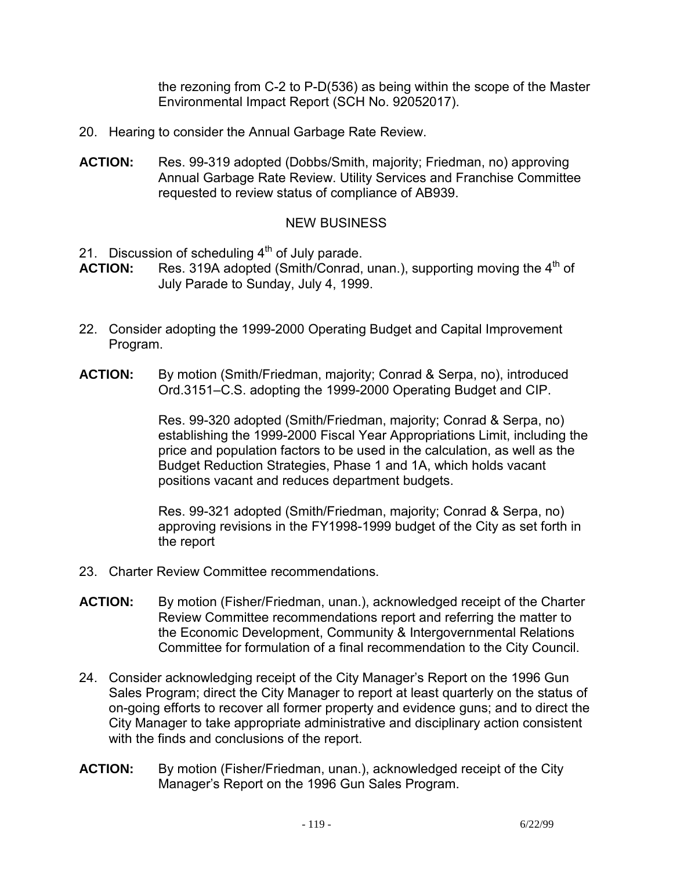the rezoning from C-2 to P-D(536) as being within the scope of the Master Environmental Impact Report (SCH No. 92052017).

- 20. Hearing to consider the Annual Garbage Rate Review.
- **ACTION:** Res. 99-319 adopted (Dobbs/Smith, majority; Friedman, no) approving Annual Garbage Rate Review. Utility Services and Franchise Committee requested to review status of compliance of AB939.

## NEW BUSINESS

- 21. Discussion of scheduling  $4<sup>th</sup>$  of July parade.<br>**ACTION:** Res. 319A adopted (Smith/Conrad.
- Res. 319A adopted (Smith/Conrad, unan.), supporting moving the 4<sup>th</sup> of July Parade to Sunday, July 4, 1999.
- 22. Consider adopting the 1999-2000 Operating Budget and Capital Improvement Program.
- **ACTION:** By motion (Smith/Friedman, majority; Conrad & Serpa, no), introduced Ord.3151–C.S. adopting the 1999-2000 Operating Budget and CIP.

Res. 99-320 adopted (Smith/Friedman, majority; Conrad & Serpa, no) establishing the 1999-2000 Fiscal Year Appropriations Limit, including the price and population factors to be used in the calculation, as well as the Budget Reduction Strategies, Phase 1 and 1A, which holds vacant positions vacant and reduces department budgets.

Res. 99-321 adopted (Smith/Friedman, majority; Conrad & Serpa, no) approving revisions in the FY1998-1999 budget of the City as set forth in the report

- 23. Charter Review Committee recommendations.
- **ACTION:** By motion (Fisher/Friedman, unan.), acknowledged receipt of the Charter Review Committee recommendations report and referring the matter to the Economic Development, Community & Intergovernmental Relations Committee for formulation of a final recommendation to the City Council.
- 24. Consider acknowledging receipt of the City Manager's Report on the 1996 Gun Sales Program; direct the City Manager to report at least quarterly on the status of on-going efforts to recover all former property and evidence guns; and to direct the City Manager to take appropriate administrative and disciplinary action consistent with the finds and conclusions of the report.
- **ACTION:** By motion (Fisher/Friedman, unan.), acknowledged receipt of the City Manager's Report on the 1996 Gun Sales Program.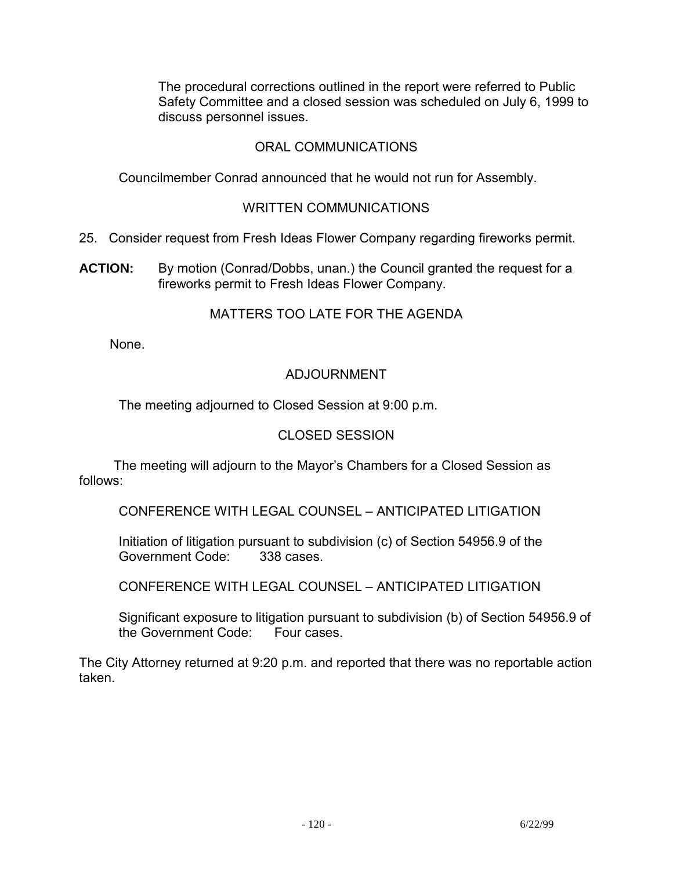The procedural corrections outlined in the report were referred to Public Safety Committee and a closed session was scheduled on July 6, 1999 to discuss personnel issues.

## ORAL COMMUNICATIONS

Councilmember Conrad announced that he would not run for Assembly.

#### WRITTEN COMMUNICATIONS

- 25. Consider request from Fresh Ideas Flower Company regarding fireworks permit.
- **ACTION:** By motion (Conrad/Dobbs, unan.) the Council granted the request for a fireworks permit to Fresh Ideas Flower Company.

#### MATTERS TOO LATE FOR THE AGENDA

None.

## ADJOURNMENT

The meeting adjourned to Closed Session at 9:00 p.m.

### CLOSED SESSION

 The meeting will adjourn to the Mayor's Chambers for a Closed Session as follows:

CONFERENCE WITH LEGAL COUNSEL – ANTICIPATED LITIGATION

Initiation of litigation pursuant to subdivision (c) of Section 54956.9 of the Government Code: 338 cases. Government Code:

CONFERENCE WITH LEGAL COUNSEL – ANTICIPATED LITIGATION

 Significant exposure to litigation pursuant to subdivision (b) of Section 54956.9 of the Government Code: Four cases.

The City Attorney returned at 9:20 p.m. and reported that there was no reportable action taken.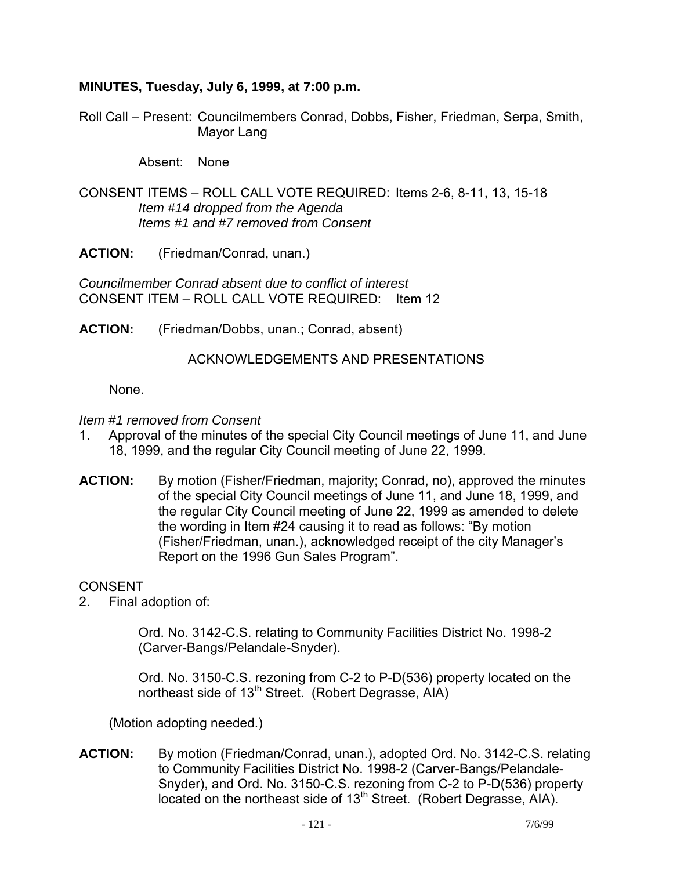## **MINUTES, Tuesday, July 6, 1999, at 7:00 p.m.**

Roll Call – Present: Councilmembers Conrad, Dobbs, Fisher, Friedman, Serpa, Smith, Mayor Lang

Absent: None

CONSENT ITEMS – ROLL CALL VOTE REQUIRED: Items 2-6, 8-11, 13, 15-18  *Item #14 dropped from the Agenda Items #1 and #7 removed from Consent* 

**ACTION:** (Friedman/Conrad, unan.)

*Councilmember Conrad absent due to conflict of interest*  CONSENT ITEM – ROLL CALL VOTE REQUIRED: Item 12

**ACTION:** (Friedman/Dobbs, unan.; Conrad, absent)

#### ACKNOWLEDGEMENTS AND PRESENTATIONS

None.

*Item #1 removed from Consent* 

- 1. Approval of the minutes of the special City Council meetings of June 11, and June 18, 1999, and the regular City Council meeting of June 22, 1999.
- **ACTION:** By motion (Fisher/Friedman, majority; Conrad, no), approved the minutes of the special City Council meetings of June 11, and June 18, 1999, and the regular City Council meeting of June 22, 1999 as amended to delete the wording in Item #24 causing it to read as follows: "By motion (Fisher/Friedman, unan.), acknowledged receipt of the city Manager's Report on the 1996 Gun Sales Program".

**CONSENT** 

2. Final adoption of:

 Ord. No. 3142-C.S. relating to Community Facilities District No. 1998-2 (Carver-Bangs/Pelandale-Snyder).

 Ord. No. 3150-C.S. rezoning from C-2 to P-D(536) property located on the northeast side of 13<sup>th</sup> Street. (Robert Degrasse, AIA)

(Motion adopting needed.)

**ACTION:** By motion (Friedman/Conrad, unan.), adopted Ord. No. 3142-C.S. relating to Community Facilities District No. 1998-2 (Carver-Bangs/Pelandale-Snyder), and Ord. No. 3150-C.S. rezoning from C-2 to P-D(536) property located on the northeast side of 13<sup>th</sup> Street. (Robert Degrasse, AIA).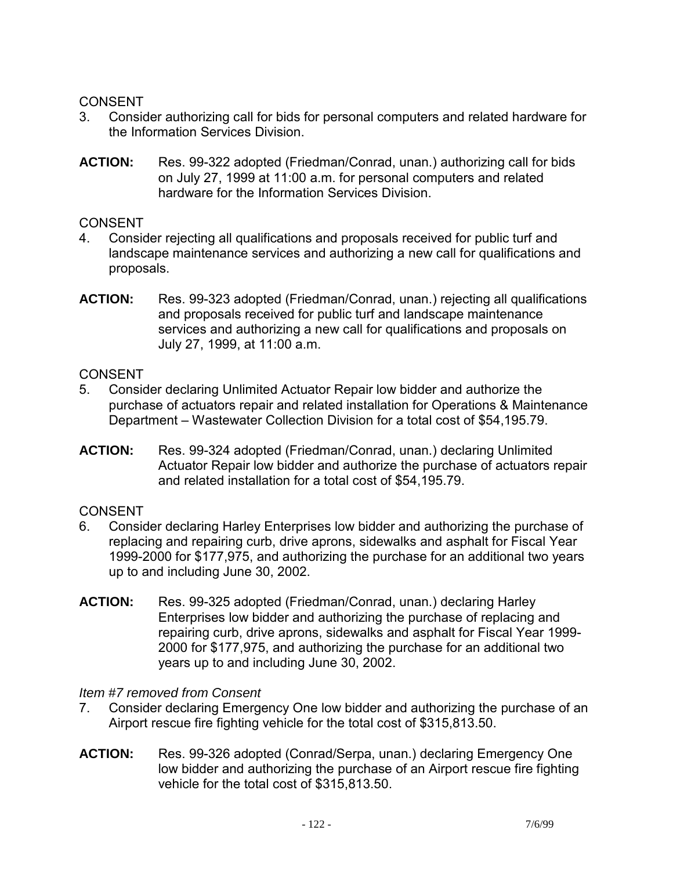## CONSENT

- 3. Consider authorizing call for bids for personal computers and related hardware for the Information Services Division.
- **ACTION:** Res. 99-322 adopted (Friedman/Conrad, unan.) authorizing call for bids on July 27, 1999 at 11:00 a.m. for personal computers and related hardware for the Information Services Division.

### **CONSENT**

- 4. Consider rejecting all qualifications and proposals received for public turf and landscape maintenance services and authorizing a new call for qualifications and proposals.
- **ACTION:** Res. 99-323 adopted (Friedman/Conrad, unan.) rejecting all qualifications and proposals received for public turf and landscape maintenance services and authorizing a new call for qualifications and proposals on July 27, 1999, at 11:00 a.m.

## **CONSENT**

- 5. Consider declaring Unlimited Actuator Repair low bidder and authorize the purchase of actuators repair and related installation for Operations & Maintenance Department – Wastewater Collection Division for a total cost of \$54,195.79.
- **ACTION:** Res. 99-324 adopted (Friedman/Conrad, unan.) declaring Unlimited Actuator Repair low bidder and authorize the purchase of actuators repair and related installation for a total cost of \$54,195.79.

## CONSENT

- 6. Consider declaring Harley Enterprises low bidder and authorizing the purchase of replacing and repairing curb, drive aprons, sidewalks and asphalt for Fiscal Year 1999-2000 for \$177,975, and authorizing the purchase for an additional two years up to and including June 30, 2002.
- **ACTION:** Res. 99-325 adopted (Friedman/Conrad, unan.) declaring Harley Enterprises low bidder and authorizing the purchase of replacing and repairing curb, drive aprons, sidewalks and asphalt for Fiscal Year 1999- 2000 for \$177,975, and authorizing the purchase for an additional two years up to and including June 30, 2002.

## *Item #7 removed from Consent*

- 7. Consider declaring Emergency One low bidder and authorizing the purchase of an Airport rescue fire fighting vehicle for the total cost of \$315,813.50.
- **ACTION:** Res. 99-326 adopted (Conrad/Serpa, unan.) declaring Emergency One low bidder and authorizing the purchase of an Airport rescue fire fighting vehicle for the total cost of \$315,813.50.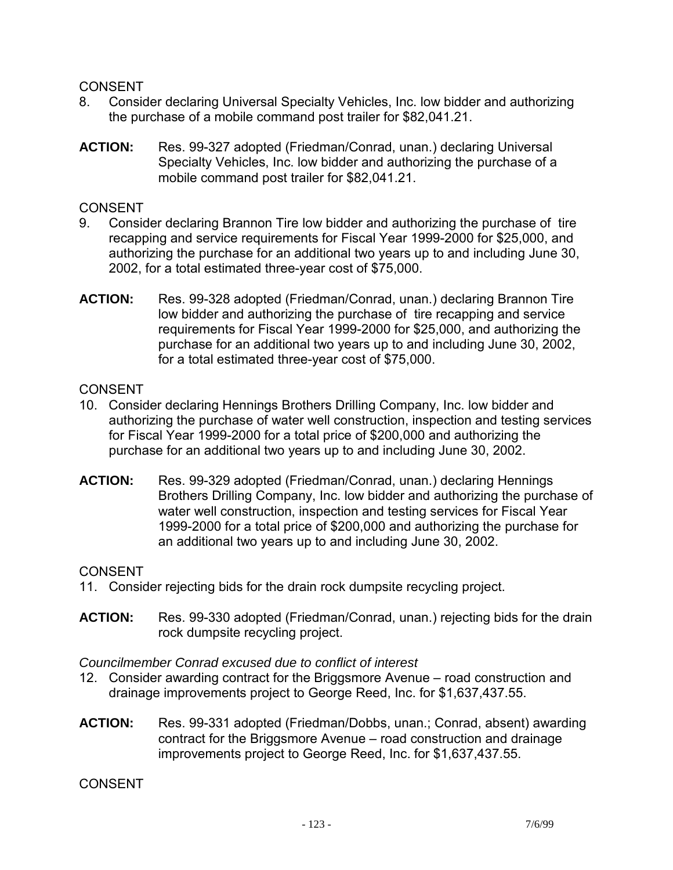### CONSENT

- 8. Consider declaring Universal Specialty Vehicles, Inc. low bidder and authorizing the purchase of a mobile command post trailer for \$82,041.21.
- **ACTION:** Res. 99-327 adopted (Friedman/Conrad, unan.) declaring Universal Specialty Vehicles, Inc. low bidder and authorizing the purchase of a mobile command post trailer for \$82,041.21.

## CONSENT

- 9. Consider declaring Brannon Tire low bidder and authorizing the purchase of tire recapping and service requirements for Fiscal Year 1999-2000 for \$25,000, and authorizing the purchase for an additional two years up to and including June 30, 2002, for a total estimated three-year cost of \$75,000.
- **ACTION:** Res. 99-328 adopted (Friedman/Conrad, unan.) declaring Brannon Tire low bidder and authorizing the purchase of tire recapping and service requirements for Fiscal Year 1999-2000 for \$25,000, and authorizing the purchase for an additional two years up to and including June 30, 2002, for a total estimated three-year cost of \$75,000.

## **CONSENT**

- 10. Consider declaring Hennings Brothers Drilling Company, Inc. low bidder and authorizing the purchase of water well construction, inspection and testing services for Fiscal Year 1999-2000 for a total price of \$200,000 and authorizing the purchase for an additional two years up to and including June 30, 2002.
- **ACTION:** Res. 99-329 adopted (Friedman/Conrad, unan.) declaring Hennings Brothers Drilling Company, Inc. low bidder and authorizing the purchase of water well construction, inspection and testing services for Fiscal Year 1999-2000 for a total price of \$200,000 and authorizing the purchase for an additional two years up to and including June 30, 2002.

## CONSENT

- 11. Consider rejecting bids for the drain rock dumpsite recycling project.
- **ACTION:** Res. 99-330 adopted (Friedman/Conrad, unan.) rejecting bids for the drain rock dumpsite recycling project.

#### *Councilmember Conrad excused due to conflict of interest*

- 12. Consider awarding contract for the Briggsmore Avenue road construction and drainage improvements project to George Reed, Inc. for \$1,637,437.55.
- **ACTION:** Res. 99-331 adopted (Friedman/Dobbs, unan.; Conrad, absent) awarding contract for the Briggsmore Avenue – road construction and drainage improvements project to George Reed, Inc. for \$1,637,437.55.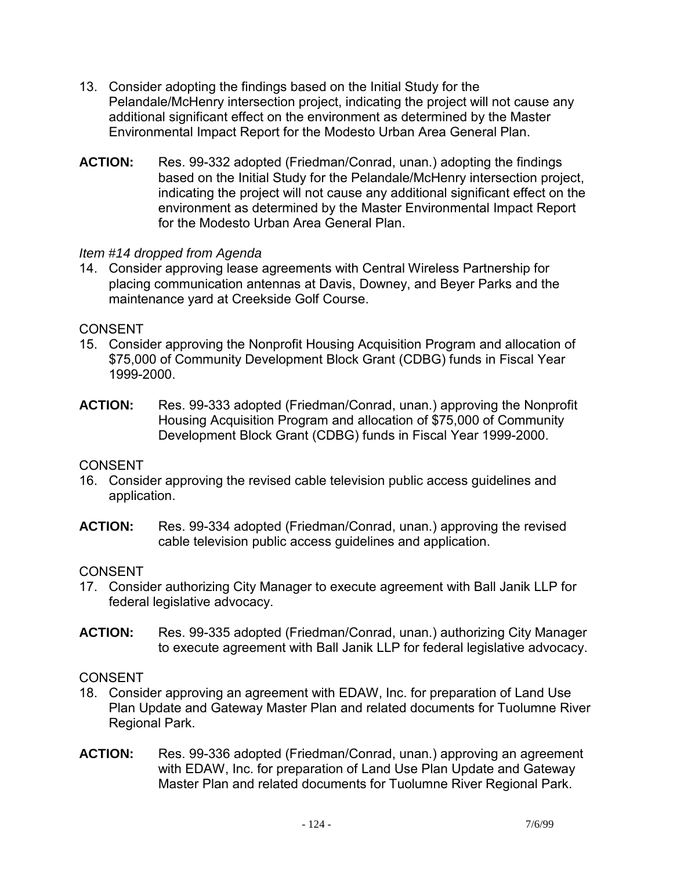- 13. Consider adopting the findings based on the Initial Study for the Pelandale/McHenry intersection project, indicating the project will not cause any additional significant effect on the environment as determined by the Master Environmental Impact Report for the Modesto Urban Area General Plan.
- **ACTION:** Res. 99-332 adopted (Friedman/Conrad, unan.) adopting the findings based on the Initial Study for the Pelandale/McHenry intersection project, indicating the project will not cause any additional significant effect on the environment as determined by the Master Environmental Impact Report for the Modesto Urban Area General Plan.

## *Item #14 dropped from Agenda*

14. Consider approving lease agreements with Central Wireless Partnership for placing communication antennas at Davis, Downey, and Beyer Parks and the maintenance yard at Creekside Golf Course.

## CONSENT

- 15. Consider approving the Nonprofit Housing Acquisition Program and allocation of \$75,000 of Community Development Block Grant (CDBG) funds in Fiscal Year 1999-2000.
- **ACTION:** Res. 99-333 adopted (Friedman/Conrad, unan.) approving the Nonprofit Housing Acquisition Program and allocation of \$75,000 of Community Development Block Grant (CDBG) funds in Fiscal Year 1999-2000.

## CONSENT

- 16. Consider approving the revised cable television public access guidelines and application.
- **ACTION:** Res. 99-334 adopted (Friedman/Conrad, unan.) approving the revised cable television public access guidelines and application.

## CONSENT

- 17. Consider authorizing City Manager to execute agreement with Ball Janik LLP for federal legislative advocacy.
- **ACTION:** Res. 99-335 adopted (Friedman/Conrad, unan.) authorizing City Manager to execute agreement with Ball Janik LLP for federal legislative advocacy.

- 18. Consider approving an agreement with EDAW, Inc. for preparation of Land Use Plan Update and Gateway Master Plan and related documents for Tuolumne River Regional Park.
- **ACTION:** Res. 99-336 adopted (Friedman/Conrad, unan.) approving an agreement with EDAW, Inc. for preparation of Land Use Plan Update and Gateway Master Plan and related documents for Tuolumne River Regional Park.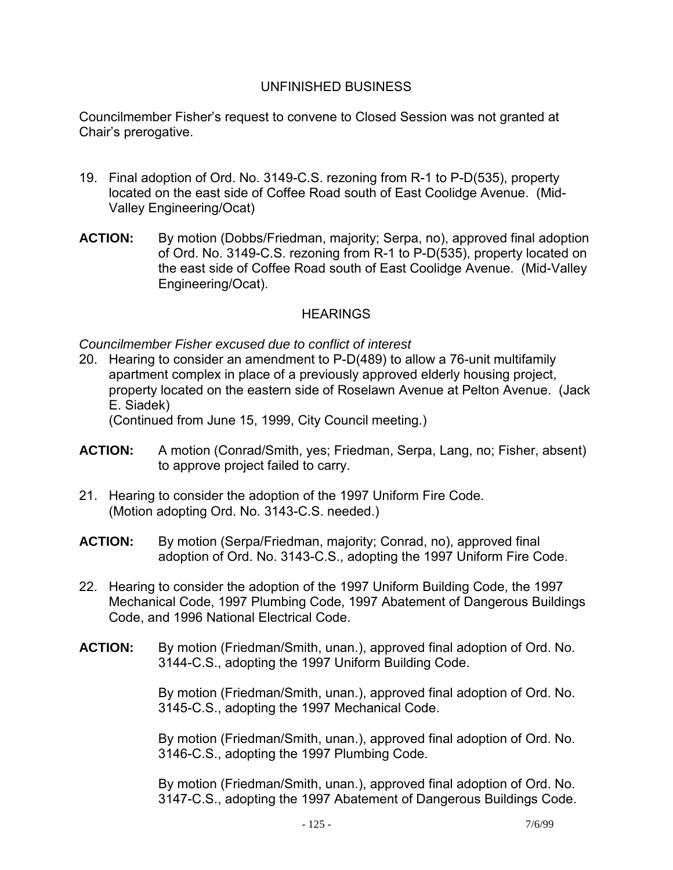### UNFINISHED BUSINESS

Councilmember Fisher's request to convene to Closed Session was not granted at Chair's prerogative.

- 19. Final adoption of Ord. No. 3149-C.S. rezoning from R-1 to P-D(535), property located on the east side of Coffee Road south of East Coolidge Avenue. (Mid-Valley Engineering/Ocat)
- **ACTION:** By motion (Dobbs/Friedman, majority; Serpa, no), approved final adoption of Ord. No. 3149-C.S. rezoning from R-1 to P-D(535), property located on the east side of Coffee Road south of East Coolidge Avenue. (Mid-Valley Engineering/Ocat).

## **HEARINGS**

*Councilmember Fisher excused due to conflict of interest* 

20. Hearing to consider an amendment to P-D(489) to allow a 76-unit multifamily apartment complex in place of a previously approved elderly housing project, property located on the eastern side of Roselawn Avenue at Pelton Avenue. (Jack E. Siadek)

(Continued from June 15, 1999, City Council meeting.)

- **ACTION:** A motion (Conrad/Smith, yes; Friedman, Serpa, Lang, no; Fisher, absent) to approve project failed to carry.
- 21. Hearing to consider the adoption of the 1997 Uniform Fire Code. (Motion adopting Ord. No. 3143-C.S. needed.)
- **ACTION:** By motion (Serpa/Friedman, majority; Conrad, no), approved final adoption of Ord. No. 3143-C.S., adopting the 1997 Uniform Fire Code.
- 22. Hearing to consider the adoption of the 1997 Uniform Building Code, the 1997 Mechanical Code, 1997 Plumbing Code, 1997 Abatement of Dangerous Buildings Code, and 1996 National Electrical Code.
- **ACTION:** By motion (Friedman/Smith, unan.), approved final adoption of Ord. No. 3144-C.S., adopting the 1997 Uniform Building Code.

By motion (Friedman/Smith, unan.), approved final adoption of Ord. No. 3145-C.S., adopting the 1997 Mechanical Code.

By motion (Friedman/Smith, unan.), approved final adoption of Ord. No. 3146-C.S., adopting the 1997 Plumbing Code.

By motion (Friedman/Smith, unan.), approved final adoption of Ord. No. 3147-C.S., adopting the 1997 Abatement of Dangerous Buildings Code.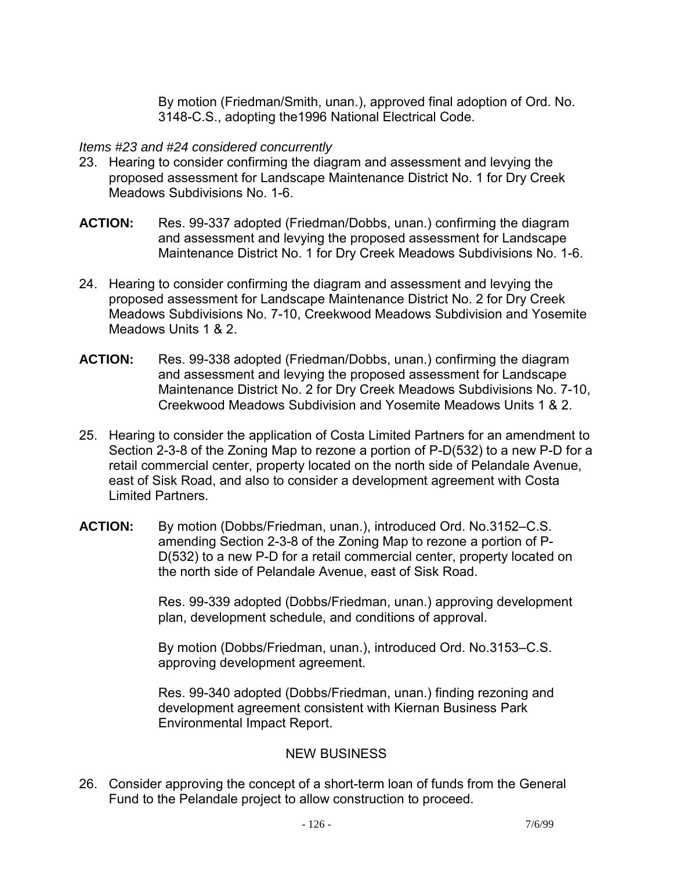By motion (Friedman/Smith, unan.), approved final adoption of Ord. No. 3148-C.S., adopting the1996 National Electrical Code.

### *Items #23 and #24 considered concurrently*

- 23. Hearing to consider confirming the diagram and assessment and levying the proposed assessment for Landscape Maintenance District No. 1 for Dry Creek Meadows Subdivisions No. 1-6.
- **ACTION:** Res. 99-337 adopted (Friedman/Dobbs, unan.) confirming the diagram and assessment and levying the proposed assessment for Landscape Maintenance District No. 1 for Dry Creek Meadows Subdivisions No. 1-6.
- 24. Hearing to consider confirming the diagram and assessment and levying the proposed assessment for Landscape Maintenance District No. 2 for Dry Creek Meadows Subdivisions No. 7-10, Creekwood Meadows Subdivision and Yosemite Meadows Units 1 & 2.
- **ACTION:** Res. 99-338 adopted (Friedman/Dobbs, unan.) confirming the diagram and assessment and levying the proposed assessment for Landscape Maintenance District No. 2 for Dry Creek Meadows Subdivisions No. 7-10, Creekwood Meadows Subdivision and Yosemite Meadows Units 1 & 2.
- 25. Hearing to consider the application of Costa Limited Partners for an amendment to Section 2-3-8 of the Zoning Map to rezone a portion of P-D(532) to a new P-D for a retail commercial center, property located on the north side of Pelandale Avenue, east of Sisk Road, and also to consider a development agreement with Costa Limited Partners.
- **ACTION:** By motion (Dobbs/Friedman, unan.), introduced Ord. No.3152–C.S. amending Section 2-3-8 of the Zoning Map to rezone a portion of P-D(532) to a new P-D for a retail commercial center, property located on the north side of Pelandale Avenue, east of Sisk Road.

Res. 99-339 adopted (Dobbs/Friedman, unan.) approving development plan, development schedule, and conditions of approval.

By motion (Dobbs/Friedman, unan.), introduced Ord. No.3153–C.S. approving development agreement.

Res. 99-340 adopted (Dobbs/Friedman, unan.) finding rezoning and development agreement consistent with Kiernan Business Park Environmental Impact Report.

## NEW BUSINESS

26. Consider approving the concept of a short-term loan of funds from the General Fund to the Pelandale project to allow construction to proceed.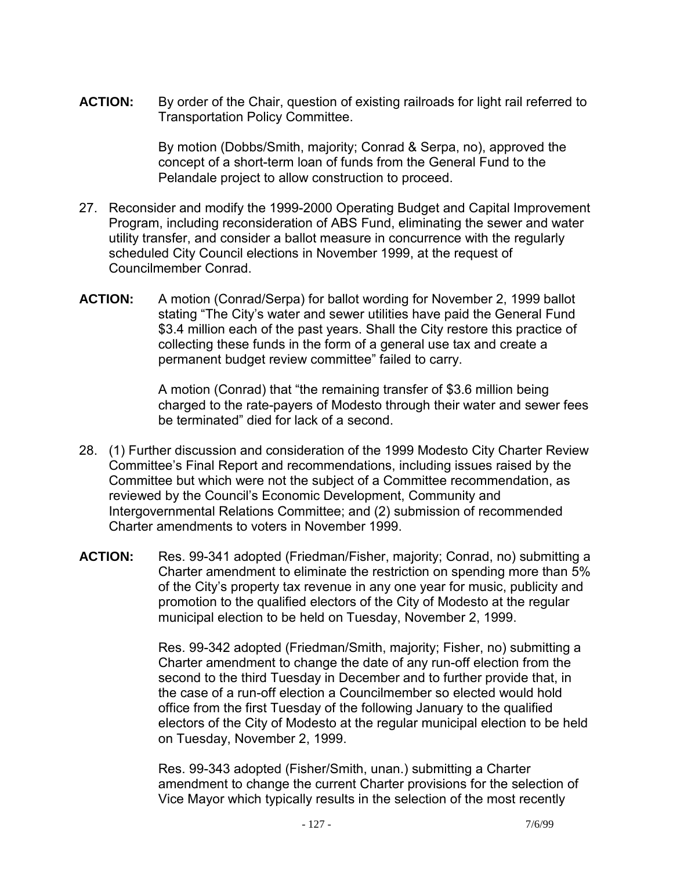**ACTION:** By order of the Chair, question of existing railroads for light rail referred to Transportation Policy Committee.

> By motion (Dobbs/Smith, majority; Conrad & Serpa, no), approved the concept of a short-term loan of funds from the General Fund to the Pelandale project to allow construction to proceed.

- 27. Reconsider and modify the 1999-2000 Operating Budget and Capital Improvement Program, including reconsideration of ABS Fund, eliminating the sewer and water utility transfer, and consider a ballot measure in concurrence with the regularly scheduled City Council elections in November 1999, at the request of Councilmember Conrad.
- **ACTION:** A motion (Conrad/Serpa) for ballot wording for November 2, 1999 ballot stating "The City's water and sewer utilities have paid the General Fund \$3.4 million each of the past years. Shall the City restore this practice of collecting these funds in the form of a general use tax and create a permanent budget review committee" failed to carry.

A motion (Conrad) that "the remaining transfer of \$3.6 million being charged to the rate-payers of Modesto through their water and sewer fees be terminated" died for lack of a second.

- 28. (1) Further discussion and consideration of the 1999 Modesto City Charter Review Committee's Final Report and recommendations, including issues raised by the Committee but which were not the subject of a Committee recommendation, as reviewed by the Council's Economic Development, Community and Intergovernmental Relations Committee; and (2) submission of recommended Charter amendments to voters in November 1999.
- **ACTION:** Res. 99-341 adopted (Friedman/Fisher, majority; Conrad, no) submitting a Charter amendment to eliminate the restriction on spending more than 5% of the City's property tax revenue in any one year for music, publicity and promotion to the qualified electors of the City of Modesto at the regular municipal election to be held on Tuesday, November 2, 1999.

Res. 99-342 adopted (Friedman/Smith, majority; Fisher, no) submitting a Charter amendment to change the date of any run-off election from the second to the third Tuesday in December and to further provide that, in the case of a run-off election a Councilmember so elected would hold office from the first Tuesday of the following January to the qualified electors of the City of Modesto at the regular municipal election to be held on Tuesday, November 2, 1999.

Res. 99-343 adopted (Fisher/Smith, unan.) submitting a Charter amendment to change the current Charter provisions for the selection of Vice Mayor which typically results in the selection of the most recently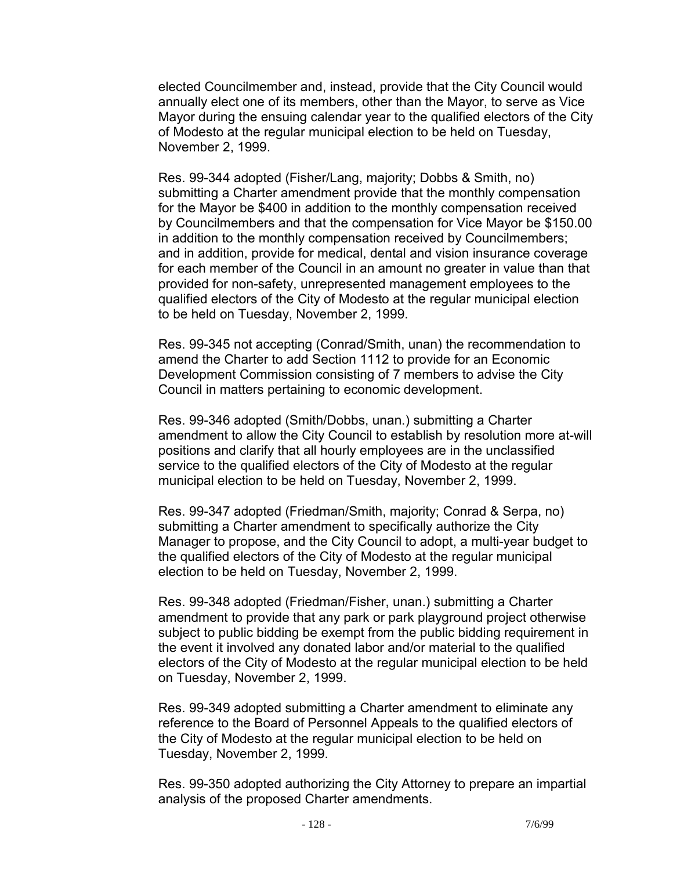elected Councilmember and, instead, provide that the City Council would annually elect one of its members, other than the Mayor, to serve as Vice Mayor during the ensuing calendar year to the qualified electors of the City of Modesto at the regular municipal election to be held on Tuesday, November 2, 1999.

Res. 99-344 adopted (Fisher/Lang, majority; Dobbs & Smith, no) submitting a Charter amendment provide that the monthly compensation for the Mayor be \$400 in addition to the monthly compensation received by Councilmembers and that the compensation for Vice Mayor be \$150.00 in addition to the monthly compensation received by Councilmembers; and in addition, provide for medical, dental and vision insurance coverage for each member of the Council in an amount no greater in value than that provided for non-safety, unrepresented management employees to the qualified electors of the City of Modesto at the regular municipal election to be held on Tuesday, November 2, 1999.

Res. 99-345 not accepting (Conrad/Smith, unan) the recommendation to amend the Charter to add Section 1112 to provide for an Economic Development Commission consisting of 7 members to advise the City Council in matters pertaining to economic development.

Res. 99-346 adopted (Smith/Dobbs, unan.) submitting a Charter amendment to allow the City Council to establish by resolution more at-will positions and clarify that all hourly employees are in the unclassified service to the qualified electors of the City of Modesto at the regular municipal election to be held on Tuesday, November 2, 1999.

Res. 99-347 adopted (Friedman/Smith, majority; Conrad & Serpa, no) submitting a Charter amendment to specifically authorize the City Manager to propose, and the City Council to adopt, a multi-year budget to the qualified electors of the City of Modesto at the regular municipal election to be held on Tuesday, November 2, 1999.

Res. 99-348 adopted (Friedman/Fisher, unan.) submitting a Charter amendment to provide that any park or park playground project otherwise subject to public bidding be exempt from the public bidding requirement in the event it involved any donated labor and/or material to the qualified electors of the City of Modesto at the regular municipal election to be held on Tuesday, November 2, 1999.

Res. 99-349 adopted submitting a Charter amendment to eliminate any reference to the Board of Personnel Appeals to the qualified electors of the City of Modesto at the regular municipal election to be held on Tuesday, November 2, 1999.

Res. 99-350 adopted authorizing the City Attorney to prepare an impartial analysis of the proposed Charter amendments.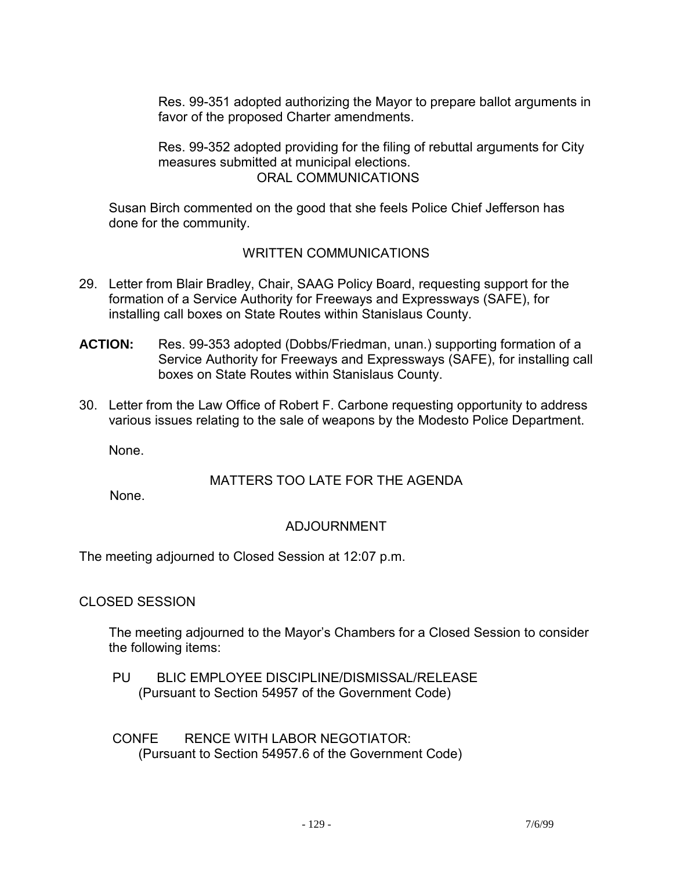Res. 99-351 adopted authorizing the Mayor to prepare ballot arguments in favor of the proposed Charter amendments.

Res. 99-352 adopted providing for the filing of rebuttal arguments for City measures submitted at municipal elections. ORAL COMMUNICATIONS

 Susan Birch commented on the good that she feels Police Chief Jefferson has done for the community.

## WRITTEN COMMUNICATIONS

- 29. Letter from Blair Bradley, Chair, SAAG Policy Board, requesting support for the formation of a Service Authority for Freeways and Expressways (SAFE), for installing call boxes on State Routes within Stanislaus County.
- **ACTION:** Res. 99-353 adopted (Dobbs/Friedman, unan.) supporting formation of a Service Authority for Freeways and Expressways (SAFE), for installing call boxes on State Routes within Stanislaus County.
- 30. Letter from the Law Office of Robert F. Carbone requesting opportunity to address various issues relating to the sale of weapons by the Modesto Police Department.

None.

## MATTERS TOO LATE FOR THE AGENDA

None.

# ADJOURNMENT

The meeting adjourned to Closed Session at 12:07 p.m.

CLOSED SESSION

 The meeting adjourned to the Mayor's Chambers for a Closed Session to consider the following items:

 PU BLIC EMPLOYEE DISCIPLINE/DISMISSAL/RELEASE (Pursuant to Section 54957 of the Government Code)

 CONFE RENCE WITH LABOR NEGOTIATOR: (Pursuant to Section 54957.6 of the Government Code)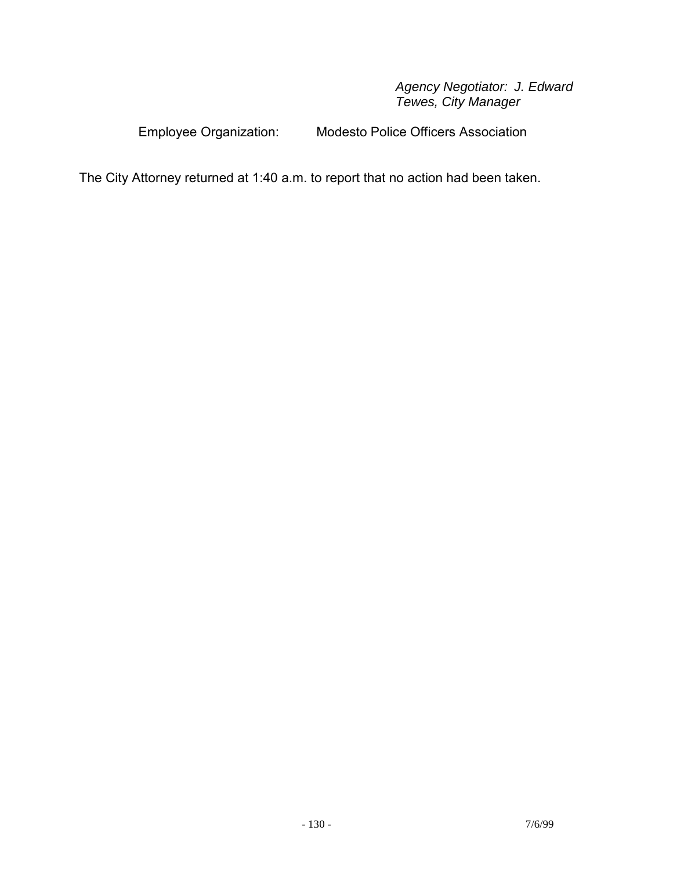#### *Agency Negotiator: J. Edward Tewes, City Manager*

Employee Organization: Modesto Police Officers Association

The City Attorney returned at 1:40 a.m. to report that no action had been taken.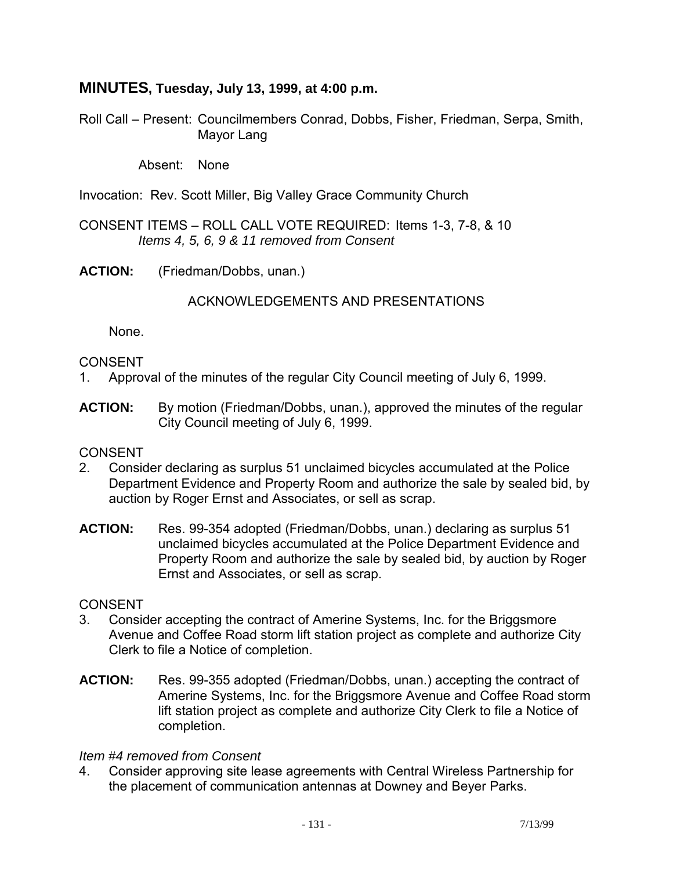## **MINUTES, Tuesday, July 13, 1999, at 4:00 p.m.**

Roll Call – Present: Councilmembers Conrad, Dobbs, Fisher, Friedman, Serpa, Smith, Mayor Lang

Absent: None

Invocation: Rev. Scott Miller, Big Valley Grace Community Church

CONSENT ITEMS – ROLL CALL VOTE REQUIRED: Items 1-3, 7-8, & 10  *Items 4, 5, 6, 9 & 11 removed from Consent* 

**ACTION:** (Friedman/Dobbs, unan.)

ACKNOWLEDGEMENTS AND PRESENTATIONS

None.

#### CONSENT

- 1. Approval of the minutes of the regular City Council meeting of July 6, 1999.
- **ACTION:** By motion (Friedman/Dobbs, unan.), approved the minutes of the regular City Council meeting of July 6, 1999.

#### **CONSENT**

- 2. Consider declaring as surplus 51 unclaimed bicycles accumulated at the Police Department Evidence and Property Room and authorize the sale by sealed bid, by auction by Roger Ernst and Associates, or sell as scrap.
- **ACTION:** Res. 99-354 adopted (Friedman/Dobbs, unan.) declaring as surplus 51 unclaimed bicycles accumulated at the Police Department Evidence and Property Room and authorize the sale by sealed bid, by auction by Roger Ernst and Associates, or sell as scrap.

#### **CONSENT**

- 3. Consider accepting the contract of Amerine Systems, Inc. for the Briggsmore Avenue and Coffee Road storm lift station project as complete and authorize City Clerk to file a Notice of completion.
- **ACTION:** Res. 99-355 adopted (Friedman/Dobbs, unan.) accepting the contract of Amerine Systems, Inc. for the Briggsmore Avenue and Coffee Road storm lift station project as complete and authorize City Clerk to file a Notice of completion.

#### *Item #4 removed from Consent*

4. Consider approving site lease agreements with Central Wireless Partnership for the placement of communication antennas at Downey and Beyer Parks.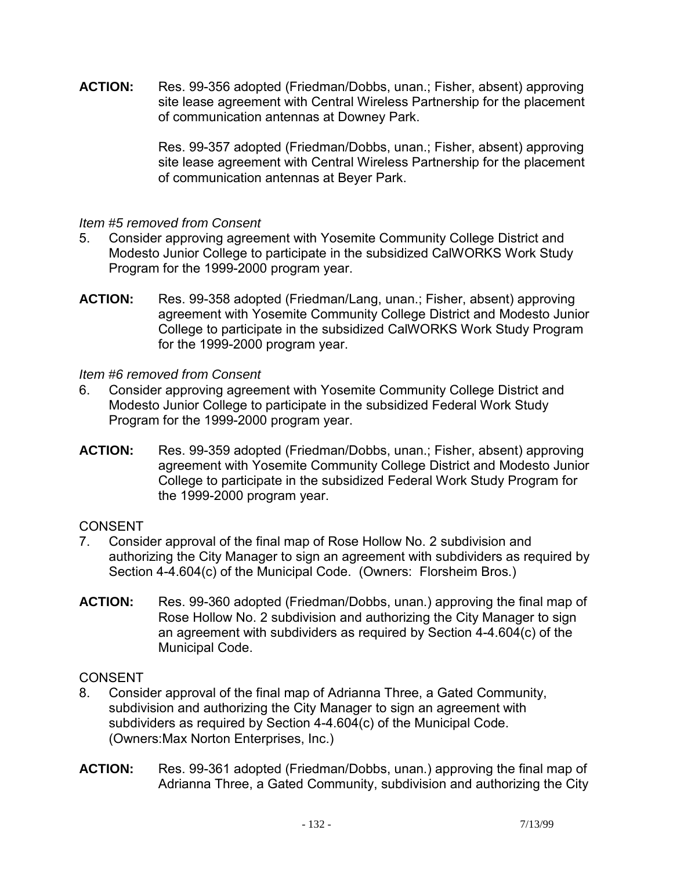**ACTION:** Res. 99-356 adopted (Friedman/Dobbs, unan.; Fisher, absent) approving site lease agreement with Central Wireless Partnership for the placement of communication antennas at Downey Park.

> Res. 99-357 adopted (Friedman/Dobbs, unan.; Fisher, absent) approving site lease agreement with Central Wireless Partnership for the placement of communication antennas at Beyer Park.

## *Item #5 removed from Consent*

- 5. Consider approving agreement with Yosemite Community College District and Modesto Junior College to participate in the subsidized CalWORKS Work Study Program for the 1999-2000 program year.
- **ACTION:** Res. 99-358 adopted (Friedman/Lang, unan.; Fisher, absent) approving agreement with Yosemite Community College District and Modesto Junior College to participate in the subsidized CalWORKS Work Study Program for the 1999-2000 program year.

*Item #6 removed from Consent* 

- 6. Consider approving agreement with Yosemite Community College District and Modesto Junior College to participate in the subsidized Federal Work Study Program for the 1999-2000 program year.
- **ACTION:** Res. 99-359 adopted (Friedman/Dobbs, unan.; Fisher, absent) approving agreement with Yosemite Community College District and Modesto Junior College to participate in the subsidized Federal Work Study Program for the 1999-2000 program year.

## **CONSENT**

- 7. Consider approval of the final map of Rose Hollow No. 2 subdivision and authorizing the City Manager to sign an agreement with subdividers as required by Section 4-4.604(c) of the Municipal Code. (Owners: Florsheim Bros.)
- **ACTION:** Res. 99-360 adopted (Friedman/Dobbs, unan.) approving the final map of Rose Hollow No. 2 subdivision and authorizing the City Manager to sign an agreement with subdividers as required by Section 4-4.604(c) of the Municipal Code.

- 8. Consider approval of the final map of Adrianna Three, a Gated Community, subdivision and authorizing the City Manager to sign an agreement with subdividers as required by Section 4-4.604(c) of the Municipal Code. (Owners:Max Norton Enterprises, Inc.)
- **ACTION:** Res. 99-361 adopted (Friedman/Dobbs, unan.) approving the final map of Adrianna Three, a Gated Community, subdivision and authorizing the City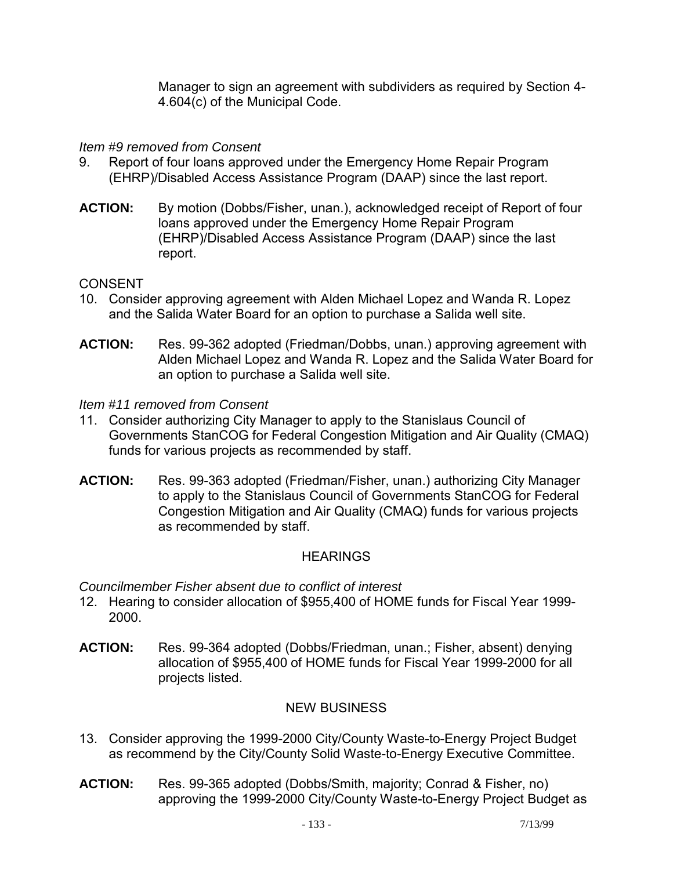Manager to sign an agreement with subdividers as required by Section 4- 4.604(c) of the Municipal Code.

## *Item #9 removed from Consent*

- 9. Report of four loans approved under the Emergency Home Repair Program (EHRP)/Disabled Access Assistance Program (DAAP) since the last report.
- **ACTION:** By motion (Dobbs/Fisher, unan.), acknowledged receipt of Report of four loans approved under the Emergency Home Repair Program (EHRP)/Disabled Access Assistance Program (DAAP) since the last report.

## CONSENT

- 10. Consider approving agreement with Alden Michael Lopez and Wanda R. Lopez and the Salida Water Board for an option to purchase a Salida well site.
- **ACTION:** Res. 99-362 adopted (Friedman/Dobbs, unan.) approving agreement with Alden Michael Lopez and Wanda R. Lopez and the Salida Water Board for an option to purchase a Salida well site.

#### *Item #11 removed from Consent*

- 11. Consider authorizing City Manager to apply to the Stanislaus Council of Governments StanCOG for Federal Congestion Mitigation and Air Quality (CMAQ) funds for various projects as recommended by staff.
- **ACTION:** Res. 99-363 adopted (Friedman/Fisher, unan.) authorizing City Manager to apply to the Stanislaus Council of Governments StanCOG for Federal Congestion Mitigation and Air Quality (CMAQ) funds for various projects as recommended by staff.

#### **HEARINGS**

*Councilmember Fisher absent due to conflict of interest* 

- 12. Hearing to consider allocation of \$955,400 of HOME funds for Fiscal Year 1999- 2000.
- **ACTION:** Res. 99-364 adopted (Dobbs/Friedman, unan.; Fisher, absent) denying allocation of \$955,400 of HOME funds for Fiscal Year 1999-2000 for all projects listed.

## NEW BUSINESS

- 13. Consider approving the 1999-2000 City/County Waste-to-Energy Project Budget as recommend by the City/County Solid Waste-to-Energy Executive Committee.
- **ACTION:** Res. 99-365 adopted (Dobbs/Smith, majority; Conrad & Fisher, no) approving the 1999-2000 City/County Waste-to-Energy Project Budget as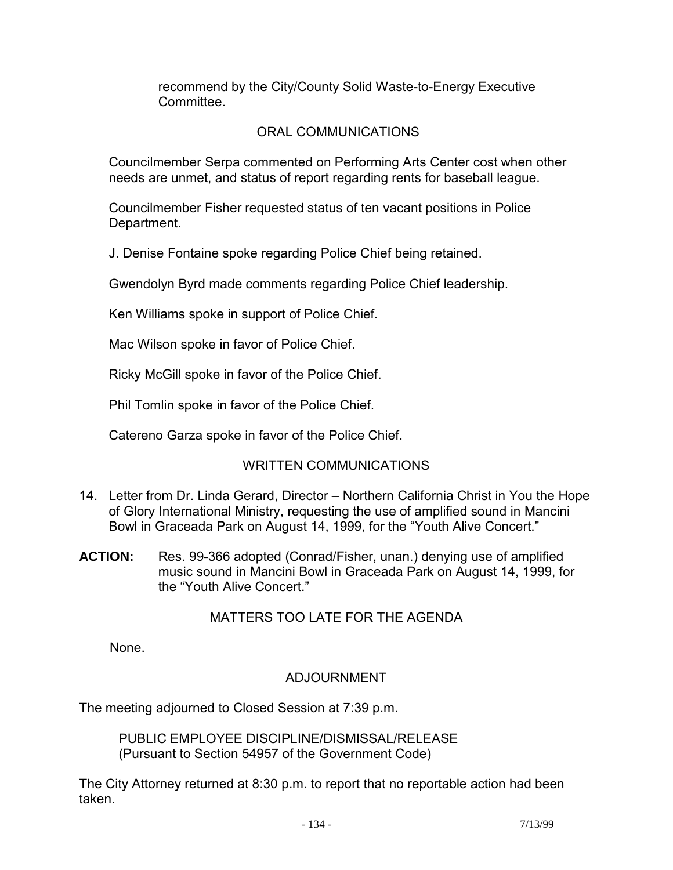recommend by the City/County Solid Waste-to-Energy Executive **Committee** 

## ORAL COMMUNICATIONS

 Councilmember Serpa commented on Performing Arts Center cost when other needs are unmet, and status of report regarding rents for baseball league.

 Councilmember Fisher requested status of ten vacant positions in Police Department.

J. Denise Fontaine spoke regarding Police Chief being retained.

Gwendolyn Byrd made comments regarding Police Chief leadership.

Ken Williams spoke in support of Police Chief.

Mac Wilson spoke in favor of Police Chief.

Ricky McGill spoke in favor of the Police Chief.

Phil Tomlin spoke in favor of the Police Chief.

Catereno Garza spoke in favor of the Police Chief.

## WRITTEN COMMUNICATIONS

- 14. Letter from Dr. Linda Gerard, Director Northern California Christ in You the Hope of Glory International Ministry, requesting the use of amplified sound in Mancini Bowl in Graceada Park on August 14, 1999, for the "Youth Alive Concert."
- **ACTION:** Res. 99-366 adopted (Conrad/Fisher, unan.) denying use of amplified music sound in Mancini Bowl in Graceada Park on August 14, 1999, for the "Youth Alive Concert."

## MATTERS TOO LATE FOR THE AGENDA

None.

## ADJOURNMENT

The meeting adjourned to Closed Session at 7:39 p.m.

 PUBLIC EMPLOYEE DISCIPLINE/DISMISSAL/RELEASE (Pursuant to Section 54957 of the Government Code)

The City Attorney returned at 8:30 p.m. to report that no reportable action had been taken.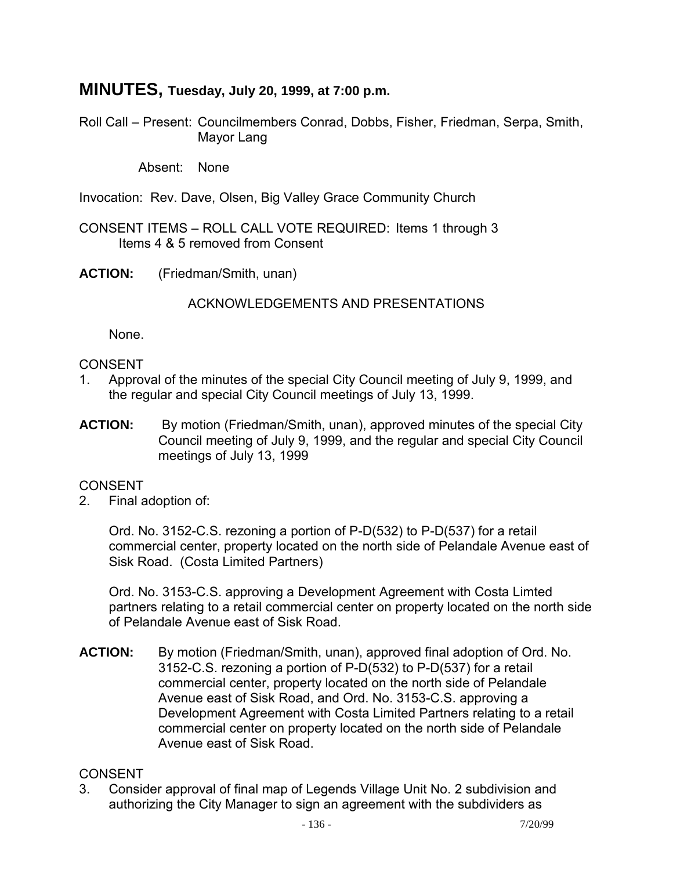# **MINUTES, Tuesday, July 20, 1999, at 7:00 p.m.**

Roll Call – Present: Councilmembers Conrad, Dobbs, Fisher, Friedman, Serpa, Smith, Mayor Lang

Absent: None

Invocation: Rev. Dave, Olsen, Big Valley Grace Community Church

CONSENT ITEMS – ROLL CALL VOTE REQUIRED: Items 1 through 3 Items 4 & 5 removed from Consent

**ACTION:** (Friedman/Smith, unan)

ACKNOWLEDGEMENTS AND PRESENTATIONS

None.

#### CONSENT

- 1. Approval of the minutes of the special City Council meeting of July 9, 1999, and the regular and special City Council meetings of July 13, 1999.
- **ACTION:** By motion (Friedman/Smith, unan), approved minutes of the special City Council meeting of July 9, 1999, and the regular and special City Council meetings of July 13, 1999

#### CONSENT

2. Final adoption of:

 Ord. No. 3152-C.S. rezoning a portion of P-D(532) to P-D(537) for a retail commercial center, property located on the north side of Pelandale Avenue east of Sisk Road. (Costa Limited Partners)

 Ord. No. 3153-C.S. approving a Development Agreement with Costa Limted partners relating to a retail commercial center on property located on the north side of Pelandale Avenue east of Sisk Road.

**ACTION:** By motion (Friedman/Smith, unan), approved final adoption of Ord. No. 3152-C.S. rezoning a portion of P-D(532) to P-D(537) for a retail commercial center, property located on the north side of Pelandale Avenue east of Sisk Road, and Ord. No. 3153-C.S. approving a Development Agreement with Costa Limited Partners relating to a retail commercial center on property located on the north side of Pelandale Avenue east of Sisk Road.

### **CONSENT**

3. Consider approval of final map of Legends Village Unit No. 2 subdivision and authorizing the City Manager to sign an agreement with the subdividers as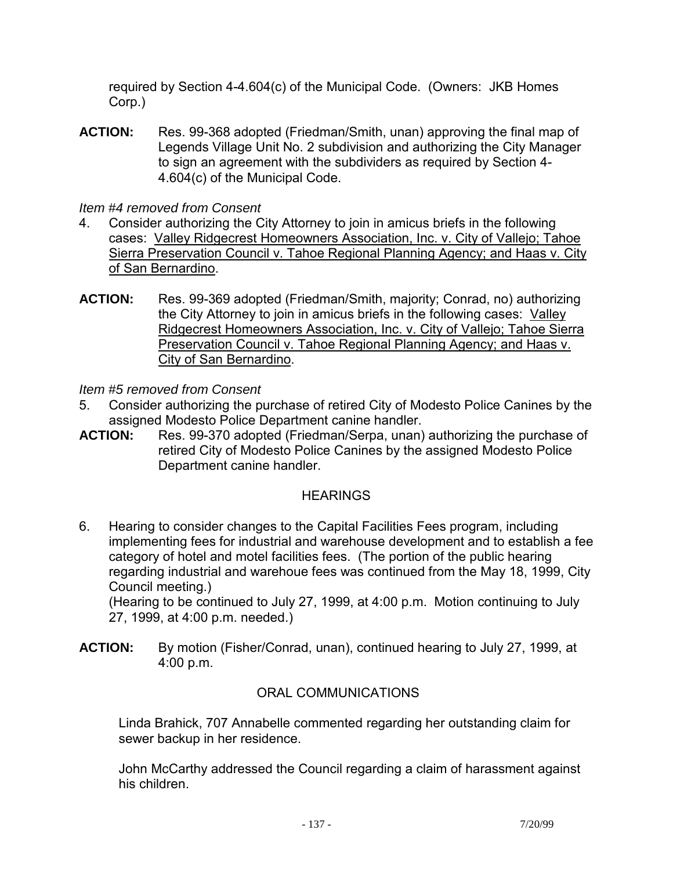required by Section 4-4.604(c) of the Municipal Code. (Owners: JKB Homes Corp.)

**ACTION:** Res. 99-368 adopted (Friedman/Smith, unan) approving the final map of Legends Village Unit No. 2 subdivision and authorizing the City Manager to sign an agreement with the subdividers as required by Section 4- 4.604(c) of the Municipal Code.

## *Item #4 removed from Consent*

- 4. Consider authorizing the City Attorney to join in amicus briefs in the following cases: Valley Ridgecrest Homeowners Association, Inc. v. City of Vallejo; Tahoe Sierra Preservation Council v. Tahoe Regional Planning Agency; and Haas v. City of San Bernardino.
- **ACTION:** Res. 99-369 adopted (Friedman/Smith, majority; Conrad, no) authorizing the City Attorney to join in amicus briefs in the following cases: Valley Ridgecrest Homeowners Association, Inc. v. City of Vallejo; Tahoe Sierra Preservation Council v. Tahoe Regional Planning Agency; and Haas v. City of San Bernardino.

*Item #5 removed from Consent* 

- 5. Consider authorizing the purchase of retired City of Modesto Police Canines by the assigned Modesto Police Department canine handler.<br>ACTION: Res. 99-370 adopted (Friedman/Serpa, unan)
- Res. 99-370 adopted (Friedman/Serpa, unan) authorizing the purchase of retired City of Modesto Police Canines by the assigned Modesto Police Department canine handler.

## **HEARINGS**

6. Hearing to consider changes to the Capital Facilities Fees program, including implementing fees for industrial and warehouse development and to establish a fee category of hotel and motel facilities fees. (The portion of the public hearing regarding industrial and warehoue fees was continued from the May 18, 1999, City Council meeting.)

 (Hearing to be continued to July 27, 1999, at 4:00 p.m. Motion continuing to July 27, 1999, at 4:00 p.m. needed.)

**ACTION:** By motion (Fisher/Conrad, unan), continued hearing to July 27, 1999, at 4:00 p.m.

## ORAL COMMUNICATIONS

 Linda Brahick, 707 Annabelle commented regarding her outstanding claim for sewer backup in her residence.

 John McCarthy addressed the Council regarding a claim of harassment against his children.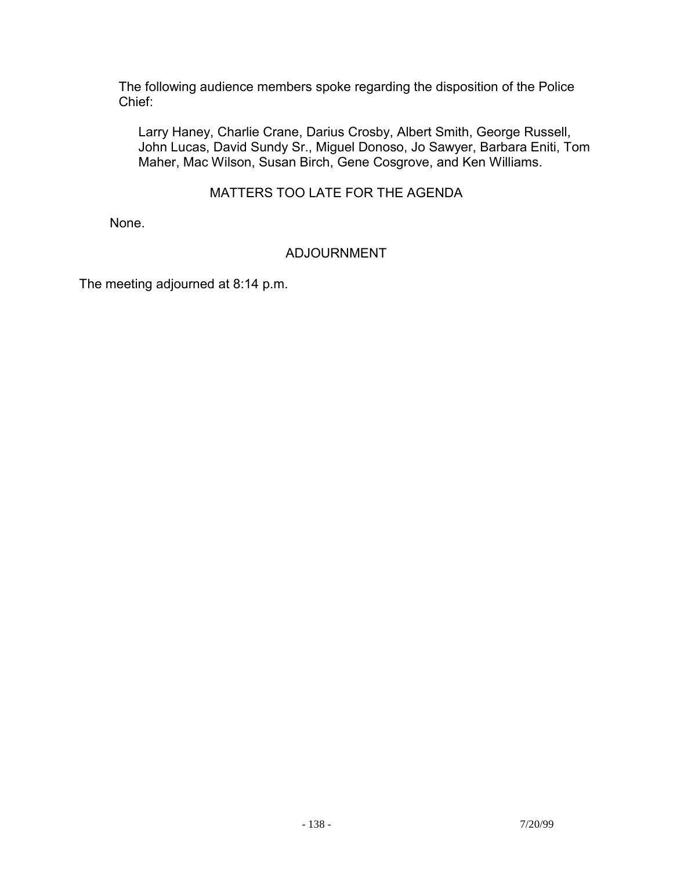The following audience members spoke regarding the disposition of the Police Chief:

 Larry Haney, Charlie Crane, Darius Crosby, Albert Smith, George Russell, John Lucas, David Sundy Sr., Miguel Donoso, Jo Sawyer, Barbara Eniti, Tom Maher, Mac Wilson, Susan Birch, Gene Cosgrove, and Ken Williams.

## MATTERS TOO LATE FOR THE AGENDA

None.

## ADJOURNMENT

The meeting adjourned at 8:14 p.m.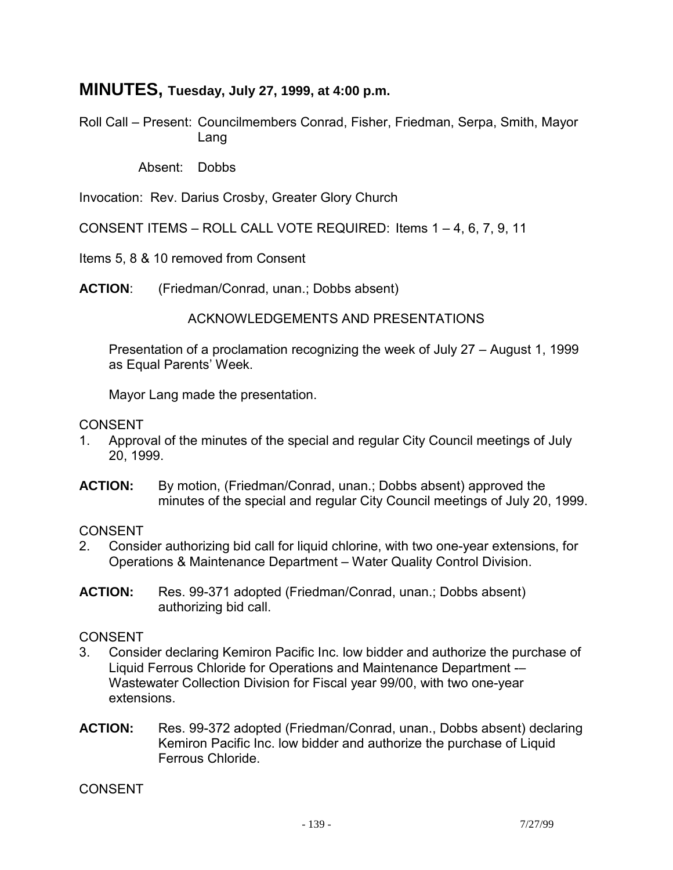# **MINUTES, Tuesday, July 27, 1999, at 4:00 p.m.**

Roll Call – Present: Councilmembers Conrad, Fisher, Friedman, Serpa, Smith, Mayor Lang

Absent: Dobbs

Invocation: Rev. Darius Crosby, Greater Glory Church

CONSENT ITEMS – ROLL CALL VOTE REQUIRED: Items 1 – 4, 6, 7, 9, 11

Items 5, 8 & 10 removed from Consent

**ACTION**: (Friedman/Conrad, unan.; Dobbs absent)

#### ACKNOWLEDGEMENTS AND PRESENTATIONS

 Presentation of a proclamation recognizing the week of July 27 – August 1, 1999 as Equal Parents' Week.

Mayor Lang made the presentation.

#### CONSENT

- 1. Approval of the minutes of the special and regular City Council meetings of July 20, 1999.
- **ACTION:** By motion, (Friedman/Conrad, unan.; Dobbs absent) approved the minutes of the special and regular City Council meetings of July 20, 1999.

#### **CONSENT**

- 2. Consider authorizing bid call for liquid chlorine, with two one-year extensions, for Operations & Maintenance Department – Water Quality Control Division.
- **ACTION:** Res. 99-371 adopted (Friedman/Conrad, unan.; Dobbs absent) authorizing bid call.

#### CONSENT

- 3. Consider declaring Kemiron Pacific Inc. low bidder and authorize the purchase of Liquid Ferrous Chloride for Operations and Maintenance Department -– Wastewater Collection Division for Fiscal year 99/00, with two one-year extensions.
- **ACTION:** Res. 99-372 adopted (Friedman/Conrad, unan., Dobbs absent) declaring Kemiron Pacific Inc. low bidder and authorize the purchase of Liquid Ferrous Chloride.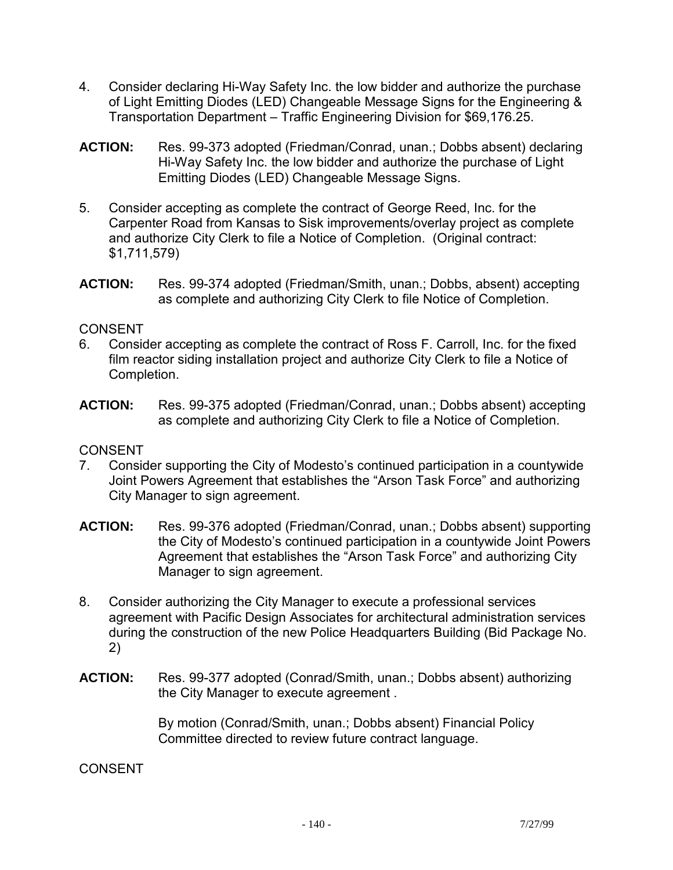- 4. Consider declaring Hi-Way Safety Inc. the low bidder and authorize the purchase of Light Emitting Diodes (LED) Changeable Message Signs for the Engineering & Transportation Department – Traffic Engineering Division for \$69,176.25.
- **ACTION:** Res. 99-373 adopted (Friedman/Conrad, unan.; Dobbs absent) declaring Hi-Way Safety Inc. the low bidder and authorize the purchase of Light Emitting Diodes (LED) Changeable Message Signs.
- 5. Consider accepting as complete the contract of George Reed, Inc. for the Carpenter Road from Kansas to Sisk improvements/overlay project as complete and authorize City Clerk to file a Notice of Completion. (Original contract: \$1,711,579)
- **ACTION:** Res. 99-374 adopted (Friedman/Smith, unan.; Dobbs, absent) accepting as complete and authorizing City Clerk to file Notice of Completion.

## **CONSENT**

- 6. Consider accepting as complete the contract of Ross F. Carroll, Inc. for the fixed film reactor siding installation project and authorize City Clerk to file a Notice of Completion.
- **ACTION:** Res. 99-375 adopted (Friedman/Conrad, unan.; Dobbs absent) accepting as complete and authorizing City Clerk to file a Notice of Completion.

## **CONSENT**

- 7. Consider supporting the City of Modesto's continued participation in a countywide Joint Powers Agreement that establishes the "Arson Task Force" and authorizing City Manager to sign agreement.
- **ACTION:** Res. 99-376 adopted (Friedman/Conrad, unan.; Dobbs absent) supporting the City of Modesto's continued participation in a countywide Joint Powers Agreement that establishes the "Arson Task Force" and authorizing City Manager to sign agreement.
- 8. Consider authorizing the City Manager to execute a professional services agreement with Pacific Design Associates for architectural administration services during the construction of the new Police Headquarters Building (Bid Package No. 2)
- **ACTION:** Res. 99-377 adopted (Conrad/Smith, unan.; Dobbs absent) authorizing the City Manager to execute agreement .

By motion (Conrad/Smith, unan.; Dobbs absent) Financial Policy Committee directed to review future contract language.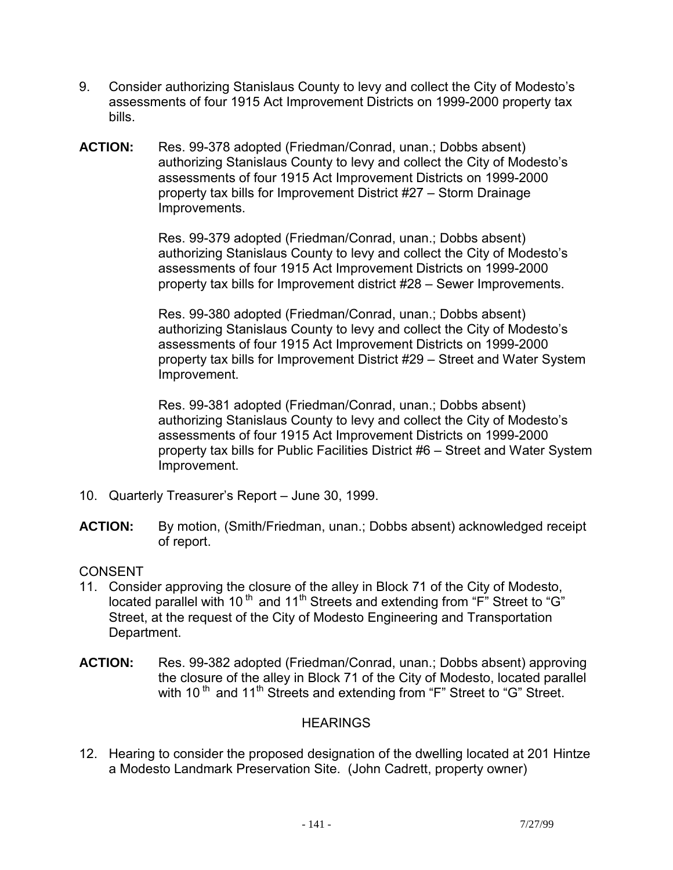- 9. Consider authorizing Stanislaus County to levy and collect the City of Modesto's assessments of four 1915 Act Improvement Districts on 1999-2000 property tax bills.
- **ACTION:** Res. 99-378 adopted (Friedman/Conrad, unan.; Dobbs absent) authorizing Stanislaus County to levy and collect the City of Modesto's assessments of four 1915 Act Improvement Districts on 1999-2000 property tax bills for Improvement District #27 – Storm Drainage Improvements.

Res. 99-379 adopted (Friedman/Conrad, unan.; Dobbs absent) authorizing Stanislaus County to levy and collect the City of Modesto's assessments of four 1915 Act Improvement Districts on 1999-2000 property tax bills for Improvement district #28 – Sewer Improvements.

Res. 99-380 adopted (Friedman/Conrad, unan.; Dobbs absent) authorizing Stanislaus County to levy and collect the City of Modesto's assessments of four 1915 Act Improvement Districts on 1999-2000 property tax bills for Improvement District #29 – Street and Water System Improvement.

Res. 99-381 adopted (Friedman/Conrad, unan.; Dobbs absent) authorizing Stanislaus County to levy and collect the City of Modesto's assessments of four 1915 Act Improvement Districts on 1999-2000 property tax bills for Public Facilities District #6 – Street and Water System Improvement.

- 10. Quarterly Treasurer's Report June 30, 1999.
- **ACTION:** By motion, (Smith/Friedman, unan.; Dobbs absent) acknowledged receipt of report.

## **CONSENT**

- 11. Consider approving the closure of the alley in Block 71 of the City of Modesto, located parallel with 10<sup>th</sup> and 11<sup>th</sup> Streets and extending from "F" Street to "G" Street, at the request of the City of Modesto Engineering and Transportation Department.
- **ACTION:** Res. 99-382 adopted (Friedman/Conrad, unan.; Dobbs absent) approving the closure of the alley in Block 71 of the City of Modesto, located parallel with 10<sup>th</sup> and 11<sup>th</sup> Streets and extending from "F" Street to "G" Street.

## **HEARINGS**

12. Hearing to consider the proposed designation of the dwelling located at 201 Hintze a Modesto Landmark Preservation Site. (John Cadrett, property owner)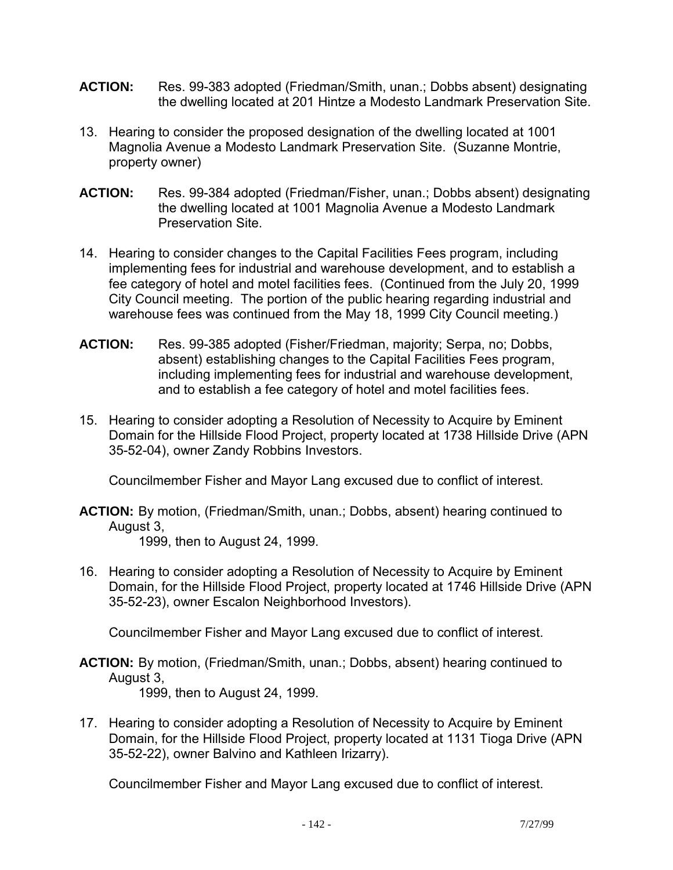- **ACTION:** Res. 99-383 adopted (Friedman/Smith, unan.; Dobbs absent) designating the dwelling located at 201 Hintze a Modesto Landmark Preservation Site.
- 13. Hearing to consider the proposed designation of the dwelling located at 1001 Magnolia Avenue a Modesto Landmark Preservation Site. (Suzanne Montrie, property owner)
- **ACTION:** Res. 99-384 adopted (Friedman/Fisher, unan.; Dobbs absent) designating the dwelling located at 1001 Magnolia Avenue a Modesto Landmark Preservation Site.
- 14. Hearing to consider changes to the Capital Facilities Fees program, including implementing fees for industrial and warehouse development, and to establish a fee category of hotel and motel facilities fees. (Continued from the July 20, 1999 City Council meeting. The portion of the public hearing regarding industrial and warehouse fees was continued from the May 18, 1999 City Council meeting.)
- **ACTION:** Res. 99-385 adopted (Fisher/Friedman, majority; Serpa, no; Dobbs, absent) establishing changes to the Capital Facilities Fees program, including implementing fees for industrial and warehouse development, and to establish a fee category of hotel and motel facilities fees.
- 15. Hearing to consider adopting a Resolution of Necessity to Acquire by Eminent Domain for the Hillside Flood Project, property located at 1738 Hillside Drive (APN 35-52-04), owner Zandy Robbins Investors.

Councilmember Fisher and Mayor Lang excused due to conflict of interest.

**ACTION:** By motion, (Friedman/Smith, unan.; Dobbs, absent) hearing continued to August 3,

1999, then to August 24, 1999.

16. Hearing to consider adopting a Resolution of Necessity to Acquire by Eminent Domain, for the Hillside Flood Project, property located at 1746 Hillside Drive (APN 35-52-23), owner Escalon Neighborhood Investors).

Councilmember Fisher and Mayor Lang excused due to conflict of interest.

**ACTION:** By motion, (Friedman/Smith, unan.; Dobbs, absent) hearing continued to August 3,

1999, then to August 24, 1999.

17. Hearing to consider adopting a Resolution of Necessity to Acquire by Eminent Domain, for the Hillside Flood Project, property located at 1131 Tioga Drive (APN 35-52-22), owner Balvino and Kathleen Irizarry).

Councilmember Fisher and Mayor Lang excused due to conflict of interest.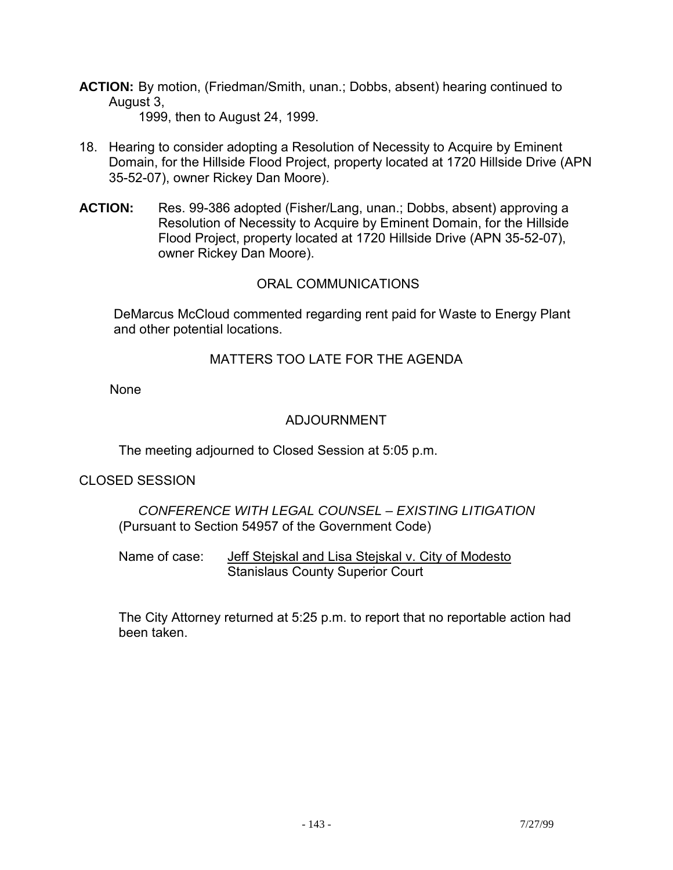**ACTION:** By motion, (Friedman/Smith, unan.; Dobbs, absent) hearing continued to August 3,

1999, then to August 24, 1999.

- 18. Hearing to consider adopting a Resolution of Necessity to Acquire by Eminent Domain, for the Hillside Flood Project, property located at 1720 Hillside Drive (APN 35-52-07), owner Rickey Dan Moore).
- **ACTION:** Res. 99-386 adopted (Fisher/Lang, unan.; Dobbs, absent) approving a Resolution of Necessity to Acquire by Eminent Domain, for the Hillside Flood Project, property located at 1720 Hillside Drive (APN 35-52-07), owner Rickey Dan Moore).

## ORAL COMMUNICATIONS

 DeMarcus McCloud commented regarding rent paid for Waste to Energy Plant and other potential locations.

## MATTERS TOO LATE FOR THE AGENDA

None

## ADJOURNMENT

The meeting adjourned to Closed Session at 5:05 p.m.

#### CLOSED SESSION

 *CONFERENCE WITH LEGAL COUNSEL – EXISTING LITIGATION*  (Pursuant to Section 54957 of the Government Code)

 Name of case: Jeff Stejskal and Lisa Stejskal v. City of Modesto Stanislaus County Superior Court

 The City Attorney returned at 5:25 p.m. to report that no reportable action had been taken.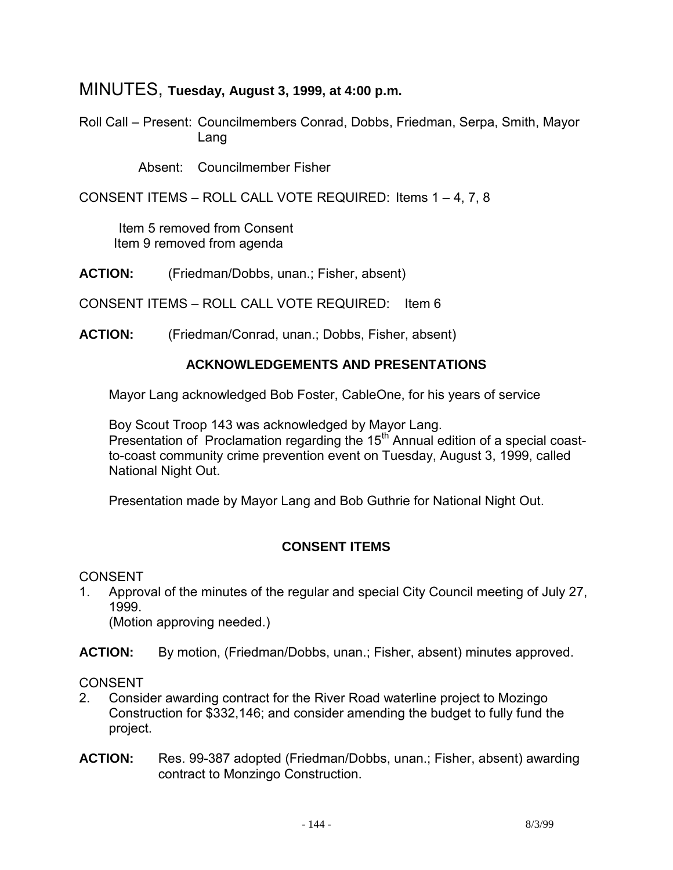# MINUTES, **Tuesday, August 3, 1999, at 4:00 p.m.**

Roll Call – Present: Councilmembers Conrad, Dobbs, Friedman, Serpa, Smith, Mayor Lang

Absent: Councilmember Fisher

CONSENT ITEMS – ROLL CALL VOTE REQUIRED: Items 1 – 4, 7, 8

 Item 5 removed from Consent Item 9 removed from agenda

**ACTION:** (Friedman/Dobbs, unan.; Fisher, absent)

CONSENT ITEMS – ROLL CALL VOTE REQUIRED: Item 6

**ACTION:** (Friedman/Conrad, unan.; Dobbs, Fisher, absent)

#### **ACKNOWLEDGEMENTS AND PRESENTATIONS**

Mayor Lang acknowledged Bob Foster, CableOne, for his years of service

 Boy Scout Troop 143 was acknowledged by Mayor Lang. Presentation of Proclamation regarding the 15<sup>th</sup> Annual edition of a special coastto-coast community crime prevention event on Tuesday, August 3, 1999, called National Night Out.

Presentation made by Mayor Lang and Bob Guthrie for National Night Out.

## **CONSENT ITEMS**

CONSENT

1. Approval of the minutes of the regular and special City Council meeting of July 27, 1999.

(Motion approving needed.)

**ACTION:** By motion, (Friedman/Dobbs, unan.; Fisher, absent) minutes approved.

- 2. Consider awarding contract for the River Road waterline project to Mozingo Construction for \$332,146; and consider amending the budget to fully fund the project.
- **ACTION:** Res. 99-387 adopted (Friedman/Dobbs, unan.; Fisher, absent) awarding contract to Monzingo Construction.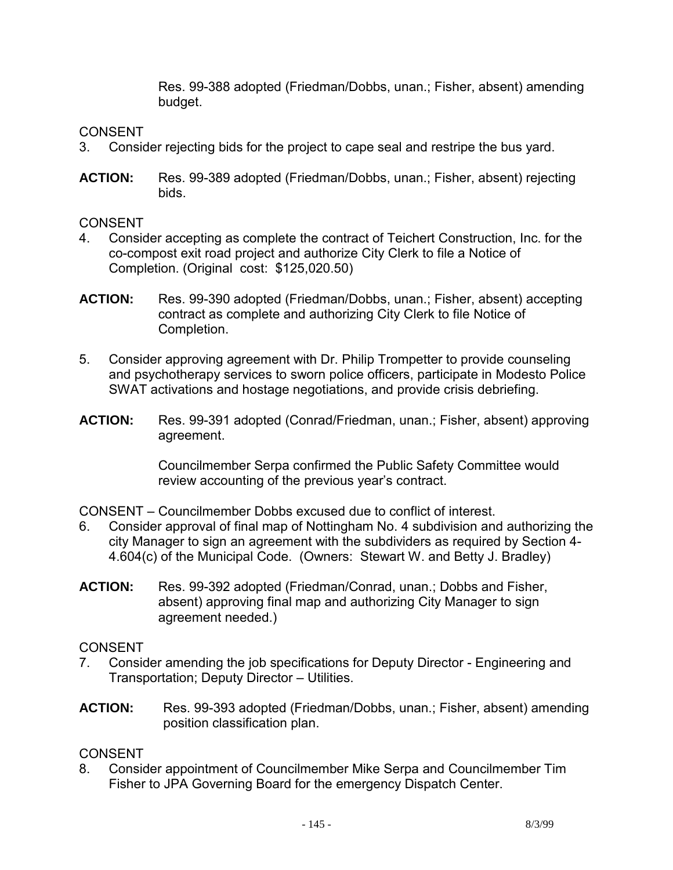Res. 99-388 adopted (Friedman/Dobbs, unan.; Fisher, absent) amending budget.

CONSENT

- 3. Consider rejecting bids for the project to cape seal and restripe the bus yard.
- **ACTION:** Res. 99-389 adopted (Friedman/Dobbs, unan.; Fisher, absent) rejecting bids.

**CONSENT** 

- 4. Consider accepting as complete the contract of Teichert Construction, Inc. for the co-compost exit road project and authorize City Clerk to file a Notice of Completion. (Original cost: \$125,020.50)
- **ACTION:** Res. 99-390 adopted (Friedman/Dobbs, unan.; Fisher, absent) accepting contract as complete and authorizing City Clerk to file Notice of Completion.
- 5. Consider approving agreement with Dr. Philip Trompetter to provide counseling and psychotherapy services to sworn police officers, participate in Modesto Police SWAT activations and hostage negotiations, and provide crisis debriefing.
- **ACTION:** Res. 99-391 adopted (Conrad/Friedman, unan.; Fisher, absent) approving agreement.

 Councilmember Serpa confirmed the Public Safety Committee would review accounting of the previous year's contract.

CONSENT – Councilmember Dobbs excused due to conflict of interest.

- 6. Consider approval of final map of Nottingham No. 4 subdivision and authorizing the city Manager to sign an agreement with the subdividers as required by Section 4- 4.604(c) of the Municipal Code. (Owners: Stewart W. and Betty J. Bradley)
- **ACTION:** Res. 99-392 adopted (Friedman/Conrad, unan.; Dobbs and Fisher, absent) approving final map and authorizing City Manager to sign agreement needed.)

## **CONSENT**

- 7. Consider amending the job specifications for Deputy Director Engineering and Transportation; Deputy Director – Utilities.
- **ACTION:** Res. 99-393 adopted (Friedman/Dobbs, unan.; Fisher, absent) amending position classification plan.

## **CONSENT**

8. Consider appointment of Councilmember Mike Serpa and Councilmember Tim Fisher to JPA Governing Board for the emergency Dispatch Center.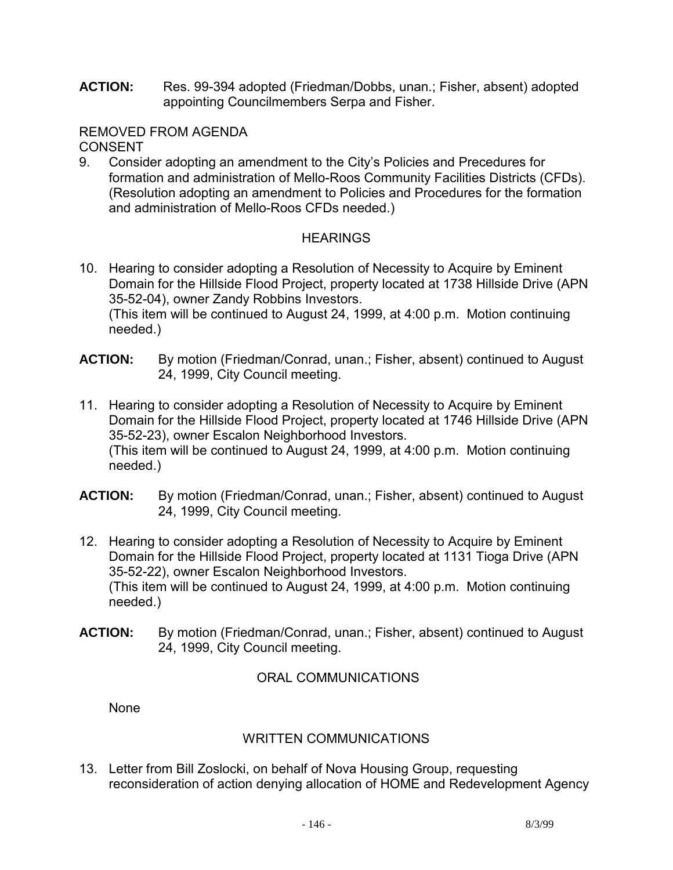**ACTION:** Res. 99-394 adopted (Friedman/Dobbs, unan.; Fisher, absent) adopted appointing Councilmembers Serpa and Fisher.

#### REMOVED FROM AGENDA **CONSENT**

9. Consider adopting an amendment to the City's Policies and Precedures for formation and administration of Mello-Roos Community Facilities Districts (CFDs). (Resolution adopting an amendment to Policies and Procedures for the formation and administration of Mello-Roos CFDs needed.)

## **HEARINGS**

- 10. Hearing to consider adopting a Resolution of Necessity to Acquire by Eminent Domain for the Hillside Flood Project, property located at 1738 Hillside Drive (APN 35-52-04), owner Zandy Robbins Investors. (This item will be continued to August 24, 1999, at 4:00 p.m. Motion continuing needed.)
- **ACTION:** By motion (Friedman/Conrad, unan.; Fisher, absent) continued to August 24, 1999, City Council meeting.
- 11. Hearing to consider adopting a Resolution of Necessity to Acquire by Eminent Domain for the Hillside Flood Project, property located at 1746 Hillside Drive (APN 35-52-23), owner Escalon Neighborhood Investors. (This item will be continued to August 24, 1999, at 4:00 p.m. Motion continuing needed.)
- **ACTION:** By motion (Friedman/Conrad, unan.; Fisher, absent) continued to August 24, 1999, City Council meeting.
- 12. Hearing to consider adopting a Resolution of Necessity to Acquire by Eminent Domain for the Hillside Flood Project, property located at 1131 Tioga Drive (APN 35-52-22), owner Escalon Neighborhood Investors. (This item will be continued to August 24, 1999, at 4:00 p.m. Motion continuing needed.)
- **ACTION:** By motion (Friedman/Conrad, unan.; Fisher, absent) continued to August 24, 1999, City Council meeting.

## ORAL COMMUNICATIONS

None

## WRITTEN COMMUNICATIONS

13. Letter from Bill Zoslocki, on behalf of Nova Housing Group, requesting reconsideration of action denying allocation of HOME and Redevelopment Agency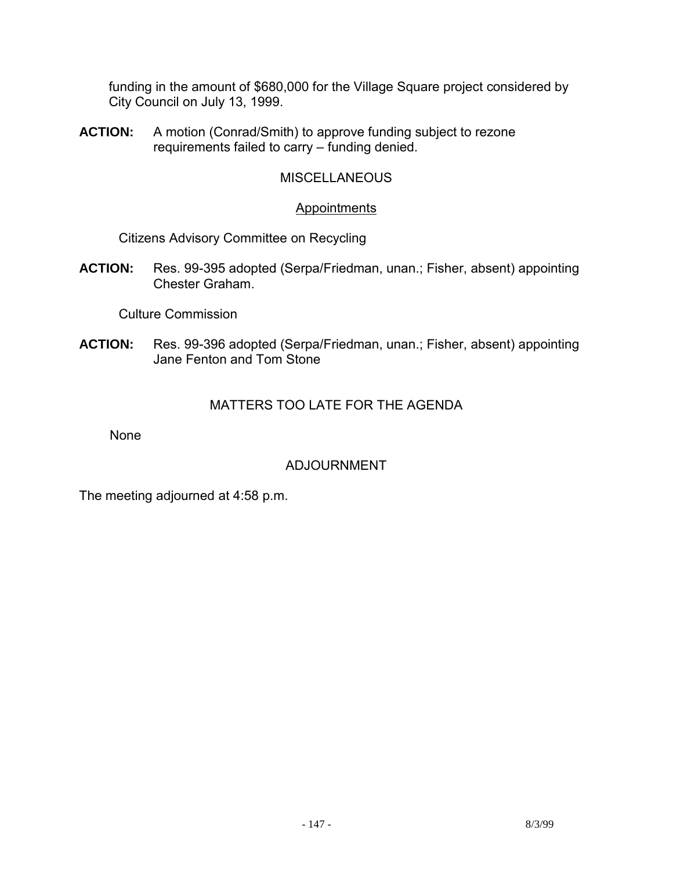funding in the amount of \$680,000 for the Village Square project considered by City Council on July 13, 1999.

**ACTION:** A motion (Conrad/Smith) to approve funding subject to rezone requirements failed to carry – funding denied.

## **MISCELLANEOUS**

### Appointments

Citizens Advisory Committee on Recycling

**ACTION:** Res. 99-395 adopted (Serpa/Friedman, unan.; Fisher, absent) appointing Chester Graham.

Culture Commission

**ACTION:** Res. 99-396 adopted (Serpa/Friedman, unan.; Fisher, absent) appointing Jane Fenton and Tom Stone

## MATTERS TOO LATE FOR THE AGENDA

None

## ADJOURNMENT

The meeting adjourned at 4:58 p.m.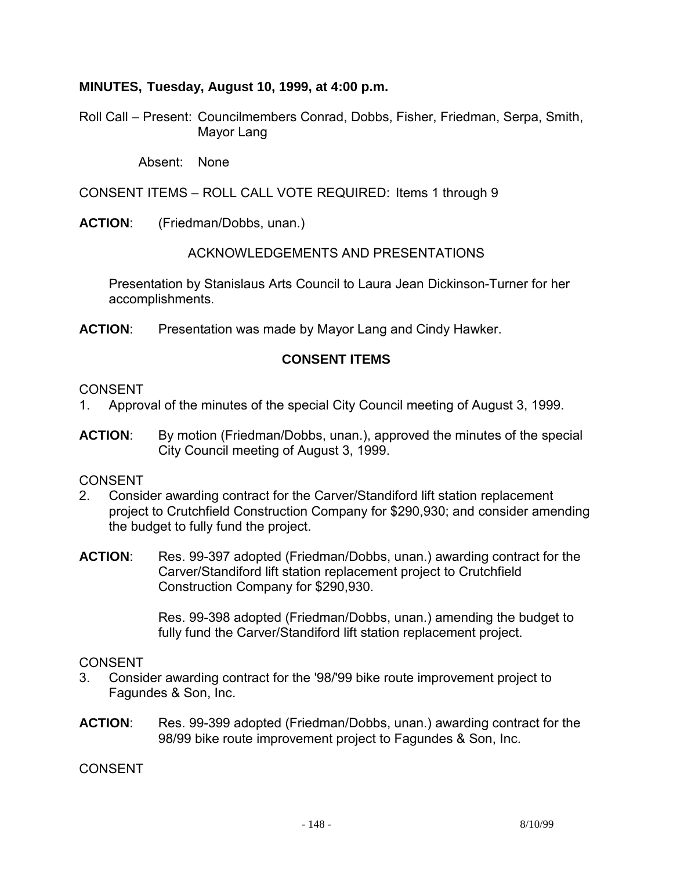### **MINUTES, Tuesday, August 10, 1999, at 4:00 p.m.**

Roll Call – Present: Councilmembers Conrad, Dobbs, Fisher, Friedman, Serpa, Smith, Mayor Lang

Absent: None

CONSENT ITEMS – ROLL CALL VOTE REQUIRED: Items 1 through 9

**ACTION**: (Friedman/Dobbs, unan.)

ACKNOWLEDGEMENTS AND PRESENTATIONS

 Presentation by Stanislaus Arts Council to Laura Jean Dickinson-Turner for her accomplishments.

**ACTION**: Presentation was made by Mayor Lang and Cindy Hawker.

## **CONSENT ITEMS**

#### **CONSENT**

- 1. Approval of the minutes of the special City Council meeting of August 3, 1999.
- **ACTION**: By motion (Friedman/Dobbs, unan.), approved the minutes of the special City Council meeting of August 3, 1999.

#### CONSENT

- 2. Consider awarding contract for the Carver/Standiford lift station replacement project to Crutchfield Construction Company for \$290,930; and consider amending the budget to fully fund the project.
- **ACTION**: Res. 99-397 adopted (Friedman/Dobbs, unan.) awarding contract for the Carver/Standiford lift station replacement project to Crutchfield Construction Company for \$290,930.

Res. 99-398 adopted (Friedman/Dobbs, unan.) amending the budget to fully fund the Carver/Standiford lift station replacement project.

#### CONSENT

- 3. Consider awarding contract for the '98/'99 bike route improvement project to Fagundes & Son, Inc.
- **ACTION**: Res. 99-399 adopted (Friedman/Dobbs, unan.) awarding contract for the 98/99 bike route improvement project to Fagundes & Son, Inc.

CONSENT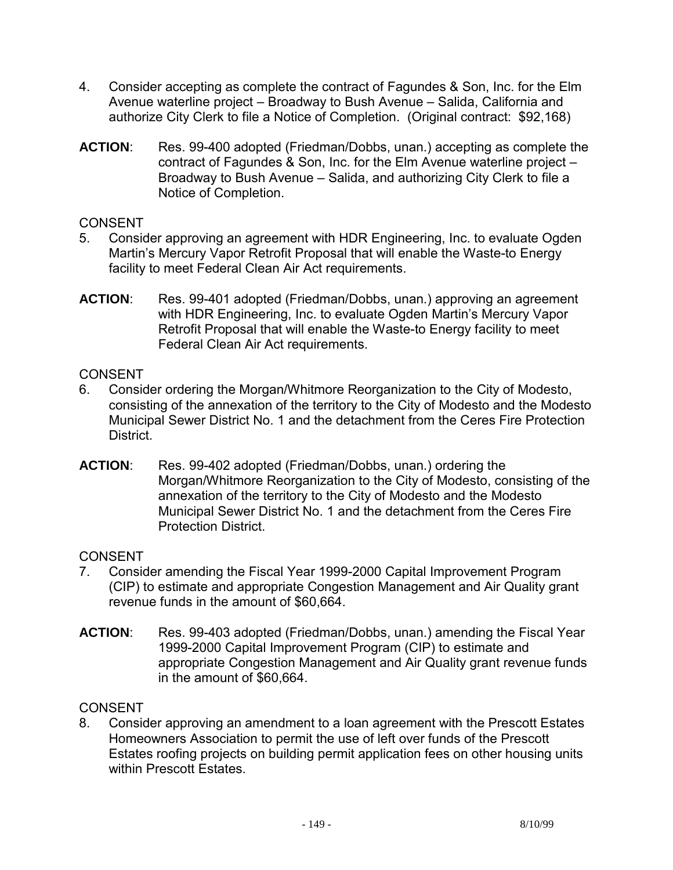- 4. Consider accepting as complete the contract of Fagundes & Son, Inc. for the Elm Avenue waterline project – Broadway to Bush Avenue – Salida, California and authorize City Clerk to file a Notice of Completion. (Original contract: \$92,168)
- **ACTION**: Res. 99-400 adopted (Friedman/Dobbs, unan.) accepting as complete the contract of Fagundes & Son, Inc. for the Elm Avenue waterline project – Broadway to Bush Avenue – Salida, and authorizing City Clerk to file a Notice of Completion.

## **CONSENT**

- 5. Consider approving an agreement with HDR Engineering, Inc. to evaluate Ogden Martin's Mercury Vapor Retrofit Proposal that will enable the Waste-to Energy facility to meet Federal Clean Air Act requirements.
- **ACTION**: Res. 99-401 adopted (Friedman/Dobbs, unan.) approving an agreement with HDR Engineering, Inc. to evaluate Ogden Martin's Mercury Vapor Retrofit Proposal that will enable the Waste-to Energy facility to meet Federal Clean Air Act requirements.

### **CONSENT**

- 6. Consider ordering the Morgan/Whitmore Reorganization to the City of Modesto, consisting of the annexation of the territory to the City of Modesto and the Modesto Municipal Sewer District No. 1 and the detachment from the Ceres Fire Protection District.
- **ACTION**: Res. 99-402 adopted (Friedman/Dobbs, unan.) ordering the Morgan/Whitmore Reorganization to the City of Modesto, consisting of the annexation of the territory to the City of Modesto and the Modesto Municipal Sewer District No. 1 and the detachment from the Ceres Fire Protection District.

## **CONSENT**

- 7. Consider amending the Fiscal Year 1999-2000 Capital Improvement Program (CIP) to estimate and appropriate Congestion Management and Air Quality grant revenue funds in the amount of \$60,664.
- **ACTION**: Res. 99-403 adopted (Friedman/Dobbs, unan.) amending the Fiscal Year 1999-2000 Capital Improvement Program (CIP) to estimate and appropriate Congestion Management and Air Quality grant revenue funds in the amount of \$60,664.

### **CONSENT**

8. Consider approving an amendment to a loan agreement with the Prescott Estates Homeowners Association to permit the use of left over funds of the Prescott Estates roofing projects on building permit application fees on other housing units within Prescott Estates.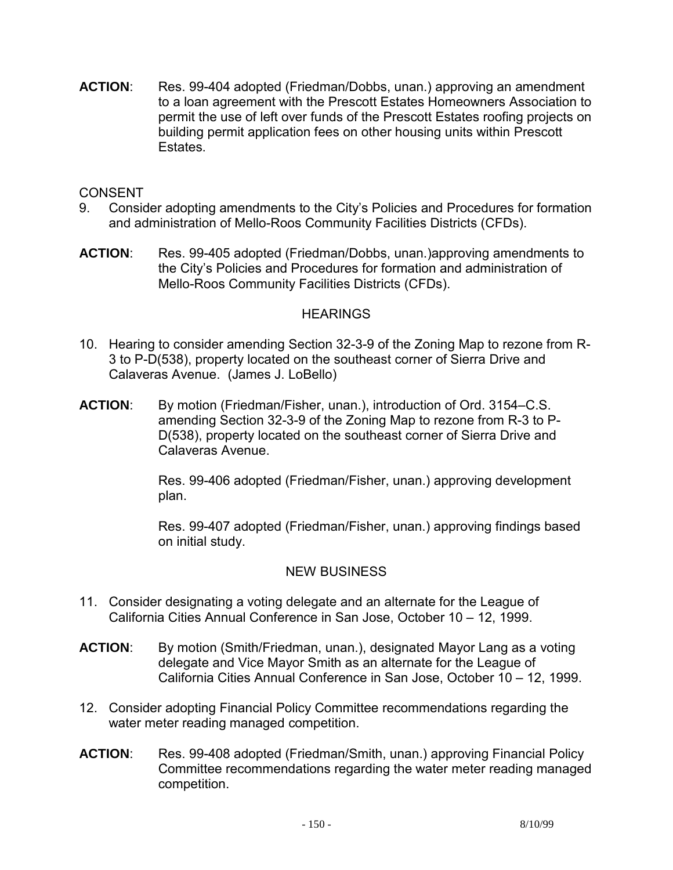**ACTION**: Res. 99-404 adopted (Friedman/Dobbs, unan.) approving an amendment to a loan agreement with the Prescott Estates Homeowners Association to permit the use of left over funds of the Prescott Estates roofing projects on building permit application fees on other housing units within Prescott **Estates** 

### CONSENT

- 9. Consider adopting amendments to the City's Policies and Procedures for formation and administration of Mello-Roos Community Facilities Districts (CFDs).
- **ACTION**: Res. 99-405 adopted (Friedman/Dobbs, unan.)approving amendments to the City's Policies and Procedures for formation and administration of Mello-Roos Community Facilities Districts (CFDs).

### **HEARINGS**

- 10. Hearing to consider amending Section 32-3-9 of the Zoning Map to rezone from R-3 to P-D(538), property located on the southeast corner of Sierra Drive and Calaveras Avenue. (James J. LoBello)
- **ACTION**: By motion (Friedman/Fisher, unan.), introduction of Ord. 3154–C.S. amending Section 32-3-9 of the Zoning Map to rezone from R-3 to P-D(538), property located on the southeast corner of Sierra Drive and Calaveras Avenue.

Res. 99-406 adopted (Friedman/Fisher, unan.) approving development plan.

Res. 99-407 adopted (Friedman/Fisher, unan.) approving findings based on initial study.

## NEW BUSINESS

- 11. Consider designating a voting delegate and an alternate for the League of California Cities Annual Conference in San Jose, October 10 – 12, 1999.
- **ACTION**: By motion (Smith/Friedman, unan.), designated Mayor Lang as a voting delegate and Vice Mayor Smith as an alternate for the League of California Cities Annual Conference in San Jose, October 10 – 12, 1999.
- 12. Consider adopting Financial Policy Committee recommendations regarding the water meter reading managed competition.
- **ACTION**: Res. 99-408 adopted (Friedman/Smith, unan.) approving Financial Policy Committee recommendations regarding the water meter reading managed competition.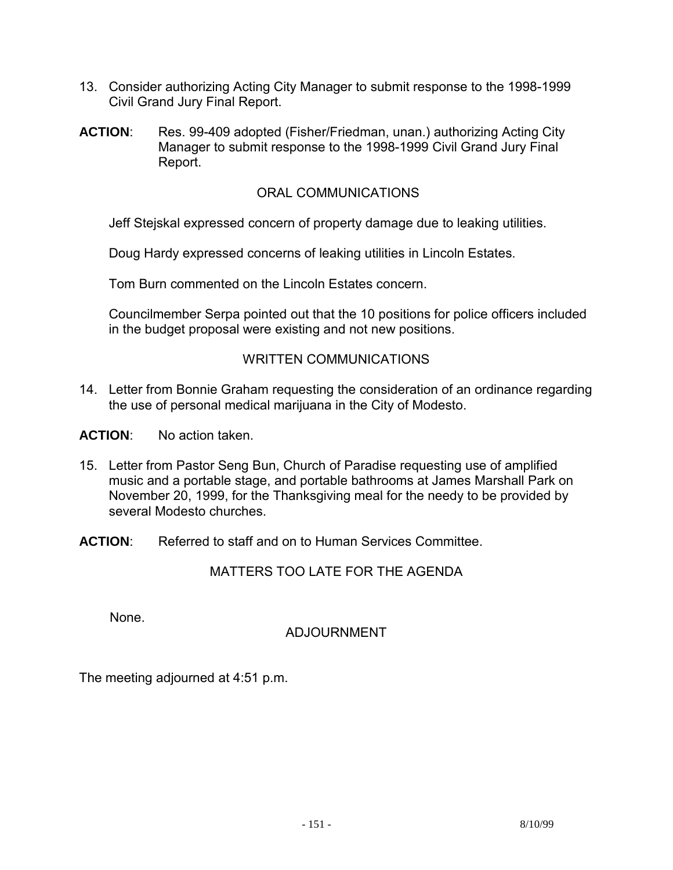- 13. Consider authorizing Acting City Manager to submit response to the 1998-1999 Civil Grand Jury Final Report.
- **ACTION**: Res. 99-409 adopted (Fisher/Friedman, unan.) authorizing Acting City Manager to submit response to the 1998-1999 Civil Grand Jury Final Report.

### ORAL COMMUNICATIONS

Jeff Stejskal expressed concern of property damage due to leaking utilities.

Doug Hardy expressed concerns of leaking utilities in Lincoln Estates.

Tom Burn commented on the Lincoln Estates concern.

 Councilmember Serpa pointed out that the 10 positions for police officers included in the budget proposal were existing and not new positions.

## WRITTEN COMMUNICATIONS

14. Letter from Bonnie Graham requesting the consideration of an ordinance regarding the use of personal medical marijuana in the City of Modesto.

**ACTION**: No action taken.

- 15. Letter from Pastor Seng Bun, Church of Paradise requesting use of amplified music and a portable stage, and portable bathrooms at James Marshall Park on November 20, 1999, for the Thanksgiving meal for the needy to be provided by several Modesto churches.
- **ACTION**: Referred to staff and on to Human Services Committee.

## MATTERS TOO LATE FOR THE AGENDA

None.

## ADJOURNMENT

The meeting adjourned at 4:51 p.m.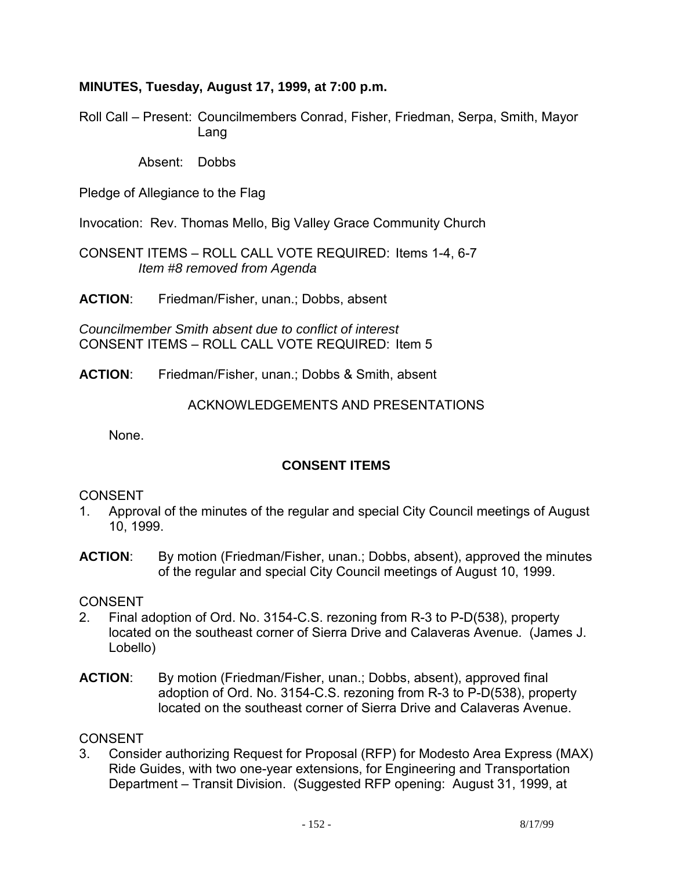### **MINUTES, Tuesday, August 17, 1999, at 7:00 p.m.**

Roll Call – Present: Councilmembers Conrad, Fisher, Friedman, Serpa, Smith, Mayor Lang

Absent: Dobbs

Pledge of Allegiance to the Flag

Invocation: Rev. Thomas Mello, Big Valley Grace Community Church

CONSENT ITEMS – ROLL CALL VOTE REQUIRED: Items 1-4, 6-7  *Item #8 removed from Agenda* 

**ACTION**: Friedman/Fisher, unan.; Dobbs, absent

*Councilmember Smith absent due to conflict of interest*  CONSENT ITEMS – ROLL CALL VOTE REQUIRED: Item 5

**ACTION**: Friedman/Fisher, unan.; Dobbs & Smith, absent

ACKNOWLEDGEMENTS AND PRESENTATIONS

None.

## **CONSENT ITEMS**

### CONSENT

- 1. Approval of the minutes of the regular and special City Council meetings of August 10, 1999.
- **ACTION:** By motion (Friedman/Fisher, unan.; Dobbs, absent), approved the minutes of the regular and special City Council meetings of August 10, 1999.

#### **CONSENT**

- 2. Final adoption of Ord. No. 3154-C.S. rezoning from R-3 to P-D(538), property located on the southeast corner of Sierra Drive and Calaveras Avenue. (James J. Lobello)
- **ACTION**: By motion (Friedman/Fisher, unan.; Dobbs, absent), approved final adoption of Ord. No. 3154-C.S. rezoning from R-3 to P-D(538), property located on the southeast corner of Sierra Drive and Calaveras Avenue.

## **CONSENT**

3. Consider authorizing Request for Proposal (RFP) for Modesto Area Express (MAX) Ride Guides, with two one-year extensions, for Engineering and Transportation Department – Transit Division. (Suggested RFP opening: August 31, 1999, at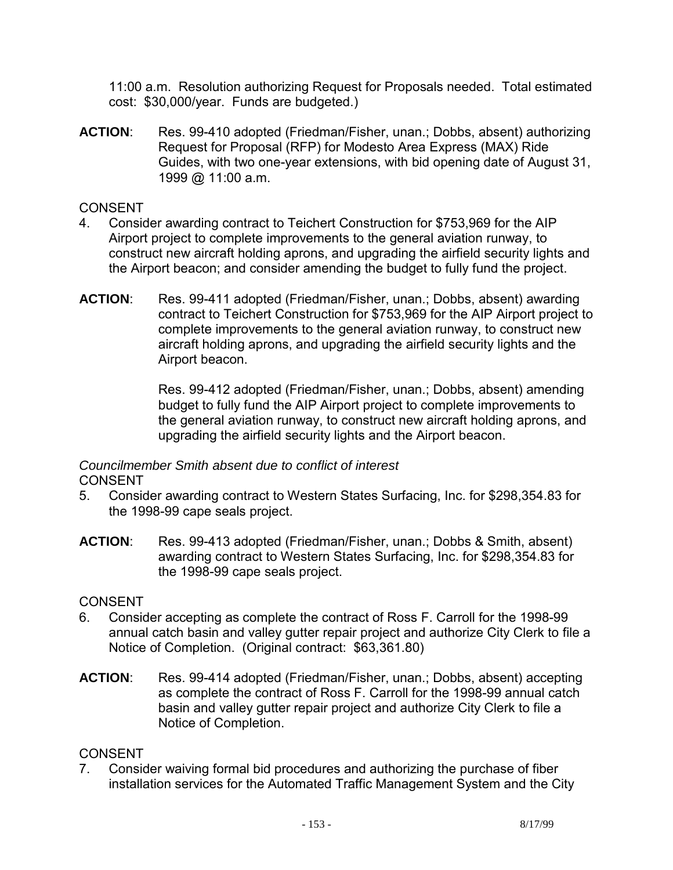11:00 a.m. Resolution authorizing Request for Proposals needed. Total estimated cost: \$30,000/year. Funds are budgeted.)

**ACTION**: Res. 99-410 adopted (Friedman/Fisher, unan.; Dobbs, absent) authorizing Request for Proposal (RFP) for Modesto Area Express (MAX) Ride Guides, with two one-year extensions, with bid opening date of August 31, 1999 @ 11:00 a.m.

## CONSENT

- 4. Consider awarding contract to Teichert Construction for \$753,969 for the AIP Airport project to complete improvements to the general aviation runway, to construct new aircraft holding aprons, and upgrading the airfield security lights and the Airport beacon; and consider amending the budget to fully fund the project.
- **ACTION**: Res. 99-411 adopted (Friedman/Fisher, unan.; Dobbs, absent) awarding contract to Teichert Construction for \$753,969 for the AIP Airport project to complete improvements to the general aviation runway, to construct new aircraft holding aprons, and upgrading the airfield security lights and the Airport beacon.

Res. 99-412 adopted (Friedman/Fisher, unan.; Dobbs, absent) amending budget to fully fund the AIP Airport project to complete improvements to the general aviation runway, to construct new aircraft holding aprons, and upgrading the airfield security lights and the Airport beacon.

## *Councilmember Smith absent due to conflict of interest*  CONSENT

- 5. Consider awarding contract to Western States Surfacing, Inc. for \$298,354.83 for the 1998-99 cape seals project.
- **ACTION**: Res. 99-413 adopted (Friedman/Fisher, unan.; Dobbs & Smith, absent) awarding contract to Western States Surfacing, Inc. for \$298,354.83 for the 1998-99 cape seals project.

## **CONSENT**

- 6. Consider accepting as complete the contract of Ross F. Carroll for the 1998-99 annual catch basin and valley gutter repair project and authorize City Clerk to file a Notice of Completion. (Original contract: \$63,361.80)
- **ACTION**: Res. 99-414 adopted (Friedman/Fisher, unan.; Dobbs, absent) accepting as complete the contract of Ross F. Carroll for the 1998-99 annual catch basin and valley gutter repair project and authorize City Clerk to file a Notice of Completion.

## **CONSENT**

7. Consider waiving formal bid procedures and authorizing the purchase of fiber installation services for the Automated Traffic Management System and the City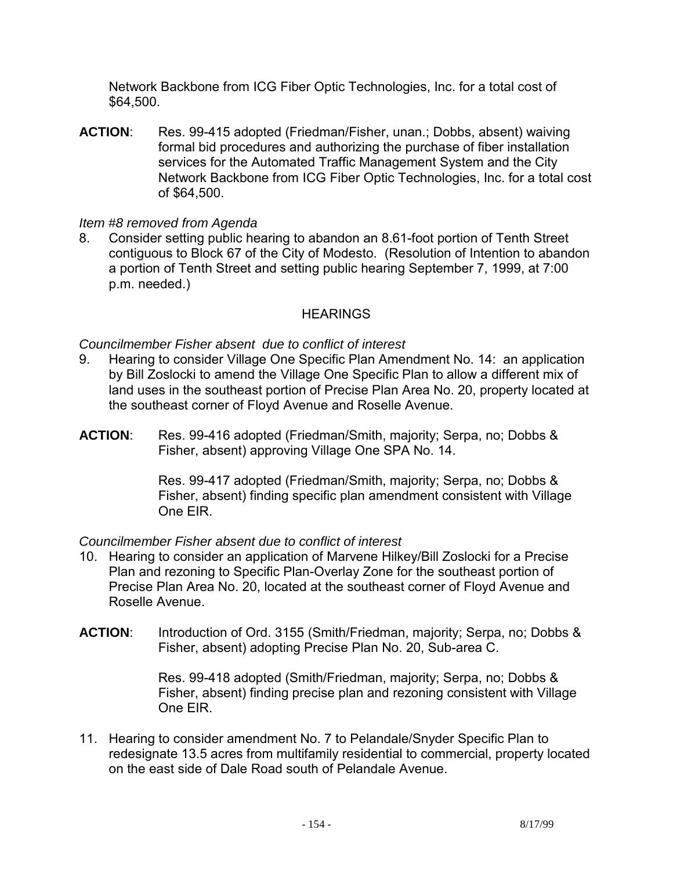Network Backbone from ICG Fiber Optic Technologies, Inc. for a total cost of \$64,500.

**ACTION**: Res. 99-415 adopted (Friedman/Fisher, unan.; Dobbs, absent) waiving formal bid procedures and authorizing the purchase of fiber installation services for the Automated Traffic Management System and the City Network Backbone from ICG Fiber Optic Technologies, Inc. for a total cost of \$64,500.

### *Item #8 removed from Agenda*

8. Consider setting public hearing to abandon an 8.61-foot portion of Tenth Street contiguous to Block 67 of the City of Modesto. (Resolution of Intention to abandon a portion of Tenth Street and setting public hearing September 7, 1999, at 7:00 p.m. needed.)

### **HEARINGS**

### *Councilmember Fisher absent due to conflict of interest*

- 9. Hearing to consider Village One Specific Plan Amendment No. 14: an application by Bill Zoslocki to amend the Village One Specific Plan to allow a different mix of land uses in the southeast portion of Precise Plan Area No. 20, property located at the southeast corner of Floyd Avenue and Roselle Avenue.
- **ACTION**: Res. 99-416 adopted (Friedman/Smith, majority; Serpa, no; Dobbs & Fisher, absent) approving Village One SPA No. 14.

Res. 99-417 adopted (Friedman/Smith, majority; Serpa, no; Dobbs & Fisher, absent) finding specific plan amendment consistent with Village One EIR.

#### *Councilmember Fisher absent due to conflict of interest*

- 10. Hearing to consider an application of Marvene Hilkey/Bill Zoslocki for a Precise Plan and rezoning to Specific Plan-Overlay Zone for the southeast portion of Precise Plan Area No. 20, located at the southeast corner of Floyd Avenue and Roselle Avenue.
- **ACTION**: Introduction of Ord. 3155 (Smith/Friedman, majority; Serpa, no; Dobbs & Fisher, absent) adopting Precise Plan No. 20, Sub-area C.

Res. 99-418 adopted (Smith/Friedman, majority; Serpa, no; Dobbs & Fisher, absent) finding precise plan and rezoning consistent with Village One EIR.

11. Hearing to consider amendment No. 7 to Pelandale/Snyder Specific Plan to redesignate 13.5 acres from multifamily residential to commercial, property located on the east side of Dale Road south of Pelandale Avenue.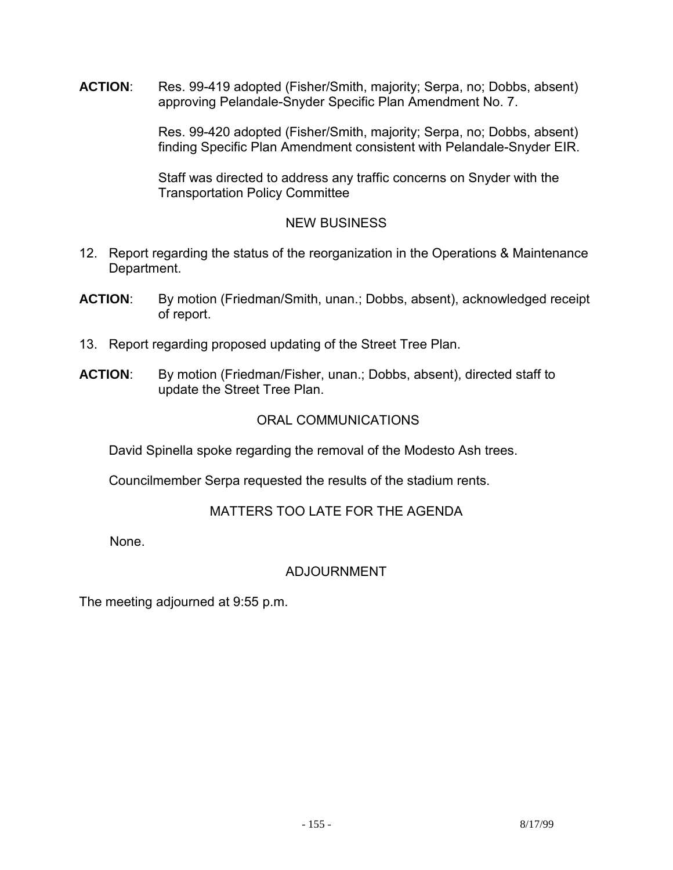**ACTION**: Res. 99-419 adopted (Fisher/Smith, majority; Serpa, no; Dobbs, absent) approving Pelandale-Snyder Specific Plan Amendment No. 7.

> Res. 99-420 adopted (Fisher/Smith, majority; Serpa, no; Dobbs, absent) finding Specific Plan Amendment consistent with Pelandale-Snyder EIR.

Staff was directed to address any traffic concerns on Snyder with the Transportation Policy Committee

## NEW BUSINESS

- 12. Report regarding the status of the reorganization in the Operations & Maintenance Department.
- **ACTION**: By motion (Friedman/Smith, unan.; Dobbs, absent), acknowledged receipt of report.
- 13. Report regarding proposed updating of the Street Tree Plan.
- **ACTION**: By motion (Friedman/Fisher, unan.; Dobbs, absent), directed staff to update the Street Tree Plan.

### ORAL COMMUNICATIONS

David Spinella spoke regarding the removal of the Modesto Ash trees.

Councilmember Serpa requested the results of the stadium rents.

## MATTERS TOO LATE FOR THE AGENDA

None.

## ADJOURNMENT

The meeting adjourned at 9:55 p.m.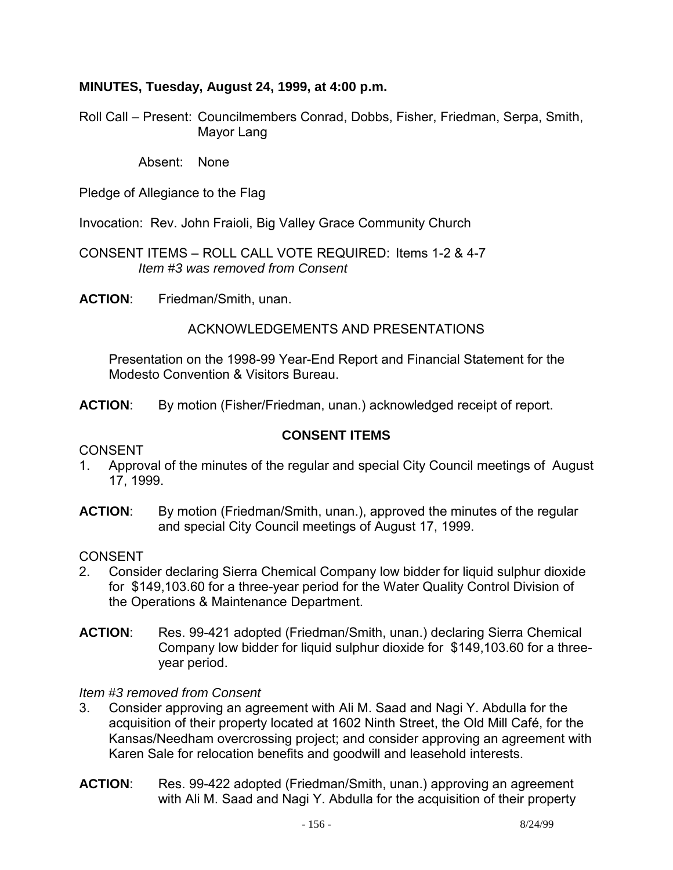### **MINUTES, Tuesday, August 24, 1999, at 4:00 p.m.**

Roll Call – Present: Councilmembers Conrad, Dobbs, Fisher, Friedman, Serpa, Smith, Mayor Lang

Absent: None

Pledge of Allegiance to the Flag

Invocation: Rev. John Fraioli, Big Valley Grace Community Church

CONSENT ITEMS – ROLL CALL VOTE REQUIRED: Items 1-2 & 4-7  *Item #3 was removed from Consent* 

**ACTION**: Friedman/Smith, unan.

### ACKNOWLEDGEMENTS AND PRESENTATIONS

 Presentation on the 1998-99 Year-End Report and Financial Statement for the Modesto Convention & Visitors Bureau.

**ACTION**: By motion (Fisher/Friedman, unan.) acknowledged receipt of report.

### **CONSENT ITEMS**

#### **CONSENT**

- 1. Approval of the minutes of the regular and special City Council meetings of August 17, 1999.
- **ACTION**: By motion (Friedman/Smith, unan.), approved the minutes of the regular and special City Council meetings of August 17, 1999.

### CONSENT

- 2. Consider declaring Sierra Chemical Company low bidder for liquid sulphur dioxide for \$149,103.60 for a three-year period for the Water Quality Control Division of the Operations & Maintenance Department.
- **ACTION**: Res. 99-421 adopted (Friedman/Smith, unan.) declaring Sierra Chemical Company low bidder for liquid sulphur dioxide for \$149,103.60 for a threeyear period.

#### *Item #3 removed from Consent*

- 3. Consider approving an agreement with Ali M. Saad and Nagi Y. Abdulla for the acquisition of their property located at 1602 Ninth Street, the Old Mill Café, for the Kansas/Needham overcrossing project; and consider approving an agreement with Karen Sale for relocation benefits and goodwill and leasehold interests.
- **ACTION**: Res. 99-422 adopted (Friedman/Smith, unan.) approving an agreement with Ali M. Saad and Nagi Y. Abdulla for the acquisition of their property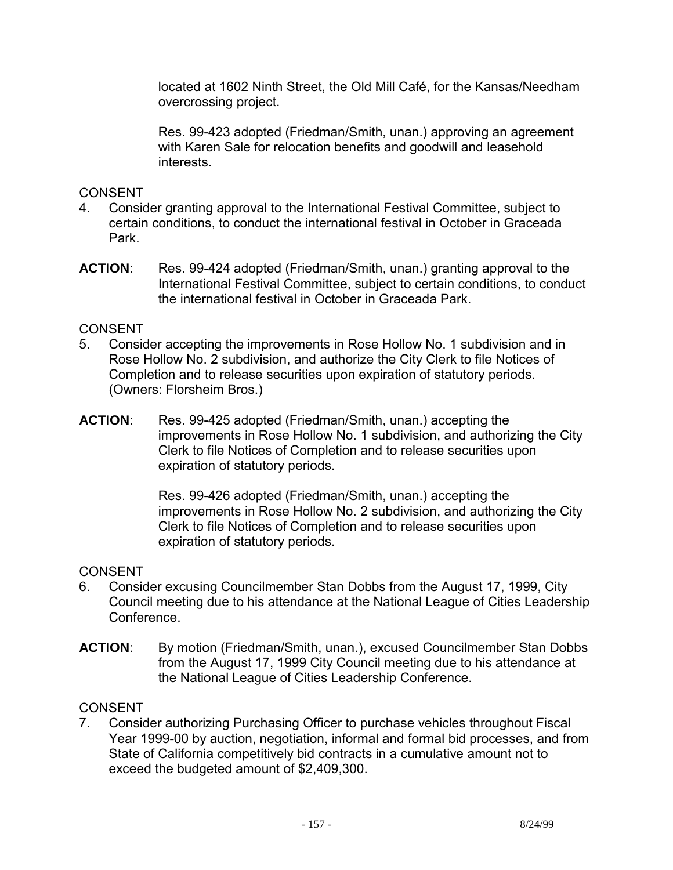located at 1602 Ninth Street, the Old Mill Café, for the Kansas/Needham overcrossing project.

Res. 99-423 adopted (Friedman/Smith, unan.) approving an agreement with Karen Sale for relocation benefits and goodwill and leasehold interests.

### CONSENT

- 4. Consider granting approval to the International Festival Committee, subject to certain conditions, to conduct the international festival in October in Graceada Park.
- **ACTION**: Res. 99-424 adopted (Friedman/Smith, unan.) granting approval to the International Festival Committee, subject to certain conditions, to conduct the international festival in October in Graceada Park.

### **CONSENT**

- 5. Consider accepting the improvements in Rose Hollow No. 1 subdivision and in Rose Hollow No. 2 subdivision, and authorize the City Clerk to file Notices of Completion and to release securities upon expiration of statutory periods. (Owners: Florsheim Bros.)
- **ACTION**: Res. 99-425 adopted (Friedman/Smith, unan.) accepting the improvements in Rose Hollow No. 1 subdivision, and authorizing the City Clerk to file Notices of Completion and to release securities upon expiration of statutory periods.

Res. 99-426 adopted (Friedman/Smith, unan.) accepting the improvements in Rose Hollow No. 2 subdivision, and authorizing the City Clerk to file Notices of Completion and to release securities upon expiration of statutory periods.

## **CONSENT**

- 6. Consider excusing Councilmember Stan Dobbs from the August 17, 1999, City Council meeting due to his attendance at the National League of Cities Leadership Conference.
- **ACTION**: By motion (Friedman/Smith, unan.), excused Councilmember Stan Dobbs from the August 17, 1999 City Council meeting due to his attendance at the National League of Cities Leadership Conference.

## **CONSENT**

7. Consider authorizing Purchasing Officer to purchase vehicles throughout Fiscal Year 1999-00 by auction, negotiation, informal and formal bid processes, and from State of California competitively bid contracts in a cumulative amount not to exceed the budgeted amount of \$2,409,300.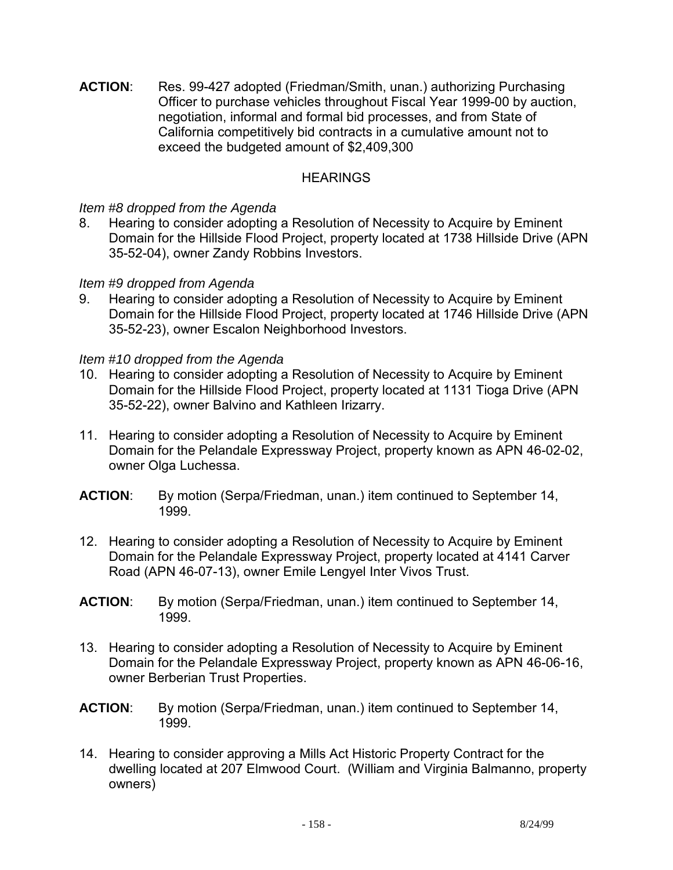**ACTION**: Res. 99-427 adopted (Friedman/Smith, unan.) authorizing Purchasing Officer to purchase vehicles throughout Fiscal Year 1999-00 by auction, negotiation, informal and formal bid processes, and from State of California competitively bid contracts in a cumulative amount not to exceed the budgeted amount of \$2,409,300

### **HEARINGS**

#### *Item #8 dropped from the Agenda*

8. Hearing to consider adopting a Resolution of Necessity to Acquire by Eminent Domain for the Hillside Flood Project, property located at 1738 Hillside Drive (APN 35-52-04), owner Zandy Robbins Investors.

### *Item #9 dropped from Agenda*

9. Hearing to consider adopting a Resolution of Necessity to Acquire by Eminent Domain for the Hillside Flood Project, property located at 1746 Hillside Drive (APN 35-52-23), owner Escalon Neighborhood Investors.

### *Item #10 dropped from the Agenda*

- 10. Hearing to consider adopting a Resolution of Necessity to Acquire by Eminent Domain for the Hillside Flood Project, property located at 1131 Tioga Drive (APN 35-52-22), owner Balvino and Kathleen Irizarry.
- 11. Hearing to consider adopting a Resolution of Necessity to Acquire by Eminent Domain for the Pelandale Expressway Project, property known as APN 46-02-02, owner Olga Luchessa.
- **ACTION**: By motion (Serpa/Friedman, unan.) item continued to September 14, 1999.
- 12. Hearing to consider adopting a Resolution of Necessity to Acquire by Eminent Domain for the Pelandale Expressway Project, property located at 4141 Carver Road (APN 46-07-13), owner Emile Lengyel Inter Vivos Trust.
- **ACTION**: By motion (Serpa/Friedman, unan.) item continued to September 14, 1999.
- 13. Hearing to consider adopting a Resolution of Necessity to Acquire by Eminent Domain for the Pelandale Expressway Project, property known as APN 46-06-16, owner Berberian Trust Properties.
- **ACTION**: By motion (Serpa/Friedman, unan.) item continued to September 14, 1999.
- 14. Hearing to consider approving a Mills Act Historic Property Contract for the dwelling located at 207 Elmwood Court. (William and Virginia Balmanno, property owners)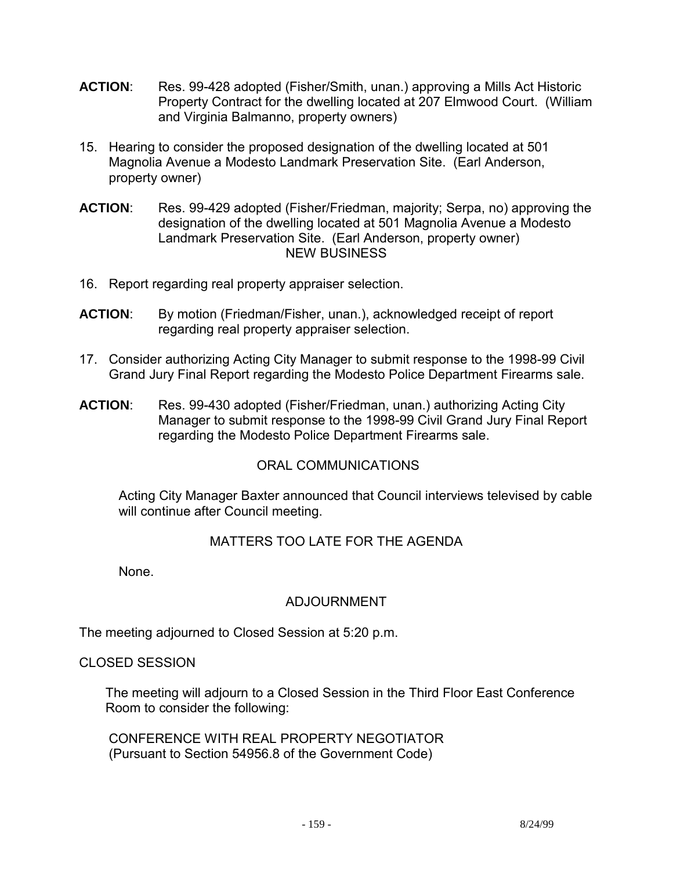- **ACTION**: Res. 99-428 adopted (Fisher/Smith, unan.) approving a Mills Act Historic Property Contract for the dwelling located at 207 Elmwood Court. (William and Virginia Balmanno, property owners)
- 15. Hearing to consider the proposed designation of the dwelling located at 501 Magnolia Avenue a Modesto Landmark Preservation Site. (Earl Anderson, property owner)
- **ACTION**: Res. 99-429 adopted (Fisher/Friedman, majority; Serpa, no) approving the designation of the dwelling located at 501 Magnolia Avenue a Modesto Landmark Preservation Site. (Earl Anderson, property owner) NEW BUSINESS
- 16. Report regarding real property appraiser selection.
- **ACTION**: By motion (Friedman/Fisher, unan.), acknowledged receipt of report regarding real property appraiser selection.
- 17. Consider authorizing Acting City Manager to submit response to the 1998-99 Civil Grand Jury Final Report regarding the Modesto Police Department Firearms sale.
- **ACTION**: Res. 99-430 adopted (Fisher/Friedman, unan.) authorizing Acting City Manager to submit response to the 1998-99 Civil Grand Jury Final Report regarding the Modesto Police Department Firearms sale.

## ORAL COMMUNICATIONS

 Acting City Manager Baxter announced that Council interviews televised by cable will continue after Council meeting.

## MATTERS TOO LATE FOR THE AGENDA

None.

## ADJOURNMENT

The meeting adjourned to Closed Session at 5:20 p.m.

#### CLOSED SESSION

 The meeting will adjourn to a Closed Session in the Third Floor East Conference Room to consider the following:

 CONFERENCE WITH REAL PROPERTY NEGOTIATOR (Pursuant to Section 54956.8 of the Government Code)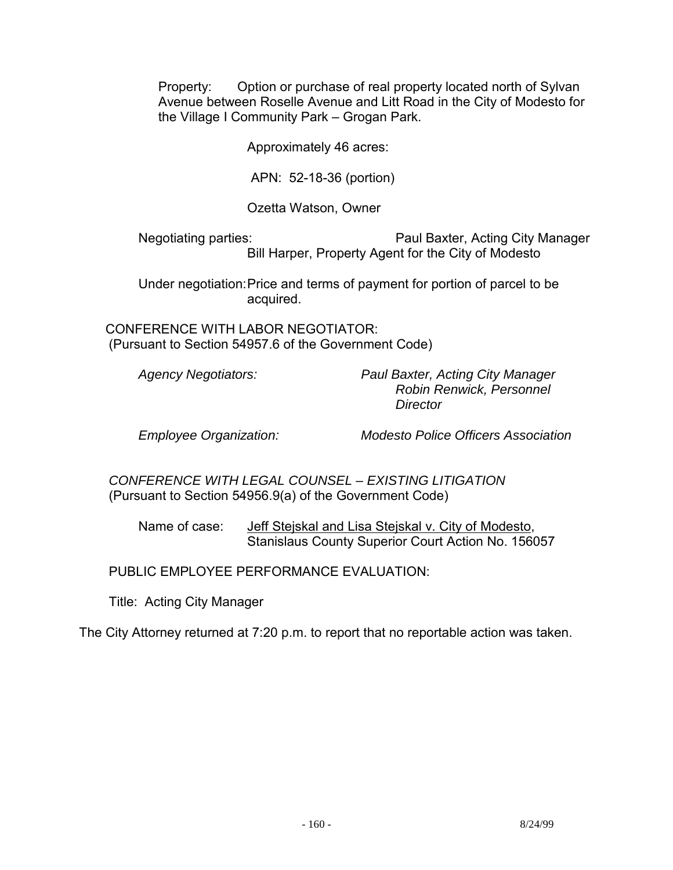Property: Option or purchase of real property located north of Sylvan Avenue between Roselle Avenue and Litt Road in the City of Modesto for the Village I Community Park – Grogan Park.

Approximately 46 acres:

APN: 52-18-36 (portion)

Ozetta Watson, Owner

 Negotiating parties: Paul Baxter, Acting City Manager Bill Harper, Property Agent for the City of Modesto

 Under negotiation: Price and terms of payment for portion of parcel to be acquired.

 CONFERENCE WITH LABOR NEGOTIATOR: (Pursuant to Section 54957.6 of the Government Code)

 *Agency Negotiators: Paul Baxter, Acting City Manager Robin Renwick, Personnel Director* 

 *Employee Organization: Modesto Police Officers Association* 

 *CONFERENCE WITH LEGAL COUNSEL – EXISTING LITIGATION*  (Pursuant to Section 54956.9(a) of the Government Code)

 Name of case: Jeff Stejskal and Lisa Stejskal v. City of Modesto, Stanislaus County Superior Court Action No. 156057

PUBLIC EMPLOYEE PERFORMANCE EVALUATION:

Title: Acting City Manager

The City Attorney returned at 7:20 p.m. to report that no reportable action was taken.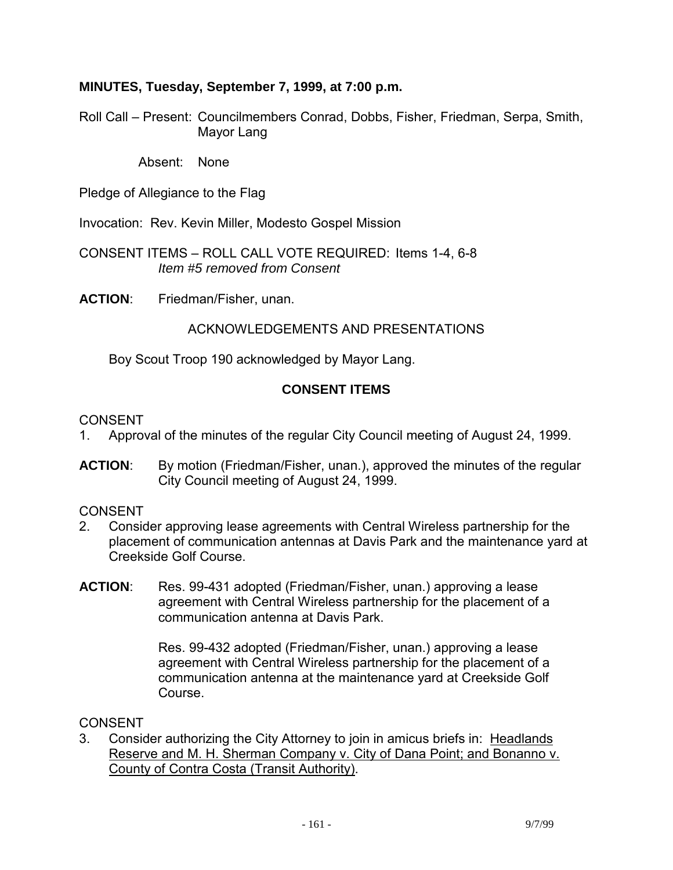### **MINUTES, Tuesday, September 7, 1999, at 7:00 p.m.**

Roll Call – Present: Councilmembers Conrad, Dobbs, Fisher, Friedman, Serpa, Smith, Mayor Lang

Absent: None

Pledge of Allegiance to the Flag

Invocation: Rev. Kevin Miller, Modesto Gospel Mission

CONSENT ITEMS – ROLL CALL VOTE REQUIRED: Items 1-4, 6-8 *Item #5 removed from Consent* 

**ACTION**: Friedman/Fisher, unan.

#### ACKNOWLEDGEMENTS AND PRESENTATIONS

Boy Scout Troop 190 acknowledged by Mayor Lang.

#### **CONSENT ITEMS**

CONSENT

- 1. Approval of the minutes of the regular City Council meeting of August 24, 1999.
- **ACTION**: By motion (Friedman/Fisher, unan.), approved the minutes of the regular City Council meeting of August 24, 1999.

CONSENT

- 2. Consider approving lease agreements with Central Wireless partnership for the placement of communication antennas at Davis Park and the maintenance yard at Creekside Golf Course.
- **ACTION**: Res. 99-431 adopted (Friedman/Fisher, unan.) approving a lease agreement with Central Wireless partnership for the placement of a communication antenna at Davis Park.

Res. 99-432 adopted (Friedman/Fisher, unan.) approving a lease agreement with Central Wireless partnership for the placement of a communication antenna at the maintenance yard at Creekside Golf Course.

**CONSENT** 

3. Consider authorizing the City Attorney to join in amicus briefs in: Headlands Reserve and M. H. Sherman Company v. City of Dana Point; and Bonanno v. County of Contra Costa (Transit Authority).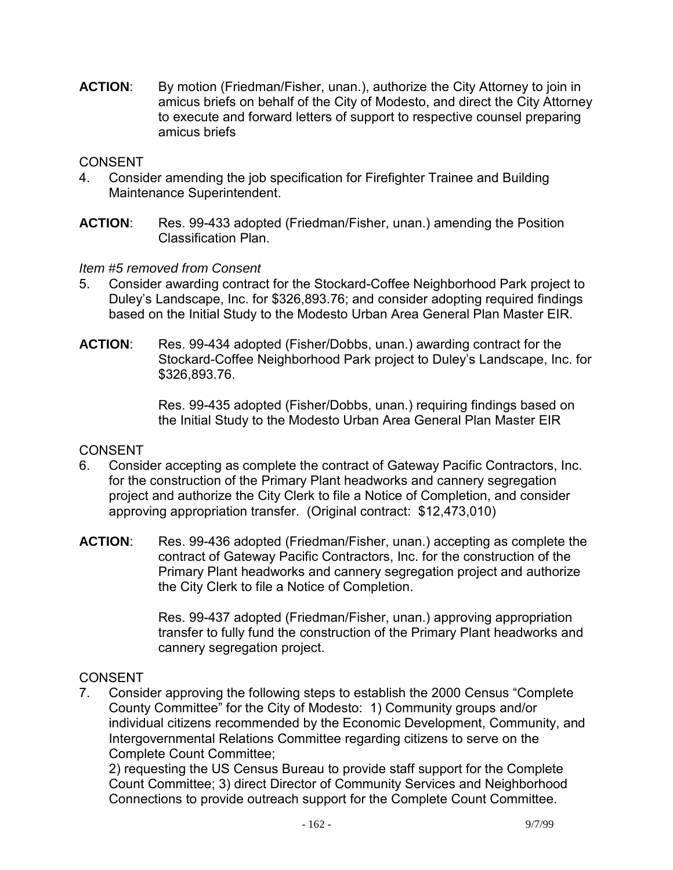**ACTION**: By motion (Friedman/Fisher, unan.), authorize the City Attorney to join in amicus briefs on behalf of the City of Modesto, and direct the City Attorney to execute and forward letters of support to respective counsel preparing amicus briefs

### CONSENT

- 4. Consider amending the job specification for Firefighter Trainee and Building Maintenance Superintendent.
- **ACTION**: Res. 99-433 adopted (Friedman/Fisher, unan.) amending the Position Classification Plan.

### *Item #5 removed from Consent*

- 5. Consider awarding contract for the Stockard-Coffee Neighborhood Park project to Duley's Landscape, Inc. for \$326,893.76; and consider adopting required findings based on the Initial Study to the Modesto Urban Area General Plan Master EIR.
- **ACTION**: Res. 99-434 adopted (Fisher/Dobbs, unan.) awarding contract for the Stockard-Coffee Neighborhood Park project to Duley's Landscape, Inc. for \$326,893.76.

Res. 99-435 adopted (Fisher/Dobbs, unan.) requiring findings based on the Initial Study to the Modesto Urban Area General Plan Master EIR

#### **CONSENT**

- 6. Consider accepting as complete the contract of Gateway Pacific Contractors, Inc. for the construction of the Primary Plant headworks and cannery segregation project and authorize the City Clerk to file a Notice of Completion, and consider approving appropriation transfer. (Original contract: \$12,473,010)
- **ACTION**: Res. 99-436 adopted (Friedman/Fisher, unan.) accepting as complete the contract of Gateway Pacific Contractors, Inc. for the construction of the Primary Plant headworks and cannery segregation project and authorize the City Clerk to file a Notice of Completion.

Res. 99-437 adopted (Friedman/Fisher, unan.) approving appropriation transfer to fully fund the construction of the Primary Plant headworks and cannery segregation project.

## **CONSENT**

7. Consider approving the following steps to establish the 2000 Census "Complete County Committee" for the City of Modesto: 1) Community groups and/or individual citizens recommended by the Economic Development, Community, and Intergovernmental Relations Committee regarding citizens to serve on the Complete Count Committee;

 2) requesting the US Census Bureau to provide staff support for the Complete Count Committee; 3) direct Director of Community Services and Neighborhood Connections to provide outreach support for the Complete Count Committee.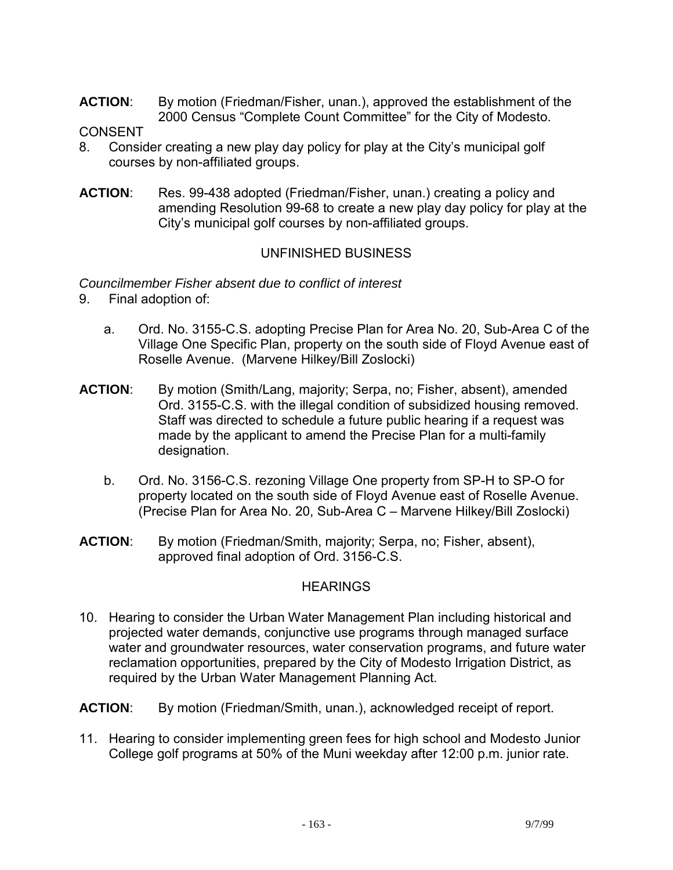**ACTION**: By motion (Friedman/Fisher, unan.), approved the establishment of the 2000 Census "Complete Count Committee" for the City of Modesto.

#### CONSENT

- 8. Consider creating a new play day policy for play at the City's municipal golf courses by non-affiliated groups.
- **ACTION**: Res. 99-438 adopted (Friedman/Fisher, unan.) creating a policy and amending Resolution 99-68 to create a new play day policy for play at the City's municipal golf courses by non-affiliated groups.

### UNFINISHED BUSINESS

#### *Councilmember Fisher absent due to conflict of interest*

- 9. Final adoption of:
	- a. Ord. No. 3155-C.S. adopting Precise Plan for Area No. 20, Sub-Area C of the Village One Specific Plan, property on the south side of Floyd Avenue east of Roselle Avenue. (Marvene Hilkey/Bill Zoslocki)
- **ACTION**: By motion (Smith/Lang, majority; Serpa, no; Fisher, absent), amended Ord. 3155-C.S. with the illegal condition of subsidized housing removed. Staff was directed to schedule a future public hearing if a request was made by the applicant to amend the Precise Plan for a multi-family designation.
	- b. Ord. No. 3156-C.S. rezoning Village One property from SP-H to SP-O for property located on the south side of Floyd Avenue east of Roselle Avenue. (Precise Plan for Area No. 20, Sub-Area C – Marvene Hilkey/Bill Zoslocki)
- **ACTION**: By motion (Friedman/Smith, majority; Serpa, no; Fisher, absent), approved final adoption of Ord. 3156-C.S.

#### **HEARINGS**

10. Hearing to consider the Urban Water Management Plan including historical and projected water demands, conjunctive use programs through managed surface water and groundwater resources, water conservation programs, and future water reclamation opportunities, prepared by the City of Modesto Irrigation District, as required by the Urban Water Management Planning Act.

**ACTION**: By motion (Friedman/Smith, unan.), acknowledged receipt of report.

11. Hearing to consider implementing green fees for high school and Modesto Junior College golf programs at 50% of the Muni weekday after 12:00 p.m. junior rate.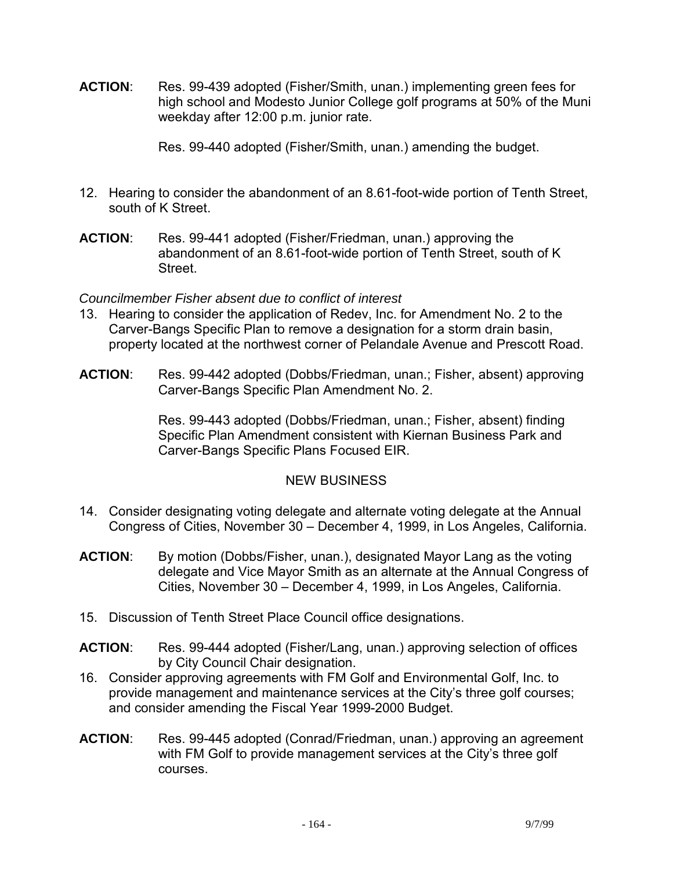**ACTION**: Res. 99-439 adopted (Fisher/Smith, unan.) implementing green fees for high school and Modesto Junior College golf programs at 50% of the Muni weekday after 12:00 p.m. junior rate.

Res. 99-440 adopted (Fisher/Smith, unan.) amending the budget.

- 12. Hearing to consider the abandonment of an 8.61-foot-wide portion of Tenth Street, south of K Street.
- **ACTION**: Res. 99-441 adopted (Fisher/Friedman, unan.) approving the abandonment of an 8.61-foot-wide portion of Tenth Street, south of K Street.

### *Councilmember Fisher absent due to conflict of interest*

- 13. Hearing to consider the application of Redev, Inc. for Amendment No. 2 to the Carver-Bangs Specific Plan to remove a designation for a storm drain basin, property located at the northwest corner of Pelandale Avenue and Prescott Road.
- **ACTION**: Res. 99-442 adopted (Dobbs/Friedman, unan.; Fisher, absent) approving Carver-Bangs Specific Plan Amendment No. 2.

Res. 99-443 adopted (Dobbs/Friedman, unan.; Fisher, absent) finding Specific Plan Amendment consistent with Kiernan Business Park and Carver-Bangs Specific Plans Focused EIR.

## NEW BUSINESS

- 14. Consider designating voting delegate and alternate voting delegate at the Annual Congress of Cities, November 30 – December 4, 1999, in Los Angeles, California.
- **ACTION**: By motion (Dobbs/Fisher, unan.), designated Mayor Lang as the voting delegate and Vice Mayor Smith as an alternate at the Annual Congress of Cities, November 30 – December 4, 1999, in Los Angeles, California.
- 15. Discussion of Tenth Street Place Council office designations.
- **ACTION**: Res. 99-444 adopted (Fisher/Lang, unan.) approving selection of offices by City Council Chair designation.
- 16. Consider approving agreements with FM Golf and Environmental Golf, Inc. to provide management and maintenance services at the City's three golf courses; and consider amending the Fiscal Year 1999-2000 Budget.
- **ACTION**: Res. 99-445 adopted (Conrad/Friedman, unan.) approving an agreement with FM Golf to provide management services at the City's three golf courses.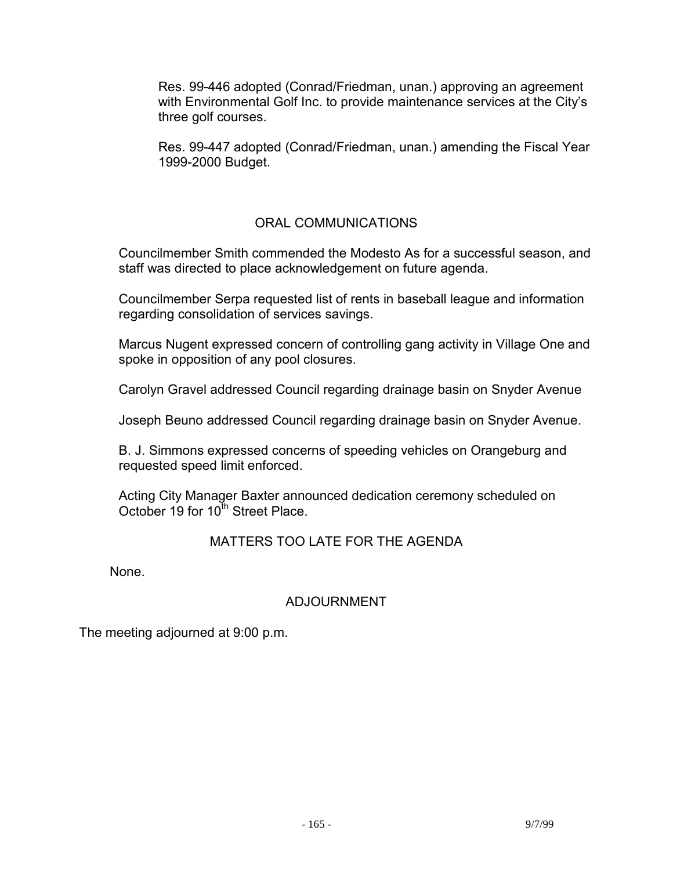Res. 99-446 adopted (Conrad/Friedman, unan.) approving an agreement with Environmental Golf Inc. to provide maintenance services at the City's three golf courses.

Res. 99-447 adopted (Conrad/Friedman, unan.) amending the Fiscal Year 1999-2000 Budget.

## ORAL COMMUNICATIONS

 Councilmember Smith commended the Modesto As for a successful season, and staff was directed to place acknowledgement on future agenda.

 Councilmember Serpa requested list of rents in baseball league and information regarding consolidation of services savings.

 Marcus Nugent expressed concern of controlling gang activity in Village One and spoke in opposition of any pool closures.

Carolyn Gravel addressed Council regarding drainage basin on Snyder Avenue

Joseph Beuno addressed Council regarding drainage basin on Snyder Avenue.

 B. J. Simmons expressed concerns of speeding vehicles on Orangeburg and requested speed limit enforced.

 Acting City Manager Baxter announced dedication ceremony scheduled on October 19 for 10<sup>th</sup> Street Place.

## MATTERS TOO LATE FOR THE AGENDA

None.

## ADJOURNMENT

The meeting adjourned at 9:00 p.m.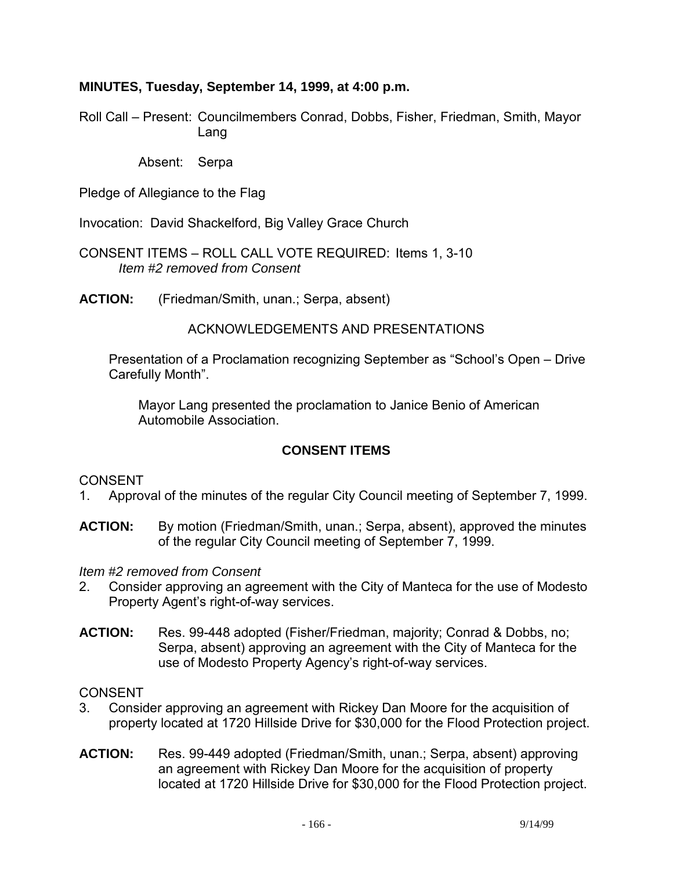### **MINUTES, Tuesday, September 14, 1999, at 4:00 p.m.**

Roll Call – Present: Councilmembers Conrad, Dobbs, Fisher, Friedman, Smith, Mayor Lang

Absent: Serpa

Pledge of Allegiance to the Flag

Invocation: David Shackelford, Big Valley Grace Church

CONSENT ITEMS – ROLL CALL VOTE REQUIRED: Items 1, 3-10 *Item #2 removed from Consent*

**ACTION:** (Friedman/Smith, unan.; Serpa, absent)

### ACKNOWLEDGEMENTS AND PRESENTATIONS

 Presentation of a Proclamation recognizing September as "School's Open – Drive Carefully Month".

 Mayor Lang presented the proclamation to Janice Benio of American Automobile Association.

## **CONSENT ITEMS**

#### CONSENT

- 1. Approval of the minutes of the regular City Council meeting of September 7, 1999.
- **ACTION:** By motion (Friedman/Smith, unan.; Serpa, absent), approved the minutes of the regular City Council meeting of September 7, 1999.

*Item #2 removed from Consent* 

- 2. Consider approving an agreement with the City of Manteca for the use of Modesto Property Agent's right-of-way services.
- **ACTION:** Res. 99-448 adopted (Fisher/Friedman, majority; Conrad & Dobbs, no; Serpa, absent) approving an agreement with the City of Manteca for the use of Modesto Property Agency's right-of-way services.

#### CONSENT

- 3. Consider approving an agreement with Rickey Dan Moore for the acquisition of property located at 1720 Hillside Drive for \$30,000 for the Flood Protection project.
- **ACTION:** Res. 99-449 adopted (Friedman/Smith, unan.; Serpa, absent) approving an agreement with Rickey Dan Moore for the acquisition of property located at 1720 Hillside Drive for \$30,000 for the Flood Protection project.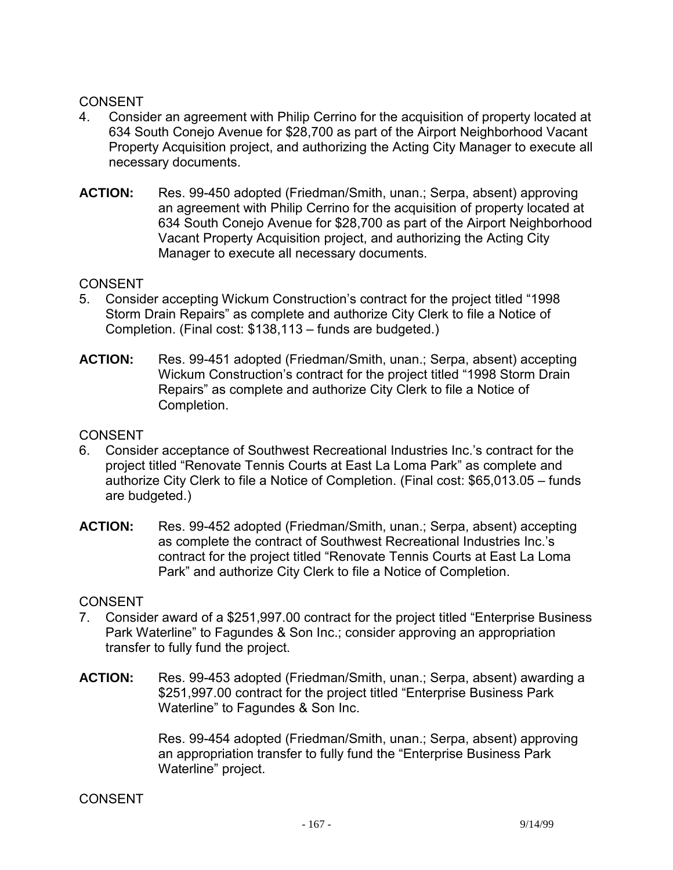#### CONSENT

- 4. Consider an agreement with Philip Cerrino for the acquisition of property located at 634 South Conejo Avenue for \$28,700 as part of the Airport Neighborhood Vacant Property Acquisition project, and authorizing the Acting City Manager to execute all necessary documents.
- **ACTION:** Res. 99-450 adopted (Friedman/Smith, unan.; Serpa, absent) approving an agreement with Philip Cerrino for the acquisition of property located at 634 South Conejo Avenue for \$28,700 as part of the Airport Neighborhood Vacant Property Acquisition project, and authorizing the Acting City Manager to execute all necessary documents.

### CONSENT

- 5. Consider accepting Wickum Construction's contract for the project titled "1998 Storm Drain Repairs" as complete and authorize City Clerk to file a Notice of Completion. (Final cost: \$138,113 – funds are budgeted.)
- **ACTION:** Res. 99-451 adopted (Friedman/Smith, unan.; Serpa, absent) accepting Wickum Construction's contract for the project titled "1998 Storm Drain Repairs" as complete and authorize City Clerk to file a Notice of Completion.

### **CONSENT**

- 6. Consider acceptance of Southwest Recreational Industries Inc.'s contract for the project titled "Renovate Tennis Courts at East La Loma Park" as complete and authorize City Clerk to file a Notice of Completion. (Final cost: \$65,013.05 – funds are budgeted.)
- **ACTION:** Res. 99-452 adopted (Friedman/Smith, unan.; Serpa, absent) accepting as complete the contract of Southwest Recreational Industries Inc.'s contract for the project titled "Renovate Tennis Courts at East La Loma Park" and authorize City Clerk to file a Notice of Completion.

#### **CONSENT**

- 7. Consider award of a \$251,997.00 contract for the project titled "Enterprise Business Park Waterline" to Fagundes & Son Inc.; consider approving an appropriation transfer to fully fund the project.
- **ACTION:** Res. 99-453 adopted (Friedman/Smith, unan.; Serpa, absent) awarding a \$251,997.00 contract for the project titled "Enterprise Business Park Waterline" to Fagundes & Son Inc.

Res. 99-454 adopted (Friedman/Smith, unan.; Serpa, absent) approving an appropriation transfer to fully fund the "Enterprise Business Park Waterline" project.

#### **CONSENT**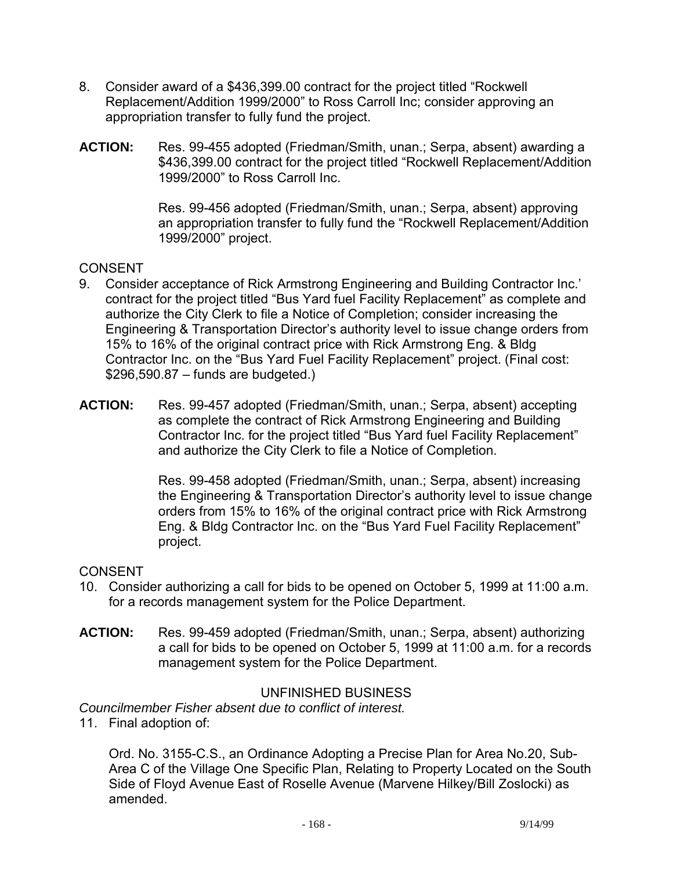- 8. Consider award of a \$436,399.00 contract for the project titled "Rockwell Replacement/Addition 1999/2000" to Ross Carroll Inc; consider approving an appropriation transfer to fully fund the project.
- **ACTION:** Res. 99-455 adopted (Friedman/Smith, unan.; Serpa, absent) awarding a \$436,399.00 contract for the project titled "Rockwell Replacement/Addition 1999/2000" to Ross Carroll Inc.

Res. 99-456 adopted (Friedman/Smith, unan.; Serpa, absent) approving an appropriation transfer to fully fund the "Rockwell Replacement/Addition 1999/2000" project.

#### CONSENT

- 9. Consider acceptance of Rick Armstrong Engineering and Building Contractor Inc.' contract for the project titled "Bus Yard fuel Facility Replacement" as complete and authorize the City Clerk to file a Notice of Completion; consider increasing the Engineering & Transportation Director's authority level to issue change orders from 15% to 16% of the original contract price with Rick Armstrong Eng. & Bldg Contractor Inc. on the "Bus Yard Fuel Facility Replacement" project. (Final cost:  $$296,590.87 -$  funds are budgeted.)
- **ACTION:** Res. 99-457 adopted (Friedman/Smith, unan.; Serpa, absent) accepting as complete the contract of Rick Armstrong Engineering and Building Contractor Inc. for the project titled "Bus Yard fuel Facility Replacement" and authorize the City Clerk to file a Notice of Completion.

Res. 99-458 adopted (Friedman/Smith, unan.; Serpa, absent) increasing the Engineering & Transportation Director's authority level to issue change orders from 15% to 16% of the original contract price with Rick Armstrong Eng. & Bldg Contractor Inc. on the "Bus Yard Fuel Facility Replacement" project.

#### **CONSENT**

- 10. Consider authorizing a call for bids to be opened on October 5, 1999 at 11:00 a.m. for a records management system for the Police Department.
- **ACTION:** Res. 99-459 adopted (Friedman/Smith, unan.; Serpa, absent) authorizing a call for bids to be opened on October 5, 1999 at 11:00 a.m. for a records management system for the Police Department.

#### UNFINISHED BUSINESS

*Councilmember Fisher absent due to conflict of interest.* 

11. Final adoption of:

 Ord. No. 3155-C.S., an Ordinance Adopting a Precise Plan for Area No.20, Sub-Area C of the Village One Specific Plan, Relating to Property Located on the South Side of Floyd Avenue East of Roselle Avenue (Marvene Hilkey/Bill Zoslocki) as amended.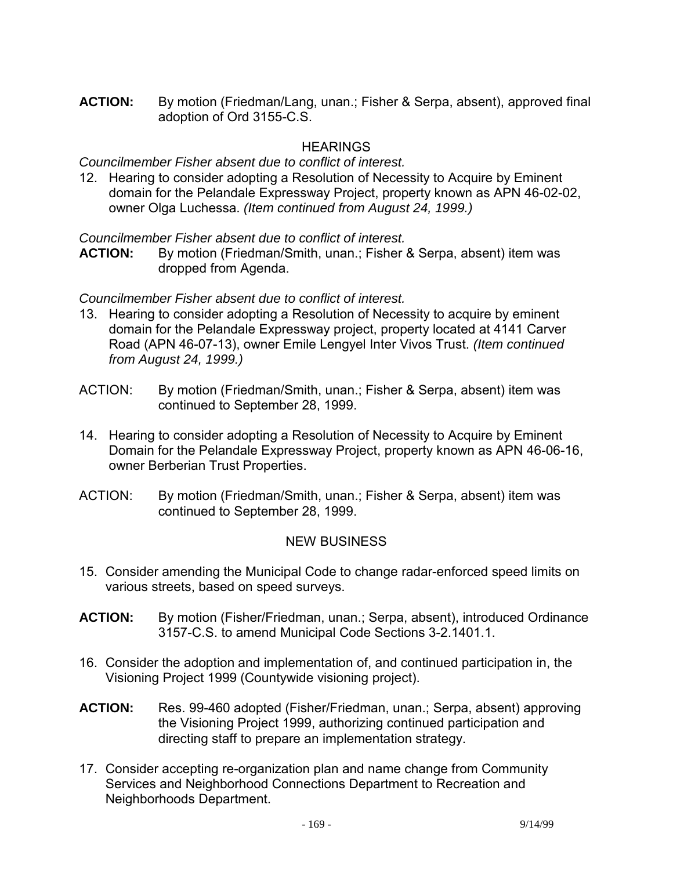**ACTION:** By motion (Friedman/Lang, unan.; Fisher & Serpa, absent), approved final adoption of Ord 3155-C.S.

## **HEARINGS**

*Councilmember Fisher absent due to conflict of interest.* 

12. Hearing to consider adopting a Resolution of Necessity to Acquire by Eminent domain for the Pelandale Expressway Project, property known as APN 46-02-02, owner Olga Luchessa. *(Item continued from August 24, 1999.)*

*Councilmember Fisher absent due to conflict of interest.* 

**ACTION:** By motion (Friedman/Smith, unan.; Fisher & Serpa, absent) item was dropped from Agenda.

### *Councilmember Fisher absent due to conflict of interest.*

- 13. Hearing to consider adopting a Resolution of Necessity to acquire by eminent domain for the Pelandale Expressway project, property located at 4141 Carver Road (APN 46-07-13), owner Emile Lengyel Inter Vivos Trust. *(Item continued from August 24, 1999.)*
- ACTION: By motion (Friedman/Smith, unan.; Fisher & Serpa, absent) item was continued to September 28, 1999.
- 14. Hearing to consider adopting a Resolution of Necessity to Acquire by Eminent Domain for the Pelandale Expressway Project, property known as APN 46-06-16, owner Berberian Trust Properties.
- ACTION: By motion (Friedman/Smith, unan.; Fisher & Serpa, absent) item was continued to September 28, 1999.

## NEW BUSINESS

- 15. Consider amending the Municipal Code to change radar-enforced speed limits on various streets, based on speed surveys.
- **ACTION:** By motion (Fisher/Friedman, unan.; Serpa, absent), introduced Ordinance 3157-C.S. to amend Municipal Code Sections 3-2.1401.1.
- 16. Consider the adoption and implementation of, and continued participation in, the Visioning Project 1999 (Countywide visioning project).
- **ACTION:** Res. 99-460 adopted (Fisher/Friedman, unan.; Serpa, absent) approving the Visioning Project 1999, authorizing continued participation and directing staff to prepare an implementation strategy.
- 17. Consider accepting re-organization plan and name change from Community Services and Neighborhood Connections Department to Recreation and Neighborhoods Department.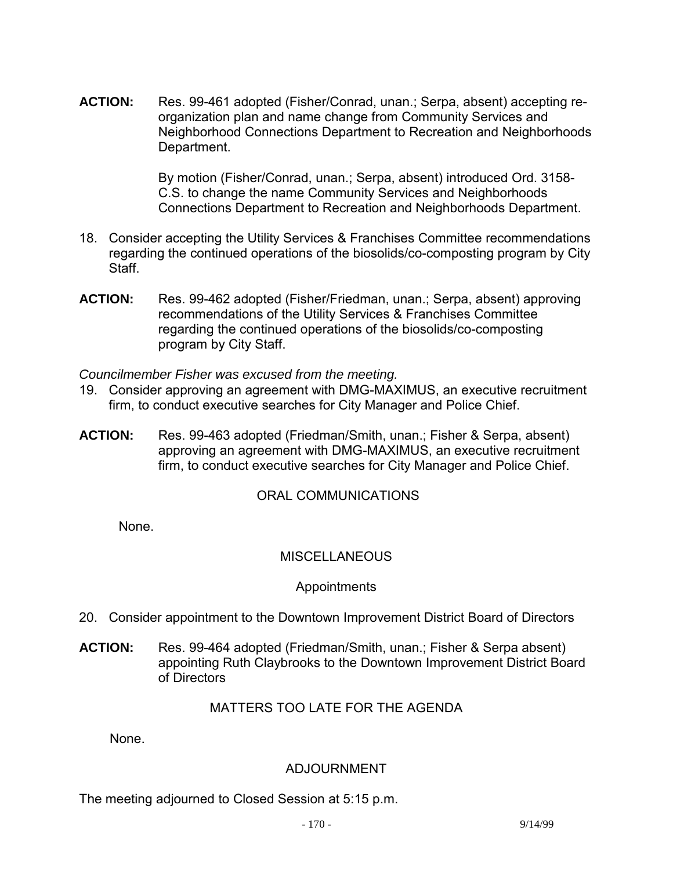**ACTION:** Res. 99-461 adopted (Fisher/Conrad, unan.; Serpa, absent) accepting reorganization plan and name change from Community Services and Neighborhood Connections Department to Recreation and Neighborhoods Department.

> By motion (Fisher/Conrad, unan.; Serpa, absent) introduced Ord. 3158- C.S. to change the name Community Services and Neighborhoods Connections Department to Recreation and Neighborhoods Department.

- 18. Consider accepting the Utility Services & Franchises Committee recommendations regarding the continued operations of the biosolids/co-composting program by City Staff.
- **ACTION:** Res. 99-462 adopted (Fisher/Friedman, unan.; Serpa, absent) approving recommendations of the Utility Services & Franchises Committee regarding the continued operations of the biosolids/co-composting program by City Staff.

*Councilmember Fisher was excused from the meeting.* 

- 19. Consider approving an agreement with DMG-MAXIMUS, an executive recruitment firm, to conduct executive searches for City Manager and Police Chief.
- **ACTION:** Res. 99-463 adopted (Friedman/Smith, unan.; Fisher & Serpa, absent) approving an agreement with DMG-MAXIMUS, an executive recruitment firm, to conduct executive searches for City Manager and Police Chief.

## ORAL COMMUNICATIONS

None.

## **MISCELLANEOUS**

#### Appointments

- 20. Consider appointment to the Downtown Improvement District Board of Directors
- **ACTION:** Res. 99-464 adopted (Friedman/Smith, unan.; Fisher & Serpa absent) appointing Ruth Claybrooks to the Downtown Improvement District Board of Directors

## MATTERS TOO LATE FOR THE AGENDA

None.

## ADJOURNMENT

The meeting adjourned to Closed Session at 5:15 p.m.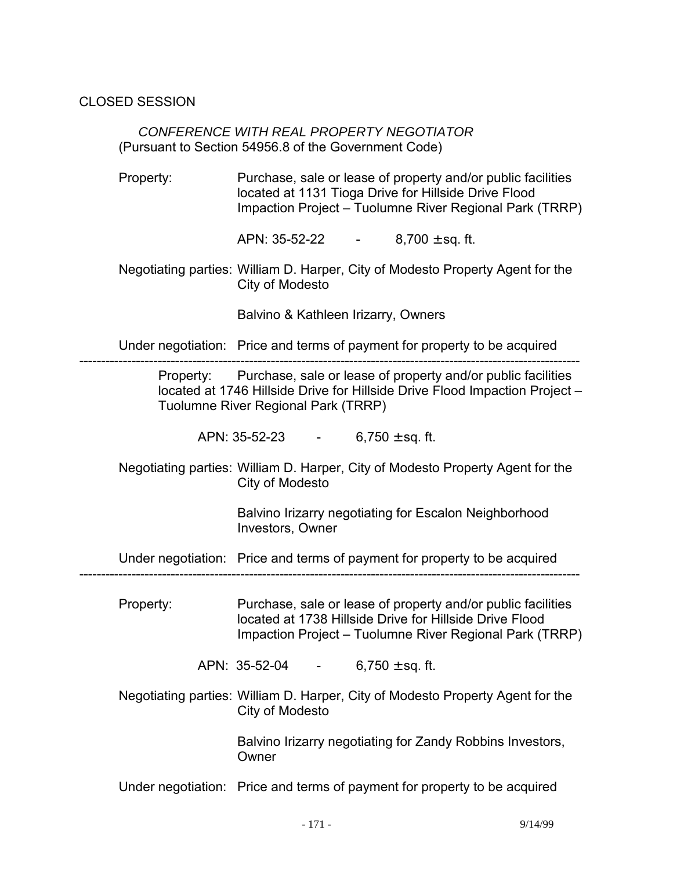CLOSED SESSION

 *CONFERENCE WITH REAL PROPERTY NEGOTIATOR*  (Pursuant to Section 54956.8 of the Government Code)

 Property: Purchase, sale or lease of property and/or public facilities located at 1131 Tioga Drive for Hillside Drive Flood Impaction Project – Tuolumne River Regional Park (TRRP)

APN:  $35-52-22$  - 8,700  $\pm$  sq. ft.

 Negotiating parties: William D. Harper, City of Modesto Property Agent for the City of Modesto

Balvino & Kathleen Irizarry, Owners

Under negotiation: Price and terms of payment for property to be acquired

------------------------------------------------------------------------------------------------------------------- Property: Purchase, sale or lease of property and/or public facilities located at 1746 Hillside Drive for Hillside Drive Flood Impaction Project – Tuolumne River Regional Park (TRRP)

APN:  $35-52-23$  - 6,750 ± sq. ft.

 Negotiating parties: William D. Harper, City of Modesto Property Agent for the City of Modesto

> Balvino Irizarry negotiating for Escalon Neighborhood Investors, Owner

Under negotiation: Price and terms of payment for property to be acquired

-------------------------------------------------------------------------------------------------------------------

 Property: Purchase, sale or lease of property and/or public facilities located at 1738 Hillside Drive for Hillside Drive Flood Impaction Project – Tuolumne River Regional Park (TRRP)

APN:  $35-52-04$  - 6,750 ± sq. ft.

 Negotiating parties: William D. Harper, City of Modesto Property Agent for the City of Modesto

> Balvino Irizarry negotiating for Zandy Robbins Investors, **Owner**

Under negotiation: Price and terms of payment for property to be acquired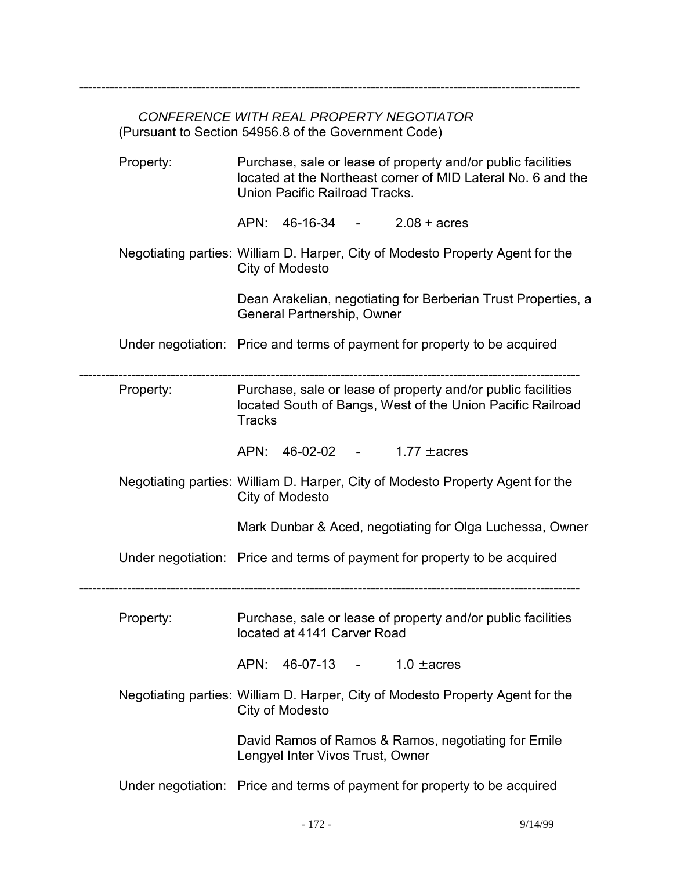# *CONFERENCE WITH REAL PROPERTY NEGOTIATOR*  (Pursuant to Section 54956.8 of the Government Code)

-------------------------------------------------------------------------------------------------------------------

| Property: | Purchase, sale or lease of property and/or public facilities<br>located at the Northeast corner of MID Lateral No. 6 and the<br>Union Pacific Railroad Tracks. |
|-----------|----------------------------------------------------------------------------------------------------------------------------------------------------------------|
|           | APN: 46-16-34 - 2.08 + acres                                                                                                                                   |
|           | Negotiating parties: William D. Harper, City of Modesto Property Agent for the<br>City of Modesto                                                              |
|           | Dean Arakelian, negotiating for Berberian Trust Properties, a<br>General Partnership, Owner                                                                    |
|           | Under negotiation: Price and terms of payment for property to be acquired                                                                                      |
| Property: | Purchase, sale or lease of property and/or public facilities<br>located South of Bangs, West of the Union Pacific Railroad<br><b>Tracks</b>                    |
|           | APN: 46-02-02 -<br>1.77 $\pm$ acres                                                                                                                            |
|           | Negotiating parties: William D. Harper, City of Modesto Property Agent for the<br>City of Modesto                                                              |
|           | Mark Dunbar & Aced, negotiating for Olga Luchessa, Owner                                                                                                       |
|           | Under negotiation: Price and terms of payment for property to be acquired                                                                                      |
| Property: | Purchase, sale or lease of property and/or public facilities<br>located at 4141 Carver Road                                                                    |
|           | APN: $46-07-13$ - $1.0 \pm \text{acres}$                                                                                                                       |
|           | Negotiating parties: William D. Harper, City of Modesto Property Agent for the<br>City of Modesto                                                              |
|           | David Ramos of Ramos & Ramos, negotiating for Emile<br>Lengyel Inter Vivos Trust, Owner                                                                        |
|           | Under negotiation: Price and terms of payment for property to be acquired                                                                                      |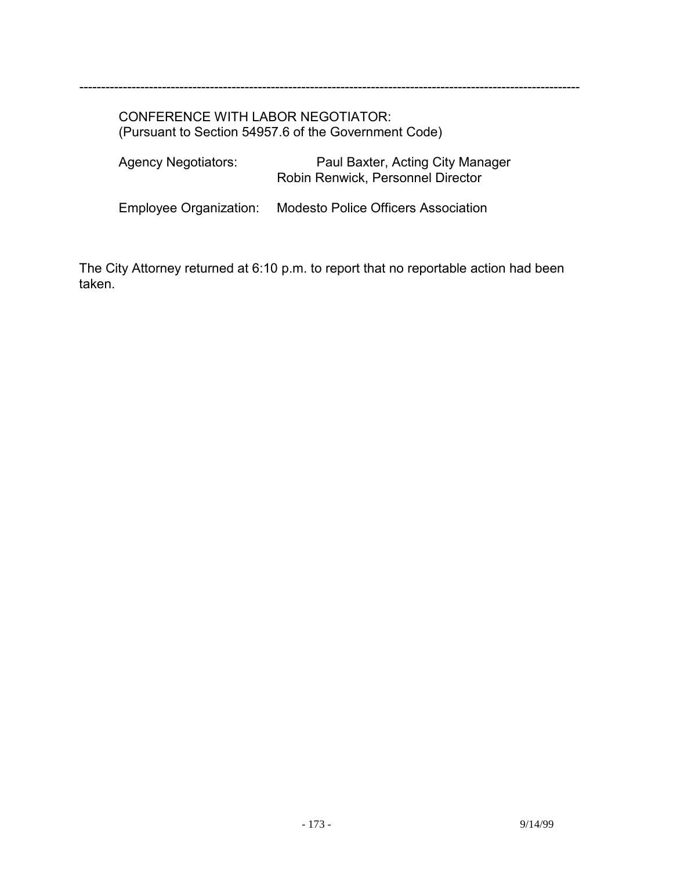#### CONFERENCE WITH LABOR NEGOTIATOR: (Pursuant to Section 54957.6 of the Government Code)

| <b>Agency Negotiators:</b> | Paul Baxter, Acting City Manager<br>Robin Renwick, Personnel Director |
|----------------------------|-----------------------------------------------------------------------|
|                            |                                                                       |

-------------------------------------------------------------------------------------------------------------------

Employee Organization: Modesto Police Officers Association

The City Attorney returned at 6:10 p.m. to report that no reportable action had been taken.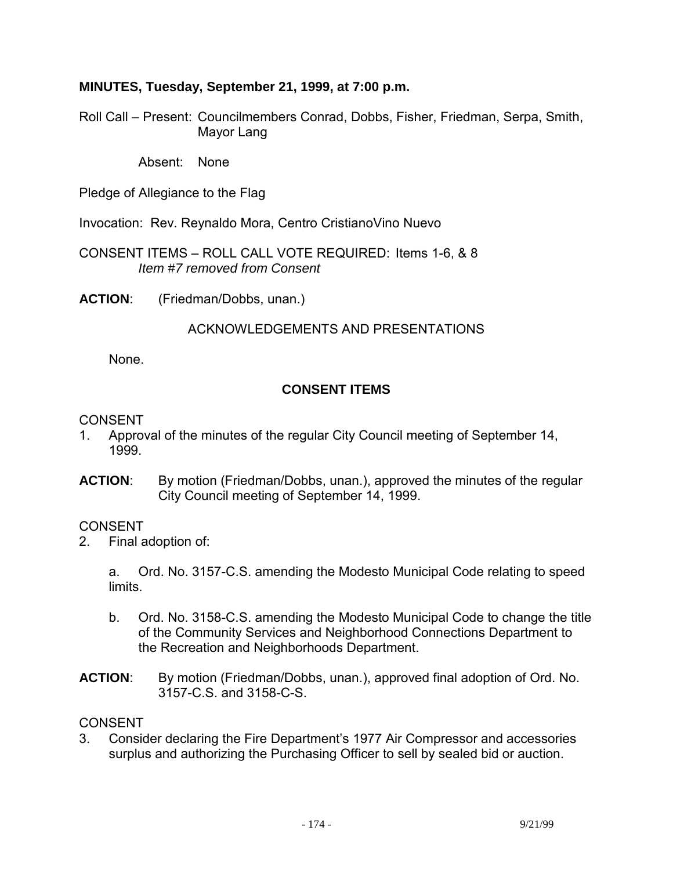### **MINUTES, Tuesday, September 21, 1999, at 7:00 p.m.**

Roll Call – Present: Councilmembers Conrad, Dobbs, Fisher, Friedman, Serpa, Smith, Mayor Lang

Absent: None

Pledge of Allegiance to the Flag

Invocation: Rev. Reynaldo Mora, Centro CristianoVino Nuevo

CONSENT ITEMS – ROLL CALL VOTE REQUIRED: Items 1-6, & 8 *Item #7 removed from Consent* 

**ACTION**: (Friedman/Dobbs, unan.)

### ACKNOWLEDGEMENTS AND PRESENTATIONS

None.

## **CONSENT ITEMS**

#### CONSENT

- 1. Approval of the minutes of the regular City Council meeting of September 14, 1999.
- **ACTION**: By motion (Friedman/Dobbs, unan.), approved the minutes of the regular City Council meeting of September 14, 1999.

#### **CONSENT**

2. Final adoption of:

 a. Ord. No. 3157-C.S. amending the Modesto Municipal Code relating to speed limits.

- b. Ord. No. 3158-C.S. amending the Modesto Municipal Code to change the title of the Community Services and Neighborhood Connections Department to the Recreation and Neighborhoods Department.
- **ACTION**: By motion (Friedman/Dobbs, unan.), approved final adoption of Ord. No. 3157-C.S. and 3158-C-S.

#### **CONSENT**

3. Consider declaring the Fire Department's 1977 Air Compressor and accessories surplus and authorizing the Purchasing Officer to sell by sealed bid or auction.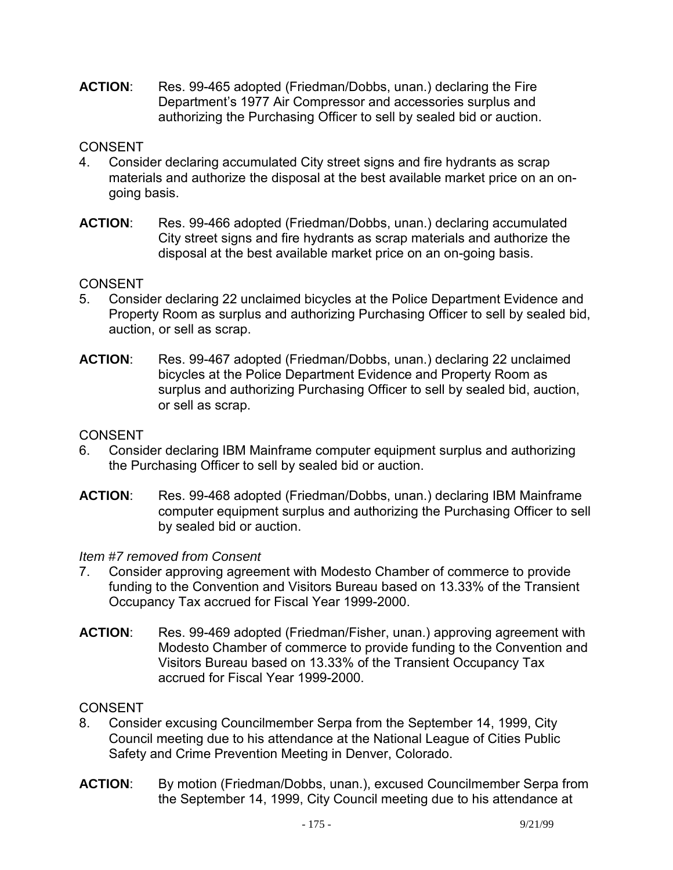**ACTION**: Res. 99-465 adopted (Friedman/Dobbs, unan.) declaring the Fire Department's 1977 Air Compressor and accessories surplus and authorizing the Purchasing Officer to sell by sealed bid or auction.

## **CONSENT**

- 4. Consider declaring accumulated City street signs and fire hydrants as scrap materials and authorize the disposal at the best available market price on an ongoing basis.
- **ACTION**: Res. 99-466 adopted (Friedman/Dobbs, unan.) declaring accumulated City street signs and fire hydrants as scrap materials and authorize the disposal at the best available market price on an on-going basis.

## CONSENT

- 5. Consider declaring 22 unclaimed bicycles at the Police Department Evidence and Property Room as surplus and authorizing Purchasing Officer to sell by sealed bid, auction, or sell as scrap.
- **ACTION**: Res. 99-467 adopted (Friedman/Dobbs, unan.) declaring 22 unclaimed bicycles at the Police Department Evidence and Property Room as surplus and authorizing Purchasing Officer to sell by sealed bid, auction, or sell as scrap.

### **CONSENT**

- 6. Consider declaring IBM Mainframe computer equipment surplus and authorizing the Purchasing Officer to sell by sealed bid or auction.
- **ACTION**: Res. 99-468 adopted (Friedman/Dobbs, unan.) declaring IBM Mainframe computer equipment surplus and authorizing the Purchasing Officer to sell by sealed bid or auction.

#### *Item #7 removed from Consent*

- 7. Consider approving agreement with Modesto Chamber of commerce to provide funding to the Convention and Visitors Bureau based on 13.33% of the Transient Occupancy Tax accrued for Fiscal Year 1999-2000.
- **ACTION**: Res. 99-469 adopted (Friedman/Fisher, unan.) approving agreement with Modesto Chamber of commerce to provide funding to the Convention and Visitors Bureau based on 13.33% of the Transient Occupancy Tax accrued for Fiscal Year 1999-2000.

## **CONSENT**

- 8. Consider excusing Councilmember Serpa from the September 14, 1999, City Council meeting due to his attendance at the National League of Cities Public Safety and Crime Prevention Meeting in Denver, Colorado.
- **ACTION**: By motion (Friedman/Dobbs, unan.), excused Councilmember Serpa from the September 14, 1999, City Council meeting due to his attendance at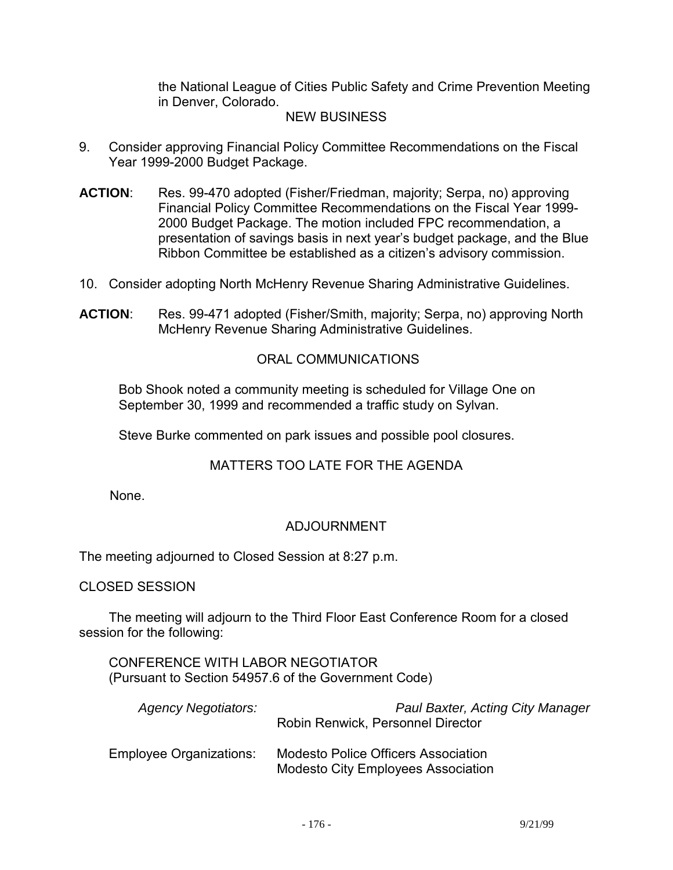the National League of Cities Public Safety and Crime Prevention Meeting in Denver, Colorado.

#### NEW BUSINESS

- 9. Consider approving Financial Policy Committee Recommendations on the Fiscal Year 1999-2000 Budget Package.
- **ACTION**: Res. 99-470 adopted (Fisher/Friedman, majority; Serpa, no) approving Financial Policy Committee Recommendations on the Fiscal Year 1999- 2000 Budget Package. The motion included FPC recommendation, a presentation of savings basis in next year's budget package, and the Blue Ribbon Committee be established as a citizen's advisory commission.
- 10. Consider adopting North McHenry Revenue Sharing Administrative Guidelines.
- **ACTION**: Res. 99-471 adopted (Fisher/Smith, majority; Serpa, no) approving North McHenry Revenue Sharing Administrative Guidelines.

#### ORAL COMMUNICATIONS

 Bob Shook noted a community meeting is scheduled for Village One on September 30, 1999 and recommended a traffic study on Sylvan.

Steve Burke commented on park issues and possible pool closures.

#### MATTERS TOO LATE FOR THE AGENDA

None.

## ADJOURNMENT

The meeting adjourned to Closed Session at 8:27 p.m.

CLOSED SESSION

 The meeting will adjourn to the Third Floor East Conference Room for a closed session for the following:

 CONFERENCE WITH LABOR NEGOTIATOR (Pursuant to Section 54957.6 of the Government Code)

| <b>Agency Negotiators:</b>     | Paul Baxter, Acting City Manager<br>Robin Renwick, Personnel Director                   |
|--------------------------------|-----------------------------------------------------------------------------------------|
| <b>Employee Organizations:</b> | <b>Modesto Police Officers Association</b><br><b>Modesto City Employees Association</b> |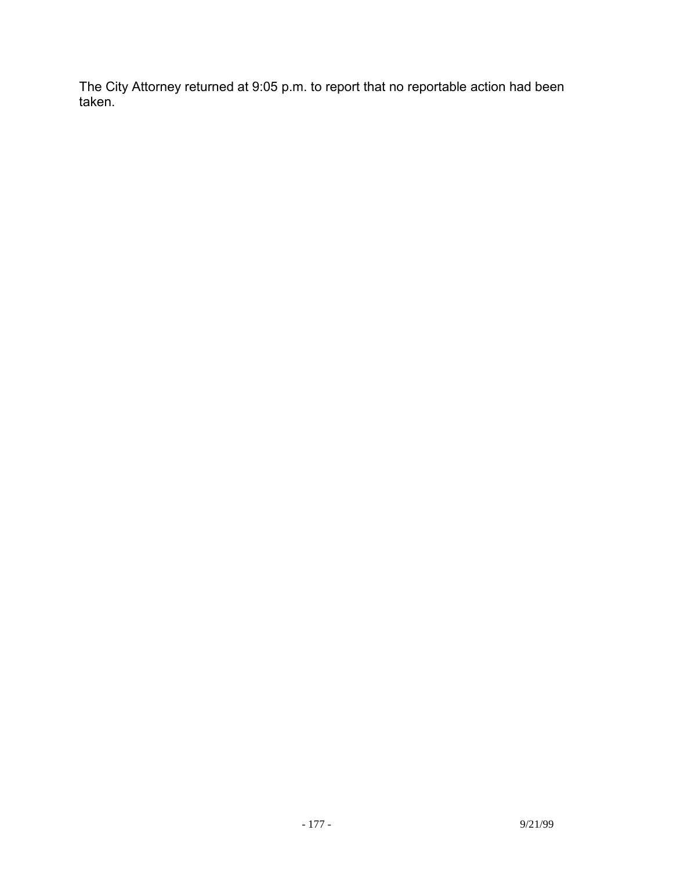The City Attorney returned at 9:05 p.m. to report that no reportable action had been taken.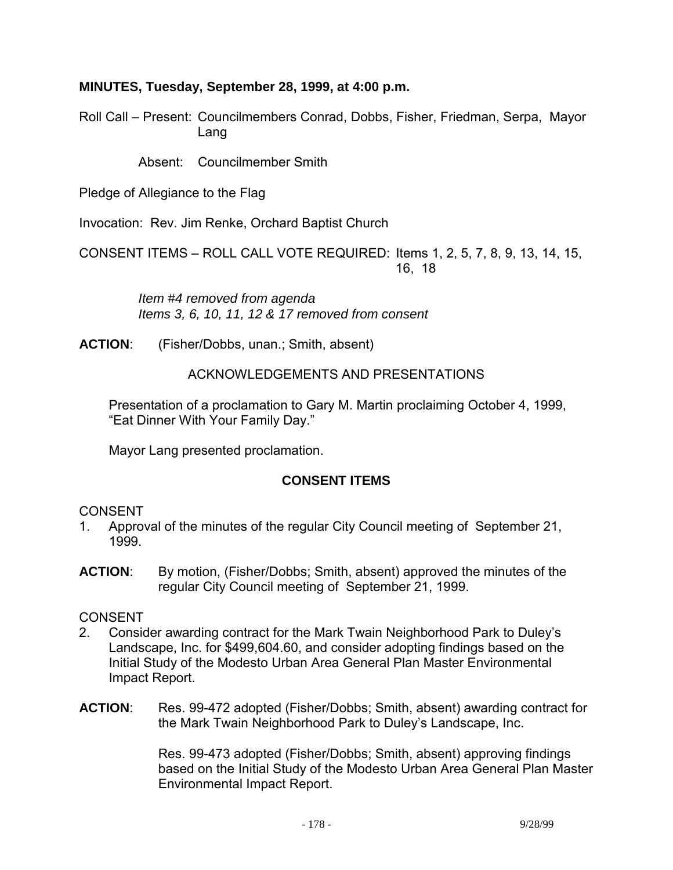### **MINUTES, Tuesday, September 28, 1999, at 4:00 p.m.**

Roll Call – Present: Councilmembers Conrad, Dobbs, Fisher, Friedman, Serpa, Mayor Lang

Absent: Councilmember Smith

Pledge of Allegiance to the Flag

Invocation: Rev. Jim Renke, Orchard Baptist Church

CONSENT ITEMS – ROLL CALL VOTE REQUIRED: Items 1, 2, 5, 7, 8, 9, 13, 14, 15, 16, 18

> *Item #4 removed from agenda Items 3, 6, 10, 11, 12 & 17 removed from consent*

**ACTION**: (Fisher/Dobbs, unan.; Smith, absent)

#### ACKNOWLEDGEMENTS AND PRESENTATIONS

 Presentation of a proclamation to Gary M. Martin proclaiming October 4, 1999, "Eat Dinner With Your Family Day."

Mayor Lang presented proclamation.

## **CONSENT ITEMS**

#### CONSENT

- 1. Approval of the minutes of the regular City Council meeting of September 21, 1999.
- **ACTION**: By motion, (Fisher/Dobbs; Smith, absent) approved the minutes of the regular City Council meeting of September 21, 1999.

#### CONSENT

- 2. Consider awarding contract for the Mark Twain Neighborhood Park to Duley's Landscape, Inc. for \$499,604.60, and consider adopting findings based on the Initial Study of the Modesto Urban Area General Plan Master Environmental Impact Report.
- **ACTION**: Res. 99-472 adopted (Fisher/Dobbs; Smith, absent) awarding contract for the Mark Twain Neighborhood Park to Duley's Landscape, Inc.

Res. 99-473 adopted (Fisher/Dobbs; Smith, absent) approving findings based on the Initial Study of the Modesto Urban Area General Plan Master Environmental Impact Report.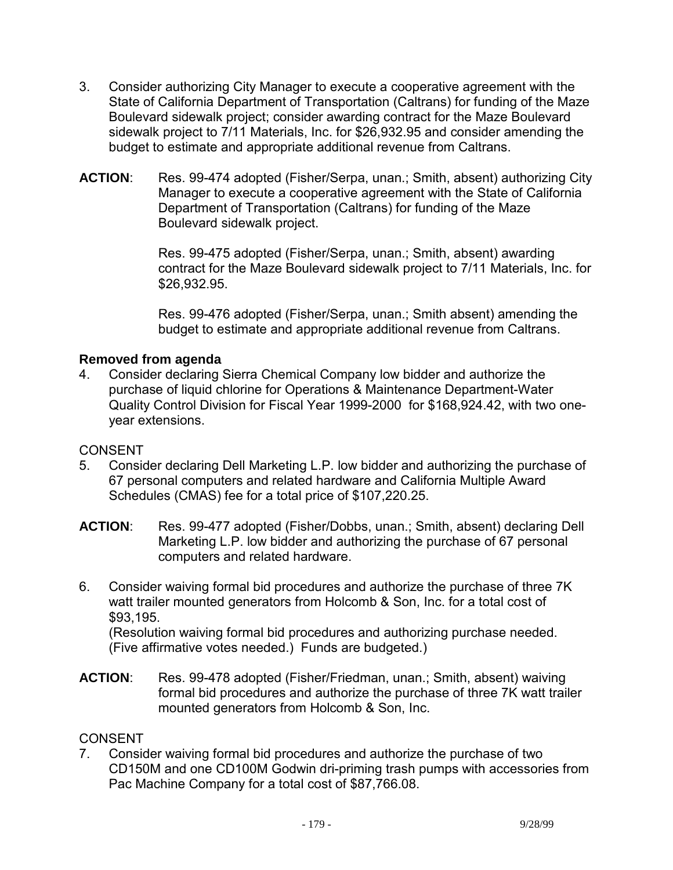- 3. Consider authorizing City Manager to execute a cooperative agreement with the State of California Department of Transportation (Caltrans) for funding of the Maze Boulevard sidewalk project; consider awarding contract for the Maze Boulevard sidewalk project to 7/11 Materials, Inc. for \$26,932.95 and consider amending the budget to estimate and appropriate additional revenue from Caltrans.
- **ACTION**: Res. 99-474 adopted (Fisher/Serpa, unan.; Smith, absent) authorizing City Manager to execute a cooperative agreement with the State of California Department of Transportation (Caltrans) for funding of the Maze Boulevard sidewalk project.

Res. 99-475 adopted (Fisher/Serpa, unan.; Smith, absent) awarding contract for the Maze Boulevard sidewalk project to 7/11 Materials, Inc. for \$26,932.95.

Res. 99-476 adopted (Fisher/Serpa, unan.; Smith absent) amending the budget to estimate and appropriate additional revenue from Caltrans.

## **Removed from agenda**

4. Consider declaring Sierra Chemical Company low bidder and authorize the purchase of liquid chlorine for Operations & Maintenance Department-Water Quality Control Division for Fiscal Year 1999-2000 for \$168,924.42, with two oneyear extensions.

## **CONSENT**

- 5. Consider declaring Dell Marketing L.P. low bidder and authorizing the purchase of 67 personal computers and related hardware and California Multiple Award Schedules (CMAS) fee for a total price of \$107,220.25.
- **ACTION**: Res. 99-477 adopted (Fisher/Dobbs, unan.; Smith, absent) declaring Dell Marketing L.P. low bidder and authorizing the purchase of 67 personal computers and related hardware.
- 6. Consider waiving formal bid procedures and authorize the purchase of three 7K watt trailer mounted generators from Holcomb & Son, Inc. for a total cost of \$93,195.

 (Resolution waiving formal bid procedures and authorizing purchase needed. (Five affirmative votes needed.) Funds are budgeted.)

**ACTION**: Res. 99-478 adopted (Fisher/Friedman, unan.; Smith, absent) waiving formal bid procedures and authorize the purchase of three 7K watt trailer mounted generators from Holcomb & Son, Inc.

## **CONSENT**

7. Consider waiving formal bid procedures and authorize the purchase of two CD150M and one CD100M Godwin dri-priming trash pumps with accessories from Pac Machine Company for a total cost of \$87,766.08.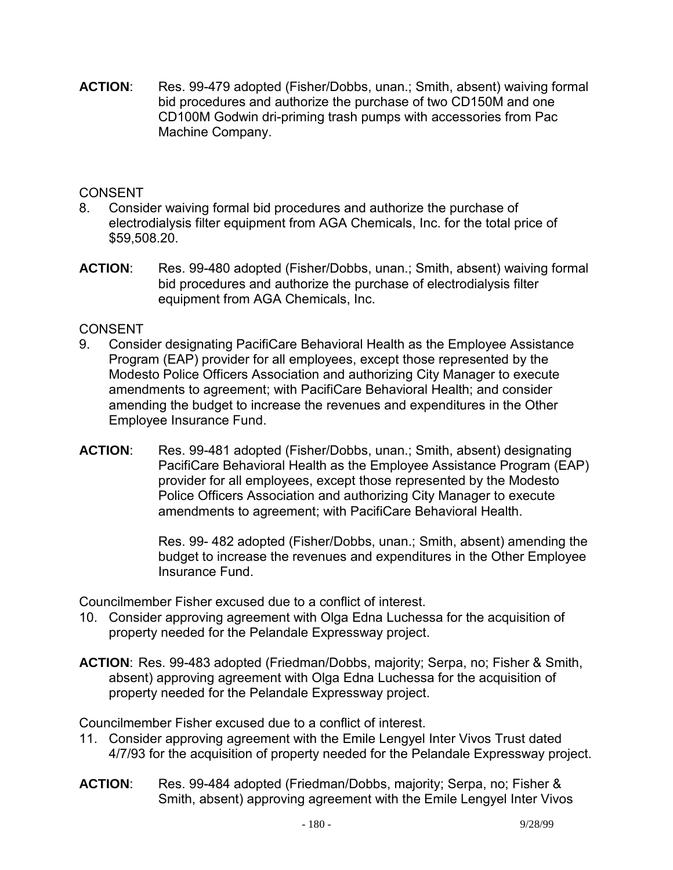**ACTION**: Res. 99-479 adopted (Fisher/Dobbs, unan.; Smith, absent) waiving formal bid procedures and authorize the purchase of two CD150M and one CD100M Godwin dri-priming trash pumps with accessories from Pac Machine Company.

### CONSENT

- 8. Consider waiving formal bid procedures and authorize the purchase of electrodialysis filter equipment from AGA Chemicals, Inc. for the total price of \$59,508.20.
- **ACTION**: Res. 99-480 adopted (Fisher/Dobbs, unan.; Smith, absent) waiving formal bid procedures and authorize the purchase of electrodialysis filter equipment from AGA Chemicals, Inc.

## CONSENT

- 9. Consider designating PacifiCare Behavioral Health as the Employee Assistance Program (EAP) provider for all employees, except those represented by the Modesto Police Officers Association and authorizing City Manager to execute amendments to agreement; with PacifiCare Behavioral Health; and consider amending the budget to increase the revenues and expenditures in the Other Employee Insurance Fund.
- **ACTION**: Res. 99-481 adopted (Fisher/Dobbs, unan.; Smith, absent) designating PacifiCare Behavioral Health as the Employee Assistance Program (EAP) provider for all employees, except those represented by the Modesto Police Officers Association and authorizing City Manager to execute amendments to agreement; with PacifiCare Behavioral Health.

Res. 99- 482 adopted (Fisher/Dobbs, unan.; Smith, absent) amending the budget to increase the revenues and expenditures in the Other Employee Insurance Fund.

Councilmember Fisher excused due to a conflict of interest.

- 10. Consider approving agreement with Olga Edna Luchessa for the acquisition of property needed for the Pelandale Expressway project.
- **ACTION**: Res. 99-483 adopted (Friedman/Dobbs, majority; Serpa, no; Fisher & Smith, absent) approving agreement with Olga Edna Luchessa for the acquisition of property needed for the Pelandale Expressway project.

Councilmember Fisher excused due to a conflict of interest.

- 11. Consider approving agreement with the Emile Lengyel Inter Vivos Trust dated 4/7/93 for the acquisition of property needed for the Pelandale Expressway project.
- **ACTION**: Res. 99-484 adopted (Friedman/Dobbs, majority; Serpa, no; Fisher & Smith, absent) approving agreement with the Emile Lengyel Inter Vivos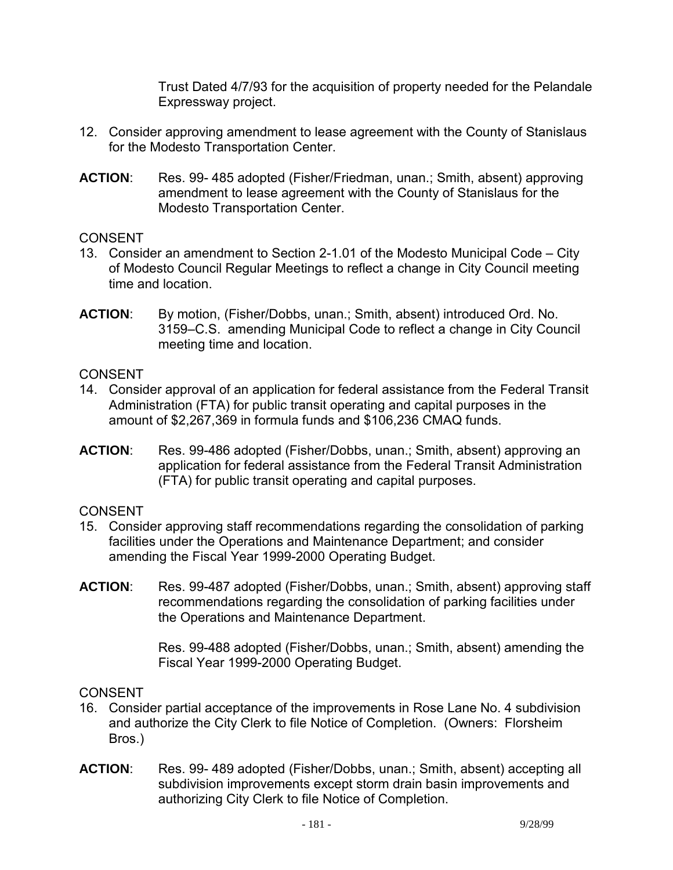Trust Dated 4/7/93 for the acquisition of property needed for the Pelandale Expressway project.

- 12. Consider approving amendment to lease agreement with the County of Stanislaus for the Modesto Transportation Center.
- **ACTION**: Res. 99- 485 adopted (Fisher/Friedman, unan.; Smith, absent) approving amendment to lease agreement with the County of Stanislaus for the Modesto Transportation Center.

## **CONSENT**

- 13. Consider an amendment to Section 2-1.01 of the Modesto Municipal Code City of Modesto Council Regular Meetings to reflect a change in City Council meeting time and location.
- **ACTION**: By motion, (Fisher/Dobbs, unan.; Smith, absent) introduced Ord. No. 3159–C.S. amending Municipal Code to reflect a change in City Council meeting time and location.

# **CONSENT**

- 14. Consider approval of an application for federal assistance from the Federal Transit Administration (FTA) for public transit operating and capital purposes in the amount of \$2,267,369 in formula funds and \$106,236 CMAQ funds.
- **ACTION**: Res. 99-486 adopted (Fisher/Dobbs, unan.; Smith, absent) approving an application for federal assistance from the Federal Transit Administration (FTA) for public transit operating and capital purposes.

# CONSENT

- 15. Consider approving staff recommendations regarding the consolidation of parking facilities under the Operations and Maintenance Department; and consider amending the Fiscal Year 1999-2000 Operating Budget.
- **ACTION**: Res. 99-487 adopted (Fisher/Dobbs, unan.; Smith, absent) approving staff recommendations regarding the consolidation of parking facilities under the Operations and Maintenance Department.

Res. 99-488 adopted (Fisher/Dobbs, unan.; Smith, absent) amending the Fiscal Year 1999-2000 Operating Budget.

- 16. Consider partial acceptance of the improvements in Rose Lane No. 4 subdivision and authorize the City Clerk to file Notice of Completion. (Owners: Florsheim Bros.)
- **ACTION**: Res. 99- 489 adopted (Fisher/Dobbs, unan.; Smith, absent) accepting all subdivision improvements except storm drain basin improvements and authorizing City Clerk to file Notice of Completion.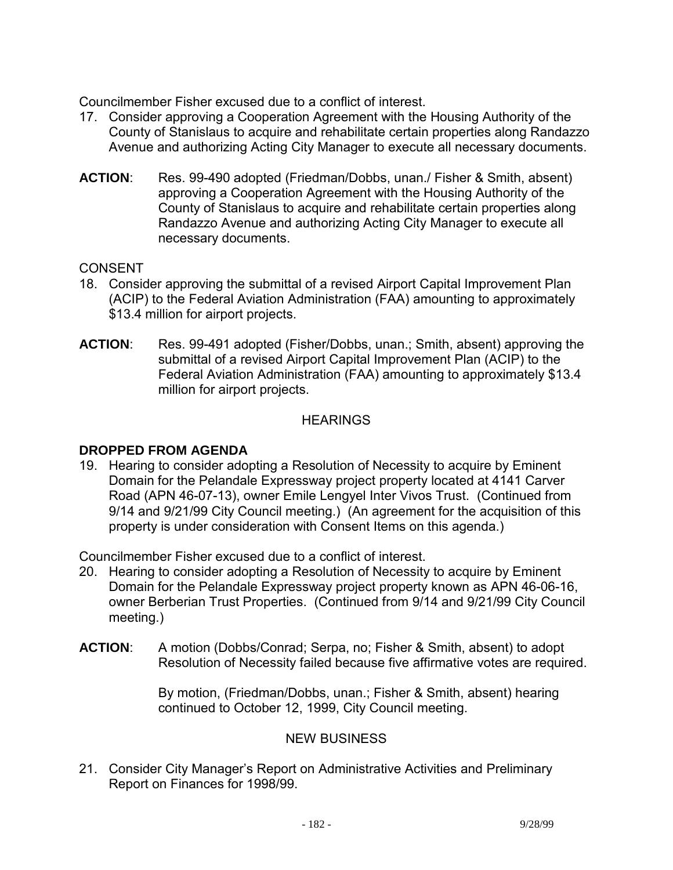Councilmember Fisher excused due to a conflict of interest.

- 17. Consider approving a Cooperation Agreement with the Housing Authority of the County of Stanislaus to acquire and rehabilitate certain properties along Randazzo Avenue and authorizing Acting City Manager to execute all necessary documents.
- **ACTION**: Res. 99-490 adopted (Friedman/Dobbs, unan./ Fisher & Smith, absent) approving a Cooperation Agreement with the Housing Authority of the County of Stanislaus to acquire and rehabilitate certain properties along Randazzo Avenue and authorizing Acting City Manager to execute all necessary documents.

# **CONSENT**

- 18. Consider approving the submittal of a revised Airport Capital Improvement Plan (ACIP) to the Federal Aviation Administration (FAA) amounting to approximately \$13.4 million for airport projects.
- **ACTION**: Res. 99-491 adopted (Fisher/Dobbs, unan.; Smith, absent) approving the submittal of a revised Airport Capital Improvement Plan (ACIP) to the Federal Aviation Administration (FAA) amounting to approximately \$13.4 million for airport projects.

## **HEARINGS**

# **DROPPED FROM AGENDA**

19. Hearing to consider adopting a Resolution of Necessity to acquire by Eminent Domain for the Pelandale Expressway project property located at 4141 Carver Road (APN 46-07-13), owner Emile Lengyel Inter Vivos Trust. (Continued from 9/14 and 9/21/99 City Council meeting.) (An agreement for the acquisition of this property is under consideration with Consent Items on this agenda.)

Councilmember Fisher excused due to a conflict of interest.

- 20. Hearing to consider adopting a Resolution of Necessity to acquire by Eminent Domain for the Pelandale Expressway project property known as APN 46-06-16, owner Berberian Trust Properties. (Continued from 9/14 and 9/21/99 City Council meeting.)
- **ACTION**: A motion (Dobbs/Conrad; Serpa, no; Fisher & Smith, absent) to adopt Resolution of Necessity failed because five affirmative votes are required.

By motion, (Friedman/Dobbs, unan.; Fisher & Smith, absent) hearing continued to October 12, 1999, City Council meeting.

# NEW BUSINESS

21. Consider City Manager's Report on Administrative Activities and Preliminary Report on Finances for 1998/99.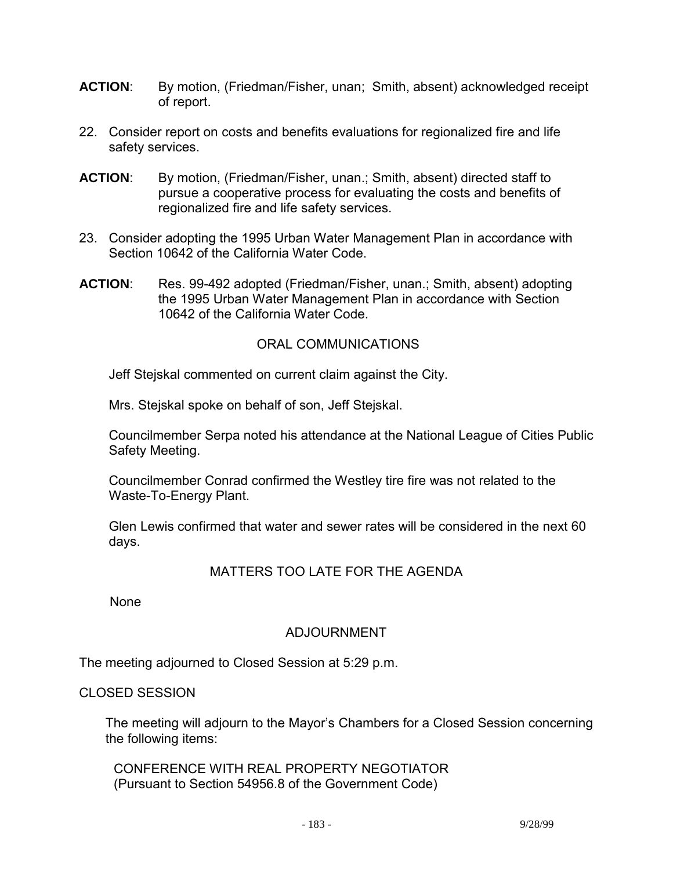- **ACTION**: By motion, (Friedman/Fisher, unan; Smith, absent) acknowledged receipt of report.
- 22. Consider report on costs and benefits evaluations for regionalized fire and life safety services.
- **ACTION**: By motion, (Friedman/Fisher, unan.; Smith, absent) directed staff to pursue a cooperative process for evaluating the costs and benefits of regionalized fire and life safety services.
- 23. Consider adopting the 1995 Urban Water Management Plan in accordance with Section 10642 of the California Water Code.
- **ACTION**: Res. 99-492 adopted (Friedman/Fisher, unan.; Smith, absent) adopting the 1995 Urban Water Management Plan in accordance with Section 10642 of the California Water Code.

# ORAL COMMUNICATIONS

Jeff Stejskal commented on current claim against the City.

Mrs. Stejskal spoke on behalf of son, Jeff Stejskal.

 Councilmember Serpa noted his attendance at the National League of Cities Public Safety Meeting.

 Councilmember Conrad confirmed the Westley tire fire was not related to the Waste-To-Energy Plant.

 Glen Lewis confirmed that water and sewer rates will be considered in the next 60 days.

# MATTERS TOO LATE FOR THE AGENDA

None

# ADJOURNMENT

The meeting adjourned to Closed Session at 5:29 p.m.

#### CLOSED SESSION

 The meeting will adjourn to the Mayor's Chambers for a Closed Session concerning the following items:

 CONFERENCE WITH REAL PROPERTY NEGOTIATOR (Pursuant to Section 54956.8 of the Government Code)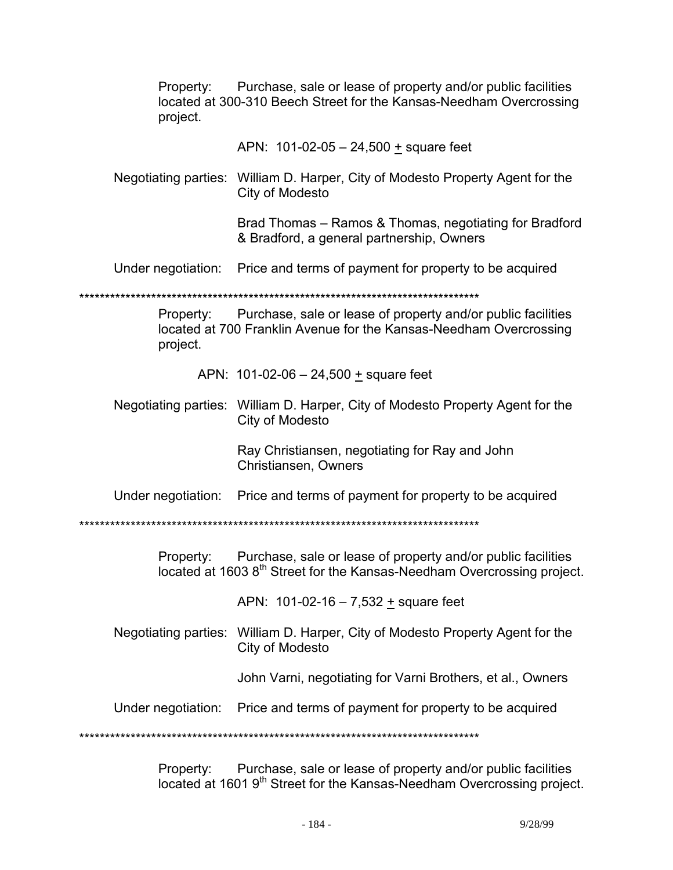Property: Purchase, sale or lease of property and/or public facilities located at 300-310 Beech Street for the Kansas-Needham Overcrossing project.

APN: 101-02-05 – 24,500 + square feet

 Negotiating parties: William D. Harper, City of Modesto Property Agent for the City of Modesto

> Brad Thomas – Ramos & Thomas, negotiating for Bradford & Bradford, a general partnership, Owners

Under negotiation: Price and terms of payment for property to be acquired

\*\*\*\*\*\*\*\*\*\*\*\*\*\*\*\*\*\*\*\*\*\*\*\*\*\*\*\*\*\*\*\*\*\*\*\*\*\*\*\*\*\*\*\*\*\*\*\*\*\*\*\*\*\*\*\*\*\*\*\*\*\*\*\*\*\*\*\*\*\*\*\*\*\*\*\*\*\*

Property: Purchase, sale or lease of property and/or public facilities located at 700 Franklin Avenue for the Kansas-Needham Overcrossing project.

APN: 101-02-06 – 24,500 + square feet

 Negotiating parties: William D. Harper, City of Modesto Property Agent for the City of Modesto

> Ray Christiansen, negotiating for Ray and John Christiansen, Owners

Under negotiation: Price and terms of payment for property to be acquired

\*\*\*\*\*\*\*\*\*\*\*\*\*\*\*\*\*\*\*\*\*\*\*\*\*\*\*\*\*\*\*\*\*\*\*\*\*\*\*\*\*\*\*\*\*\*\*\*\*\*\*\*\*\*\*\*\*\*\*\*\*\*\*\*\*\*\*\*\*\*\*\*\*\*\*\*\*\*

Property: Purchase, sale or lease of property and/or public facilities located at 1603 8<sup>th</sup> Street for the Kansas-Needham Overcrossing project.

APN: 101-02-16 – 7,532 + square feet

 Negotiating parties: William D. Harper, City of Modesto Property Agent for the City of Modesto

John Varni, negotiating for Varni Brothers, et al., Owners

Under negotiation: Price and terms of payment for property to be acquired

\*\*\*\*\*\*\*\*\*\*\*\*\*\*\*\*\*\*\*\*\*\*\*\*\*\*\*\*\*\*\*\*\*\*\*\*\*\*\*\*\*\*\*\*\*\*\*\*\*\*\*\*\*\*\*\*\*\*\*\*\*\*\*\*\*\*\*\*\*\*\*\*\*\*\*\*\*\*

Property: Purchase, sale or lease of property and/or public facilities located at 1601 9th Street for the Kansas-Needham Overcrossing project.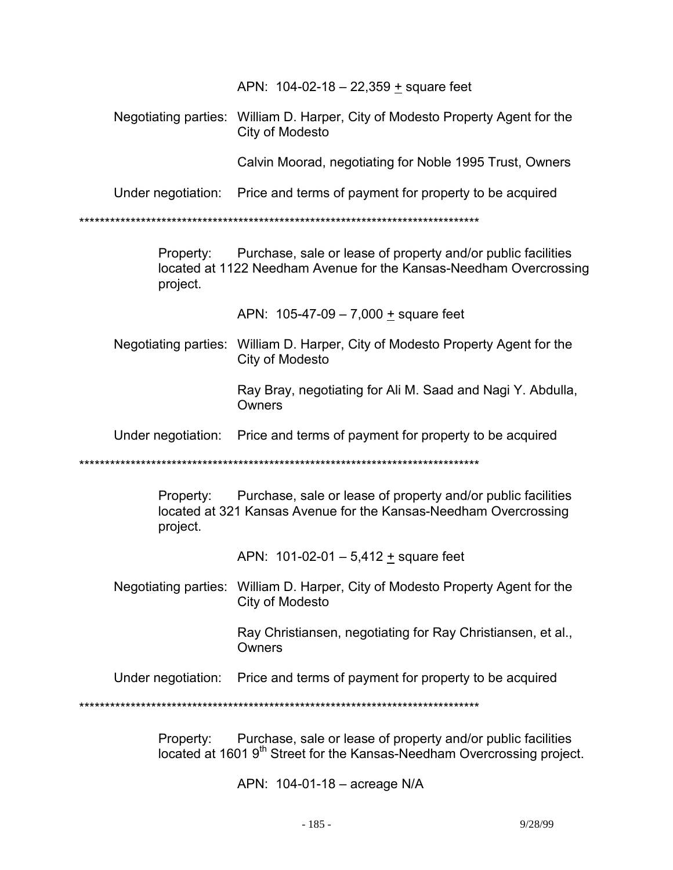APN:  $104-02-18 - 22,359 + \text{square feet}$ 

 Negotiating parties: William D. Harper, City of Modesto Property Agent for the City of Modesto

Calvin Moorad, negotiating for Noble 1995 Trust, Owners

Under negotiation: Price and terms of payment for property to be acquired

\*\*\*\*\*\*\*\*\*\*\*\*\*\*\*\*\*\*\*\*\*\*\*\*\*\*\*\*\*\*\*\*\*\*\*\*\*\*\*\*\*\*\*\*\*\*\*\*\*\*\*\*\*\*\*\*\*\*\*\*\*\*\*\*\*\*\*\*\*\*\*\*\*\*\*\*\*\*

Property: Purchase, sale or lease of property and/or public facilities located at 1122 Needham Avenue for the Kansas-Needham Overcrossing project.

APN: 105-47-09 – 7,000 + square feet

 Negotiating parties: William D. Harper, City of Modesto Property Agent for the City of Modesto

> Ray Bray, negotiating for Ali M. Saad and Nagi Y. Abdulla, **Owners**

Under negotiation: Price and terms of payment for property to be acquired

\*\*\*\*\*\*\*\*\*\*\*\*\*\*\*\*\*\*\*\*\*\*\*\*\*\*\*\*\*\*\*\*\*\*\*\*\*\*\*\*\*\*\*\*\*\*\*\*\*\*\*\*\*\*\*\*\*\*\*\*\*\*\*\*\*\*\*\*\*\*\*\*\*\*\*\*\*\*

Property: Purchase, sale or lease of property and/or public facilities located at 321 Kansas Avenue for the Kansas-Needham Overcrossing project.

APN: 101-02-01 – 5,412 + square feet

 Negotiating parties: William D. Harper, City of Modesto Property Agent for the City of Modesto

> Ray Christiansen, negotiating for Ray Christiansen, et al., **Owners**

Under negotiation: Price and terms of payment for property to be acquired

\*\*\*\*\*\*\*\*\*\*\*\*\*\*\*\*\*\*\*\*\*\*\*\*\*\*\*\*\*\*\*\*\*\*\*\*\*\*\*\*\*\*\*\*\*\*\*\*\*\*\*\*\*\*\*\*\*\*\*\*\*\*\*\*\*\*\*\*\*\*\*\*\*\*\*\*\*\*

Property: Purchase, sale or lease of property and/or public facilities located at 1601 9<sup>th</sup> Street for the Kansas-Needham Overcrossing project.

APN: 104-01-18 – acreage N/A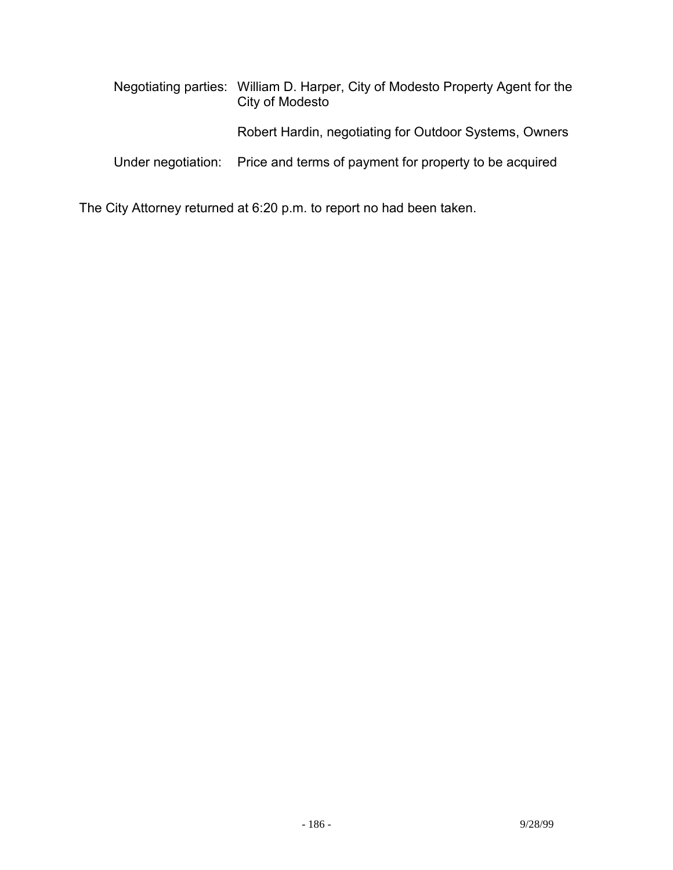|  | Negotiating parties: William D. Harper, City of Modesto Property Agent for the<br>City of Modesto |
|--|---------------------------------------------------------------------------------------------------|
|  | Robert Hardin, negotiating for Outdoor Systems, Owners                                            |
|  | Under negotiation: Price and terms of payment for property to be acquired                         |

The City Attorney returned at 6:20 p.m. to report no had been taken.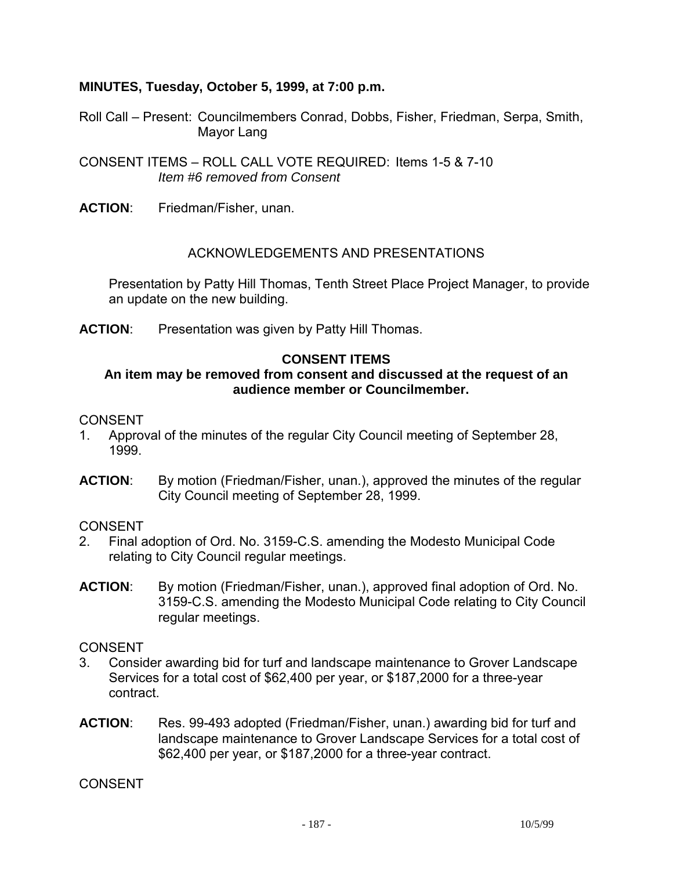## **MINUTES, Tuesday, October 5, 1999, at 7:00 p.m.**

- Roll Call Present: Councilmembers Conrad, Dobbs, Fisher, Friedman, Serpa, Smith, Mayor Lang
- CONSENT ITEMS ROLL CALL VOTE REQUIRED: Items 1-5 & 7-10 *Item #6 removed from Consent*
- **ACTION**: Friedman/Fisher, unan.

#### ACKNOWLEDGEMENTS AND PRESENTATIONS

 Presentation by Patty Hill Thomas, Tenth Street Place Project Manager, to provide an update on the new building.

**ACTION**: Presentation was given by Patty Hill Thomas.

#### **CONSENT ITEMS**

#### **An item may be removed from consent and discussed at the request of an audience member or Councilmember.**

#### CONSENT

- 1. Approval of the minutes of the regular City Council meeting of September 28, 1999.
- **ACTION**: By motion (Friedman/Fisher, unan.), approved the minutes of the regular City Council meeting of September 28, 1999.

#### **CONSENT**

- 2. Final adoption of Ord. No. 3159-C.S. amending the Modesto Municipal Code relating to City Council regular meetings.
- **ACTION**: By motion (Friedman/Fisher, unan.), approved final adoption of Ord. No. 3159-C.S. amending the Modesto Municipal Code relating to City Council regular meetings.

#### **CONSENT**

- 3. Consider awarding bid for turf and landscape maintenance to Grover Landscape Services for a total cost of \$62,400 per year, or \$187,2000 for a three-year contract.
- **ACTION**: Res. 99-493 adopted (Friedman/Fisher, unan.) awarding bid for turf and landscape maintenance to Grover Landscape Services for a total cost of \$62,400 per year, or \$187,2000 for a three-year contract.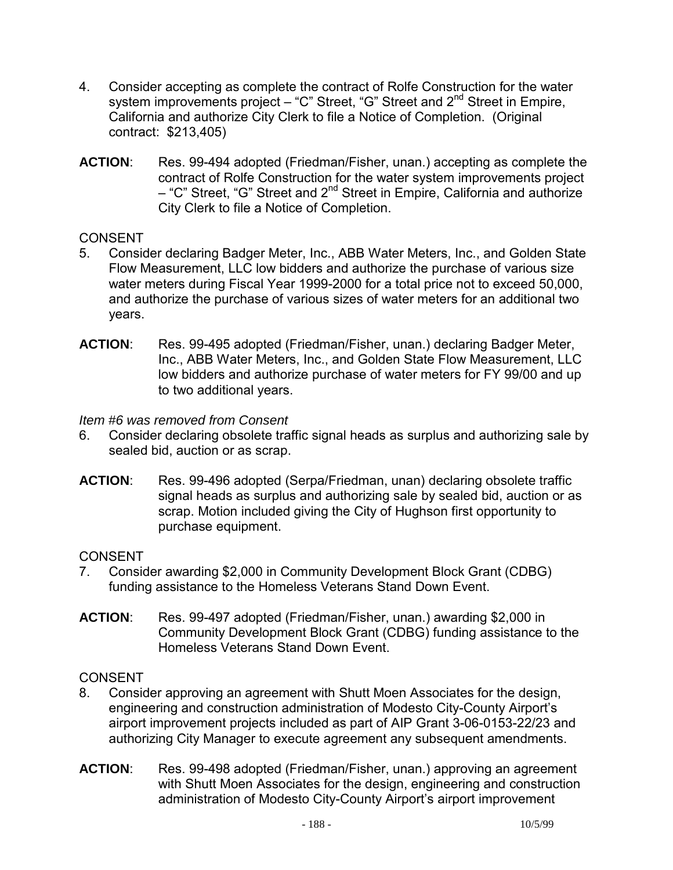- 4. Consider accepting as complete the contract of Rolfe Construction for the water system improvements project – "C" Street, "G" Street and 2<sup>nd</sup> Street in Empire, California and authorize City Clerk to file a Notice of Completion. (Original contract: \$213,405)
- **ACTION**: Res. 99-494 adopted (Friedman/Fisher, unan.) accepting as complete the contract of Rolfe Construction for the water system improvements project – "C" Street, "G" Street and 2<sup>nd</sup> Street in Empire, California and authorize City Clerk to file a Notice of Completion.

# CONSENT

- 5. Consider declaring Badger Meter, Inc., ABB Water Meters, Inc., and Golden State Flow Measurement, LLC low bidders and authorize the purchase of various size water meters during Fiscal Year 1999-2000 for a total price not to exceed 50,000, and authorize the purchase of various sizes of water meters for an additional two years.
- **ACTION**: Res. 99-495 adopted (Friedman/Fisher, unan.) declaring Badger Meter, Inc., ABB Water Meters, Inc., and Golden State Flow Measurement, LLC low bidders and authorize purchase of water meters for FY 99/00 and up to two additional years.

#### *Item #6 was removed from Consent*

- 6. Consider declaring obsolete traffic signal heads as surplus and authorizing sale by sealed bid, auction or as scrap.
- **ACTION**: Res. 99-496 adopted (Serpa/Friedman, unan) declaring obsolete traffic signal heads as surplus and authorizing sale by sealed bid, auction or as scrap. Motion included giving the City of Hughson first opportunity to purchase equipment.

# CONSENT

- 7. Consider awarding \$2,000 in Community Development Block Grant (CDBG) funding assistance to the Homeless Veterans Stand Down Event.
- **ACTION**: Res. 99-497 adopted (Friedman/Fisher, unan.) awarding \$2,000 in Community Development Block Grant (CDBG) funding assistance to the Homeless Veterans Stand Down Event.

- 8. Consider approving an agreement with Shutt Moen Associates for the design, engineering and construction administration of Modesto City-County Airport's airport improvement projects included as part of AIP Grant 3-06-0153-22/23 and authorizing City Manager to execute agreement any subsequent amendments.
- **ACTION**: Res. 99-498 adopted (Friedman/Fisher, unan.) approving an agreement with Shutt Moen Associates for the design, engineering and construction administration of Modesto City-County Airport's airport improvement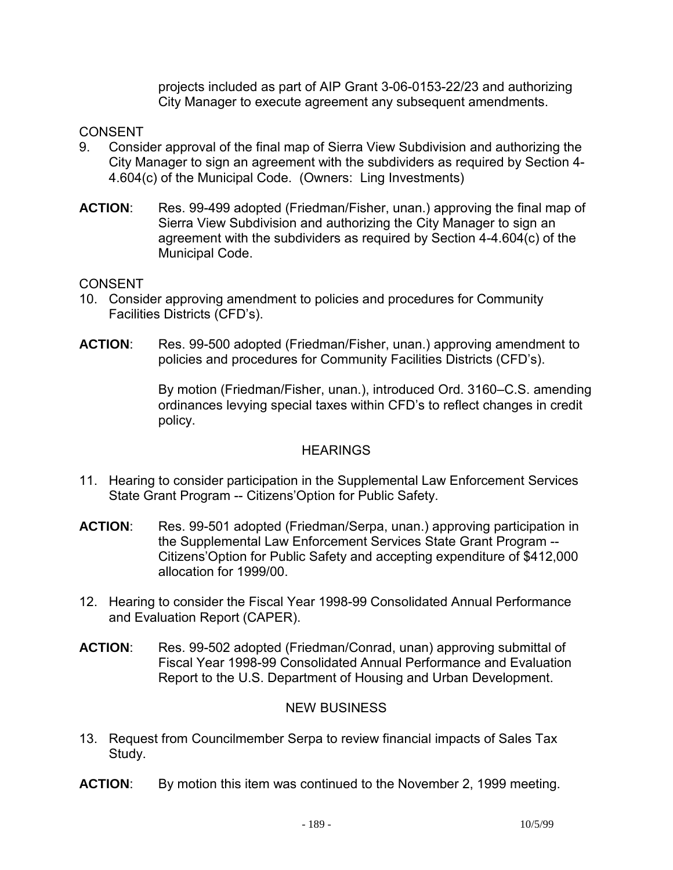projects included as part of AIP Grant 3-06-0153-22/23 and authorizing City Manager to execute agreement any subsequent amendments.

## CONSENT

- 9. Consider approval of the final map of Sierra View Subdivision and authorizing the City Manager to sign an agreement with the subdividers as required by Section 4- 4.604(c) of the Municipal Code. (Owners: Ling Investments)
- **ACTION**: Res. 99-499 adopted (Friedman/Fisher, unan.) approving the final map of Sierra View Subdivision and authorizing the City Manager to sign an agreement with the subdividers as required by Section 4-4.604(c) of the Municipal Code.

#### CONSENT

- 10. Consider approving amendment to policies and procedures for Community Facilities Districts (CFD's).
- **ACTION**: Res. 99-500 adopted (Friedman/Fisher, unan.) approving amendment to policies and procedures for Community Facilities Districts (CFD's).

By motion (Friedman/Fisher, unan.), introduced Ord. 3160–C.S. amending ordinances levying special taxes within CFD's to reflect changes in credit policy.

#### **HEARINGS**

- 11. Hearing to consider participation in the Supplemental Law Enforcement Services State Grant Program -- Citizens'Option for Public Safety.
- **ACTION**: Res. 99-501 adopted (Friedman/Serpa, unan.) approving participation in the Supplemental Law Enforcement Services State Grant Program -- Citizens'Option for Public Safety and accepting expenditure of \$412,000 allocation for 1999/00.
- 12. Hearing to consider the Fiscal Year 1998-99 Consolidated Annual Performance and Evaluation Report (CAPER).
- **ACTION**: Res. 99-502 adopted (Friedman/Conrad, unan) approving submittal of Fiscal Year 1998-99 Consolidated Annual Performance and Evaluation Report to the U.S. Department of Housing and Urban Development.

#### NEW BUSINESS

- 13. Request from Councilmember Serpa to review financial impacts of Sales Tax Study.
- **ACTION**: By motion this item was continued to the November 2, 1999 meeting.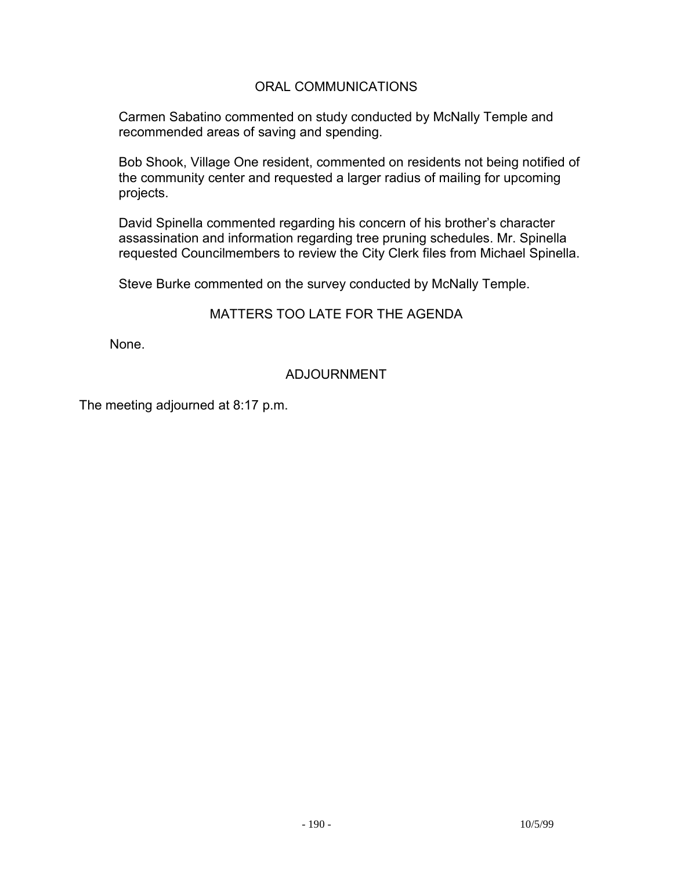## ORAL COMMUNICATIONS

 Carmen Sabatino commented on study conducted by McNally Temple and recommended areas of saving and spending.

 Bob Shook, Village One resident, commented on residents not being notified of the community center and requested a larger radius of mailing for upcoming projects.

 David Spinella commented regarding his concern of his brother's character assassination and information regarding tree pruning schedules. Mr. Spinella requested Councilmembers to review the City Clerk files from Michael Spinella.

Steve Burke commented on the survey conducted by McNally Temple.

## MATTERS TOO LATE FOR THE AGENDA

None.

# ADJOURNMENT

The meeting adjourned at 8:17 p.m.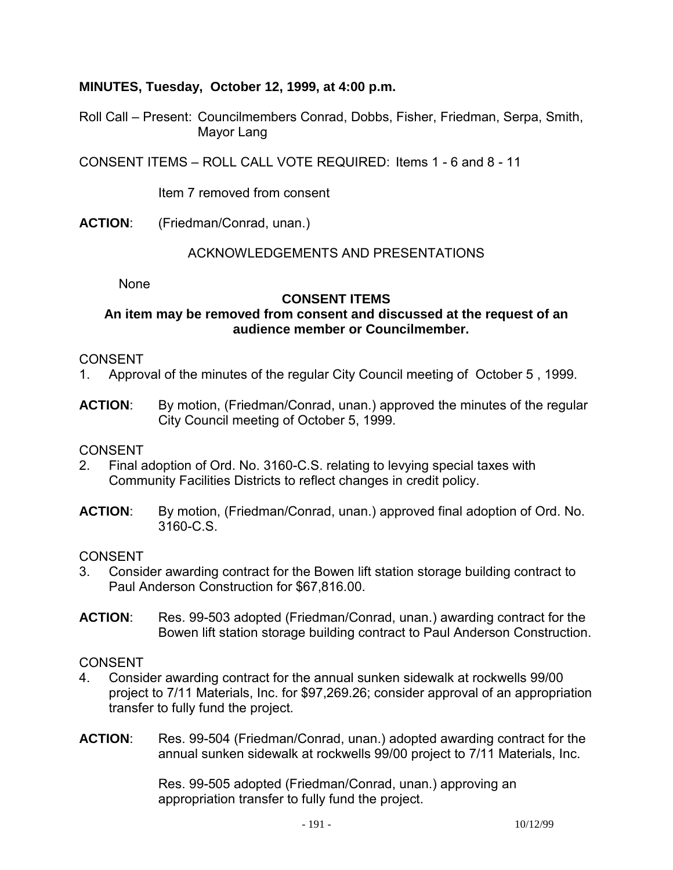## **MINUTES, Tuesday, October 12, 1999, at 4:00 p.m.**

Roll Call – Present: Councilmembers Conrad, Dobbs, Fisher, Friedman, Serpa, Smith, Mayor Lang

CONSENT ITEMS – ROLL CALL VOTE REQUIRED: Items 1 - 6 and 8 - 11

Item 7 removed from consent

**ACTION**: (Friedman/Conrad, unan.)

#### ACKNOWLEDGEMENTS AND PRESENTATIONS

**None** 

## **CONSENT ITEMS**

#### **An item may be removed from consent and discussed at the request of an audience member or Councilmember.**

#### CONSENT

- 1. Approval of the minutes of the regular City Council meeting of October 5 , 1999.
- **ACTION**: By motion, (Friedman/Conrad, unan.) approved the minutes of the regular City Council meeting of October 5, 1999.

#### **CONSENT**

- 2. Final adoption of Ord. No. 3160-C.S. relating to levying special taxes with Community Facilities Districts to reflect changes in credit policy.
- **ACTION**: By motion, (Friedman/Conrad, unan.) approved final adoption of Ord. No. 3160-C.S.

#### CONSENT

- 3. Consider awarding contract for the Bowen lift station storage building contract to Paul Anderson Construction for \$67,816.00.
- **ACTION**: Res. 99-503 adopted (Friedman/Conrad, unan.) awarding contract for the Bowen lift station storage building contract to Paul Anderson Construction.

#### CONSENT

- 4. Consider awarding contract for the annual sunken sidewalk at rockwells 99/00 project to 7/11 Materials, Inc. for \$97,269.26; consider approval of an appropriation transfer to fully fund the project.
- **ACTION**: Res. 99-504 (Friedman/Conrad, unan.) adopted awarding contract for the annual sunken sidewalk at rockwells 99/00 project to 7/11 Materials, Inc.

Res. 99-505 adopted (Friedman/Conrad, unan.) approving an appropriation transfer to fully fund the project.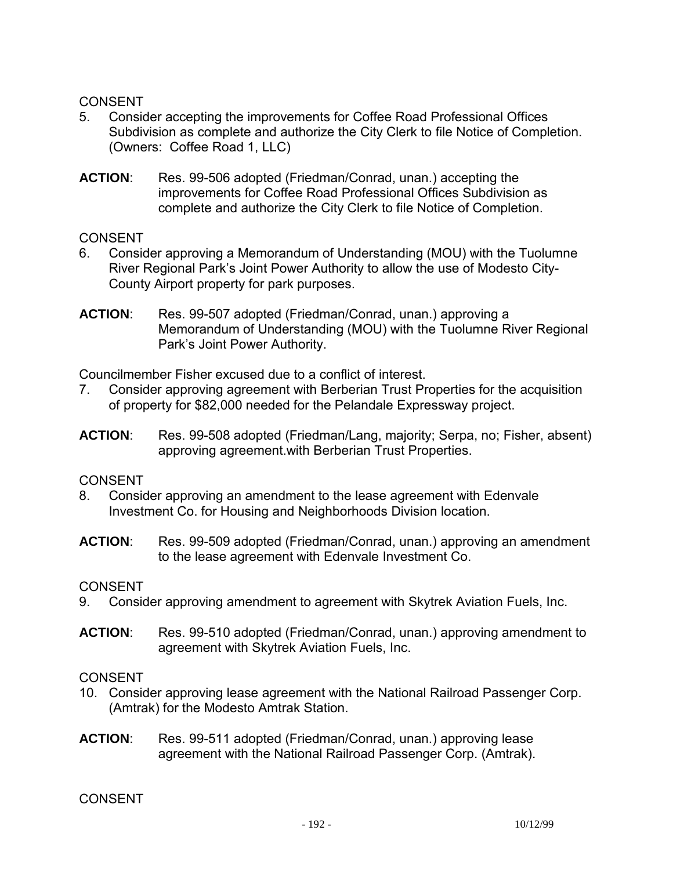#### CONSENT

- 5. Consider accepting the improvements for Coffee Road Professional Offices Subdivision as complete and authorize the City Clerk to file Notice of Completion. (Owners: Coffee Road 1, LLC)
- **ACTION**: Res. 99-506 adopted (Friedman/Conrad, unan.) accepting the improvements for Coffee Road Professional Offices Subdivision as complete and authorize the City Clerk to file Notice of Completion.

CONSENT

- 6. Consider approving a Memorandum of Understanding (MOU) with the Tuolumne River Regional Park's Joint Power Authority to allow the use of Modesto City-County Airport property for park purposes.
- **ACTION**: Res. 99-507 adopted (Friedman/Conrad, unan.) approving a Memorandum of Understanding (MOU) with the Tuolumne River Regional Park's Joint Power Authority.

Councilmember Fisher excused due to a conflict of interest.

- 7. Consider approving agreement with Berberian Trust Properties for the acquisition of property for \$82,000 needed for the Pelandale Expressway project.
- **ACTION**: Res. 99-508 adopted (Friedman/Lang, majority; Serpa, no; Fisher, absent) approving agreement.with Berberian Trust Properties.

#### CONSENT

- 8. Consider approving an amendment to the lease agreement with Edenvale Investment Co. for Housing and Neighborhoods Division location.
- **ACTION**: Res. 99-509 adopted (Friedman/Conrad, unan.) approving an amendment to the lease agreement with Edenvale Investment Co.

# CONSENT

- 9. Consider approving amendment to agreement with Skytrek Aviation Fuels, Inc.
- **ACTION**: Res. 99-510 adopted (Friedman/Conrad, unan.) approving amendment to agreement with Skytrek Aviation Fuels, Inc.

#### CONSENT

- 10. Consider approving lease agreement with the National Railroad Passenger Corp. (Amtrak) for the Modesto Amtrak Station.
- **ACTION**: Res. 99-511 adopted (Friedman/Conrad, unan.) approving lease agreement with the National Railroad Passenger Corp. (Amtrak).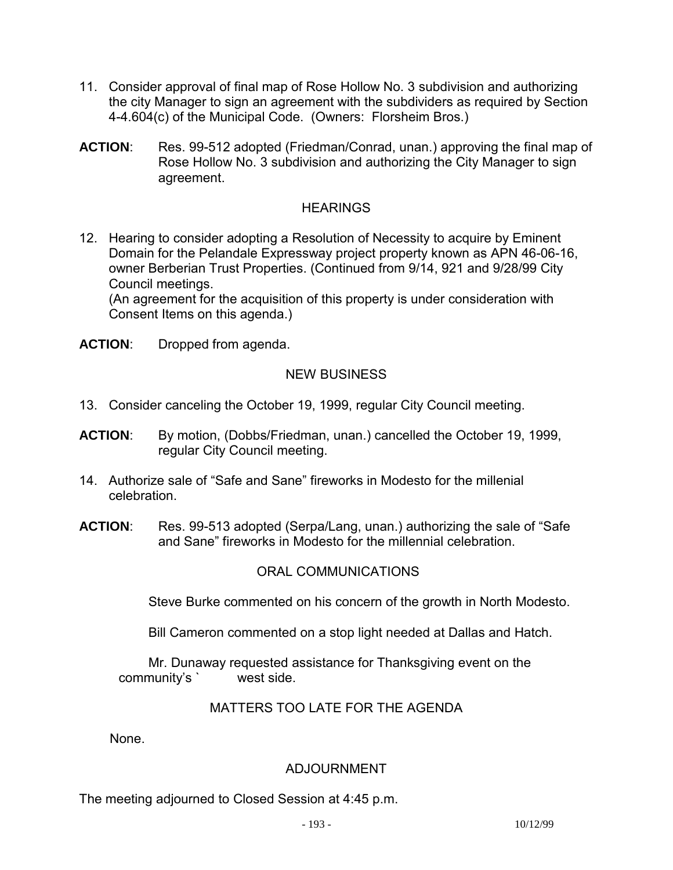- 11. Consider approval of final map of Rose Hollow No. 3 subdivision and authorizing the city Manager to sign an agreement with the subdividers as required by Section 4-4.604(c) of the Municipal Code. (Owners: Florsheim Bros.)
- **ACTION**: Res. 99-512 adopted (Friedman/Conrad, unan.) approving the final map of Rose Hollow No. 3 subdivision and authorizing the City Manager to sign agreement.

## **HEARINGS**

12. Hearing to consider adopting a Resolution of Necessity to acquire by Eminent Domain for the Pelandale Expressway project property known as APN 46-06-16, owner Berberian Trust Properties. (Continued from 9/14, 921 and 9/28/99 City Council meetings.

 (An agreement for the acquisition of this property is under consideration with Consent Items on this agenda.)

**ACTION**: Dropped from agenda.

# NEW BUSINESS

- 13. Consider canceling the October 19, 1999, regular City Council meeting.
- **ACTION**: By motion, (Dobbs/Friedman, unan.) cancelled the October 19, 1999, regular City Council meeting.
- 14. Authorize sale of "Safe and Sane" fireworks in Modesto for the millenial celebration.
- **ACTION**: Res. 99-513 adopted (Serpa/Lang, unan.) authorizing the sale of "Safe and Sane" fireworks in Modesto for the millennial celebration.

# ORAL COMMUNICATIONS

Steve Burke commented on his concern of the growth in North Modesto.

Bill Cameron commented on a stop light needed at Dallas and Hatch.

 Mr. Dunaway requested assistance for Thanksgiving event on the community's ` west side.

#### MATTERS TOO LATE FOR THE AGENDA

None.

# ADJOURNMENT

The meeting adjourned to Closed Session at 4:45 p.m.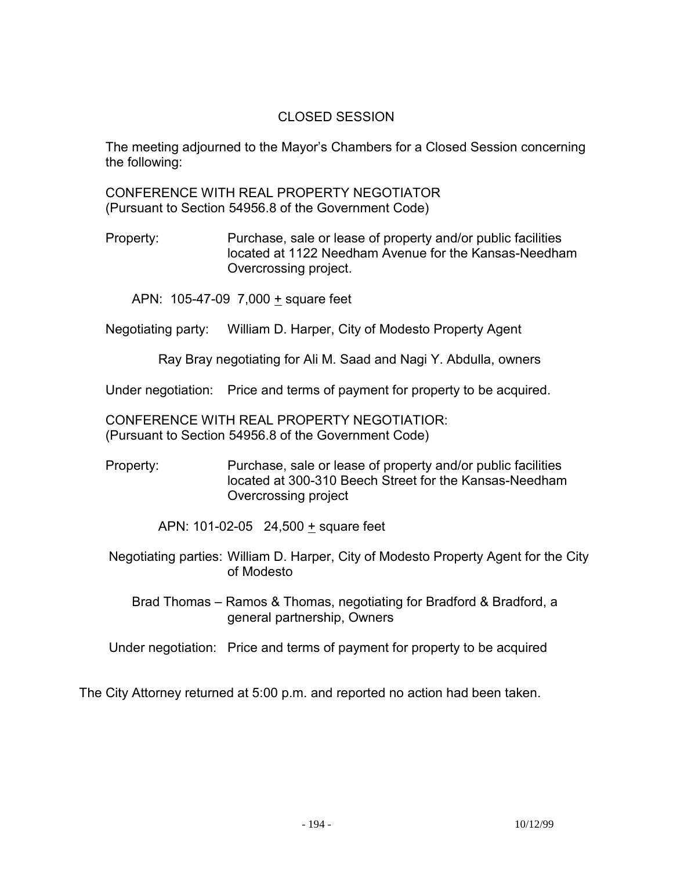## CLOSED SESSION

 The meeting adjourned to the Mayor's Chambers for a Closed Session concerning the following:

 CONFERENCE WITH REAL PROPERTY NEGOTIATOR (Pursuant to Section 54956.8 of the Government Code)

 Property: Purchase, sale or lease of property and/or public facilities located at 1122 Needham Avenue for the Kansas-Needham Overcrossing project.

APN: 105-47-09 7,000 + square feet

Negotiating party: William D. Harper, City of Modesto Property Agent

Ray Bray negotiating for Ali M. Saad and Nagi Y. Abdulla, owners

Under negotiation: Price and terms of payment for property to be acquired.

 CONFERENCE WITH REAL PROPERTY NEGOTIATIOR: (Pursuant to Section 54956.8 of the Government Code)

 Property: Purchase, sale or lease of property and/or public facilities located at 300-310 Beech Street for the Kansas-Needham Overcrossing project

APN: 101-02-05 24,500  $\pm$  square feet

- Negotiating parties: William D. Harper, City of Modesto Property Agent for the City of Modesto
	- Brad Thomas Ramos & Thomas, negotiating for Bradford & Bradford, a general partnership, Owners

Under negotiation: Price and terms of payment for property to be acquired

The City Attorney returned at 5:00 p.m. and reported no action had been taken.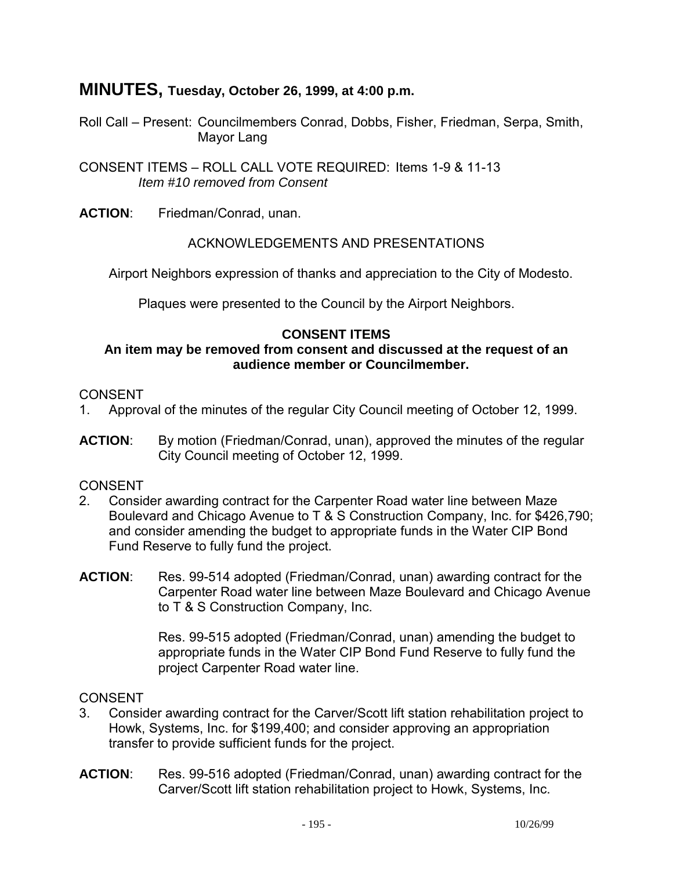# **MINUTES, Tuesday, October 26, 1999, at 4:00 p.m.**

Roll Call – Present: Councilmembers Conrad, Dobbs, Fisher, Friedman, Serpa, Smith, Mayor Lang

CONSENT ITEMS – ROLL CALL VOTE REQUIRED: Items 1-9 & 11-13 *Item #10 removed from Consent* 

**ACTION**: Friedman/Conrad, unan.

## ACKNOWLEDGEMENTS AND PRESENTATIONS

Airport Neighbors expression of thanks and appreciation to the City of Modesto.

Plaques were presented to the Council by the Airport Neighbors.

# **CONSENT ITEMS**

#### **An item may be removed from consent and discussed at the request of an audience member or Councilmember.**

## **CONSENT**

- 1. Approval of the minutes of the regular City Council meeting of October 12, 1999.
- **ACTION**: By motion (Friedman/Conrad, unan), approved the minutes of the regular City Council meeting of October 12, 1999.

# CONSENT

- 2. Consider awarding contract for the Carpenter Road water line between Maze Boulevard and Chicago Avenue to T & S Construction Company, Inc. for \$426,790; and consider amending the budget to appropriate funds in the Water CIP Bond Fund Reserve to fully fund the project.
- **ACTION**: Res. 99-514 adopted (Friedman/Conrad, unan) awarding contract for the Carpenter Road water line between Maze Boulevard and Chicago Avenue to T & S Construction Company, Inc.

Res. 99-515 adopted (Friedman/Conrad, unan) amending the budget to appropriate funds in the Water CIP Bond Fund Reserve to fully fund the project Carpenter Road water line.

- 3. Consider awarding contract for the Carver/Scott lift station rehabilitation project to Howk, Systems, Inc. for \$199,400; and consider approving an appropriation transfer to provide sufficient funds for the project.
- **ACTION**: Res. 99-516 adopted (Friedman/Conrad, unan) awarding contract for the Carver/Scott lift station rehabilitation project to Howk, Systems, Inc.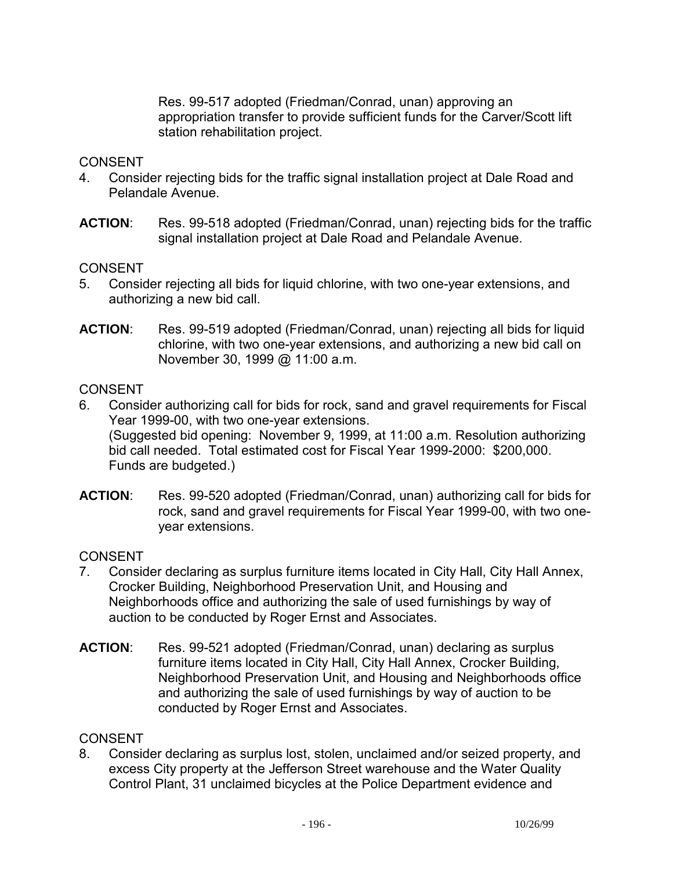Res. 99-517 adopted (Friedman/Conrad, unan) approving an appropriation transfer to provide sufficient funds for the Carver/Scott lift station rehabilitation project.

#### CONSENT

- 4. Consider rejecting bids for the traffic signal installation project at Dale Road and Pelandale Avenue.
- **ACTION**: Res. 99-518 adopted (Friedman/Conrad, unan) rejecting bids for the traffic signal installation project at Dale Road and Pelandale Avenue.

#### **CONSENT**

- 5. Consider rejecting all bids for liquid chlorine, with two one-year extensions, and authorizing a new bid call.
- **ACTION**: Res. 99-519 adopted (Friedman/Conrad, unan) rejecting all bids for liquid chlorine, with two one-year extensions, and authorizing a new bid call on November 30, 1999 @ 11:00 a.m.

#### **CONSENT**

- 6. Consider authorizing call for bids for rock, sand and gravel requirements for Fiscal Year 1999-00, with two one-year extensions. (Suggested bid opening: November 9, 1999, at 11:00 a.m. Resolution authorizing bid call needed. Total estimated cost for Fiscal Year 1999-2000: \$200,000. Funds are budgeted.)
- **ACTION**: Res. 99-520 adopted (Friedman/Conrad, unan) authorizing call for bids for rock, sand and gravel requirements for Fiscal Year 1999-00, with two oneyear extensions.

#### CONSENT

- 7. Consider declaring as surplus furniture items located in City Hall, City Hall Annex, Crocker Building, Neighborhood Preservation Unit, and Housing and Neighborhoods office and authorizing the sale of used furnishings by way of auction to be conducted by Roger Ernst and Associates.
- **ACTION**: Res. 99-521 adopted (Friedman/Conrad, unan) declaring as surplus furniture items located in City Hall, City Hall Annex, Crocker Building, Neighborhood Preservation Unit, and Housing and Neighborhoods office and authorizing the sale of used furnishings by way of auction to be conducted by Roger Ernst and Associates.

#### **CONSENT**

8. Consider declaring as surplus lost, stolen, unclaimed and/or seized property, and excess City property at the Jefferson Street warehouse and the Water Quality Control Plant, 31 unclaimed bicycles at the Police Department evidence and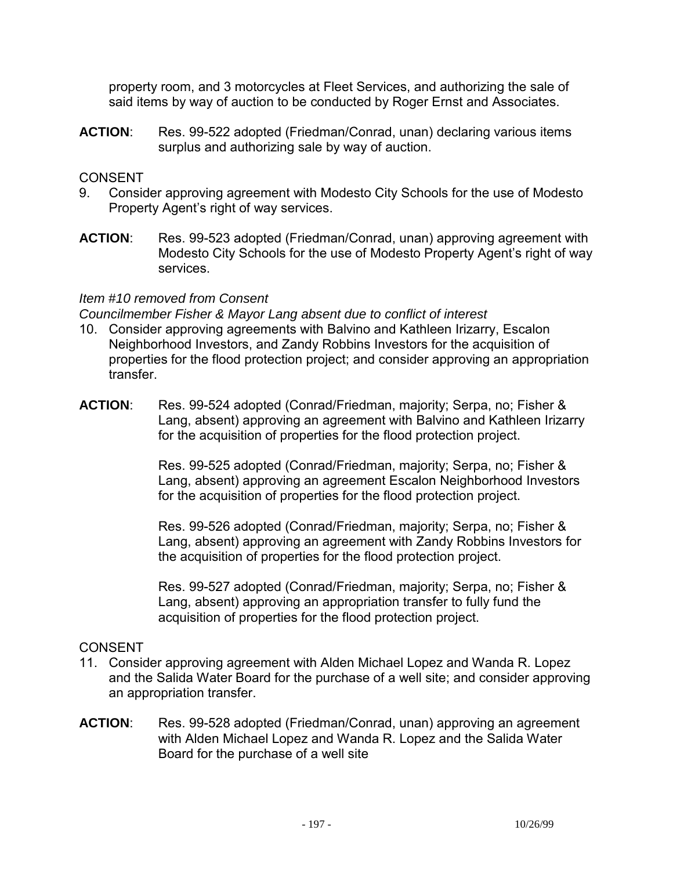property room, and 3 motorcycles at Fleet Services, and authorizing the sale of said items by way of auction to be conducted by Roger Ernst and Associates.

**ACTION**: Res. 99-522 adopted (Friedman/Conrad, unan) declaring various items surplus and authorizing sale by way of auction.

## CONSENT

- 9. Consider approving agreement with Modesto City Schools for the use of Modesto Property Agent's right of way services.
- **ACTION**: Res. 99-523 adopted (Friedman/Conrad, unan) approving agreement with Modesto City Schools for the use of Modesto Property Agent's right of way services.

#### *Item #10 removed from Consent*

*Councilmember Fisher & Mayor Lang absent due to conflict of interest* 

- 10. Consider approving agreements with Balvino and Kathleen Irizarry, Escalon Neighborhood Investors, and Zandy Robbins Investors for the acquisition of properties for the flood protection project; and consider approving an appropriation transfer.
- **ACTION**: Res. 99-524 adopted (Conrad/Friedman, majority; Serpa, no; Fisher & Lang, absent) approving an agreement with Balvino and Kathleen Irizarry for the acquisition of properties for the flood protection project.

Res. 99-525 adopted (Conrad/Friedman, majority; Serpa, no; Fisher & Lang, absent) approving an agreement Escalon Neighborhood Investors for the acquisition of properties for the flood protection project.

Res. 99-526 adopted (Conrad/Friedman, majority; Serpa, no; Fisher & Lang, absent) approving an agreement with Zandy Robbins Investors for the acquisition of properties for the flood protection project.

Res. 99-527 adopted (Conrad/Friedman, majority; Serpa, no; Fisher & Lang, absent) approving an appropriation transfer to fully fund the acquisition of properties for the flood protection project.

- 11. Consider approving agreement with Alden Michael Lopez and Wanda R. Lopez and the Salida Water Board for the purchase of a well site; and consider approving an appropriation transfer.
- **ACTION**: Res. 99-528 adopted (Friedman/Conrad, unan) approving an agreement with Alden Michael Lopez and Wanda R. Lopez and the Salida Water Board for the purchase of a well site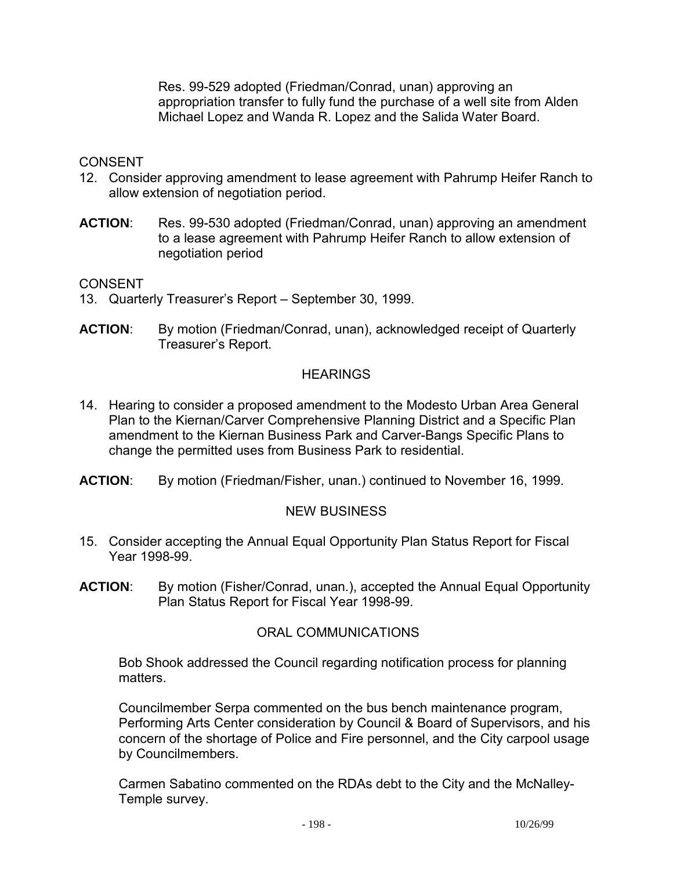Res. 99-529 adopted (Friedman/Conrad, unan) approving an appropriation transfer to fully fund the purchase of a well site from Alden Michael Lopez and Wanda R. Lopez and the Salida Water Board.

#### CONSENT

- 12. Consider approving amendment to lease agreement with Pahrump Heifer Ranch to allow extension of negotiation period.
- **ACTION**: Res. 99-530 adopted (Friedman/Conrad, unan) approving an amendment to a lease agreement with Pahrump Heifer Ranch to allow extension of negotiation period

CONSENT

- 13. Quarterly Treasurer's Report September 30, 1999.
- **ACTION**: By motion (Friedman/Conrad, unan), acknowledged receipt of Quarterly Treasurer's Report.

#### **HEARINGS**

- 14. Hearing to consider a proposed amendment to the Modesto Urban Area General Plan to the Kiernan/Carver Comprehensive Planning District and a Specific Plan amendment to the Kiernan Business Park and Carver-Bangs Specific Plans to change the permitted uses from Business Park to residential.
- **ACTION**: By motion (Friedman/Fisher, unan.) continued to November 16, 1999.

# NEW BUSINESS

- 15. Consider accepting the Annual Equal Opportunity Plan Status Report for Fiscal Year 1998-99.
- **ACTION**: By motion (Fisher/Conrad, unan.), accepted the Annual Equal Opportunity Plan Status Report for Fiscal Year 1998-99.

# ORAL COMMUNICATIONS

 Bob Shook addressed the Council regarding notification process for planning matters.

 Councilmember Serpa commented on the bus bench maintenance program, Performing Arts Center consideration by Council & Board of Supervisors, and his concern of the shortage of Police and Fire personnel, and the City carpool usage by Councilmembers.

 Carmen Sabatino commented on the RDAs debt to the City and the McNalley-Temple survey.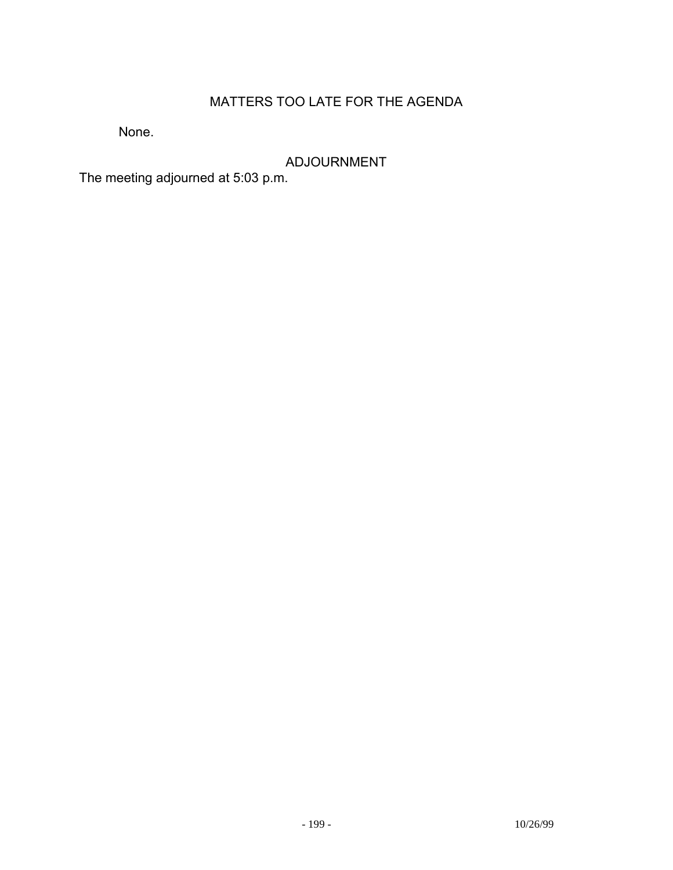# MATTERS TOO LATE FOR THE AGENDA

None.

ADJOURNMENT

The meeting adjourned at 5:03 p.m.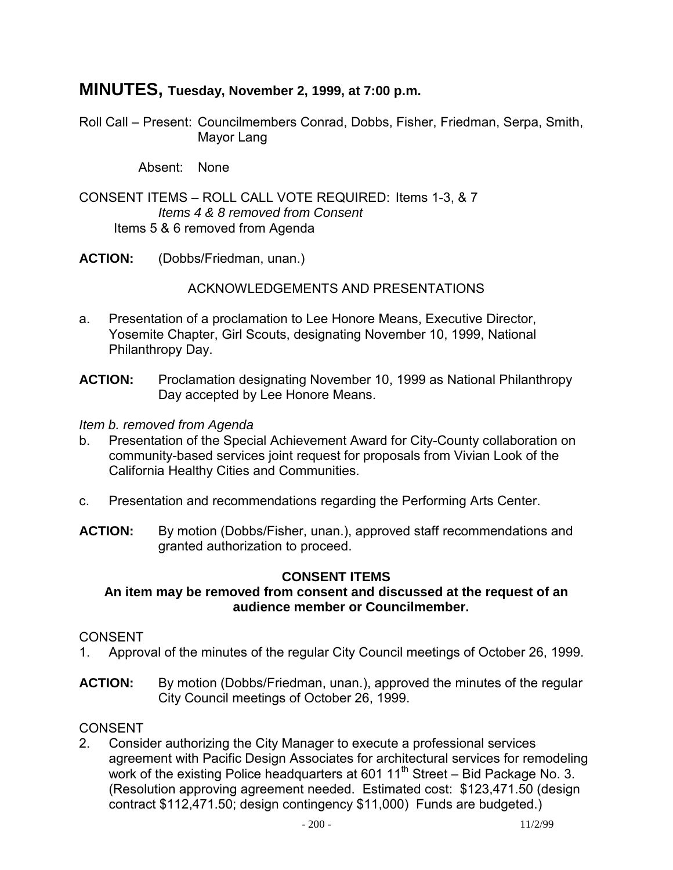# **MINUTES, Tuesday, November 2, 1999, at 7:00 p.m.**

Roll Call – Present: Councilmembers Conrad, Dobbs, Fisher, Friedman, Serpa, Smith, Mayor Lang

Absent: None

CONSENT ITEMS – ROLL CALL VOTE REQUIRED: Items 1-3, & 7 *Items 4 & 8 removed from Consent*  Items 5 & 6 removed from Agenda

**ACTION:** (Dobbs/Friedman, unan.)

ACKNOWLEDGEMENTS AND PRESENTATIONS

- a. Presentation of a proclamation to Lee Honore Means, Executive Director, Yosemite Chapter, Girl Scouts, designating November 10, 1999, National Philanthropy Day.
- **ACTION:** Proclamation designating November 10, 1999 as National Philanthropy Day accepted by Lee Honore Means.

*Item b. removed from Agenda* 

- b. Presentation of the Special Achievement Award for City-County collaboration on community-based services joint request for proposals from Vivian Look of the California Healthy Cities and Communities.
- c. Presentation and recommendations regarding the Performing Arts Center.
- **ACTION:** By motion (Dobbs/Fisher, unan.), approved staff recommendations and granted authorization to proceed.

#### **CONSENT ITEMS**

#### **An item may be removed from consent and discussed at the request of an audience member or Councilmember.**

#### CONSENT

- 1. Approval of the minutes of the regular City Council meetings of October 26, 1999.
- **ACTION:** By motion (Dobbs/Friedman, unan.), approved the minutes of the regular City Council meetings of October 26, 1999.

#### **CONSENT**

2. Consider authorizing the City Manager to execute a professional services agreement with Pacific Design Associates for architectural services for remodeling work of the existing Police headquarters at 601 11<sup>th</sup> Street – Bid Package No. 3. (Resolution approving agreement needed. Estimated cost: \$123,471.50 (design contract \$112,471.50; design contingency \$11,000) Funds are budgeted.)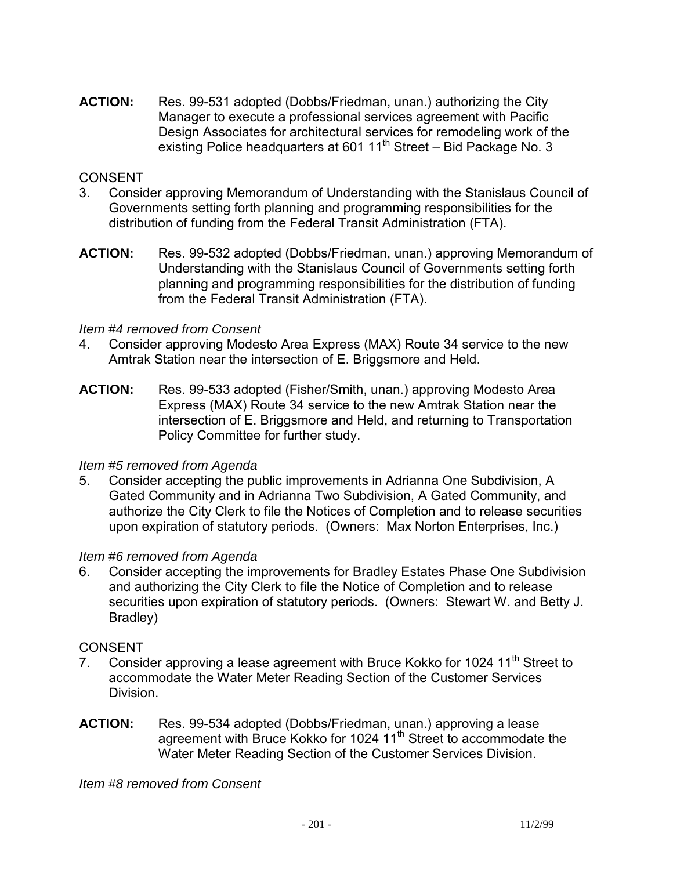**ACTION:** Res. 99-531 adopted (Dobbs/Friedman, unan.) authorizing the City Manager to execute a professional services agreement with Pacific Design Associates for architectural services for remodeling work of the existing Police headquarters at 601  $11<sup>th</sup>$  Street – Bid Package No. 3

## CONSENT

- 3. Consider approving Memorandum of Understanding with the Stanislaus Council of Governments setting forth planning and programming responsibilities for the distribution of funding from the Federal Transit Administration (FTA).
- **ACTION:** Res. 99-532 adopted (Dobbs/Friedman, unan.) approving Memorandum of Understanding with the Stanislaus Council of Governments setting forth planning and programming responsibilities for the distribution of funding from the Federal Transit Administration (FTA).

#### *Item #4 removed from Consent*

- 4. Consider approving Modesto Area Express (MAX) Route 34 service to the new Amtrak Station near the intersection of E. Briggsmore and Held.
- **ACTION:** Res. 99-533 adopted (Fisher/Smith, unan.) approving Modesto Area Express (MAX) Route 34 service to the new Amtrak Station near the intersection of E. Briggsmore and Held, and returning to Transportation Policy Committee for further study.

#### *Item #5 removed from Agenda*

5. Consider accepting the public improvements in Adrianna One Subdivision, A Gated Community and in Adrianna Two Subdivision, A Gated Community, and authorize the City Clerk to file the Notices of Completion and to release securities upon expiration of statutory periods. (Owners: Max Norton Enterprises, Inc.)

#### *Item #6 removed from Agenda*

6. Consider accepting the improvements for Bradley Estates Phase One Subdivision and authorizing the City Clerk to file the Notice of Completion and to release securities upon expiration of statutory periods. (Owners: Stewart W. and Betty J. Bradley)

#### CONSENT

- 7. Consider approving a lease agreement with Bruce Kokko for 1024  $11<sup>th</sup>$  Street to accommodate the Water Meter Reading Section of the Customer Services Division.
- **ACTION:** Res. 99-534 adopted (Dobbs/Friedman, unan.) approving a lease agreement with Bruce Kokko for 1024 11<sup>th</sup> Street to accommodate the Water Meter Reading Section of the Customer Services Division.

*Item #8 removed from Consent*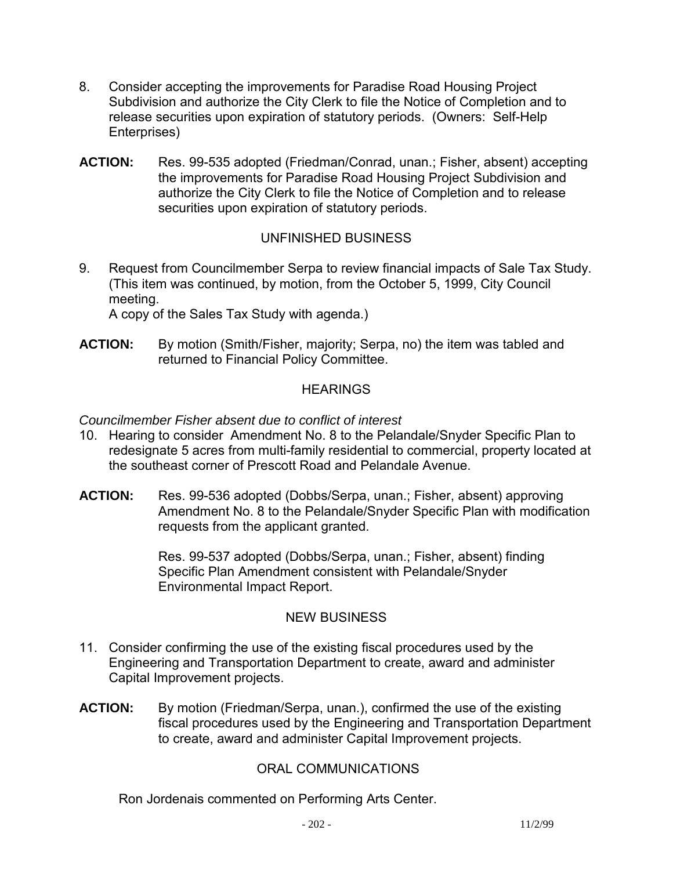- 8. Consider accepting the improvements for Paradise Road Housing Project Subdivision and authorize the City Clerk to file the Notice of Completion and to release securities upon expiration of statutory periods. (Owners: Self-Help Enterprises)
- **ACTION:** Res. 99-535 adopted (Friedman/Conrad, unan.; Fisher, absent) accepting the improvements for Paradise Road Housing Project Subdivision and authorize the City Clerk to file the Notice of Completion and to release securities upon expiration of statutory periods.

# UNFINISHED BUSINESS

9. Request from Councilmember Serpa to review financial impacts of Sale Tax Study. (This item was continued, by motion, from the October 5, 1999, City Council meeting.

A copy of the Sales Tax Study with agenda.)

**ACTION:** By motion (Smith/Fisher, majority; Serpa, no) the item was tabled and returned to Financial Policy Committee.

# **HEARINGS**

## *Councilmember Fisher absent due to conflict of interest*

- 10. Hearing to consider Amendment No. 8 to the Pelandale/Snyder Specific Plan to redesignate 5 acres from multi-family residential to commercial, property located at the southeast corner of Prescott Road and Pelandale Avenue.
- **ACTION:** Res. 99-536 adopted (Dobbs/Serpa, unan.; Fisher, absent) approving Amendment No. 8 to the Pelandale/Snyder Specific Plan with modification requests from the applicant granted.

Res. 99-537 adopted (Dobbs/Serpa, unan.; Fisher, absent) finding Specific Plan Amendment consistent with Pelandale/Snyder Environmental Impact Report.

#### NEW BUSINESS

- 11. Consider confirming the use of the existing fiscal procedures used by the Engineering and Transportation Department to create, award and administer Capital Improvement projects.
- **ACTION:** By motion (Friedman/Serpa, unan.), confirmed the use of the existing fiscal procedures used by the Engineering and Transportation Department to create, award and administer Capital Improvement projects.

# ORAL COMMUNICATIONS

Ron Jordenais commented on Performing Arts Center.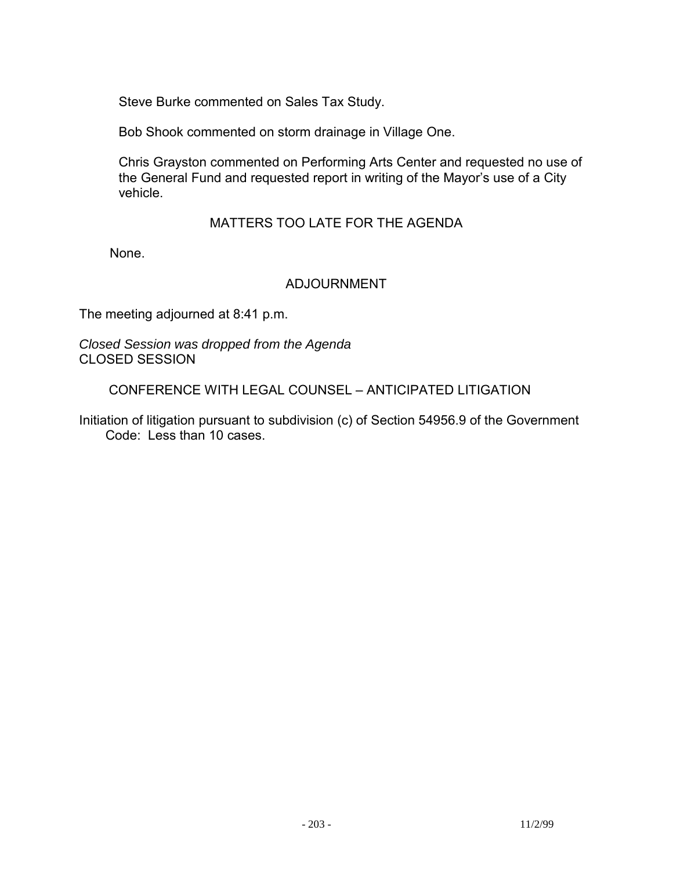Steve Burke commented on Sales Tax Study.

Bob Shook commented on storm drainage in Village One.

 Chris Grayston commented on Performing Arts Center and requested no use of the General Fund and requested report in writing of the Mayor's use of a City vehicle.

## MATTERS TOO LATE FOR THE AGENDA

None.

#### ADJOURNMENT

The meeting adjourned at 8:41 p.m.

*Closed Session was dropped from the Agenda*  CLOSED SESSION

CONFERENCE WITH LEGAL COUNSEL – ANTICIPATED LITIGATION

Initiation of litigation pursuant to subdivision (c) of Section 54956.9 of the Government Code: Less than 10 cases.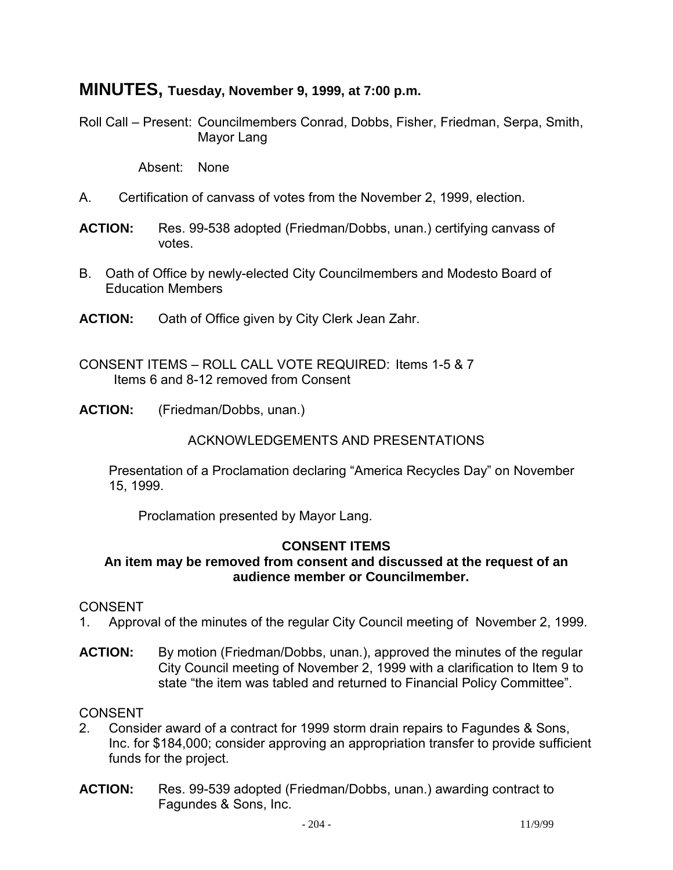# **MINUTES, Tuesday, November 9, 1999, at 7:00 p.m.**

Roll Call – Present: Councilmembers Conrad, Dobbs, Fisher, Friedman, Serpa, Smith, Mayor Lang

Absent: None

- A. Certification of canvass of votes from the November 2, 1999, election.
- **ACTION:** Res. 99-538 adopted (Friedman/Dobbs, unan.) certifying canvass of votes.
- B. Oath of Office by newly-elected City Councilmembers and Modesto Board of Education Members
- **ACTION:** Oath of Office given by City Clerk Jean Zahr.
- CONSENT ITEMS ROLL CALL VOTE REQUIRED: Items 1-5 & 7 Items 6 and 8-12 removed from Consent
- **ACTION:** (Friedman/Dobbs, unan.)

#### ACKNOWLEDGEMENTS AND PRESENTATIONS

 Presentation of a Proclamation declaring "America Recycles Day" on November 15, 1999.

Proclamation presented by Mayor Lang.

#### **CONSENT ITEMS**

## **An item may be removed from consent and discussed at the request of an audience member or Councilmember.**

#### **CONSENT**

- 1. Approval of the minutes of the regular City Council meeting of November 2, 1999.
- **ACTION:** By motion (Friedman/Dobbs, unan.), approved the minutes of the regular City Council meeting of November 2, 1999 with a clarification to Item 9 to state "the item was tabled and returned to Financial Policy Committee".

- 2. Consider award of a contract for 1999 storm drain repairs to Fagundes & Sons, Inc. for \$184,000; consider approving an appropriation transfer to provide sufficient funds for the project.
- **ACTION:** Res. 99-539 adopted (Friedman/Dobbs, unan.) awarding contract to Fagundes & Sons, Inc.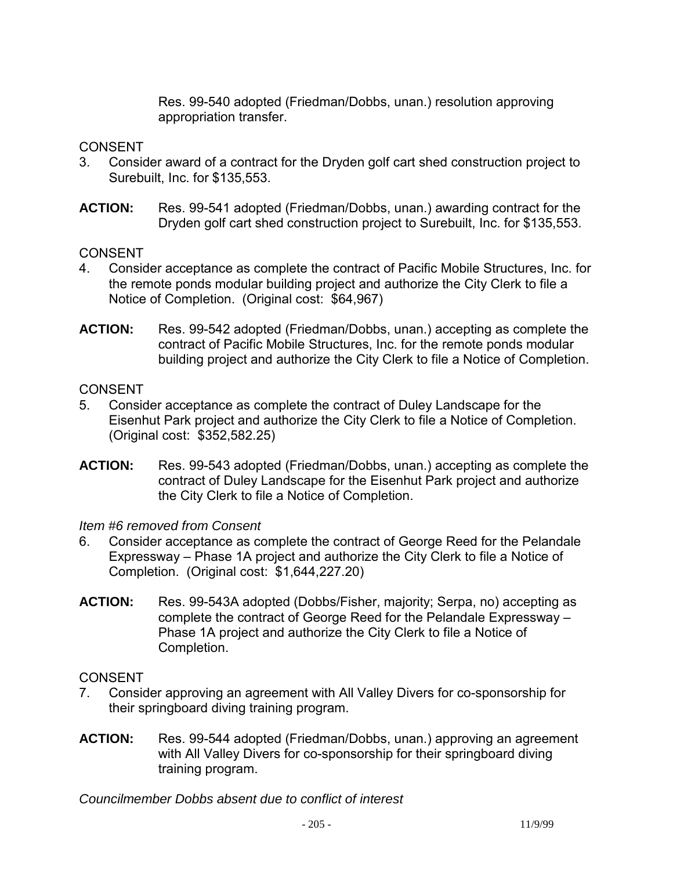Res. 99-540 adopted (Friedman/Dobbs, unan.) resolution approving appropriation transfer.

## **CONSENT**

- 3. Consider award of a contract for the Dryden golf cart shed construction project to Surebuilt, Inc. for \$135,553.
- **ACTION:** Res. 99-541 adopted (Friedman/Dobbs, unan.) awarding contract for the Dryden golf cart shed construction project to Surebuilt, Inc. for \$135,553.

## CONSENT

- 4. Consider acceptance as complete the contract of Pacific Mobile Structures, Inc. for the remote ponds modular building project and authorize the City Clerk to file a Notice of Completion. (Original cost: \$64,967)
- **ACTION:** Res. 99-542 adopted (Friedman/Dobbs, unan.) accepting as complete the contract of Pacific Mobile Structures, Inc. for the remote ponds modular building project and authorize the City Clerk to file a Notice of Completion.

## **CONSENT**

- 5. Consider acceptance as complete the contract of Duley Landscape for the Eisenhut Park project and authorize the City Clerk to file a Notice of Completion. (Original cost: \$352,582.25)
- **ACTION:** Res. 99-543 adopted (Friedman/Dobbs, unan.) accepting as complete the contract of Duley Landscape for the Eisenhut Park project and authorize the City Clerk to file a Notice of Completion.

# *Item #6 removed from Consent*

- 6. Consider acceptance as complete the contract of George Reed for the Pelandale Expressway – Phase 1A project and authorize the City Clerk to file a Notice of Completion. (Original cost: \$1,644,227.20)
- **ACTION:** Res. 99-543A adopted (Dobbs/Fisher, majority; Serpa, no) accepting as complete the contract of George Reed for the Pelandale Expressway – Phase 1A project and authorize the City Clerk to file a Notice of Completion.

# **CONSENT**

- 7. Consider approving an agreement with All Valley Divers for co-sponsorship for their springboard diving training program.
- **ACTION:** Res. 99-544 adopted (Friedman/Dobbs, unan.) approving an agreement with All Valley Divers for co-sponsorship for their springboard diving training program.

*Councilmember Dobbs absent due to conflict of interest*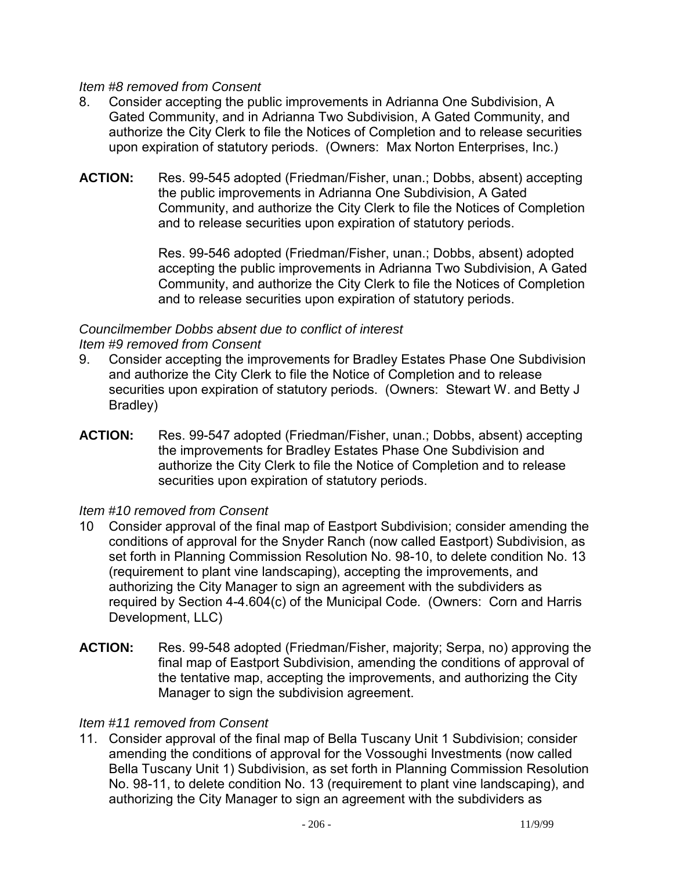#### *Item #8 removed from Consent*

- 8. Consider accepting the public improvements in Adrianna One Subdivision, A Gated Community, and in Adrianna Two Subdivision, A Gated Community, and authorize the City Clerk to file the Notices of Completion and to release securities upon expiration of statutory periods. (Owners: Max Norton Enterprises, Inc.)
- **ACTION:** Res. 99-545 adopted (Friedman/Fisher, unan.; Dobbs, absent) accepting the public improvements in Adrianna One Subdivision, A Gated Community, and authorize the City Clerk to file the Notices of Completion and to release securities upon expiration of statutory periods.

Res. 99-546 adopted (Friedman/Fisher, unan.; Dobbs, absent) adopted accepting the public improvements in Adrianna Two Subdivision, A Gated Community, and authorize the City Clerk to file the Notices of Completion and to release securities upon expiration of statutory periods.

#### *Councilmember Dobbs absent due to conflict of interest Item #9 removed from Consent*

- 9. Consider accepting the improvements for Bradley Estates Phase One Subdivision and authorize the City Clerk to file the Notice of Completion and to release securities upon expiration of statutory periods. (Owners: Stewart W. and Betty J Bradley)
- **ACTION:** Res. 99-547 adopted (Friedman/Fisher, unan.; Dobbs, absent) accepting the improvements for Bradley Estates Phase One Subdivision and authorize the City Clerk to file the Notice of Completion and to release securities upon expiration of statutory periods.

# *Item #10 removed from Consent*

- 10 Consider approval of the final map of Eastport Subdivision; consider amending the conditions of approval for the Snyder Ranch (now called Eastport) Subdivision, as set forth in Planning Commission Resolution No. 98-10, to delete condition No. 13 (requirement to plant vine landscaping), accepting the improvements, and authorizing the City Manager to sign an agreement with the subdividers as required by Section 4-4.604(c) of the Municipal Code. (Owners: Corn and Harris Development, LLC)
- **ACTION:** Res. 99-548 adopted (Friedman/Fisher, majority; Serpa, no) approving the final map of Eastport Subdivision, amending the conditions of approval of the tentative map, accepting the improvements, and authorizing the City Manager to sign the subdivision agreement.

# *Item #11 removed from Consent*

11. Consider approval of the final map of Bella Tuscany Unit 1 Subdivision; consider amending the conditions of approval for the Vossoughi Investments (now called Bella Tuscany Unit 1) Subdivision, as set forth in Planning Commission Resolution No. 98-11, to delete condition No. 13 (requirement to plant vine landscaping), and authorizing the City Manager to sign an agreement with the subdividers as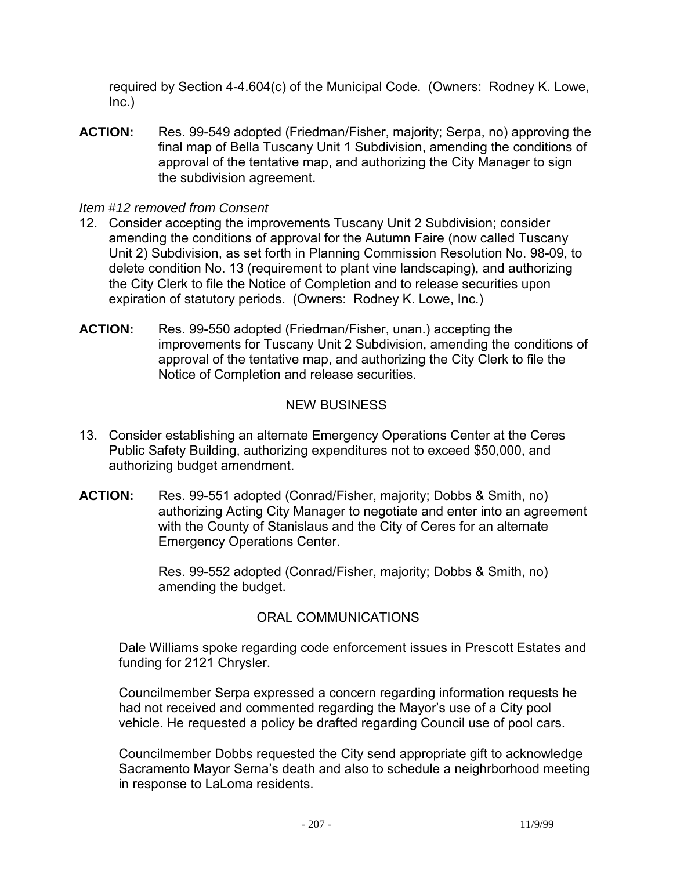required by Section 4-4.604(c) of the Municipal Code. (Owners: Rodney K. Lowe, Inc.)

**ACTION:** Res. 99-549 adopted (Friedman/Fisher, majority; Serpa, no) approving the final map of Bella Tuscany Unit 1 Subdivision, amending the conditions of approval of the tentative map, and authorizing the City Manager to sign the subdivision agreement.

#### *Item #12 removed from Consent*

- 12. Consider accepting the improvements Tuscany Unit 2 Subdivision; consider amending the conditions of approval for the Autumn Faire (now called Tuscany Unit 2) Subdivision, as set forth in Planning Commission Resolution No. 98-09, to delete condition No. 13 (requirement to plant vine landscaping), and authorizing the City Clerk to file the Notice of Completion and to release securities upon expiration of statutory periods. (Owners: Rodney K. Lowe, Inc.)
- **ACTION:** Res. 99-550 adopted (Friedman/Fisher, unan.) accepting the improvements for Tuscany Unit 2 Subdivision, amending the conditions of approval of the tentative map, and authorizing the City Clerk to file the Notice of Completion and release securities.

# NEW BUSINESS

- 13. Consider establishing an alternate Emergency Operations Center at the Ceres Public Safety Building, authorizing expenditures not to exceed \$50,000, and authorizing budget amendment.
- **ACTION:** Res. 99-551 adopted (Conrad/Fisher, majority; Dobbs & Smith, no) authorizing Acting City Manager to negotiate and enter into an agreement with the County of Stanislaus and the City of Ceres for an alternate Emergency Operations Center.

Res. 99-552 adopted (Conrad/Fisher, majority; Dobbs & Smith, no) amending the budget.

# ORAL COMMUNICATIONS

 Dale Williams spoke regarding code enforcement issues in Prescott Estates and funding for 2121 Chrysler.

 Councilmember Serpa expressed a concern regarding information requests he had not received and commented regarding the Mayor's use of a City pool vehicle. He requested a policy be drafted regarding Council use of pool cars.

 Councilmember Dobbs requested the City send appropriate gift to acknowledge Sacramento Mayor Serna's death and also to schedule a neighrborhood meeting in response to LaLoma residents.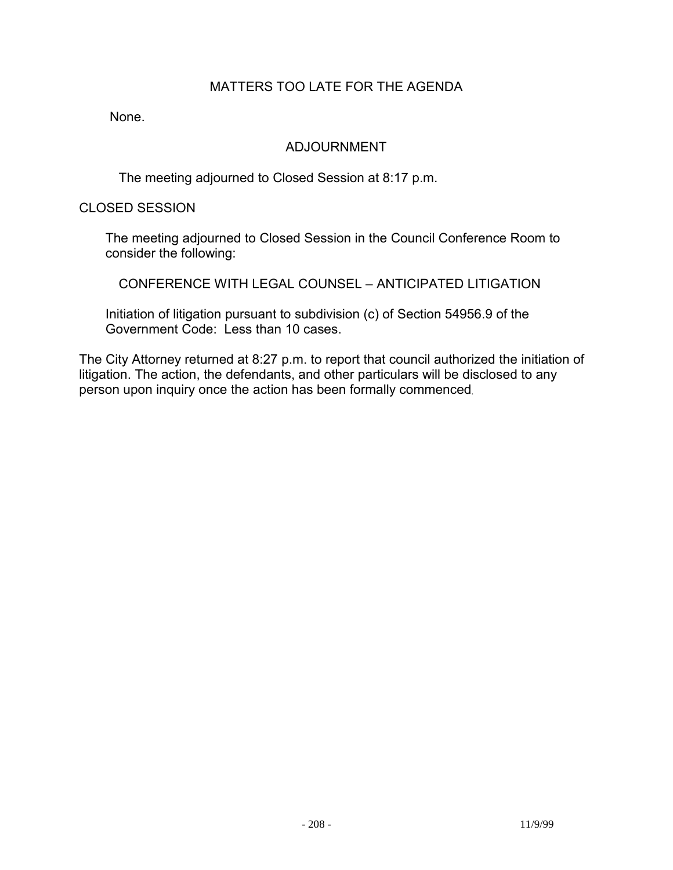# MATTERS TOO LATE FOR THE AGENDA

None.

#### ADJOURNMENT

The meeting adjourned to Closed Session at 8:17 p.m.

CLOSED SESSION

 The meeting adjourned to Closed Session in the Council Conference Room to consider the following:

CONFERENCE WITH LEGAL COUNSEL – ANTICIPATED LITIGATION

 Initiation of litigation pursuant to subdivision (c) of Section 54956.9 of the Government Code: Less than 10 cases.

The City Attorney returned at 8:27 p.m. to report that council authorized the initiation of litigation. The action, the defendants, and other particulars will be disclosed to any person upon inquiry once the action has been formally commenced.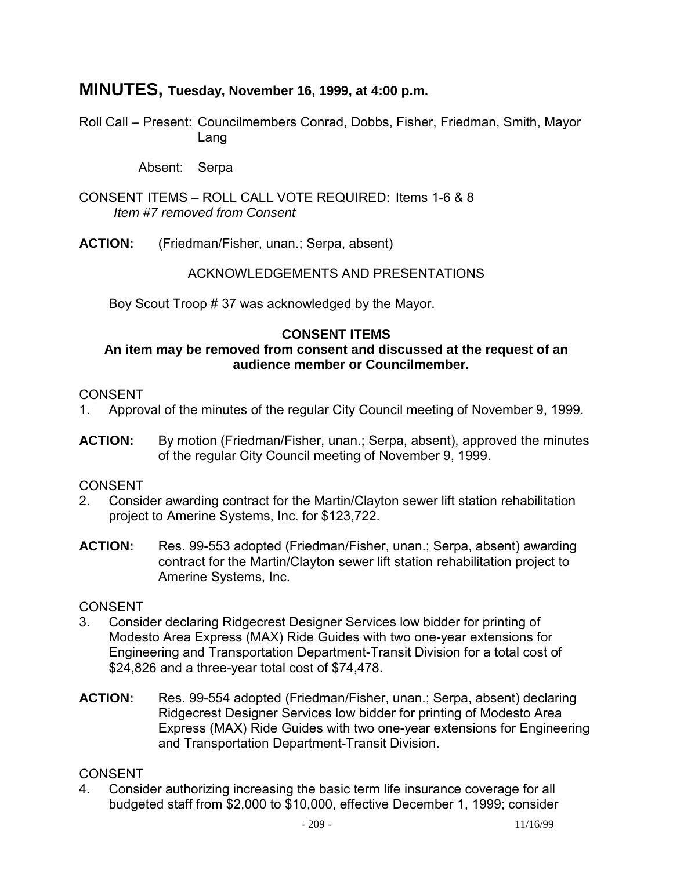# **MINUTES, Tuesday, November 16, 1999, at 4:00 p.m.**

Roll Call – Present: Councilmembers Conrad, Dobbs, Fisher, Friedman, Smith, Mayor Lang

Absent: Serpa

CONSENT ITEMS – ROLL CALL VOTE REQUIRED: Items 1-6 & 8 *Item #7 removed from Consent* 

**ACTION:** (Friedman/Fisher, unan.; Serpa, absent)

#### ACKNOWLEDGEMENTS AND PRESENTATIONS

Boy Scout Troop # 37 was acknowledged by the Mayor.

#### **CONSENT ITEMS**

#### **An item may be removed from consent and discussed at the request of an audience member or Councilmember.**

#### CONSENT

- 1. Approval of the minutes of the regular City Council meeting of November 9, 1999.
- **ACTION:** By motion (Friedman/Fisher, unan.; Serpa, absent), approved the minutes of the regular City Council meeting of November 9, 1999.

#### CONSENT

- 2. Consider awarding contract for the Martin/Clayton sewer lift station rehabilitation project to Amerine Systems, Inc. for \$123,722.
- **ACTION:** Res. 99-553 adopted (Friedman/Fisher, unan.; Serpa, absent) awarding contract for the Martin/Clayton sewer lift station rehabilitation project to Amerine Systems, Inc.

#### **CONSENT**

- 3. Consider declaring Ridgecrest Designer Services low bidder for printing of Modesto Area Express (MAX) Ride Guides with two one-year extensions for Engineering and Transportation Department-Transit Division for a total cost of \$24,826 and a three-year total cost of \$74,478.
- **ACTION:** Res. 99-554 adopted (Friedman/Fisher, unan.; Serpa, absent) declaring Ridgecrest Designer Services low bidder for printing of Modesto Area Express (MAX) Ride Guides with two one-year extensions for Engineering and Transportation Department-Transit Division.

#### **CONSENT**

4. Consider authorizing increasing the basic term life insurance coverage for all budgeted staff from \$2,000 to \$10,000, effective December 1, 1999; consider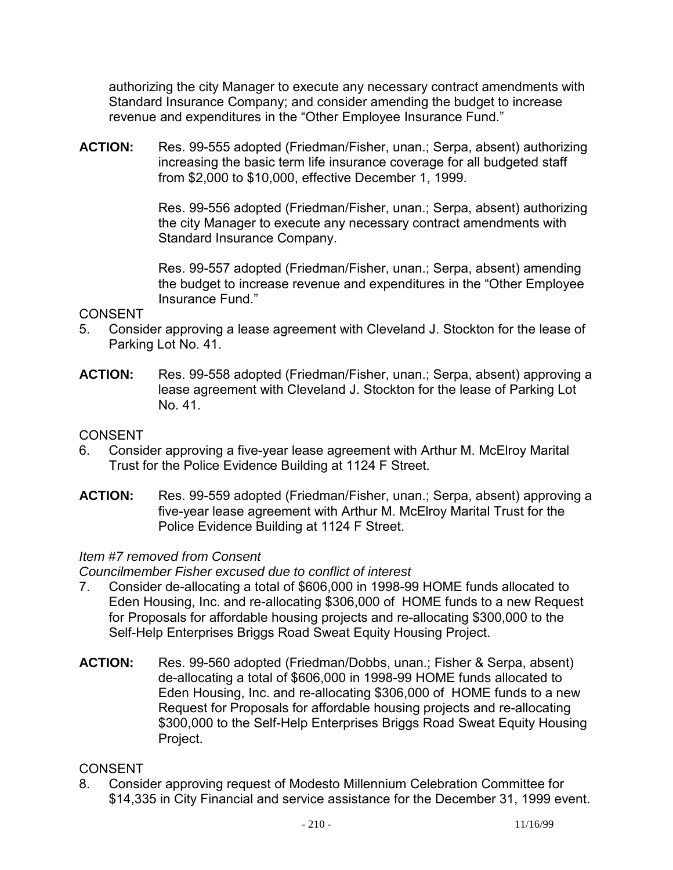authorizing the city Manager to execute any necessary contract amendments with Standard Insurance Company; and consider amending the budget to increase revenue and expenditures in the "Other Employee Insurance Fund."

**ACTION:** Res. 99-555 adopted (Friedman/Fisher, unan.; Serpa, absent) authorizing increasing the basic term life insurance coverage for all budgeted staff from \$2,000 to \$10,000, effective December 1, 1999.

> Res. 99-556 adopted (Friedman/Fisher, unan.; Serpa, absent) authorizing the city Manager to execute any necessary contract amendments with Standard Insurance Company.

> Res. 99-557 adopted (Friedman/Fisher, unan.; Serpa, absent) amending the budget to increase revenue and expenditures in the "Other Employee Insurance Fund."

## CONSENT

- 5. Consider approving a lease agreement with Cleveland J. Stockton for the lease of Parking Lot No. 41.
- **ACTION:** Res. 99-558 adopted (Friedman/Fisher, unan.; Serpa, absent) approving a lease agreement with Cleveland J. Stockton for the lease of Parking Lot No. 41.

# CONSENT

- 6. Consider approving a five-year lease agreement with Arthur M. McElroy Marital Trust for the Police Evidence Building at 1124 F Street.
- **ACTION:** Res. 99-559 adopted (Friedman/Fisher, unan.; Serpa, absent) approving a five-year lease agreement with Arthur M. McElroy Marital Trust for the Police Evidence Building at 1124 F Street.

# *Item #7 removed from Consent*

*Councilmember Fisher excused due to conflict of interest* 

- 7. Consider de-allocating a total of \$606,000 in 1998-99 HOME funds allocated to Eden Housing, Inc. and re-allocating \$306,000 of HOME funds to a new Request for Proposals for affordable housing projects and re-allocating \$300,000 to the Self-Help Enterprises Briggs Road Sweat Equity Housing Project.
- **ACTION:** Res. 99-560 adopted (Friedman/Dobbs, unan.; Fisher & Serpa, absent) de-allocating a total of \$606,000 in 1998-99 HOME funds allocated to Eden Housing, Inc. and re-allocating \$306,000 of HOME funds to a new Request for Proposals for affordable housing projects and re-allocating \$300,000 to the Self-Help Enterprises Briggs Road Sweat Equity Housing Project.

# **CONSENT**

8. Consider approving request of Modesto Millennium Celebration Committee for \$14,335 in City Financial and service assistance for the December 31, 1999 event.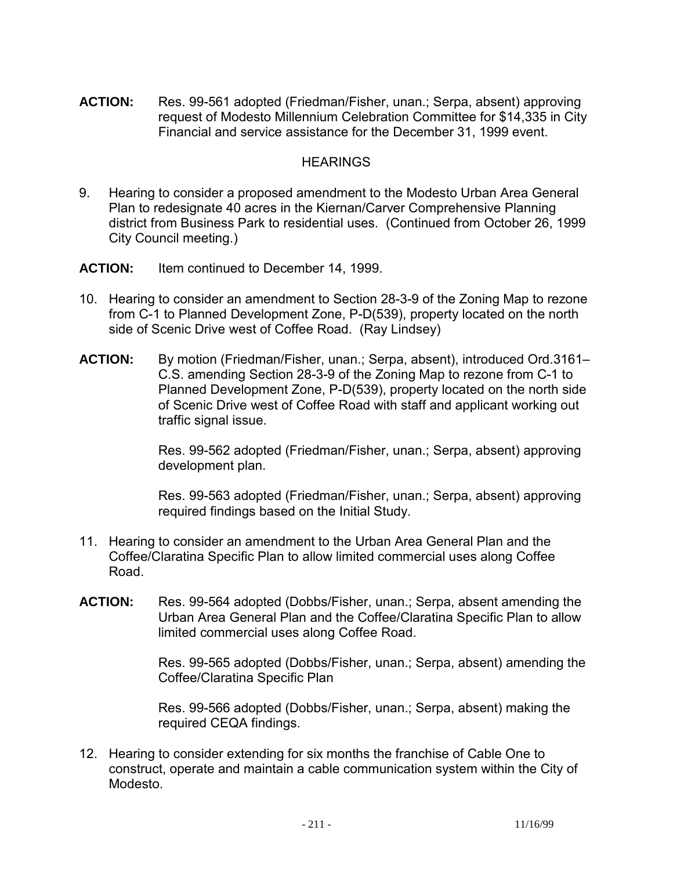**ACTION:** Res. 99-561 adopted (Friedman/Fisher, unan.; Serpa, absent) approving request of Modesto Millennium Celebration Committee for \$14,335 in City Financial and service assistance for the December 31, 1999 event.

#### **HEARINGS**

- 9. Hearing to consider a proposed amendment to the Modesto Urban Area General Plan to redesignate 40 acres in the Kiernan/Carver Comprehensive Planning district from Business Park to residential uses. (Continued from October 26, 1999 City Council meeting.)
- **ACTION:** Item continued to December 14, 1999.
- 10. Hearing to consider an amendment to Section 28-3-9 of the Zoning Map to rezone from C-1 to Planned Development Zone, P-D(539), property located on the north side of Scenic Drive west of Coffee Road. (Ray Lindsey)
- **ACTION:** By motion (Friedman/Fisher, unan.; Serpa, absent), introduced Ord.3161– C.S. amending Section 28-3-9 of the Zoning Map to rezone from C-1 to Planned Development Zone, P-D(539), property located on the north side of Scenic Drive west of Coffee Road with staff and applicant working out traffic signal issue.

Res. 99-562 adopted (Friedman/Fisher, unan.; Serpa, absent) approving development plan.

Res. 99-563 adopted (Friedman/Fisher, unan.; Serpa, absent) approving required findings based on the Initial Study.

- 11. Hearing to consider an amendment to the Urban Area General Plan and the Coffee/Claratina Specific Plan to allow limited commercial uses along Coffee Road.
- **ACTION:** Res. 99-564 adopted (Dobbs/Fisher, unan.; Serpa, absent amending the Urban Area General Plan and the Coffee/Claratina Specific Plan to allow limited commercial uses along Coffee Road.

Res. 99-565 adopted (Dobbs/Fisher, unan.; Serpa, absent) amending the Coffee/Claratina Specific Plan

Res. 99-566 adopted (Dobbs/Fisher, unan.; Serpa, absent) making the required CEQA findings.

12. Hearing to consider extending for six months the franchise of Cable One to construct, operate and maintain a cable communication system within the City of Modesto.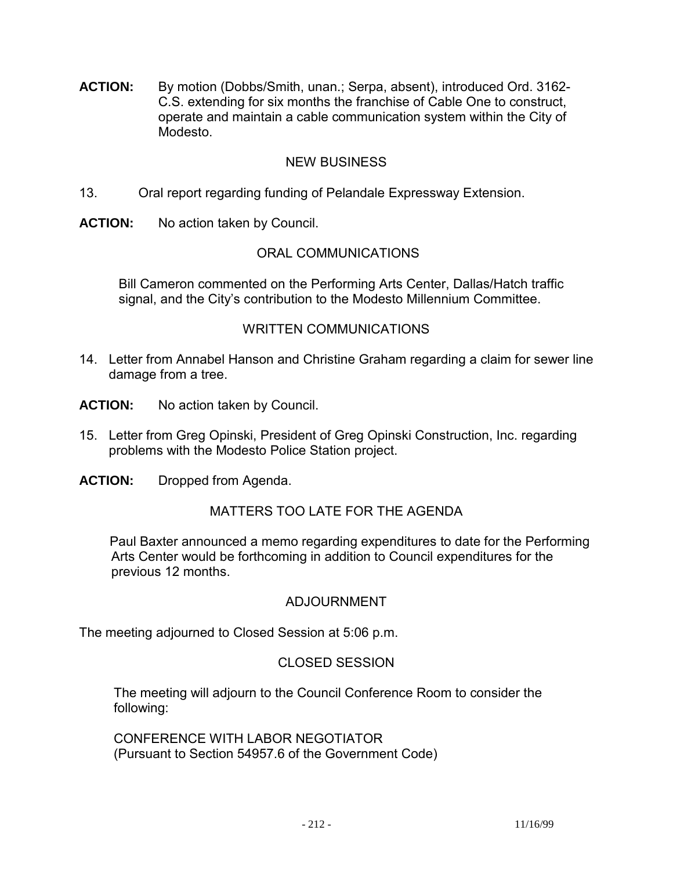**ACTION:** By motion (Dobbs/Smith, unan.; Serpa, absent), introduced Ord. 3162- C.S. extending for six months the franchise of Cable One to construct, operate and maintain a cable communication system within the City of Modesto.

# NEW BUSINESS

- 13. Oral report regarding funding of Pelandale Expressway Extension.
- **ACTION:** No action taken by Council.

## ORAL COMMUNICATIONS

 Bill Cameron commented on the Performing Arts Center, Dallas/Hatch traffic signal, and the City's contribution to the Modesto Millennium Committee.

#### WRITTEN COMMUNICATIONS

- 14. Letter from Annabel Hanson and Christine Graham regarding a claim for sewer line damage from a tree.
- **ACTION:** No action taken by Council.
- 15. Letter from Greg Opinski, President of Greg Opinski Construction, Inc. regarding problems with the Modesto Police Station project.
- **ACTION:** Dropped from Agenda.

#### MATTERS TOO LATE FOR THE AGENDA

 Paul Baxter announced a memo regarding expenditures to date for the Performing Arts Center would be forthcoming in addition to Council expenditures for the previous 12 months.

#### ADJOURNMENT

The meeting adjourned to Closed Session at 5:06 p.m.

#### CLOSED SESSION

 The meeting will adjourn to the Council Conference Room to consider the following:

 CONFERENCE WITH LABOR NEGOTIATOR (Pursuant to Section 54957.6 of the Government Code)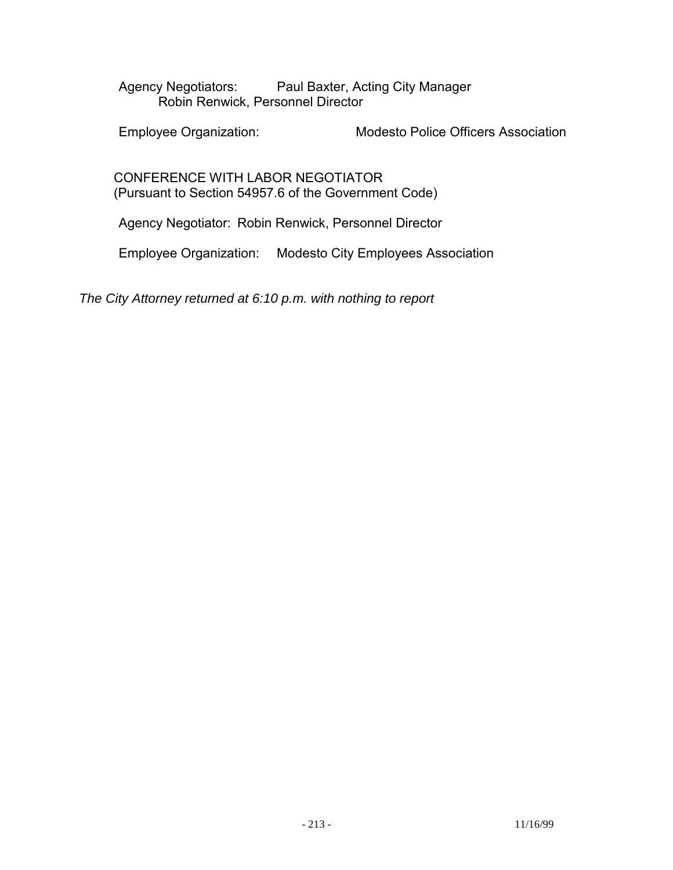Agency Negotiators: Paul Baxter, Acting City Manager Robin Renwick, Personnel Director

Employee Organization: Modesto Police Officers Association

 CONFERENCE WITH LABOR NEGOTIATOR (Pursuant to Section 54957.6 of the Government Code)

Agency Negotiator: Robin Renwick, Personnel Director

Employee Organization: Modesto City Employees Association

*The City Attorney returned at 6:10 p.m. with nothing to report*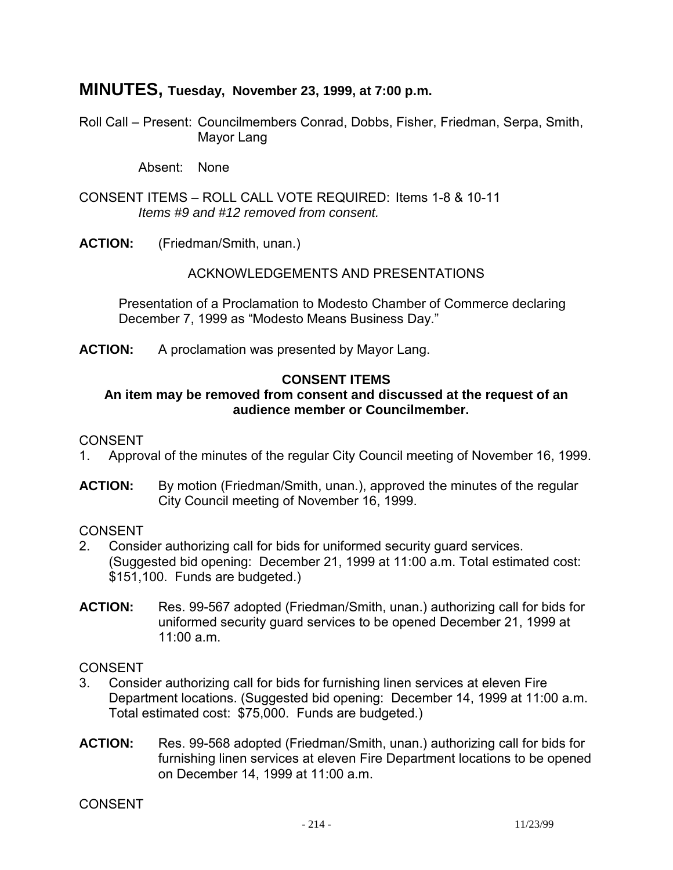# **MINUTES, Tuesday, November 23, 1999, at 7:00 p.m.**

Roll Call – Present: Councilmembers Conrad, Dobbs, Fisher, Friedman, Serpa, Smith, Mayor Lang

Absent: None

CONSENT ITEMS – ROLL CALL VOTE REQUIRED: Items 1-8 & 10-11  *Items #9 and #12 removed from consent.* 

**ACTION:** (Friedman/Smith, unan.)

#### ACKNOWLEDGEMENTS AND PRESENTATIONS

 Presentation of a Proclamation to Modesto Chamber of Commerce declaring December 7, 1999 as "Modesto Means Business Day."

**ACTION:** A proclamation was presented by Mayor Lang.

#### **CONSENT ITEMS**

#### **An item may be removed from consent and discussed at the request of an audience member or Councilmember.**

#### CONSENT

- 1. Approval of the minutes of the regular City Council meeting of November 16, 1999.
- **ACTION:** By motion (Friedman/Smith, unan.), approved the minutes of the regular City Council meeting of November 16, 1999.

**CONSENT** 

- 2. Consider authorizing call for bids for uniformed security guard services. (Suggested bid opening: December 21, 1999 at 11:00 a.m. Total estimated cost: \$151,100. Funds are budgeted.)
- **ACTION:** Res. 99-567 adopted (Friedman/Smith, unan.) authorizing call for bids for uniformed security guard services to be opened December 21, 1999 at 11:00 a.m.

CONSENT

- 3. Consider authorizing call for bids for furnishing linen services at eleven Fire Department locations. (Suggested bid opening: December 14, 1999 at 11:00 a.m. Total estimated cost: \$75,000. Funds are budgeted.)
- **ACTION:** Res. 99-568 adopted (Friedman/Smith, unan.) authorizing call for bids for furnishing linen services at eleven Fire Department locations to be opened on December 14, 1999 at 11:00 a.m.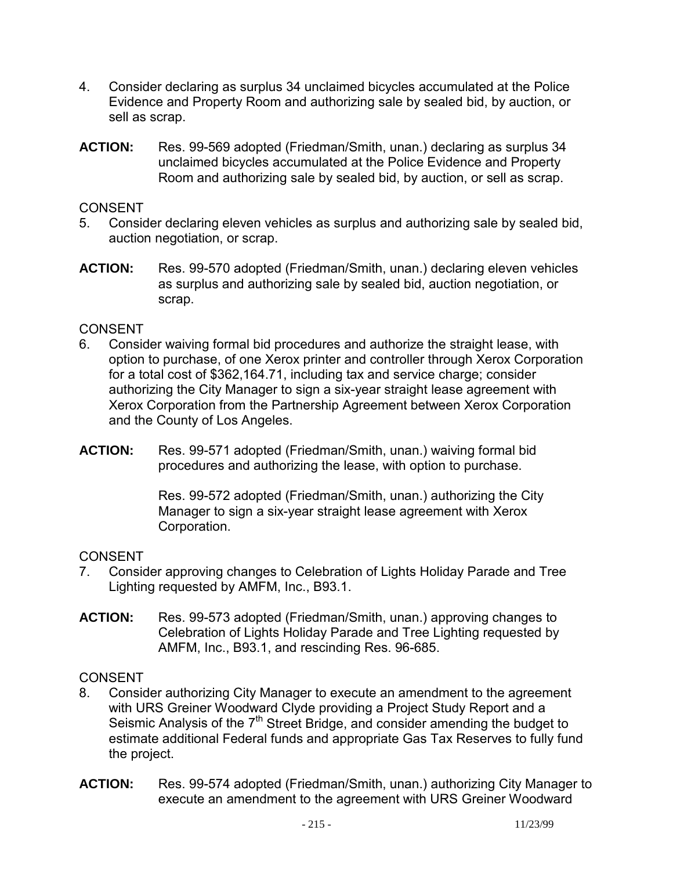- 4. Consider declaring as surplus 34 unclaimed bicycles accumulated at the Police Evidence and Property Room and authorizing sale by sealed bid, by auction, or sell as scrap.
- **ACTION:** Res. 99-569 adopted (Friedman/Smith, unan.) declaring as surplus 34 unclaimed bicycles accumulated at the Police Evidence and Property Room and authorizing sale by sealed bid, by auction, or sell as scrap.

## CONSENT

- 5. Consider declaring eleven vehicles as surplus and authorizing sale by sealed bid, auction negotiation, or scrap.
- **ACTION:** Res. 99-570 adopted (Friedman/Smith, unan.) declaring eleven vehicles as surplus and authorizing sale by sealed bid, auction negotiation, or scrap.

# CONSENT

- 6. Consider waiving formal bid procedures and authorize the straight lease, with option to purchase, of one Xerox printer and controller through Xerox Corporation for a total cost of \$362,164.71, including tax and service charge; consider authorizing the City Manager to sign a six-year straight lease agreement with Xerox Corporation from the Partnership Agreement between Xerox Corporation and the County of Los Angeles.
- **ACTION:** Res. 99-571 adopted (Friedman/Smith, unan.) waiving formal bid procedures and authorizing the lease, with option to purchase.

Res. 99-572 adopted (Friedman/Smith, unan.) authorizing the City Manager to sign a six-year straight lease agreement with Xerox Corporation.

# CONSENT

- 7. Consider approving changes to Celebration of Lights Holiday Parade and Tree Lighting requested by AMFM, Inc., B93.1.
- **ACTION:** Res. 99-573 adopted (Friedman/Smith, unan.) approving changes to Celebration of Lights Holiday Parade and Tree Lighting requested by AMFM, Inc., B93.1, and rescinding Res. 96-685.

- 8. Consider authorizing City Manager to execute an amendment to the agreement with URS Greiner Woodward Clyde providing a Project Study Report and a Seismic Analysis of the 7<sup>th</sup> Street Bridge, and consider amending the budget to estimate additional Federal funds and appropriate Gas Tax Reserves to fully fund the project.
- **ACTION:** Res. 99-574 adopted (Friedman/Smith, unan.) authorizing City Manager to execute an amendment to the agreement with URS Greiner Woodward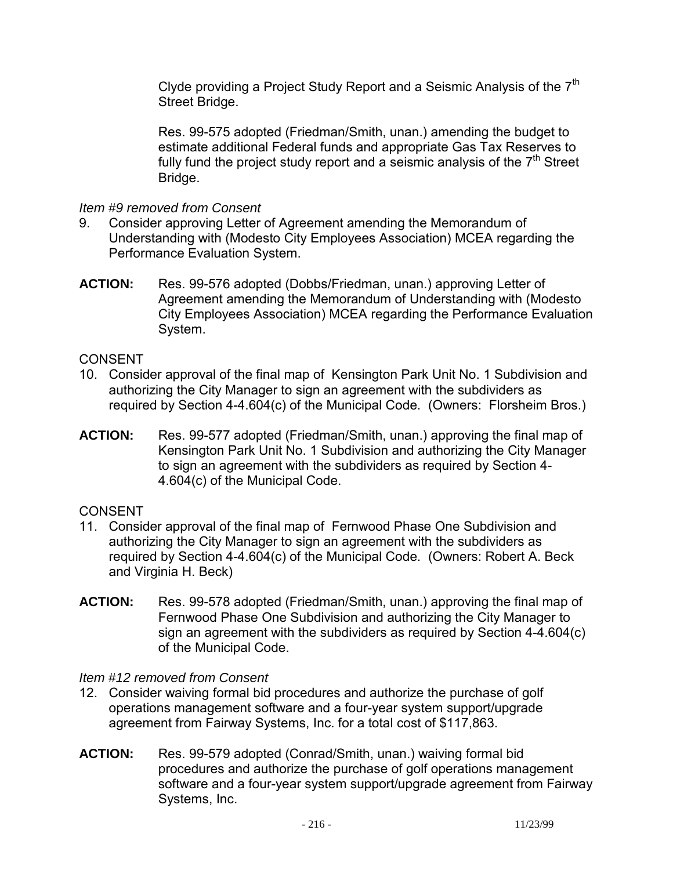Clyde providing a Project Study Report and a Seismic Analysis of the  $7<sup>th</sup>$ Street Bridge.

Res. 99-575 adopted (Friedman/Smith, unan.) amending the budget to estimate additional Federal funds and appropriate Gas Tax Reserves to fully fund the project study report and a seismic analysis of the  $7<sup>th</sup>$  Street Bridge.

## *Item #9 removed from Consent*

- 9. Consider approving Letter of Agreement amending the Memorandum of Understanding with (Modesto City Employees Association) MCEA regarding the Performance Evaluation System.
- **ACTION:** Res. 99-576 adopted (Dobbs/Friedman, unan.) approving Letter of Agreement amending the Memorandum of Understanding with (Modesto City Employees Association) MCEA regarding the Performance Evaluation System.

# CONSENT

- 10. Consider approval of the final map of Kensington Park Unit No. 1 Subdivision and authorizing the City Manager to sign an agreement with the subdividers as required by Section 4-4.604(c) of the Municipal Code. (Owners: Florsheim Bros.)
- **ACTION:** Res. 99-577 adopted (Friedman/Smith, unan.) approving the final map of Kensington Park Unit No. 1 Subdivision and authorizing the City Manager to sign an agreement with the subdividers as required by Section 4- 4.604(c) of the Municipal Code.

# CONSENT

- 11. Consider approval of the final map of Fernwood Phase One Subdivision and authorizing the City Manager to sign an agreement with the subdividers as required by Section 4-4.604(c) of the Municipal Code. (Owners: Robert A. Beck and Virginia H. Beck)
- **ACTION:** Res. 99-578 adopted (Friedman/Smith, unan.) approving the final map of Fernwood Phase One Subdivision and authorizing the City Manager to sign an agreement with the subdividers as required by Section 4-4.604(c) of the Municipal Code.

# *Item #12 removed from Consent*

- 12. Consider waiving formal bid procedures and authorize the purchase of golf operations management software and a four-year system support/upgrade agreement from Fairway Systems, Inc. for a total cost of \$117,863.
- **ACTION:** Res. 99-579 adopted (Conrad/Smith, unan.) waiving formal bid procedures and authorize the purchase of golf operations management software and a four-year system support/upgrade agreement from Fairway Systems, Inc.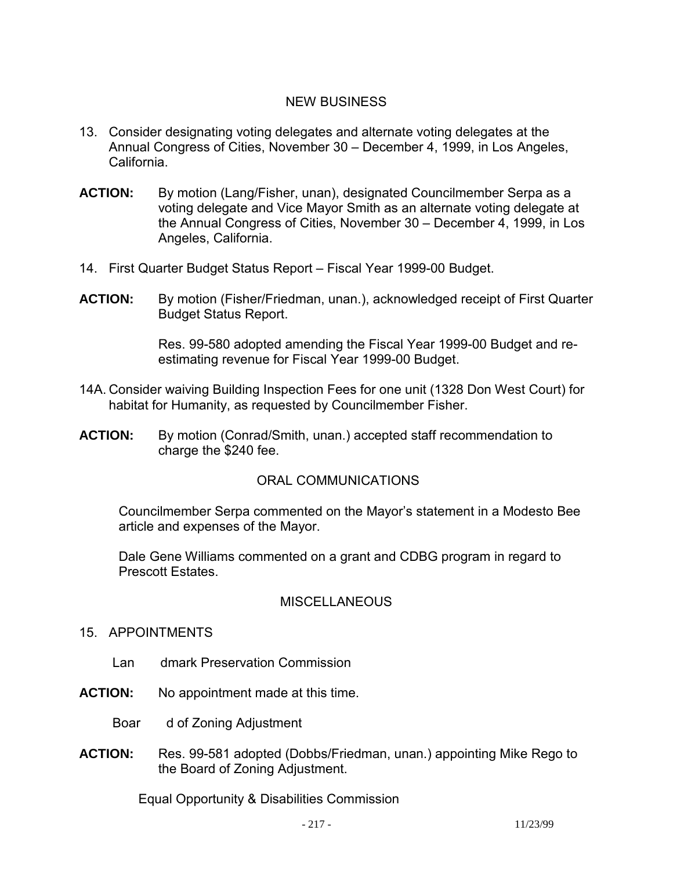# NEW BUSINESS

- 13. Consider designating voting delegates and alternate voting delegates at the Annual Congress of Cities, November 30 – December 4, 1999, in Los Angeles, California.
- **ACTION:** By motion (Lang/Fisher, unan), designated Councilmember Serpa as a voting delegate and Vice Mayor Smith as an alternate voting delegate at the Annual Congress of Cities, November 30 – December 4, 1999, in Los Angeles, California.
- 14. First Quarter Budget Status Report Fiscal Year 1999-00 Budget.
- **ACTION:** By motion (Fisher/Friedman, unan.), acknowledged receipt of First Quarter Budget Status Report.

Res. 99-580 adopted amending the Fiscal Year 1999-00 Budget and reestimating revenue for Fiscal Year 1999-00 Budget.

- 14A. Consider waiving Building Inspection Fees for one unit (1328 Don West Court) for habitat for Humanity, as requested by Councilmember Fisher.
- **ACTION:** By motion (Conrad/Smith, unan.) accepted staff recommendation to charge the \$240 fee.

#### ORAL COMMUNICATIONS

 Councilmember Serpa commented on the Mayor's statement in a Modesto Bee article and expenses of the Mayor.

 Dale Gene Williams commented on a grant and CDBG program in regard to Prescott Estates.

#### **MISCELLANEOUS**

- 15. APPOINTMENTS
	- Lan dmark Preservation Commission
- **ACTION:** No appointment made at this time.
	- Boar d of Zoning Adjustment
- **ACTION:** Res. 99-581 adopted (Dobbs/Friedman, unan.) appointing Mike Rego to the Board of Zoning Adjustment.

Equal Opportunity & Disabilities Commission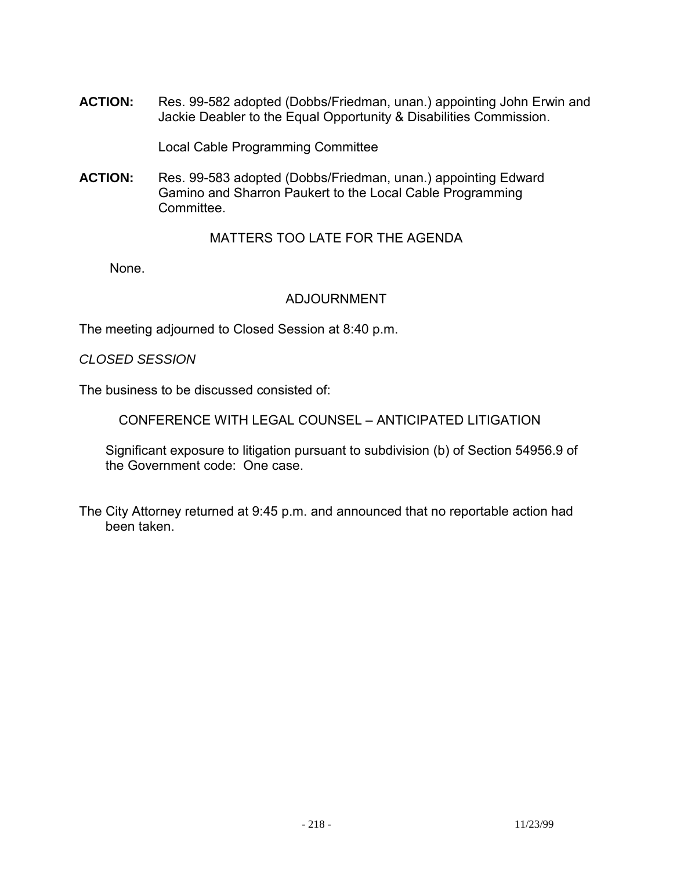**ACTION:** Res. 99-582 adopted (Dobbs/Friedman, unan.) appointing John Erwin and Jackie Deabler to the Equal Opportunity & Disabilities Commission.

Local Cable Programming Committee

**ACTION:** Res. 99-583 adopted (Dobbs/Friedman, unan.) appointing Edward Gamino and Sharron Paukert to the Local Cable Programming Committee.

# MATTERS TOO LATE FOR THE AGENDA

None.

# ADJOURNMENT

The meeting adjourned to Closed Session at 8:40 p.m.

#### *CLOSED SESSION*

The business to be discussed consisted of:

CONFERENCE WITH LEGAL COUNSEL – ANTICIPATED LITIGATION

 Significant exposure to litigation pursuant to subdivision (b) of Section 54956.9 of the Government code: One case.

The City Attorney returned at 9:45 p.m. and announced that no reportable action had been taken.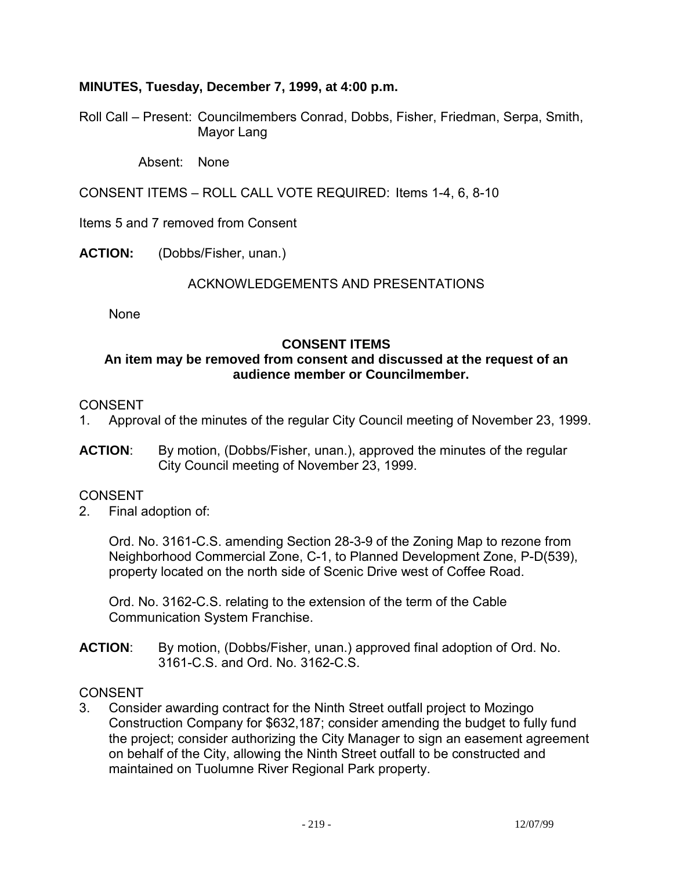# **MINUTES, Tuesday, December 7, 1999, at 4:00 p.m.**

Roll Call – Present: Councilmembers Conrad, Dobbs, Fisher, Friedman, Serpa, Smith, Mayor Lang

Absent: None

CONSENT ITEMS – ROLL CALL VOTE REQUIRED: Items 1-4, 6, 8-10

Items 5 and 7 removed from Consent

**ACTION:** (Dobbs/Fisher, unan.)

#### ACKNOWLEDGEMENTS AND PRESENTATIONS

None

#### **CONSENT ITEMS**

### **An item may be removed from consent and discussed at the request of an audience member or Councilmember.**

# CONSENT

- 1. Approval of the minutes of the regular City Council meeting of November 23, 1999.
- **ACTION**: By motion, (Dobbs/Fisher, unan.), approved the minutes of the regular City Council meeting of November 23, 1999.

#### **CONSENT**

2. Final adoption of:

 Ord. No. 3161-C.S. amending Section 28-3-9 of the Zoning Map to rezone from Neighborhood Commercial Zone, C-1, to Planned Development Zone, P-D(539), property located on the north side of Scenic Drive west of Coffee Road.

 Ord. No. 3162-C.S. relating to the extension of the term of the Cable Communication System Franchise.

**ACTION**: By motion, (Dobbs/Fisher, unan.) approved final adoption of Ord. No. 3161-C.S. and Ord. No. 3162-C.S.

#### CONSENT

3. Consider awarding contract for the Ninth Street outfall project to Mozingo Construction Company for \$632,187; consider amending the budget to fully fund the project; consider authorizing the City Manager to sign an easement agreement on behalf of the City, allowing the Ninth Street outfall to be constructed and maintained on Tuolumne River Regional Park property.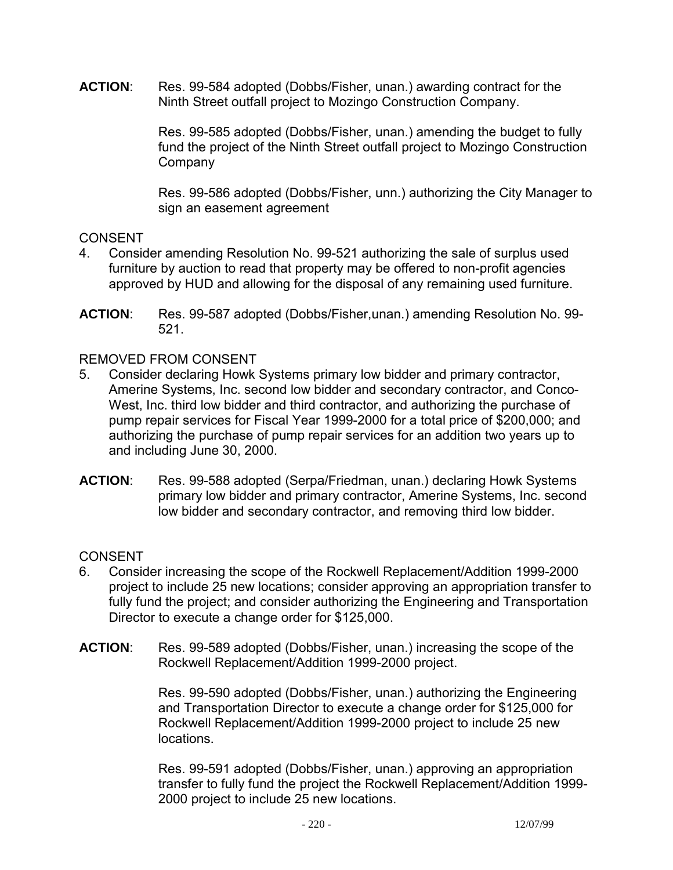**ACTION**: Res. 99-584 adopted (Dobbs/Fisher, unan.) awarding contract for the Ninth Street outfall project to Mozingo Construction Company.

> Res. 99-585 adopted (Dobbs/Fisher, unan.) amending the budget to fully fund the project of the Ninth Street outfall project to Mozingo Construction **Company**

> Res. 99-586 adopted (Dobbs/Fisher, unn.) authorizing the City Manager to sign an easement agreement

# CONSENT

- 4. Consider amending Resolution No. 99-521 authorizing the sale of surplus used furniture by auction to read that property may be offered to non-profit agencies approved by HUD and allowing for the disposal of any remaining used furniture.
- **ACTION**: Res. 99-587 adopted (Dobbs/Fisher,unan.) amending Resolution No. 99- 521.

# REMOVED FROM CONSENT

- 5. Consider declaring Howk Systems primary low bidder and primary contractor, Amerine Systems, Inc. second low bidder and secondary contractor, and Conco-West, Inc. third low bidder and third contractor, and authorizing the purchase of pump repair services for Fiscal Year 1999-2000 for a total price of \$200,000; and authorizing the purchase of pump repair services for an addition two years up to and including June 30, 2000.
- **ACTION**: Res. 99-588 adopted (Serpa/Friedman, unan.) declaring Howk Systems primary low bidder and primary contractor, Amerine Systems, Inc. second low bidder and secondary contractor, and removing third low bidder.

# **CONSENT**

- 6. Consider increasing the scope of the Rockwell Replacement/Addition 1999-2000 project to include 25 new locations; consider approving an appropriation transfer to fully fund the project; and consider authorizing the Engineering and Transportation Director to execute a change order for \$125,000.
- **ACTION**: Res. 99-589 adopted (Dobbs/Fisher, unan.) increasing the scope of the Rockwell Replacement/Addition 1999-2000 project.

Res. 99-590 adopted (Dobbs/Fisher, unan.) authorizing the Engineering and Transportation Director to execute a change order for \$125,000 for Rockwell Replacement/Addition 1999-2000 project to include 25 new locations.

Res. 99-591 adopted (Dobbs/Fisher, unan.) approving an appropriation transfer to fully fund the project the Rockwell Replacement/Addition 1999- 2000 project to include 25 new locations.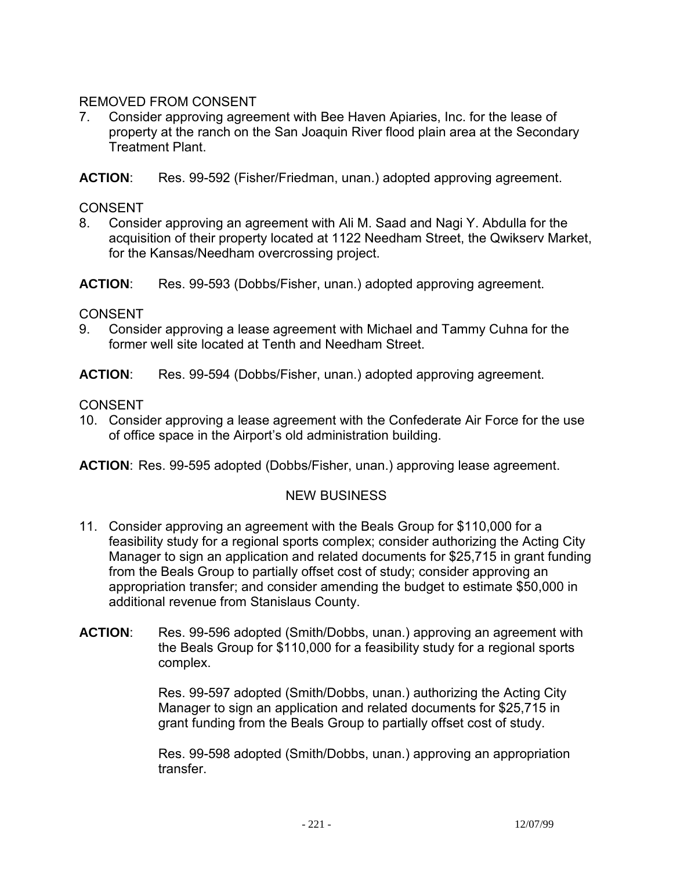# REMOVED FROM CONSENT

7. Consider approving agreement with Bee Haven Apiaries, Inc. for the lease of property at the ranch on the San Joaquin River flood plain area at the Secondary Treatment Plant.

**ACTION**: Res. 99-592 (Fisher/Friedman, unan.) adopted approving agreement.

# CONSENT

8. Consider approving an agreement with Ali M. Saad and Nagi Y. Abdulla for the acquisition of their property located at 1122 Needham Street, the Qwikserv Market, for the Kansas/Needham overcrossing project.

**ACTION**: Res. 99-593 (Dobbs/Fisher, unan.) adopted approving agreement.

# CONSENT

- 9. Consider approving a lease agreement with Michael and Tammy Cuhna for the former well site located at Tenth and Needham Street.
- **ACTION**: Res. 99-594 (Dobbs/Fisher, unan.) adopted approving agreement.

# CONSENT

10. Consider approving a lease agreement with the Confederate Air Force for the use of office space in the Airport's old administration building.

**ACTION**: Res. 99-595 adopted (Dobbs/Fisher, unan.) approving lease agreement.

# NEW BUSINESS

- 11. Consider approving an agreement with the Beals Group for \$110,000 for a feasibility study for a regional sports complex; consider authorizing the Acting City Manager to sign an application and related documents for \$25,715 in grant funding from the Beals Group to partially offset cost of study; consider approving an appropriation transfer; and consider amending the budget to estimate \$50,000 in additional revenue from Stanislaus County.
- **ACTION**: Res. 99-596 adopted (Smith/Dobbs, unan.) approving an agreement with the Beals Group for \$110,000 for a feasibility study for a regional sports complex.

Res. 99-597 adopted (Smith/Dobbs, unan.) authorizing the Acting City Manager to sign an application and related documents for \$25,715 in grant funding from the Beals Group to partially offset cost of study.

Res. 99-598 adopted (Smith/Dobbs, unan.) approving an appropriation transfer.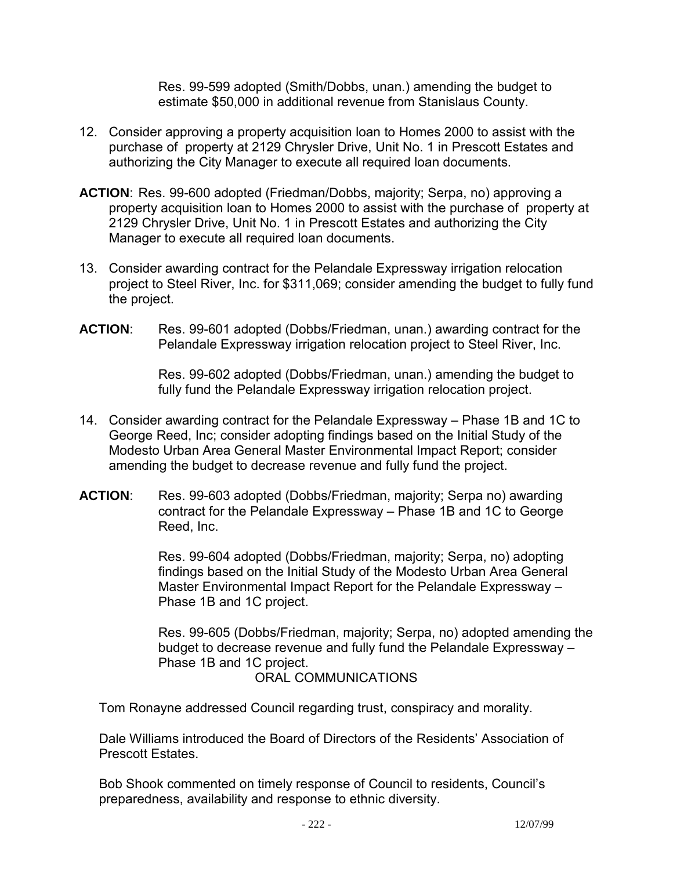Res. 99-599 adopted (Smith/Dobbs, unan.) amending the budget to estimate \$50,000 in additional revenue from Stanislaus County.

- 12. Consider approving a property acquisition loan to Homes 2000 to assist with the purchase of property at 2129 Chrysler Drive, Unit No. 1 in Prescott Estates and authorizing the City Manager to execute all required loan documents.
- **ACTION**: Res. 99-600 adopted (Friedman/Dobbs, majority; Serpa, no) approving a property acquisition loan to Homes 2000 to assist with the purchase of property at 2129 Chrysler Drive, Unit No. 1 in Prescott Estates and authorizing the City Manager to execute all required loan documents.
- 13. Consider awarding contract for the Pelandale Expressway irrigation relocation project to Steel River, Inc. for \$311,069; consider amending the budget to fully fund the project.
- **ACTION**: Res. 99-601 adopted (Dobbs/Friedman, unan.) awarding contract for the Pelandale Expressway irrigation relocation project to Steel River, Inc.

Res. 99-602 adopted (Dobbs/Friedman, unan.) amending the budget to fully fund the Pelandale Expressway irrigation relocation project.

- 14. Consider awarding contract for the Pelandale Expressway Phase 1B and 1C to George Reed, Inc; consider adopting findings based on the Initial Study of the Modesto Urban Area General Master Environmental Impact Report; consider amending the budget to decrease revenue and fully fund the project.
- **ACTION**: Res. 99-603 adopted (Dobbs/Friedman, majority; Serpa no) awarding contract for the Pelandale Expressway – Phase 1B and 1C to George Reed, Inc.

Res. 99-604 adopted (Dobbs/Friedman, majority; Serpa, no) adopting findings based on the Initial Study of the Modesto Urban Area General Master Environmental Impact Report for the Pelandale Expressway – Phase 1B and 1C project.

Res. 99-605 (Dobbs/Friedman, majority; Serpa, no) adopted amending the budget to decrease revenue and fully fund the Pelandale Expressway – Phase 1B and 1C project.

ORAL COMMUNICATIONS

Tom Ronayne addressed Council regarding trust, conspiracy and morality.

 Dale Williams introduced the Board of Directors of the Residents' Association of Prescott Estates.

 Bob Shook commented on timely response of Council to residents, Council's preparedness, availability and response to ethnic diversity.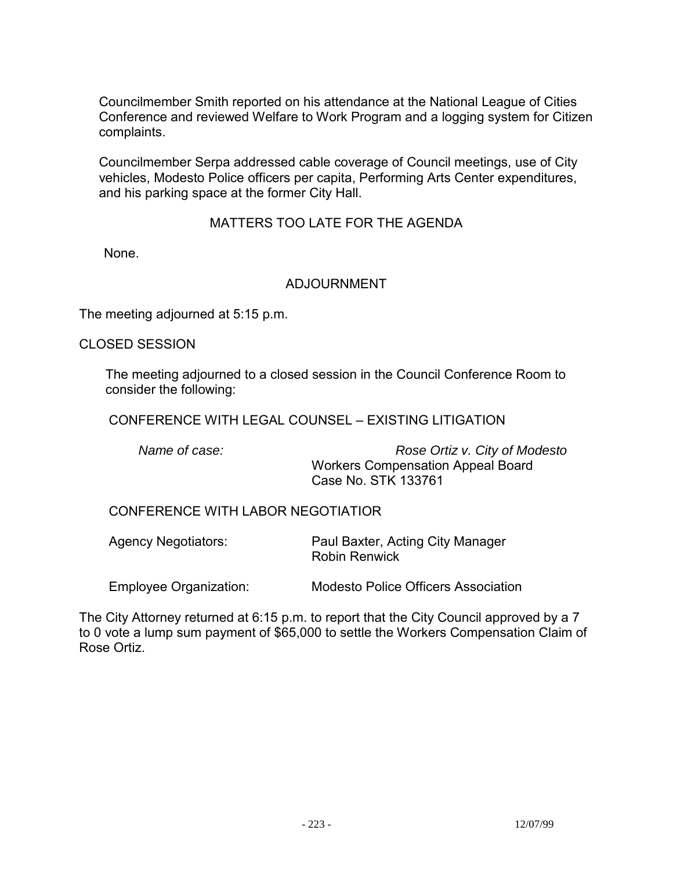Councilmember Smith reported on his attendance at the National League of Cities Conference and reviewed Welfare to Work Program and a logging system for Citizen complaints.

 Councilmember Serpa addressed cable coverage of Council meetings, use of City vehicles, Modesto Police officers per capita, Performing Arts Center expenditures, and his parking space at the former City Hall.

# MATTERS TOO LATE FOR THE AGENDA

None.

#### ADJOURNMENT

The meeting adjourned at 5:15 p.m.

CLOSED SESSION

 The meeting adjourned to a closed session in the Council Conference Room to consider the following:

CONFERENCE WITH LEGAL COUNSEL – EXISTING LITIGATION

 *Name of case: Rose Ortiz v. City of Modesto*  Workers Compensation Appeal Board Case No. STK 133761

CONFERENCE WITH LABOR NEGOTIATIOR

 Agency Negotiators: Paul Baxter, Acting City Manager Robin Renwick

Employee Organization: Modesto Police Officers Association

The City Attorney returned at 6:15 p.m. to report that the City Council approved by a 7 to 0 vote a lump sum payment of \$65,000 to settle the Workers Compensation Claim of Rose Ortiz.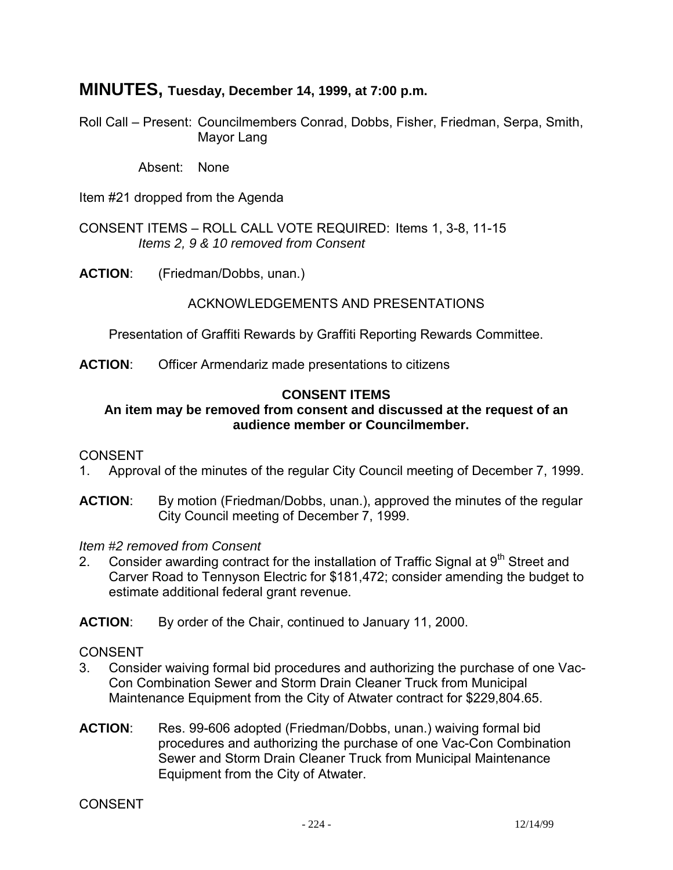# **MINUTES, Tuesday, December 14, 1999, at 7:00 p.m.**

Roll Call – Present: Councilmembers Conrad, Dobbs, Fisher, Friedman, Serpa, Smith, Mayor Lang

Absent: None

Item #21 dropped from the Agenda

CONSENT ITEMS – ROLL CALL VOTE REQUIRED: Items 1, 3-8, 11-15  *Items 2, 9 & 10 removed from Consent* 

**ACTION**: (Friedman/Dobbs, unan.)

#### ACKNOWLEDGEMENTS AND PRESENTATIONS

Presentation of Graffiti Rewards by Graffiti Reporting Rewards Committee.

**ACTION**: Officer Armendariz made presentations to citizens

#### **CONSENT ITEMS**

#### **An item may be removed from consent and discussed at the request of an audience member or Councilmember.**

#### **CONSENT**

- 1. Approval of the minutes of the regular City Council meeting of December 7, 1999.
- **ACTION:** By motion (Friedman/Dobbs, unan.), approved the minutes of the regular City Council meeting of December 7, 1999.

*Item #2 removed from Consent* 

2. Consider awarding contract for the installation of Traffic Signal at  $9<sup>th</sup>$  Street and Carver Road to Tennyson Electric for \$181,472; consider amending the budget to estimate additional federal grant revenue.

**ACTION**: By order of the Chair, continued to January 11, 2000.

#### CONSENT

- 3. Consider waiving formal bid procedures and authorizing the purchase of one Vac-Con Combination Sewer and Storm Drain Cleaner Truck from Municipal Maintenance Equipment from the City of Atwater contract for \$229,804.65.
- **ACTION**: Res. 99-606 adopted (Friedman/Dobbs, unan.) waiving formal bid procedures and authorizing the purchase of one Vac-Con Combination Sewer and Storm Drain Cleaner Truck from Municipal Maintenance Equipment from the City of Atwater.

**CONSENT**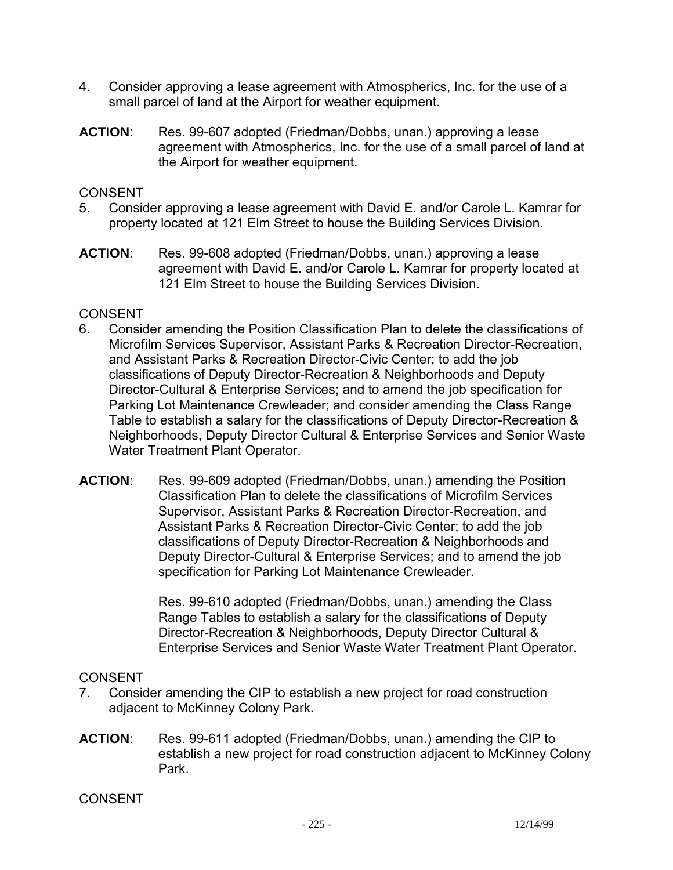- 4. Consider approving a lease agreement with Atmospherics, Inc. for the use of a small parcel of land at the Airport for weather equipment.
- **ACTION**: Res. 99-607 adopted (Friedman/Dobbs, unan.) approving a lease agreement with Atmospherics, Inc. for the use of a small parcel of land at the Airport for weather equipment.

### CONSENT

- 5. Consider approving a lease agreement with David E. and/or Carole L. Kamrar for property located at 121 Elm Street to house the Building Services Division.
- **ACTION**: Res. 99-608 adopted (Friedman/Dobbs, unan.) approving a lease agreement with David E. and/or Carole L. Kamrar for property located at 121 Elm Street to house the Building Services Division.

# **CONSENT**

- 6. Consider amending the Position Classification Plan to delete the classifications of Microfilm Services Supervisor, Assistant Parks & Recreation Director-Recreation, and Assistant Parks & Recreation Director-Civic Center; to add the job classifications of Deputy Director-Recreation & Neighborhoods and Deputy Director-Cultural & Enterprise Services; and to amend the job specification for Parking Lot Maintenance Crewleader; and consider amending the Class Range Table to establish a salary for the classifications of Deputy Director-Recreation & Neighborhoods, Deputy Director Cultural & Enterprise Services and Senior Waste Water Treatment Plant Operator.
- **ACTION**: Res. 99-609 adopted (Friedman/Dobbs, unan.) amending the Position Classification Plan to delete the classifications of Microfilm Services Supervisor, Assistant Parks & Recreation Director-Recreation, and Assistant Parks & Recreation Director-Civic Center; to add the job classifications of Deputy Director-Recreation & Neighborhoods and Deputy Director-Cultural & Enterprise Services; and to amend the job specification for Parking Lot Maintenance Crewleader.

Res. 99-610 adopted (Friedman/Dobbs, unan.) amending the Class Range Tables to establish a salary for the classifications of Deputy Director-Recreation & Neighborhoods, Deputy Director Cultural & Enterprise Services and Senior Waste Water Treatment Plant Operator.

### CONSENT

- 7. Consider amending the CIP to establish a new project for road construction adjacent to McKinney Colony Park.
- **ACTION**: Res. 99-611 adopted (Friedman/Dobbs, unan.) amending the CIP to establish a new project for road construction adjacent to McKinney Colony Park.

CONSENT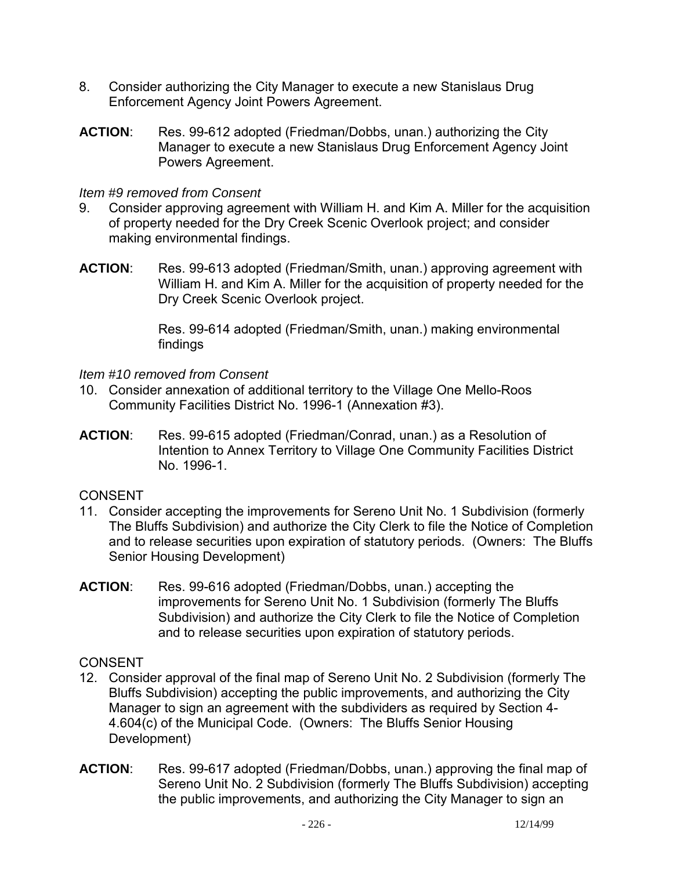- 8. Consider authorizing the City Manager to execute a new Stanislaus Drug Enforcement Agency Joint Powers Agreement.
- **ACTION**: Res. 99-612 adopted (Friedman/Dobbs, unan.) authorizing the City Manager to execute a new Stanislaus Drug Enforcement Agency Joint Powers Agreement.

# *Item #9 removed from Consent*

- 9. Consider approving agreement with William H. and Kim A. Miller for the acquisition of property needed for the Dry Creek Scenic Overlook project; and consider making environmental findings.
- **ACTION**: Res. 99-613 adopted (Friedman/Smith, unan.) approving agreement with William H. and Kim A. Miller for the acquisition of property needed for the Dry Creek Scenic Overlook project.

Res. 99-614 adopted (Friedman/Smith, unan.) making environmental findings

# *Item #10 removed from Consent*

- 10. Consider annexation of additional territory to the Village One Mello-Roos Community Facilities District No. 1996-1 (Annexation #3).
- **ACTION**: Res. 99-615 adopted (Friedman/Conrad, unan.) as a Resolution of Intention to Annex Territory to Village One Community Facilities District No. 1996-1.

# CONSENT

- 11. Consider accepting the improvements for Sereno Unit No. 1 Subdivision (formerly The Bluffs Subdivision) and authorize the City Clerk to file the Notice of Completion and to release securities upon expiration of statutory periods. (Owners: The Bluffs Senior Housing Development)
- **ACTION**: Res. 99-616 adopted (Friedman/Dobbs, unan.) accepting the improvements for Sereno Unit No. 1 Subdivision (formerly The Bluffs Subdivision) and authorize the City Clerk to file the Notice of Completion and to release securities upon expiration of statutory periods.

# CONSENT

- 12. Consider approval of the final map of Sereno Unit No. 2 Subdivision (formerly The Bluffs Subdivision) accepting the public improvements, and authorizing the City Manager to sign an agreement with the subdividers as required by Section 4- 4.604(c) of the Municipal Code. (Owners: The Bluffs Senior Housing Development)
- **ACTION**: Res. 99-617 adopted (Friedman/Dobbs, unan.) approving the final map of Sereno Unit No. 2 Subdivision (formerly The Bluffs Subdivision) accepting the public improvements, and authorizing the City Manager to sign an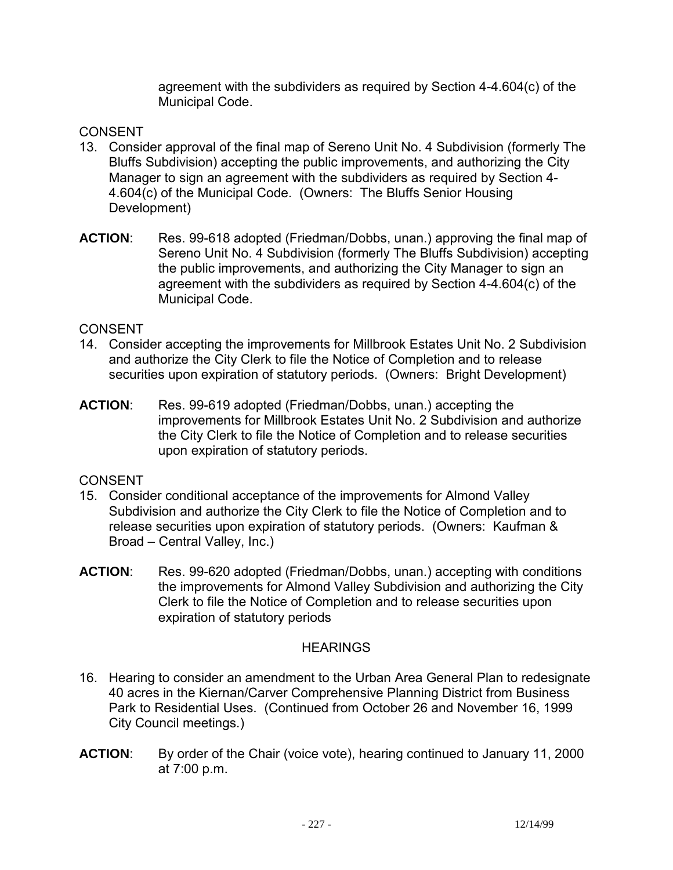agreement with the subdividers as required by Section 4-4.604(c) of the Municipal Code.

# CONSENT

- 13. Consider approval of the final map of Sereno Unit No. 4 Subdivision (formerly The Bluffs Subdivision) accepting the public improvements, and authorizing the City Manager to sign an agreement with the subdividers as required by Section 4- 4.604(c) of the Municipal Code. (Owners: The Bluffs Senior Housing Development)
- **ACTION**: Res. 99-618 adopted (Friedman/Dobbs, unan.) approving the final map of Sereno Unit No. 4 Subdivision (formerly The Bluffs Subdivision) accepting the public improvements, and authorizing the City Manager to sign an agreement with the subdividers as required by Section 4-4.604(c) of the Municipal Code.

#### CONSENT

- 14. Consider accepting the improvements for Millbrook Estates Unit No. 2 Subdivision and authorize the City Clerk to file the Notice of Completion and to release securities upon expiration of statutory periods. (Owners: Bright Development)
- **ACTION**: Res. 99-619 adopted (Friedman/Dobbs, unan.) accepting the improvements for Millbrook Estates Unit No. 2 Subdivision and authorize the City Clerk to file the Notice of Completion and to release securities upon expiration of statutory periods.

#### CONSENT

- 15. Consider conditional acceptance of the improvements for Almond Valley Subdivision and authorize the City Clerk to file the Notice of Completion and to release securities upon expiration of statutory periods. (Owners: Kaufman & Broad – Central Valley, Inc.)
- **ACTION**: Res. 99-620 adopted (Friedman/Dobbs, unan.) accepting with conditions the improvements for Almond Valley Subdivision and authorizing the City Clerk to file the Notice of Completion and to release securities upon expiration of statutory periods

#### **HEARINGS**

- 16. Hearing to consider an amendment to the Urban Area General Plan to redesignate 40 acres in the Kiernan/Carver Comprehensive Planning District from Business Park to Residential Uses. (Continued from October 26 and November 16, 1999 City Council meetings.)
- **ACTION**: By order of the Chair (voice vote), hearing continued to January 11, 2000 at 7:00 p.m.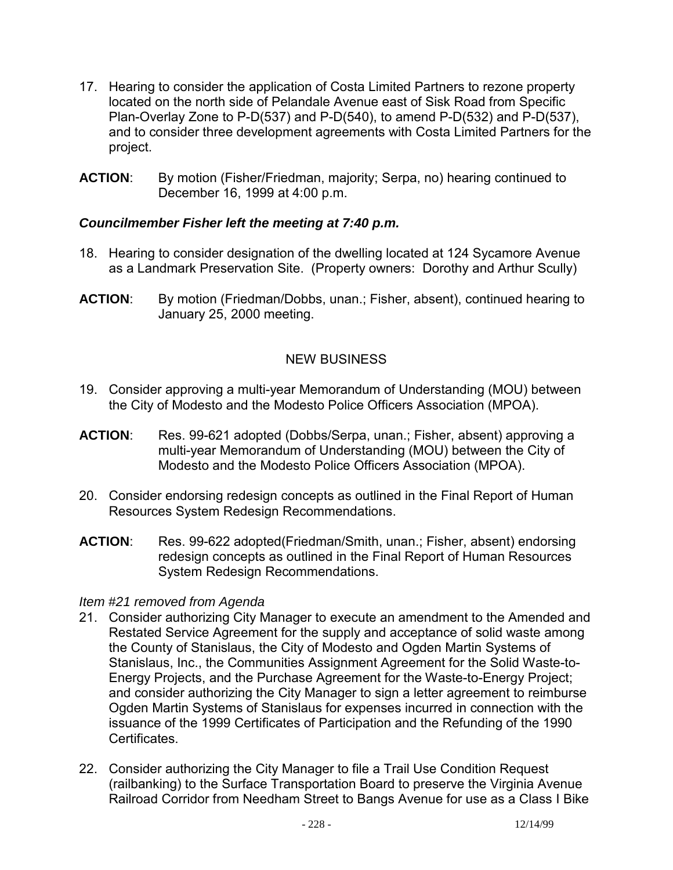- 17. Hearing to consider the application of Costa Limited Partners to rezone property located on the north side of Pelandale Avenue east of Sisk Road from Specific Plan-Overlay Zone to P-D(537) and P-D(540), to amend P-D(532) and P-D(537), and to consider three development agreements with Costa Limited Partners for the project.
- **ACTION**: By motion (Fisher/Friedman, majority; Serpa, no) hearing continued to December 16, 1999 at 4:00 p.m.

# *Councilmember Fisher left the meeting at 7:40 p.m.*

- 18. Hearing to consider designation of the dwelling located at 124 Sycamore Avenue as a Landmark Preservation Site. (Property owners: Dorothy and Arthur Scully)
- **ACTION**: By motion (Friedman/Dobbs, unan.; Fisher, absent), continued hearing to January 25, 2000 meeting.

# NEW BUSINESS

- 19. Consider approving a multi-year Memorandum of Understanding (MOU) between the City of Modesto and the Modesto Police Officers Association (MPOA).
- **ACTION**: Res. 99-621 adopted (Dobbs/Serpa, unan.; Fisher, absent) approving a multi-year Memorandum of Understanding (MOU) between the City of Modesto and the Modesto Police Officers Association (MPOA).
- 20. Consider endorsing redesign concepts as outlined in the Final Report of Human Resources System Redesign Recommendations.
- **ACTION**: Res. 99-622 adopted(Friedman/Smith, unan.; Fisher, absent) endorsing redesign concepts as outlined in the Final Report of Human Resources System Redesign Recommendations.

#### *Item #21 removed from Agenda*

- 21. Consider authorizing City Manager to execute an amendment to the Amended and Restated Service Agreement for the supply and acceptance of solid waste among the County of Stanislaus, the City of Modesto and Ogden Martin Systems of Stanislaus, Inc., the Communities Assignment Agreement for the Solid Waste-to-Energy Projects, and the Purchase Agreement for the Waste-to-Energy Project; and consider authorizing the City Manager to sign a letter agreement to reimburse Ogden Martin Systems of Stanislaus for expenses incurred in connection with the issuance of the 1999 Certificates of Participation and the Refunding of the 1990 Certificates.
- 22. Consider authorizing the City Manager to file a Trail Use Condition Request (railbanking) to the Surface Transportation Board to preserve the Virginia Avenue Railroad Corridor from Needham Street to Bangs Avenue for use as a Class I Bike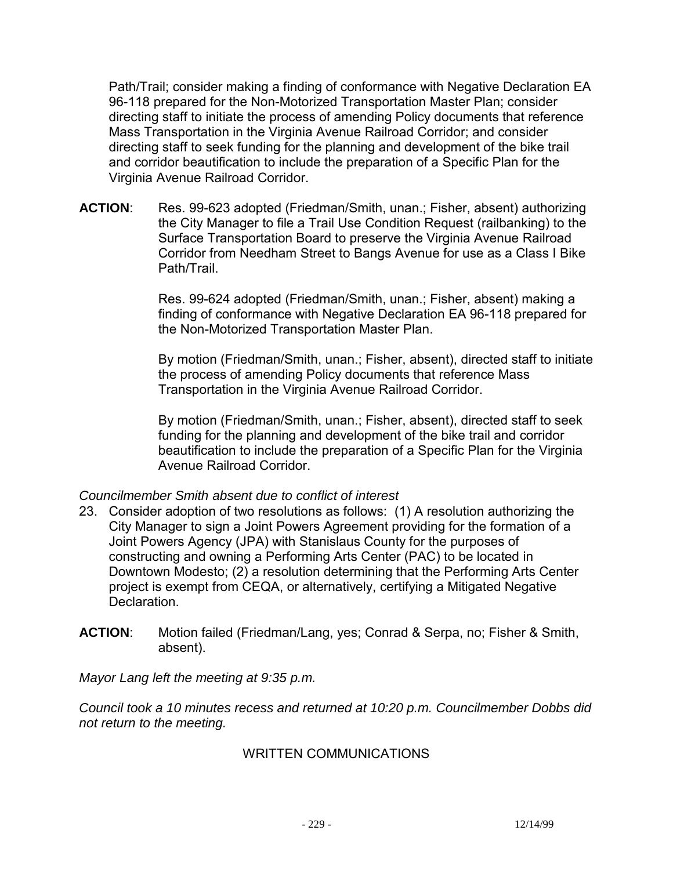Path/Trail; consider making a finding of conformance with Negative Declaration EA 96-118 prepared for the Non-Motorized Transportation Master Plan; consider directing staff to initiate the process of amending Policy documents that reference Mass Transportation in the Virginia Avenue Railroad Corridor; and consider directing staff to seek funding for the planning and development of the bike trail and corridor beautification to include the preparation of a Specific Plan for the Virginia Avenue Railroad Corridor.

**ACTION**: Res. 99-623 adopted (Friedman/Smith, unan.; Fisher, absent) authorizing the City Manager to file a Trail Use Condition Request (railbanking) to the Surface Transportation Board to preserve the Virginia Avenue Railroad Corridor from Needham Street to Bangs Avenue for use as a Class I Bike Path/Trail.

> Res. 99-624 adopted (Friedman/Smith, unan.; Fisher, absent) making a finding of conformance with Negative Declaration EA 96-118 prepared for the Non-Motorized Transportation Master Plan.

By motion (Friedman/Smith, unan.; Fisher, absent), directed staff to initiate the process of amending Policy documents that reference Mass Transportation in the Virginia Avenue Railroad Corridor.

By motion (Friedman/Smith, unan.; Fisher, absent), directed staff to seek funding for the planning and development of the bike trail and corridor beautification to include the preparation of a Specific Plan for the Virginia Avenue Railroad Corridor.

#### *Councilmember Smith absent due to conflict of interest*

- 23. Consider adoption of two resolutions as follows: (1) A resolution authorizing the City Manager to sign a Joint Powers Agreement providing for the formation of a Joint Powers Agency (JPA) with Stanislaus County for the purposes of constructing and owning a Performing Arts Center (PAC) to be located in Downtown Modesto; (2) a resolution determining that the Performing Arts Center project is exempt from CEQA, or alternatively, certifying a Mitigated Negative **Declaration**
- **ACTION**: Motion failed (Friedman/Lang, yes; Conrad & Serpa, no; Fisher & Smith, absent).

*Mayor Lang left the meeting at 9:35 p.m.* 

*Council took a 10 minutes recess and returned at 10:20 p.m. Councilmember Dobbs did not return to the meeting.* 

#### WRITTEN COMMUNICATIONS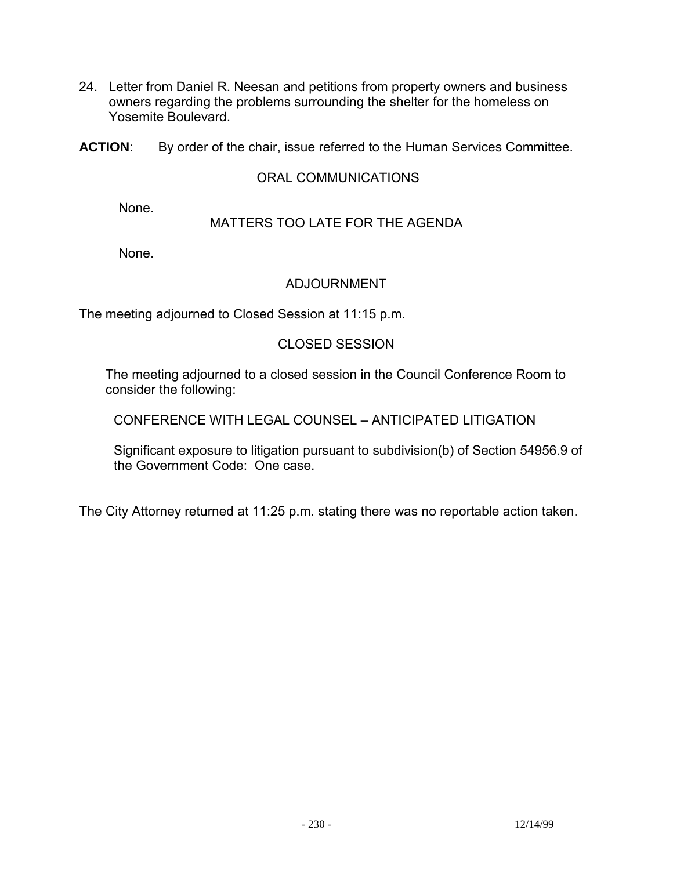- 24. Letter from Daniel R. Neesan and petitions from property owners and business owners regarding the problems surrounding the shelter for the homeless on Yosemite Boulevard.
- **ACTION**: By order of the chair, issue referred to the Human Services Committee.

#### ORAL COMMUNICATIONS

None.

#### MATTERS TOO LATE FOR THE AGENDA

None.

#### ADJOURNMENT

The meeting adjourned to Closed Session at 11:15 p.m.

### CLOSED SESSION

 The meeting adjourned to a closed session in the Council Conference Room to consider the following:

CONFERENCE WITH LEGAL COUNSEL – ANTICIPATED LITIGATION

 Significant exposure to litigation pursuant to subdivision(b) of Section 54956.9 of the Government Code: One case.

The City Attorney returned at 11:25 p.m. stating there was no reportable action taken.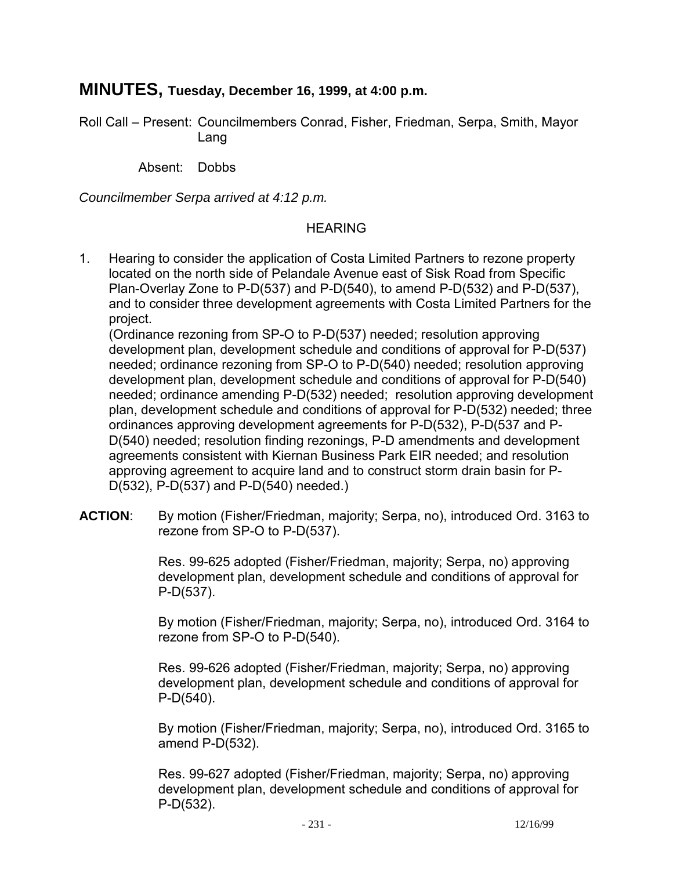# **MINUTES, Tuesday, December 16, 1999, at 4:00 p.m.**

Roll Call – Present: Councilmembers Conrad, Fisher, Friedman, Serpa, Smith, Mayor Lang

Absent: Dobbs

*Councilmember Serpa arrived at 4:12 p.m.* 

# HEARING

1. Hearing to consider the application of Costa Limited Partners to rezone property located on the north side of Pelandale Avenue east of Sisk Road from Specific Plan-Overlay Zone to P-D(537) and P-D(540), to amend P-D(532) and P-D(537), and to consider three development agreements with Costa Limited Partners for the project.

 (Ordinance rezoning from SP-O to P-D(537) needed; resolution approving development plan, development schedule and conditions of approval for P-D(537) needed; ordinance rezoning from SP-O to P-D(540) needed; resolution approving development plan, development schedule and conditions of approval for P-D(540) needed; ordinance amending P-D(532) needed; resolution approving development plan, development schedule and conditions of approval for P-D(532) needed; three ordinances approving development agreements for P-D(532), P-D(537 and P-D(540) needed; resolution finding rezonings, P-D amendments and development agreements consistent with Kiernan Business Park EIR needed; and resolution approving agreement to acquire land and to construct storm drain basin for P-D(532), P-D(537) and P-D(540) needed.)

**ACTION**: By motion (Fisher/Friedman, majority; Serpa, no), introduced Ord. 3163 to rezone from SP-O to P-D(537).

> Res. 99-625 adopted (Fisher/Friedman, majority; Serpa, no) approving development plan, development schedule and conditions of approval for P-D(537).

By motion (Fisher/Friedman, majority; Serpa, no), introduced Ord. 3164 to rezone from SP-O to P-D(540).

Res. 99-626 adopted (Fisher/Friedman, majority; Serpa, no) approving development plan, development schedule and conditions of approval for P-D(540).

By motion (Fisher/Friedman, majority; Serpa, no), introduced Ord. 3165 to amend P-D(532).

Res. 99-627 adopted (Fisher/Friedman, majority; Serpa, no) approving development plan, development schedule and conditions of approval for P-D(532).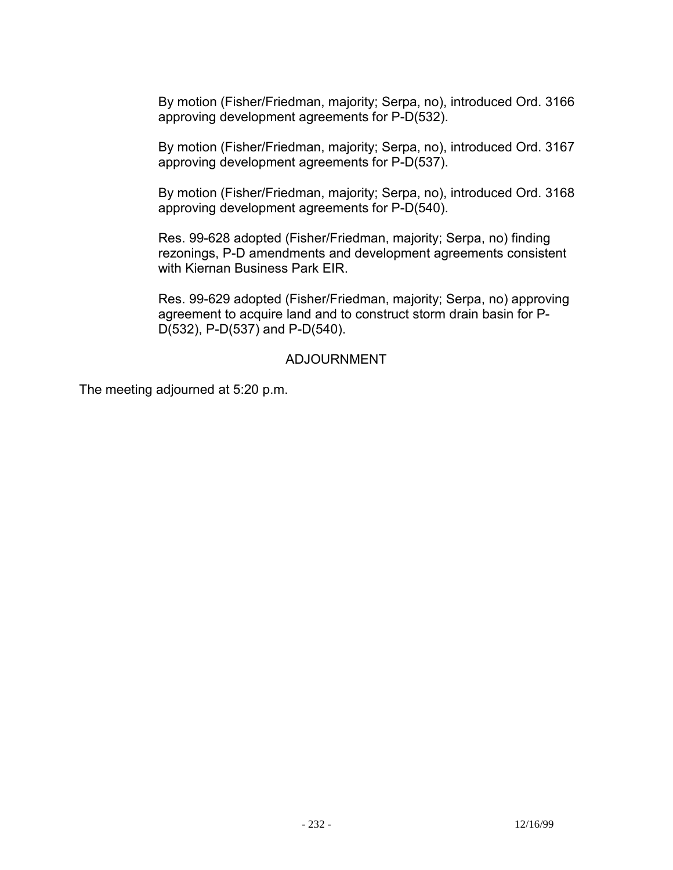By motion (Fisher/Friedman, majority; Serpa, no), introduced Ord. 3166 approving development agreements for P-D(532).

By motion (Fisher/Friedman, majority; Serpa, no), introduced Ord. 3167 approving development agreements for P-D(537).

By motion (Fisher/Friedman, majority; Serpa, no), introduced Ord. 3168 approving development agreements for P-D(540).

Res. 99-628 adopted (Fisher/Friedman, majority; Serpa, no) finding rezonings, P-D amendments and development agreements consistent with Kiernan Business Park EIR.

Res. 99-629 adopted (Fisher/Friedman, majority; Serpa, no) approving agreement to acquire land and to construct storm drain basin for P-D(532), P-D(537) and P-D(540).

# ADJOURNMENT

The meeting adjourned at 5:20 p.m.